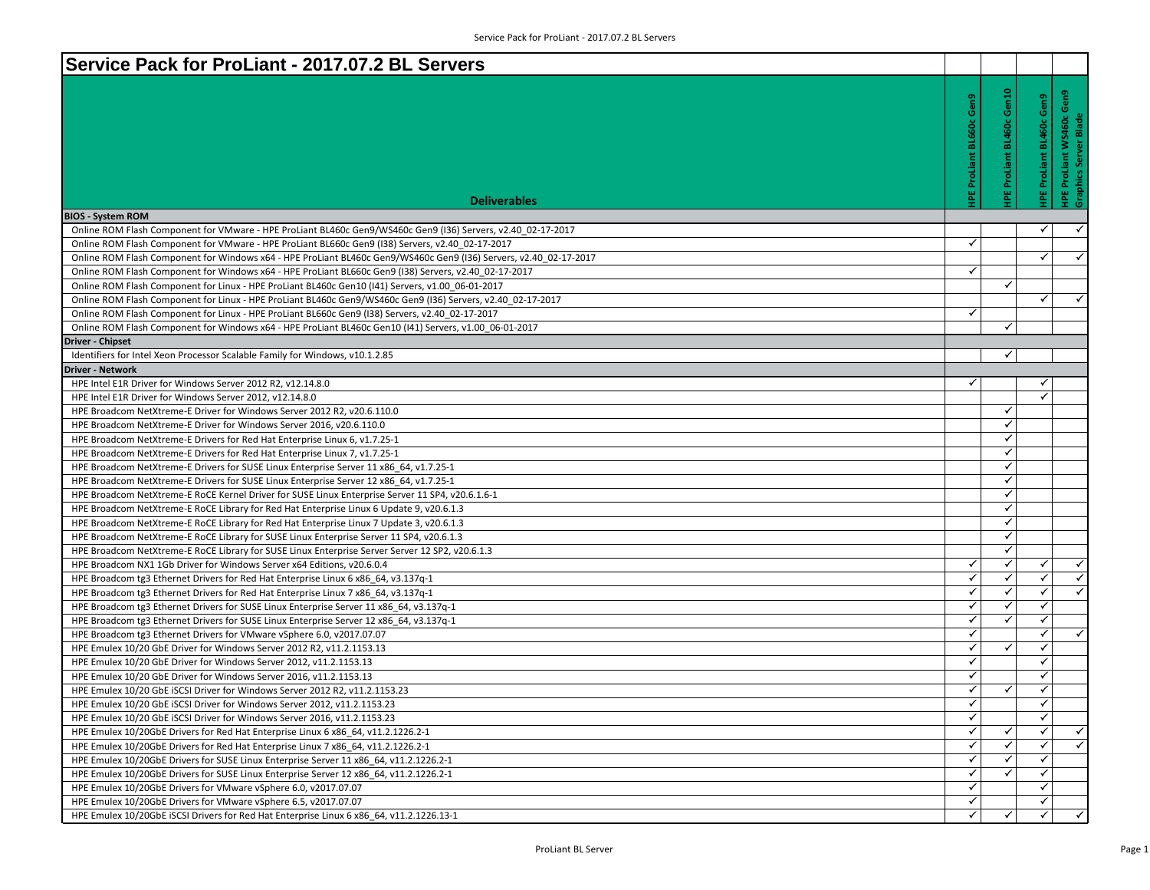| Service Pack for ProLiant - 2017.07.2 BL Servers                                                                                                                                                                      |                   |                     |                                 |                                                   |
|-----------------------------------------------------------------------------------------------------------------------------------------------------------------------------------------------------------------------|-------------------|---------------------|---------------------------------|---------------------------------------------------|
|                                                                                                                                                                                                                       |                   |                     |                                 |                                                   |
|                                                                                                                                                                                                                       | Gen9              | <b>BL460c Gen10</b> |                                 | HPE ProLiant WS460c Gen9<br>Graphics Server Blade |
|                                                                                                                                                                                                                       |                   |                     | <b>HPE ProLiant BL460c Gen9</b> |                                                   |
|                                                                                                                                                                                                                       |                   |                     |                                 |                                                   |
|                                                                                                                                                                                                                       |                   |                     |                                 |                                                   |
|                                                                                                                                                                                                                       |                   |                     |                                 |                                                   |
|                                                                                                                                                                                                                       | ProLiant          | ProLiant            |                                 |                                                   |
|                                                                                                                                                                                                                       |                   |                     |                                 |                                                   |
| <b>Deliverables</b>                                                                                                                                                                                                   |                   |                     |                                 |                                                   |
| <b>BIOS - System ROM</b>                                                                                                                                                                                              |                   |                     |                                 | $\checkmark$                                      |
| Online ROM Flash Component for VMware - HPE ProLiant BL460c Gen9/WS460c Gen9 (136) Servers, v2.40 02-17-2017                                                                                                          | ✓                 |                     | $\checkmark$                    |                                                   |
| Online ROM Flash Component for VMware - HPE ProLiant BL660c Gen9 (I38) Servers, v2.40 02-17-2017<br>Online ROM Flash Component for Windows x64 - HPE ProLiant BL460c Gen9/WS460c Gen9 (I36) Servers, v2.40 02-17-2017 |                   |                     | ✓                               | $\checkmark$                                      |
| Online ROM Flash Component for Windows x64 - HPE ProLiant BL660c Gen9 (I38) Servers, v2.40 02-17-2017                                                                                                                 | $\checkmark$      |                     |                                 |                                                   |
| Online ROM Flash Component for Linux - HPE ProLiant BL460c Gen10 (I41) Servers, v1.00 06-01-2017                                                                                                                      |                   | $\checkmark$        |                                 |                                                   |
| Online ROM Flash Component for Linux - HPE ProLiant BL460c Gen9/WS460c Gen9 (I36) Servers, v2.40 02-17-2017                                                                                                           |                   |                     | ✓                               | $\checkmark$                                      |
| Online ROM Flash Component for Linux - HPE ProLiant BL660c Gen9 (I38) Servers, v2.40 02-17-2017                                                                                                                       | ✓                 |                     |                                 |                                                   |
| Online ROM Flash Component for Windows x64 - HPE ProLiant BL460c Gen10 (141) Servers, v1.00 06-01-2017                                                                                                                |                   | $\checkmark$        |                                 |                                                   |
| Driver - Chipset                                                                                                                                                                                                      |                   |                     |                                 |                                                   |
| Identifiers for Intel Xeon Processor Scalable Family for Windows, v10.1.2.85                                                                                                                                          |                   | ✓                   |                                 |                                                   |
| Driver - Network                                                                                                                                                                                                      |                   |                     |                                 |                                                   |
| HPE Intel E1R Driver for Windows Server 2012 R2, v12.14.8.0                                                                                                                                                           | $\checkmark$      |                     | ✓                               |                                                   |
| HPE Intel E1R Driver for Windows Server 2012, v12.14.8.0                                                                                                                                                              |                   |                     | ✓                               |                                                   |
| HPE Broadcom NetXtreme-E Driver for Windows Server 2012 R2, v20.6.110.0                                                                                                                                               |                   | ✓                   |                                 |                                                   |
| HPE Broadcom NetXtreme-E Driver for Windows Server 2016, v20.6.110.0                                                                                                                                                  |                   | ✓                   |                                 |                                                   |
| HPE Broadcom NetXtreme-E Drivers for Red Hat Enterprise Linux 6, v1.7.25-1                                                                                                                                            |                   | $\checkmark$        |                                 |                                                   |
| HPE Broadcom NetXtreme-E Drivers for Red Hat Enterprise Linux 7, v1.7.25-1                                                                                                                                            |                   | ✓                   |                                 |                                                   |
| HPE Broadcom NetXtreme-E Drivers for SUSE Linux Enterprise Server 11 x86 64, v1.7.25-1                                                                                                                                |                   | $\checkmark$        |                                 |                                                   |
| HPE Broadcom NetXtreme-E Drivers for SUSE Linux Enterprise Server 12 x86 64, v1.7.25-1                                                                                                                                |                   | ✓                   |                                 |                                                   |
| HPE Broadcom NetXtreme-E RoCE Kernel Driver for SUSE Linux Enterprise Server 11 SP4, v20.6.1.6-1                                                                                                                      |                   | ✓                   |                                 |                                                   |
| HPE Broadcom NetXtreme-E RoCE Library for Red Hat Enterprise Linux 6 Update 9, v20.6.1.3                                                                                                                              |                   | $\checkmark$        |                                 |                                                   |
| HPE Broadcom NetXtreme-E RoCE Library for Red Hat Enterprise Linux 7 Update 3, v20.6.1.3                                                                                                                              |                   | ✓                   |                                 |                                                   |
| HPE Broadcom NetXtreme-E RoCE Library for SUSE Linux Enterprise Server 11 SP4, v20.6.1.3                                                                                                                              |                   | $\checkmark$        |                                 |                                                   |
| HPE Broadcom NetXtreme-E RoCE Library for SUSE Linux Enterprise Server Server 12 SP2, v20.6.1.3                                                                                                                       |                   | ✓                   |                                 |                                                   |
| HPE Broadcom NX1 1Gb Driver for Windows Server x64 Editions, v20.6.0.4                                                                                                                                                | ✓<br>$\checkmark$ | ✓<br>$\checkmark$   | ✓<br>$\checkmark$               | ✓<br>$\checkmark$                                 |
| HPE Broadcom tg3 Ethernet Drivers for Red Hat Enterprise Linux 6 x86 64, v3.137q-1                                                                                                                                    | ✓                 | ✓                   | $\checkmark$                    | $\checkmark$                                      |
| HPE Broadcom tg3 Ethernet Drivers for Red Hat Enterprise Linux 7 x86_64, v3.137q-1                                                                                                                                    | $\checkmark$      | $\checkmark$        | $\checkmark$                    |                                                   |
| HPE Broadcom tg3 Ethernet Drivers for SUSE Linux Enterprise Server 11 x86 64, v3.137q-1<br>HPE Broadcom tg3 Ethernet Drivers for SUSE Linux Enterprise Server 12 x86_64, v3.137q-1                                    | $\checkmark$      | ✓                   | ✓                               |                                                   |
| HPE Broadcom tg3 Ethernet Drivers for VMware vSphere 6.0, v2017.07.07                                                                                                                                                 | ✓                 |                     | $\checkmark$                    | $\blacktriangle$                                  |
| HPE Emulex 10/20 GbE Driver for Windows Server 2012 R2, v11.2.1153.13                                                                                                                                                 | $\checkmark$      | ✓                   | $\checkmark$                    |                                                   |
| HPE Emulex 10/20 GbE Driver for Windows Server 2012, v11.2.1153.13                                                                                                                                                    | ✓                 |                     | ✔                               |                                                   |
| HPE Emulex 10/20 GbE Driver for Windows Server 2016, v11.2.1153.13                                                                                                                                                    | $\checkmark$      |                     | ✓                               |                                                   |
| HPE Emulex 10/20 GbE ISCSI Driver for Windows Server 2012 R2, v11.2.1153.23                                                                                                                                           | $\checkmark$      | ✓                   | ✓                               |                                                   |
| HPE Emulex 10/20 GbE iSCSI Driver for Windows Server 2012, v11.2.1153.23                                                                                                                                              | ✓                 |                     | ✓                               |                                                   |
| HPE Emulex 10/20 GbE iSCSI Driver for Windows Server 2016, v11.2.1153.23                                                                                                                                              | $\checkmark$      |                     | $\checkmark$                    |                                                   |
| HPE Emulex 10/20GbE Drivers for Red Hat Enterprise Linux 6 x86 64, v11.2.1226.2-1                                                                                                                                     | $\checkmark$      | ✓                   | ✓                               | $\blacktriangleleft$                              |
| HPE Emulex 10/20GbE Drivers for Red Hat Enterprise Linux 7 x86 64, v11.2.1226.2-1                                                                                                                                     | ✓                 |                     | ✓                               | $\checkmark$                                      |
| HPE Emulex 10/20GbE Drivers for SUSE Linux Enterprise Server 11 x86 64, v11.2.1226.2-1                                                                                                                                | $\checkmark$      |                     | ✓                               |                                                   |
| HPE Emulex 10/20GbE Drivers for SUSE Linux Enterprise Server 12 x86 64, v11.2.1226.2-1                                                                                                                                | ✓                 | ✓                   | $\checkmark$                    |                                                   |
| HPE Emulex 10/20GbE Drivers for VMware vSphere 6.0, v2017.07.07                                                                                                                                                       | $\checkmark$      |                     | ✓                               |                                                   |
| HPE Emulex 10/20GbE Drivers for VMware vSphere 6.5, v2017.07.07                                                                                                                                                       | $\checkmark$      |                     | ✓                               |                                                   |
| HPE Emulex 10/20GbE iSCSI Drivers for Red Hat Enterprise Linux 6 x86 64, v11.2.1226.13-1                                                                                                                              | $\checkmark$      |                     | ✓                               | $\checkmark$                                      |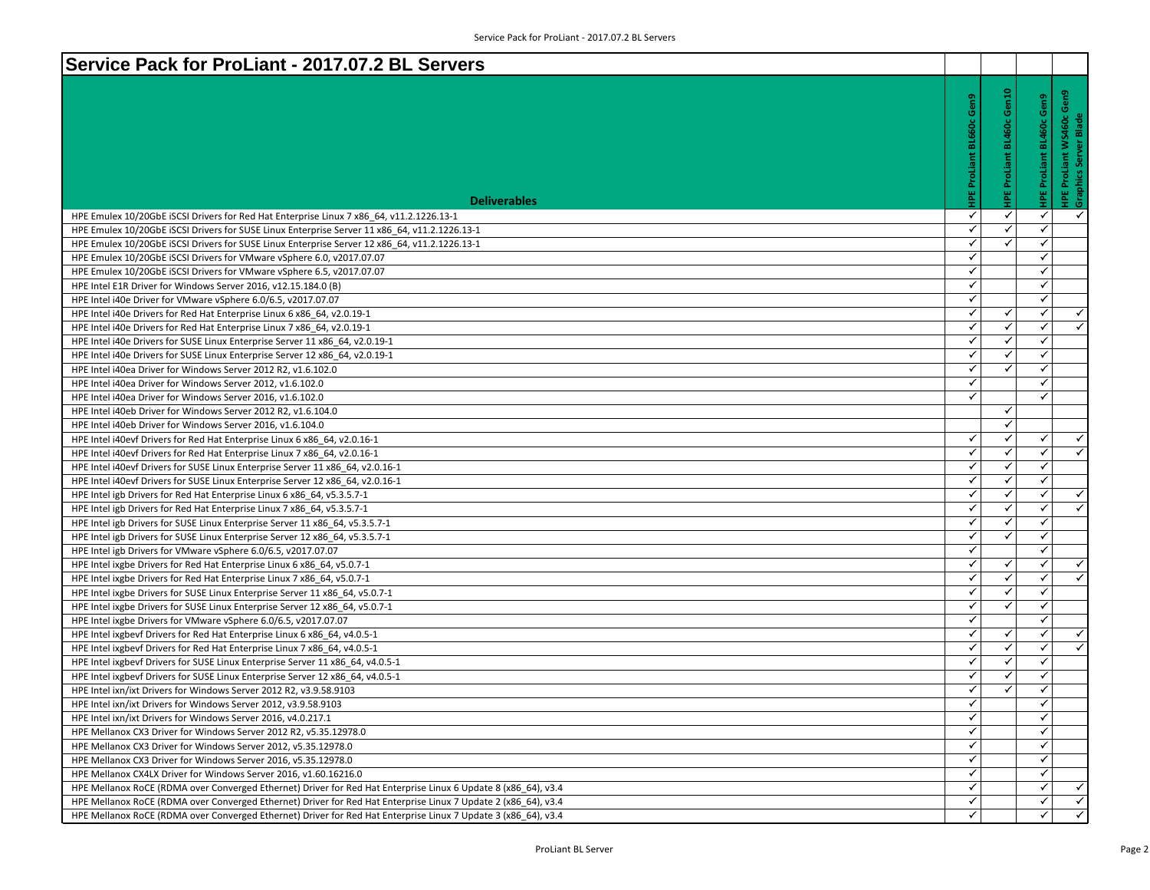| Service Pack for ProLiant - 2017.07.2 BL Servers                                                                                                                 |                   |                   |                          |                                                   |
|------------------------------------------------------------------------------------------------------------------------------------------------------------------|-------------------|-------------------|--------------------------|---------------------------------------------------|
|                                                                                                                                                                  |                   |                   |                          |                                                   |
|                                                                                                                                                                  | Gen9              | Gen10             | HPE ProLiant BL460c Gen9 | HPE ProLiant WS460c Gen9<br>Graphics Server Blade |
|                                                                                                                                                                  |                   |                   |                          |                                                   |
|                                                                                                                                                                  |                   | <b>BL460c</b>     |                          |                                                   |
|                                                                                                                                                                  |                   |                   |                          |                                                   |
|                                                                                                                                                                  |                   | ProLiant          |                          |                                                   |
|                                                                                                                                                                  | ProLi             |                   |                          |                                                   |
|                                                                                                                                                                  |                   |                   |                          |                                                   |
| <b>Deliverables</b>                                                                                                                                              |                   |                   |                          |                                                   |
| HPE Emulex 10/20GbE ISCSI Drivers for Red Hat Enterprise Linux 7 x86_64, v11.2.1226.13-1                                                                         | ✓                 | ✓                 | $\checkmark$             | ✓                                                 |
| HPE Emulex 10/20GbE iSCSI Drivers for SUSE Linux Enterprise Server 11 x86 64, v11.2.1226.13-1                                                                    | $\checkmark$      | ✓                 | $\checkmark$             |                                                   |
| HPE Emulex 10/20GbE ISCSI Drivers for SUSE Linux Enterprise Server 12 x86_64, v11.2.1226.13-1                                                                    | ✓                 | ✓                 | ✓                        |                                                   |
| HPE Emulex 10/20GbE iSCSI Drivers for VMware vSphere 6.0, v2017.07.07                                                                                            | $\checkmark$<br>✓ |                   | $\checkmark$             |                                                   |
| HPE Emulex 10/20GbE iSCSI Drivers for VMware vSphere 6.5, v2017.07.07                                                                                            | $\checkmark$      |                   | ✓                        |                                                   |
| HPE Intel E1R Driver for Windows Server 2016, v12.15.184.0 (B)                                                                                                   | $\checkmark$      |                   | ✓                        |                                                   |
| HPE Intel i40e Driver for VMware vSphere 6.0/6.5, v2017.07.07                                                                                                    |                   |                   | $\checkmark$             |                                                   |
| HPE Intel i40e Drivers for Red Hat Enterprise Linux 6 x86 64, v2.0.19-1                                                                                          | ✓                 | ✓                 | $\checkmark$             | ✓<br>$\overline{\checkmark}$                      |
| HPE Intel i40e Drivers for Red Hat Enterprise Linux 7 x86 64, v2.0.19-1                                                                                          | ✓                 | $\checkmark$      | $\checkmark$             |                                                   |
| HPE Intel i40e Drivers for SUSE Linux Enterprise Server 11 x86 64, v2.0.19-1                                                                                     | ✓                 | ✓                 | ✓                        |                                                   |
| HPE Intel i40e Drivers for SUSE Linux Enterprise Server 12 x86 64, v2.0.19-1                                                                                     | ✓<br>$\checkmark$ | ✓<br>$\checkmark$ | ✓<br>$\checkmark$        |                                                   |
| HPE Intel i40ea Driver for Windows Server 2012 R2, v1.6.102.0                                                                                                    | ✓                 |                   |                          |                                                   |
| HPE Intel i40ea Driver for Windows Server 2012, v1.6.102.0                                                                                                       | $\checkmark$      |                   | ✔<br>$\checkmark$        |                                                   |
| HPE Intel i40ea Driver for Windows Server 2016, v1.6.102.0                                                                                                       |                   | ✓                 |                          |                                                   |
| HPE Intel i40eb Driver for Windows Server 2012 R2, v1.6.104.0                                                                                                    |                   | $\checkmark$      |                          |                                                   |
| HPE Intel i40eb Driver for Windows Server 2016, v1.6.104.0                                                                                                       | $\checkmark$      | ✓                 |                          | $\checkmark$                                      |
| HPE Intel i40evf Drivers for Red Hat Enterprise Linux 6 x86 64, v2.0.16-1                                                                                        | ✓                 | ✓                 | ✓<br>$\checkmark$        | $\checkmark$                                      |
| HPE Intel i40evf Drivers for Red Hat Enterprise Linux 7 x86 64, v2.0.16-1                                                                                        | $\checkmark$      | $\checkmark$      | $\checkmark$             |                                                   |
| HPE Intel i40evf Drivers for SUSE Linux Enterprise Server 11 x86 64, v2.0.16-1<br>HPE Intel i40evf Drivers for SUSE Linux Enterprise Server 12 x86 64, v2.0.16-1 | ✓                 | ✓                 | ✓                        |                                                   |
| HPE Intel igb Drivers for Red Hat Enterprise Linux 6 x86 64, v5.3.5.7-1                                                                                          | ✓                 | $\checkmark$      | ✓                        | $\checkmark$                                      |
| HPE Intel igb Drivers for Red Hat Enterprise Linux 7 x86_64, v5.3.5.7-1                                                                                          | $\checkmark$      | $\checkmark$      | ✓                        | $\blacktriangledown$                              |
| HPE Intel igb Drivers for SUSE Linux Enterprise Server 11 x86_64, v5.3.5.7-1                                                                                     | ✓                 | ✓                 | ✔                        |                                                   |
| HPE Intel igb Drivers for SUSE Linux Enterprise Server 12 x86 64, v5.3.5.7-1                                                                                     | $\checkmark$      | $\checkmark$      | $\checkmark$             |                                                   |
| HPE Intel igb Drivers for VMware vSphere 6.0/6.5, v2017.07.07                                                                                                    | ✓                 |                   | ✓                        |                                                   |
| HPE Intel ixgbe Drivers for Red Hat Enterprise Linux 6 x86 64, v5.0.7-1                                                                                          | ✓                 | ✓                 | ✓                        | $\checkmark$                                      |
| HPE Intel ixgbe Drivers for Red Hat Enterprise Linux 7 x86 64, v5.0.7-1                                                                                          | $\checkmark$      | $\checkmark$      | ✓                        | $\overline{\checkmark}$                           |
| HPE Intel ixgbe Drivers for SUSE Linux Enterprise Server 11 x86_64, v5.0.7-1                                                                                     | $\checkmark$      | ✓                 | ✔                        |                                                   |
| HPE Intel ixgbe Drivers for SUSE Linux Enterprise Server 12 x86 64, v5.0.7-1                                                                                     | $\checkmark$      | $\checkmark$      | $\checkmark$             |                                                   |
| HPE Intel ixgbe Drivers for VMware vSphere 6.0/6.5, v2017.07.07                                                                                                  | ✓                 |                   | ✓                        |                                                   |
| HPE Intel ixgbevf Drivers for Red Hat Enterprise Linux 6 x86 64, v4.0.5-1                                                                                        | $\checkmark$      | ✓                 | $\checkmark$             | $\checkmark$                                      |
| HPE Intel ixgbevf Drivers for Red Hat Enterprise Linux 7 x86 64, v4.0.5-1                                                                                        | $\checkmark$      | $\checkmark$      | $\checkmark$             | $\overline{\checkmark}$                           |
| HPE Intel ixgbevf Drivers for SUSE Linux Enterprise Server 11 x86_64, v4.0.5-1                                                                                   | $\checkmark$      | ✓                 | ✔                        |                                                   |
| HPE Intel ixgbevf Drivers for SUSE Linux Enterprise Server 12 x86 64, v4.0.5-1                                                                                   | ✓                 | ✓                 | $\checkmark$             |                                                   |
| HPE Intel ixn/ixt Drivers for Windows Server 2012 R2, v3.9.58.9103                                                                                               | ✓                 | ✓                 | ✓                        |                                                   |
| HPE Intel ixn/ixt Drivers for Windows Server 2012, v3.9.58.9103                                                                                                  | ✓                 |                   | ✓                        |                                                   |
| HPE Intel ixn/ixt Drivers for Windows Server 2016, v4.0.217.1                                                                                                    | $\checkmark$      |                   | $\checkmark$             |                                                   |
| HPE Mellanox CX3 Driver for Windows Server 2012 R2, v5.35.12978.0                                                                                                | $\checkmark$      |                   | $\checkmark$             |                                                   |
| HPE Mellanox CX3 Driver for Windows Server 2012, v5.35.12978.0                                                                                                   | $\checkmark$      |                   | $\checkmark$             |                                                   |
| HPE Mellanox CX3 Driver for Windows Server 2016, v5.35.12978.0                                                                                                   | $\checkmark$      |                   | ✓                        |                                                   |
| HPE Mellanox CX4LX Driver for Windows Server 2016, v1.60.16216.0                                                                                                 | $\checkmark$      |                   | ✓                        |                                                   |
| HPE Mellanox RoCE (RDMA over Converged Ethernet) Driver for Red Hat Enterprise Linux 6 Update 8 (x86 64), v3.4                                                   | $\checkmark$      |                   | $\checkmark$             | $\checkmark$                                      |
| HPE Mellanox RoCE (RDMA over Converged Ethernet) Driver for Red Hat Enterprise Linux 7 Update 2 (x86 64), v3.4                                                   | $\checkmark$      |                   | $\checkmark$             | ✓                                                 |
| HPE Mellanox RoCE (RDMA over Converged Ethernet) Driver for Red Hat Enterprise Linux 7 Update 3 (x86_64), v3.4                                                   | ✓                 |                   | ✓                        | $\blacktriangleleft$                              |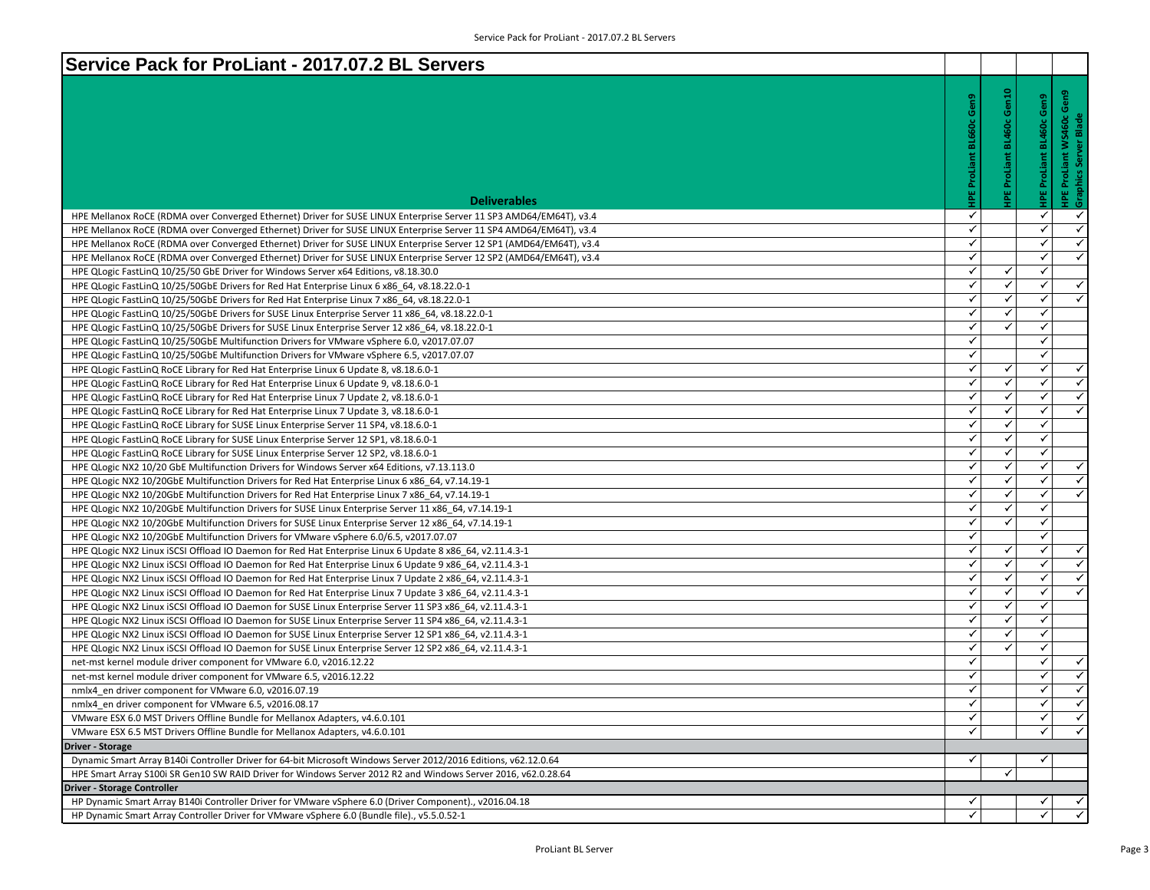| Service Pack for ProLiant - 2017.07.2 BL Servers                                                                                                    |                                 |                                    |                          |                                                                            |
|-----------------------------------------------------------------------------------------------------------------------------------------------------|---------------------------------|------------------------------------|--------------------------|----------------------------------------------------------------------------|
| <b>Deliverables</b>                                                                                                                                 | <b>HPE ProLiant BL660c Gen9</b> | Gen10<br><b>BL460c</b><br>ProLiant | HPE ProLiant BL460c Gen9 | Gen9<br>: WS460c (<br>ver Blade<br><b>HPE ProLiant \</b><br>Graphics Serve |
| HPE Mellanox RoCE (RDMA over Converged Ethernet) Driver for SUSE LINUX Enterprise Server 11 SP3 AMD64/EM64T), v3.4                                  | ✓                               |                                    | ✓                        | ✓                                                                          |
| HPE Mellanox RoCE (RDMA over Converged Ethernet) Driver for SUSE LINUX Enterprise Server 11 SP4 AMD64/EM64T), v3.4                                  | $\checkmark$                    |                                    | $\checkmark$             | $\overline{\checkmark}$                                                    |
| HPE Mellanox RoCE (RDMA over Converged Ethernet) Driver for SUSE LINUX Enterprise Server 12 SP1 (AMD64/EM64T), v3.4                                 | ✓                               |                                    | ✓                        | $\checkmark$                                                               |
| HPE Mellanox RoCE (RDMA over Converged Ethernet) Driver for SUSE LINUX Enterprise Server 12 SP2 (AMD64/EM64T), v3.4                                 | $\checkmark$                    |                                    | ✓                        | $\overline{\checkmark}$                                                    |
| HPE QLogic FastLinQ 10/25/50 GbE Driver for Windows Server x64 Editions, v8.18.30.0                                                                 | $\checkmark$                    | ✓                                  | ✓                        |                                                                            |
| HPE QLogic FastLinQ 10/25/50GbE Drivers for Red Hat Enterprise Linux 6 x86 64, v8.18.22.0-1                                                         | $\checkmark$                    | $\checkmark$                       | ✓                        | $\checkmark$                                                               |
| HPE QLogic FastLinQ 10/25/50GbE Drivers for Red Hat Enterprise Linux 7 x86 64, v8.18.22.0-1                                                         | $\checkmark$                    | ✓                                  | ✓                        | $\overline{\checkmark}$                                                    |
| HPE QLogic FastLinQ 10/25/50GbE Drivers for SUSE Linux Enterprise Server 11 x86_64, v8.18.22.0-1                                                    | ✓                               | ✓                                  | ✓                        |                                                                            |
| HPE QLogic FastLinQ 10/25/50GbE Drivers for SUSE Linux Enterprise Server 12 x86 64, v8.18.22.0-1                                                    | $\checkmark$                    | $\checkmark$                       | ✓                        |                                                                            |
| HPE QLogic FastLinQ 10/25/50GbE Multifunction Drivers for VMware vSphere 6.0, v2017.07.07                                                           | $\checkmark$                    |                                    | ✓                        |                                                                            |
| HPE QLogic FastLinQ 10/25/50GbE Multifunction Drivers for VMware vSphere 6.5, v2017.07.07                                                           | $\checkmark$                    |                                    | ✓                        |                                                                            |
| HPE QLogic FastLinQ RoCE Library for Red Hat Enterprise Linux 6 Update 8, v8.18.6.0-1                                                               | $\checkmark$                    | ✓                                  | ✓                        | $\checkmark$                                                               |
| HPE QLogic FastLinQ RoCE Library for Red Hat Enterprise Linux 6 Update 9, v8.18.6.0-1                                                               | ✓                               | ✓                                  | ✓                        | ✓                                                                          |
| HPE QLogic FastLinQ RoCE Library for Red Hat Enterprise Linux 7 Update 2, v8.18.6.0-1                                                               | $\checkmark$                    | $\checkmark$                       | ✓                        | $\overline{\checkmark}$                                                    |
| HPE QLogic FastLinQ RoCE Library for Red Hat Enterprise Linux 7 Update 3, v8.18.6.0-1                                                               | $\checkmark$                    | ✓                                  | ✓                        | $\checkmark$                                                               |
| HPE QLogic FastLinQ RoCE Library for SUSE Linux Enterprise Server 11 SP4, v8.18.6.0-1                                                               | $\checkmark$                    | $\checkmark$                       | ✓                        |                                                                            |
| HPE QLogic FastLinQ RoCE Library for SUSE Linux Enterprise Server 12 SP1, v8.18.6.0-1                                                               | $\checkmark$                    | ✓                                  | ✓                        |                                                                            |
| HPE QLogic FastLinQ RoCE Library for SUSE Linux Enterprise Server 12 SP2, v8.18.6.0-1                                                               | ✓                               | ✓                                  | ✓                        |                                                                            |
| HPE QLogic NX2 10/20 GbE Multifunction Drivers for Windows Server x64 Editions, v7.13.113.0                                                         | $\checkmark$                    | $\checkmark$                       | ✓                        | $\checkmark$                                                               |
| HPE QLogic NX2 10/20GbE Multifunction Drivers for Red Hat Enterprise Linux 6 x86_64, v7.14.19-1                                                     | $\checkmark$                    | ✓                                  | ✓                        | $\checkmark$                                                               |
| HPE QLogic NX2 10/20GbE Multifunction Drivers for Red Hat Enterprise Linux 7 x86 64, v7.14.19-1                                                     | $\checkmark$                    | $\checkmark$                       | ✓                        | $\checkmark$                                                               |
| HPE QLogic NX2 10/20GbE Multifunction Drivers for SUSE Linux Enterprise Server 11 x86_64, v7.14.19-1                                                | $\checkmark$                    | ✓                                  | ✓                        |                                                                            |
| HPE QLogic NX2 10/20GbE Multifunction Drivers for SUSE Linux Enterprise Server 12 x86_64, v7.14.19-1                                                | ✓                               | ✓                                  | ✓                        |                                                                            |
| HPE QLogic NX2 10/20GbE Multifunction Drivers for VMware vSphere 6.0/6.5, v2017.07.07                                                               | $\checkmark$                    |                                    | ✓                        |                                                                            |
| HPE QLogic NX2 Linux iSCSI Offload IO Daemon for Red Hat Enterprise Linux 6 Update 8 x86_64, v2.11.4.3-1                                            | $\checkmark$                    | ✓                                  | ✓                        | $\checkmark$                                                               |
| HPE QLogic NX2 Linux iSCSI Offload IO Daemon for Red Hat Enterprise Linux 6 Update 9 x86 64, v2.11.4.3-1                                            | $\checkmark$                    | $\checkmark$                       | ✓                        | $\checkmark$                                                               |
| HPE QLogic NX2 Linux iSCSI Offload IO Daemon for Red Hat Enterprise Linux 7 Update 2 x86_64, v2.11.4.3-1                                            | $\checkmark$                    | ✓                                  | ✓                        | $\blacktriangleleft$                                                       |
| HPE QLogic NX2 Linux iSCSI Offload IO Daemon for Red Hat Enterprise Linux 7 Update 3 x86_64, v2.11.4.3-1                                            | ✓                               | ✓                                  | ✓                        | ✓                                                                          |
| HPE QLogic NX2 Linux iSCSI Offload IO Daemon for SUSE Linux Enterprise Server 11 SP3 x86 64, v2.11.4.3-1                                            | $\checkmark$                    | $\checkmark$                       |                          |                                                                            |
| HPE QLogic NX2 Linux iSCSI Offload IO Daemon for SUSE Linux Enterprise Server 11 SP4 x86 64, v2.11.4.3-1                                            | $\checkmark$                    | ✓                                  | ✓                        |                                                                            |
| HPE QLogic NX2 Linux iSCSI Offload IO Daemon for SUSE Linux Enterprise Server 12 SP1 x86 64, v2.11.4.3-1                                            | $\checkmark$                    | $\checkmark$                       | ✓                        |                                                                            |
| HPE QLogic NX2 Linux iSCSI Offload IO Daemon for SUSE Linux Enterprise Server 12 SP2 x86 64, v2.11.4.3-1                                            | $\checkmark$                    | ✓                                  | ✓                        |                                                                            |
| net-mst kernel module driver component for VMware 6.0, v2016.12.22                                                                                  | ✓<br>$\checkmark$               |                                    | ✓                        | $\checkmark$<br>$\overline{\checkmark}$                                    |
| net-mst kernel module driver component for VMware 6.5, v2016.12.22                                                                                  |                                 |                                    | ✓                        | $\checkmark$                                                               |
| nmlx4 en driver component for VMware 6.0, v2016.07.19                                                                                               |                                 |                                    | ✓                        |                                                                            |
| nmlx4_en driver component for VMware 6.5, v2016.08.17                                                                                               | ✓<br>$\checkmark$               |                                    | ✓<br>✓                   | ✓<br>$\blacktriangle$                                                      |
| VMware ESX 6.0 MST Drivers Offline Bundle for Mellanox Adapters, v4.6.0.101                                                                         | ✓                               |                                    | ✓                        | $\checkmark$                                                               |
| VMware ESX 6.5 MST Drivers Offline Bundle for Mellanox Adapters, v4.6.0.101                                                                         |                                 |                                    |                          |                                                                            |
| <b>Driver - Storage</b><br>Dynamic Smart Array B140i Controller Driver for 64-bit Microsoft Windows Server 2012/2016 Editions, v62.12.0.64          | $\checkmark$                    |                                    | ✓                        |                                                                            |
|                                                                                                                                                     |                                 | $\checkmark$                       |                          |                                                                            |
| HPE Smart Array S100i SR Gen10 SW RAID Driver for Windows Server 2012 R2 and Windows Server 2016, v62.0.28.64<br><b>Driver - Storage Controller</b> |                                 |                                    |                          |                                                                            |
| HP Dynamic Smart Array B140i Controller Driver for VMware vSphere 6.0 (Driver Component)., v2016.04.18                                              | ✓                               |                                    |                          | ✓                                                                          |
| HP Dynamic Smart Array Controller Driver for VMware vSphere 6.0 (Bundle file)., v5.5.0.52-1                                                         | ✓                               |                                    |                          | $\checkmark$                                                               |
|                                                                                                                                                     |                                 |                                    |                          |                                                                            |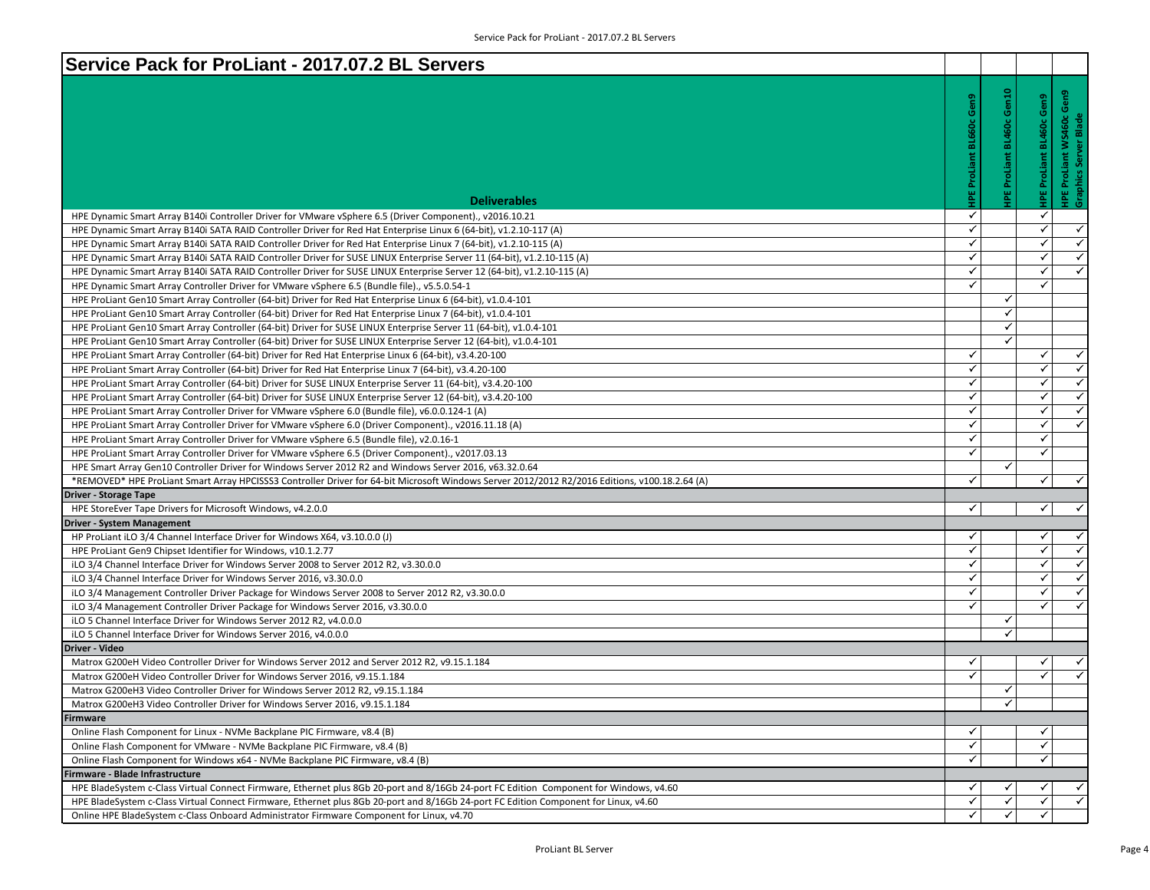| Service Pack for ProLiant - 2017.07.2 BL Servers                                                                                                                                                                                                          |                                                       |                                 |                                                             |
|-----------------------------------------------------------------------------------------------------------------------------------------------------------------------------------------------------------------------------------------------------------|-------------------------------------------------------|---------------------------------|-------------------------------------------------------------|
| <b>Deliverables</b>                                                                                                                                                                                                                                       | Gen10<br>Gen9<br><b>BL460c</b><br>ProLiant<br>ProLiar | <b>HPE ProLiant BL460c Gen9</b> | Gen9<br><b>HPE ProLiant WS460c</b><br>Graphics Server Blade |
|                                                                                                                                                                                                                                                           | ✓                                                     | ✓                               |                                                             |
| HPE Dynamic Smart Array B140i Controller Driver for VMware vSphere 6.5 (Driver Component)., v2016.10.21                                                                                                                                                   | ✓                                                     | $\checkmark$                    | $\checkmark$                                                |
| HPE Dynamic Smart Array B140i SATA RAID Controller Driver for Red Hat Enterprise Linux 6 (64-bit), v1.2.10-117 (A)<br>HPE Dynamic Smart Array B140i SATA RAID Controller Driver for Red Hat Enterprise Linux 7 (64-bit), v1.2.10-115 (A)                  | ✓                                                     | $\checkmark$                    | ✓∣                                                          |
|                                                                                                                                                                                                                                                           | $\checkmark$                                          | $\checkmark$                    | $\checkmark$                                                |
| HPE Dynamic Smart Array B140i SATA RAID Controller Driver for SUSE LINUX Enterprise Server 11 (64-bit), v1.2.10-115 (A)                                                                                                                                   | $\checkmark$                                          | $\checkmark$                    | $\blacktriangledown$                                        |
| HPE Dynamic Smart Array B140i SATA RAID Controller Driver for SUSE LINUX Enterprise Server 12 (64-bit), v1.2.10-115 (A)                                                                                                                                   | ✓                                                     | ✓                               |                                                             |
| HPE Dynamic Smart Array Controller Driver for VMware vSphere 6.5 (Bundle file)., v5.5.0.54-1                                                                                                                                                              | $\checkmark$                                          |                                 |                                                             |
| HPE ProLiant Gen10 Smart Array Controller (64-bit) Driver for Red Hat Enterprise Linux 6 (64-bit), v1.0.4-101                                                                                                                                             | ✓                                                     |                                 |                                                             |
| HPE ProLiant Gen10 Smart Array Controller (64-bit) Driver for Red Hat Enterprise Linux 7 (64-bit), v1.0.4-101                                                                                                                                             | $\checkmark$                                          |                                 |                                                             |
| HPE ProLiant Gen10 Smart Array Controller (64-bit) Driver for SUSE LINUX Enterprise Server 11 (64-bit), v1.0.4-101                                                                                                                                        | $\checkmark$                                          |                                 |                                                             |
| HPE ProLiant Gen10 Smart Array Controller (64-bit) Driver for SUSE LINUX Enterprise Server 12 (64-bit), v1.0.4-101                                                                                                                                        | ✓                                                     | $\checkmark$                    | $\checkmark$                                                |
| HPE ProLiant Smart Array Controller (64-bit) Driver for Red Hat Enterprise Linux 6 (64-bit), v3.4.20-100                                                                                                                                                  | ✓                                                     | $\checkmark$                    | $\checkmark$                                                |
| HPE ProLiant Smart Array Controller (64-bit) Driver for Red Hat Enterprise Linux 7 (64-bit), v3.4.20-100                                                                                                                                                  | ✓                                                     | $\checkmark$                    | ✓∣                                                          |
| HPE ProLiant Smart Array Controller (64-bit) Driver for SUSE LINUX Enterprise Server 11 (64-bit), v3.4.20-100<br>HPE ProLiant Smart Array Controller (64-bit) Driver for SUSE LINUX Enterprise Server 12 (64-bit), v3.4.20-100                            | ✓                                                     | ✓                               | $\blacktriangledown$                                        |
| HPE ProLiant Smart Array Controller Driver for VMware vSphere 6.0 (Bundle file), v6.0.0.124-1 (A)                                                                                                                                                         | $\checkmark$                                          | ✓                               | $\checkmark$                                                |
| HPE ProLiant Smart Array Controller Driver for VMware vSphere 6.0 (Driver Component)., v2016.11.18 (A)                                                                                                                                                    | ✓                                                     | $\checkmark$                    | ✓∣                                                          |
|                                                                                                                                                                                                                                                           | $\checkmark$                                          | $\checkmark$                    |                                                             |
| HPE ProLiant Smart Array Controller Driver for VMware vSphere 6.5 (Bundle file), v2.0.16-1<br>HPE ProLiant Smart Array Controller Driver for VMware vSphere 6.5 (Driver Component)., v2017.03.13                                                          | ✓                                                     | ✓                               |                                                             |
|                                                                                                                                                                                                                                                           | $\checkmark$                                          |                                 |                                                             |
| HPE Smart Array Gen10 Controller Driver for Windows Server 2012 R2 and Windows Server 2016, v63.32.0.64<br>*REMOVED* HPE ProLiant Smart Array HPCISSS3 Controller Driver for 64-bit Microsoft Windows Server 2012/2012 R2/2016 Editions, v100.18.2.64 (A) | $\checkmark$                                          | ✓                               | $\checkmark$                                                |
| <b>Driver - Storage Tape</b>                                                                                                                                                                                                                              |                                                       |                                 |                                                             |
| HPE StoreEver Tape Drivers for Microsoft Windows, v4.2.0.0                                                                                                                                                                                                | ✓                                                     | ✓                               | ✓∣                                                          |
| <b>Driver - System Management</b>                                                                                                                                                                                                                         |                                                       |                                 |                                                             |
| HP ProLiant iLO 3/4 Channel Interface Driver for Windows X64, v3.10.0.0 (J)                                                                                                                                                                               | ✓                                                     | ✓                               | $\checkmark$                                                |
| HPE ProLiant Gen9 Chipset Identifier for Windows, v10.1.2.77                                                                                                                                                                                              | $\checkmark$                                          | $\checkmark$                    | $\checkmark$                                                |
| iLO 3/4 Channel Interface Driver for Windows Server 2008 to Server 2012 R2, v3.30.0.0                                                                                                                                                                     | ✓                                                     | $\checkmark$                    | ✓∣                                                          |
| iLO 3/4 Channel Interface Driver for Windows Server 2016, v3.30.0.0                                                                                                                                                                                       | $\checkmark$                                          | $\checkmark$                    | $\blacktriangledown$                                        |
| iLO 3/4 Management Controller Driver Package for Windows Server 2008 to Server 2012 R2, v3.30.0.0                                                                                                                                                         | ✓                                                     | $\checkmark$                    | ✓∣                                                          |
| iLO 3/4 Management Controller Driver Package for Windows Server 2016, v3.30.0.0                                                                                                                                                                           | ✓                                                     | ✓                               | $\checkmark$                                                |
| iLO 5 Channel Interface Driver for Windows Server 2012 R2, v4.0.0.0                                                                                                                                                                                       | ✓                                                     |                                 |                                                             |
| iLO 5 Channel Interface Driver for Windows Server 2016, v4.0.0.0                                                                                                                                                                                          | ✓                                                     |                                 |                                                             |
| <b>Driver - Video</b>                                                                                                                                                                                                                                     |                                                       |                                 |                                                             |
| Matrox G200eH Video Controller Driver for Windows Server 2012 and Server 2012 R2, v9.15.1.184                                                                                                                                                             | ✓                                                     | ✔                               | ✓∣                                                          |
| Matrox G200eH Video Controller Driver for Windows Server 2016, v9.15.1.184                                                                                                                                                                                | ✓                                                     | ✓                               | $\checkmark$                                                |
| Matrox G200eH3 Video Controller Driver for Windows Server 2012 R2, v9.15.1.184                                                                                                                                                                            | ✓                                                     |                                 |                                                             |
| Matrox G200eH3 Video Controller Driver for Windows Server 2016, v9.15.1.184                                                                                                                                                                               | ✓                                                     |                                 |                                                             |
| Firmware                                                                                                                                                                                                                                                  |                                                       |                                 |                                                             |
| Online Flash Component for Linux - NVMe Backplane PIC Firmware, v8.4 (B)                                                                                                                                                                                  | ✓                                                     |                                 |                                                             |
| Online Flash Component for VMware - NVMe Backplane PIC Firmware, v8.4 (B)                                                                                                                                                                                 | ✓                                                     | ✓                               |                                                             |
| Online Flash Component for Windows x64 - NVMe Backplane PIC Firmware, v8.4 (B)                                                                                                                                                                            | $\checkmark$                                          | ✓                               |                                                             |
| Firmware - Blade Infrastructure                                                                                                                                                                                                                           |                                                       |                                 |                                                             |
| HPE BladeSystem c-Class Virtual Connect Firmware, Ethernet plus 8Gb 20-port and 8/16Gb 24-port FC Edition Component for Windows, v4.60                                                                                                                    | ✓                                                     |                                 | ✓                                                           |
| HPE BladeSystem c-Class Virtual Connect Firmware, Ethernet plus 8Gb 20-port and 8/16Gb 24-port FC Edition Component for Linux, v4.60                                                                                                                      | ✓<br>✓                                                | ✓                               | $\checkmark$                                                |
| Online HPE BladeSystem c-Class Onboard Administrator Firmware Component for Linux, v4.70                                                                                                                                                                  | ✓                                                     | ✓                               |                                                             |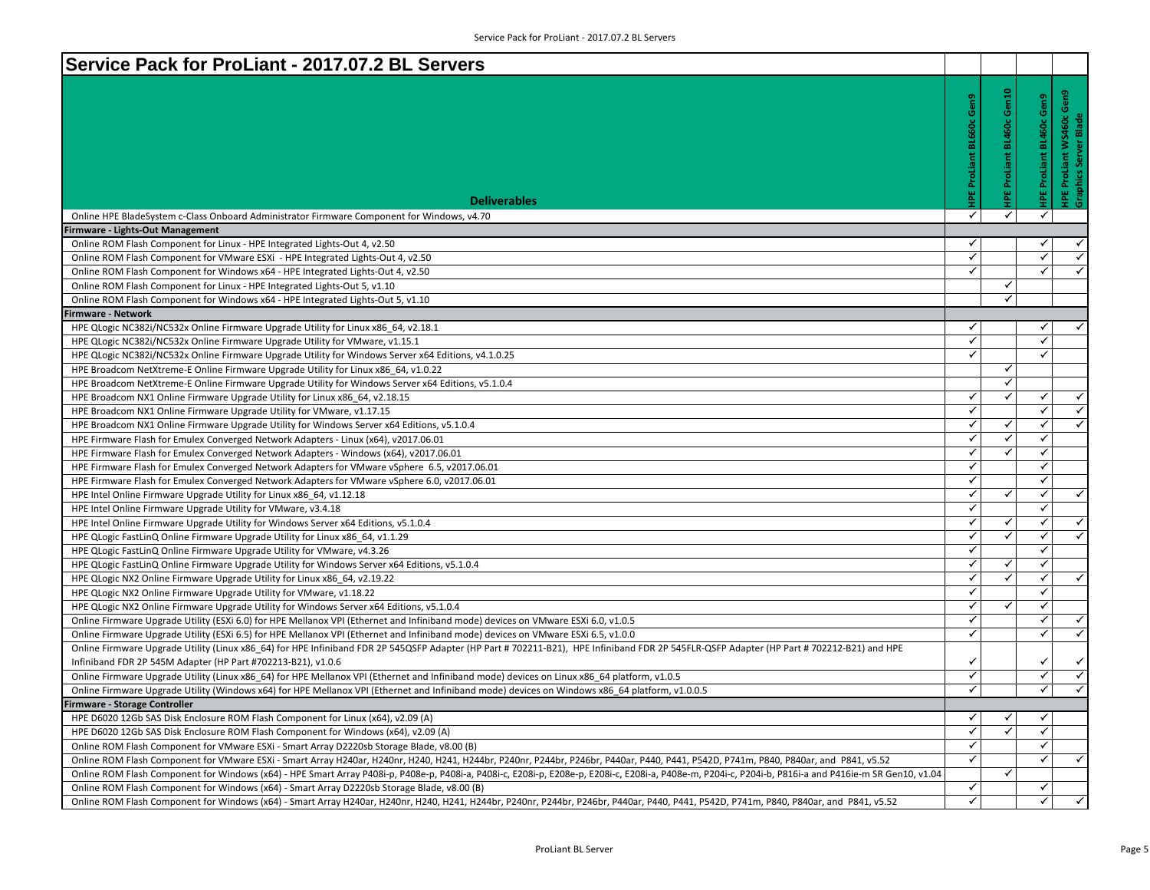| Service Pack for ProLiant - 2017.07.2 BL Servers                                                                                                                                                       |                              |                     |                                 |                                                     |
|--------------------------------------------------------------------------------------------------------------------------------------------------------------------------------------------------------|------------------------------|---------------------|---------------------------------|-----------------------------------------------------|
|                                                                                                                                                                                                        |                              |                     |                                 |                                                     |
|                                                                                                                                                                                                        |                              | Gen10               |                                 | Gen9                                                |
|                                                                                                                                                                                                        |                              |                     | <b>IPE ProLiant BL460c Gen9</b> |                                                     |
|                                                                                                                                                                                                        |                              | IPE ProLiant BL460c |                                 | <b>HPE ProLiant WS460c</b><br>Graphics Server Blade |
|                                                                                                                                                                                                        |                              |                     |                                 |                                                     |
|                                                                                                                                                                                                        |                              |                     |                                 |                                                     |
|                                                                                                                                                                                                        | ProLiant                     |                     |                                 |                                                     |
|                                                                                                                                                                                                        |                              |                     |                                 |                                                     |
| <b>Deliverables</b>                                                                                                                                                                                    | 삍                            |                     |                                 |                                                     |
| Online HPE BladeSystem c-Class Onboard Administrator Firmware Component for Windows, v4.70                                                                                                             | $\checkmark$                 | $\checkmark$        | $\checkmark$                    |                                                     |
| irmware - Lights-Out Management                                                                                                                                                                        |                              |                     |                                 |                                                     |
| Online ROM Flash Component for Linux - HPE Integrated Lights-Out 4, v2.50                                                                                                                              | ✓                            |                     | ✓                               | ✓                                                   |
| Online ROM Flash Component for VMware ESXi - HPE Integrated Lights-Out 4, v2.50                                                                                                                        | $\checkmark$                 |                     | ✓                               | $\checkmark$                                        |
| Online ROM Flash Component for Windows x64 - HPE Integrated Lights-Out 4, v2.50                                                                                                                        | $\checkmark$                 |                     | ✓                               | $\checkmark$                                        |
| Online ROM Flash Component for Linux - HPE Integrated Lights-Out 5, v1.10                                                                                                                              |                              | $\checkmark$        |                                 |                                                     |
| Online ROM Flash Component for Windows x64 - HPE Integrated Lights-Out 5, v1.10                                                                                                                        |                              | $\checkmark$        |                                 |                                                     |
| irmware - Network                                                                                                                                                                                      |                              |                     |                                 |                                                     |
| HPE QLogic NC382i/NC532x Online Firmware Upgrade Utility for Linux x86 64, v2.18.1                                                                                                                     | $\checkmark$                 |                     | ✓                               | ✓                                                   |
| HPE QLogic NC382i/NC532x Online Firmware Upgrade Utility for VMware, v1.15.1                                                                                                                           | $\checkmark$                 |                     | ✓                               |                                                     |
| HPE QLogic NC382i/NC532x Online Firmware Upgrade Utility for Windows Server x64 Editions, v4.1.0.25                                                                                                    | $\checkmark$                 |                     | $\checkmark$                    |                                                     |
| HPE Broadcom NetXtreme-E Online Firmware Upgrade Utility for Linux x86_64, v1.0.22                                                                                                                     |                              | ✓                   |                                 |                                                     |
| HPE Broadcom NetXtreme-E Online Firmware Upgrade Utility for Windows Server x64 Editions, v5.1.0.4                                                                                                     |                              | $\checkmark$        |                                 |                                                     |
| HPE Broadcom NX1 Online Firmware Upgrade Utility for Linux x86_64, v2.18.15                                                                                                                            | $\checkmark$                 | $\checkmark$        | ✓                               | $\checkmark$                                        |
| HPE Broadcom NX1 Online Firmware Upgrade Utility for VMware, v1.17.15                                                                                                                                  | $\checkmark$                 |                     | $\checkmark$                    | $\checkmark$                                        |
| HPE Broadcom NX1 Online Firmware Upgrade Utility for Windows Server x64 Editions, v5.1.0.4                                                                                                             | $\checkmark$                 | ✓                   | $\checkmark$                    | $\overline{\checkmark}$                             |
| HPE Firmware Flash for Emulex Converged Network Adapters - Linux (x64), v2017.06.01                                                                                                                    | $\checkmark$                 | $\checkmark$        | $\checkmark$                    |                                                     |
| HPE Firmware Flash for Emulex Converged Network Adapters - Windows (x64), v2017.06.01                                                                                                                  | $\checkmark$                 | $\checkmark$        | $\checkmark$                    |                                                     |
| HPE Firmware Flash for Emulex Converged Network Adapters for VMware vSphere 6.5, v2017.06.01                                                                                                           | $\checkmark$                 |                     | $\checkmark$                    |                                                     |
| HPE Firmware Flash for Emulex Converged Network Adapters for VMware vSphere 6.0, v2017.06.01                                                                                                           | $\checkmark$                 |                     | ✓                               |                                                     |
| HPE Intel Online Firmware Upgrade Utility for Linux x86 64, v1.12.18                                                                                                                                   | $\checkmark$                 | $\checkmark$        | $\checkmark$                    | $\checkmark$                                        |
| HPE Intel Online Firmware Upgrade Utility for VMware, v3.4.18                                                                                                                                          | $\checkmark$                 |                     | $\checkmark$                    |                                                     |
| HPE Intel Online Firmware Upgrade Utility for Windows Server x64 Editions, v5.1.0.4                                                                                                                    | $\checkmark$                 | ✓                   | $\checkmark$                    | $\overline{\checkmark}$                             |
| HPE QLogic FastLinQ Online Firmware Upgrade Utility for Linux x86 64, v1.1.29                                                                                                                          | $\checkmark$                 | $\checkmark$        | $\checkmark$                    | $\overline{\checkmark}$                             |
| HPE QLogic FastLinQ Online Firmware Upgrade Utility for VMware, v4.3.26                                                                                                                                | $\checkmark$                 |                     | ✓                               |                                                     |
| HPE QLogic FastLinQ Online Firmware Upgrade Utility for Windows Server x64 Editions, v5.1.0.4                                                                                                          | $\checkmark$                 | ✓                   | ✓                               |                                                     |
| HPE QLogic NX2 Online Firmware Upgrade Utility for Linux x86_64, v2.19.22                                                                                                                              | $\checkmark$                 | $\checkmark$        | $\checkmark$                    | $\blacktriangledown$                                |
| HPE QLogic NX2 Online Firmware Upgrade Utility for VMware, v1.18.22                                                                                                                                    | $\checkmark$                 |                     | ✔                               |                                                     |
| HPE QLogic NX2 Online Firmware Upgrade Utility for Windows Server x64 Editions, v5.1.0.4                                                                                                               | $\checkmark$                 | $\checkmark$        | $\checkmark$                    |                                                     |
| Online Firmware Upgrade Utility (ESXi 6.0) for HPE Mellanox VPI (Ethernet and Infiniband mode) devices on VMware ESXi 6.0, v1.0.5                                                                      | $\checkmark$                 |                     | $\checkmark$                    | $\checkmark$                                        |
| Online Firmware Upgrade Utility (ESXi 6.5) for HPE Mellanox VPI (Ethernet and Infiniband mode) devices on VMware ESXi 6.5, v1.0.0                                                                      | $\checkmark$                 |                     | $\checkmark$                    | $\overline{\checkmark}$                             |
| Online Firmware Upgrade Utility (Linux x86 64) for HPE Infiniband FDR 2P 545QSFP Adapter (HP Part # 702211-B21), HPE Infiniband FDR 2P 545FLR-QSFP Adapter (HP Part # 702212-B21) and HPE              |                              |                     |                                 |                                                     |
| Infiniband FDR 2P 545M Adapter (HP Part #702213-B21), v1.0.6                                                                                                                                           | $\checkmark$                 |                     | ✓                               | $\checkmark$                                        |
| Online Firmware Upgrade Utility (Linux x86 64) for HPE Mellanox VPI (Ethernet and Infiniband mode) devices on Linux x86 64 platform, v1.0.5                                                            | $\checkmark$                 |                     | $\checkmark$                    | $\overline{\checkmark}$                             |
| Online Firmware Upgrade Utility (Windows x64) for HPE Mellanox VPI (Ethernet and Infiniband mode) devices on Windows x86 64 platform, v1.0.0.5                                                         | $\checkmark$                 |                     | $\checkmark$                    | $\overline{\checkmark}$                             |
| irmware - Storage Controller                                                                                                                                                                           |                              |                     |                                 |                                                     |
| HPE D6020 12Gb SAS Disk Enclosure ROM Flash Component for Linux (x64), v2.09 (A)                                                                                                                       | ✓                            | ✔                   | ✓                               |                                                     |
| HPE D6020 12Gb SAS Disk Enclosure ROM Flash Component for Windows (x64), v2.09 (A)                                                                                                                     | $\checkmark$                 | $\checkmark$        | $\checkmark$                    |                                                     |
| Online ROM Flash Component for VMware ESXi - Smart Array D2220sb Storage Blade, v8.00 (B)                                                                                                              | $\checkmark$                 |                     | $\checkmark$                    |                                                     |
| Online ROM Flash Component for VMware ESXi - Smart Array H240ar, H240nr, H240, H241, H244br, P240nr, P244br, P246br, P440ar, P440, P441, P542D, P741m, P840, P840ar, and P841, v5.52                   | $\checkmark$                 |                     | ✓                               | $\checkmark$                                        |
| Online ROM Flash Component for Windows (x64) - HPE Smart Array P408i-p, P408e-p, P408i-a, P408i-c, E208i-p, E208i-p, E208i-c, E208i-c, P408e-m, P204i-c, P204i-c, P816i-a and P416ie-m SR Gen10, v1.04 |                              | $\checkmark$        |                                 |                                                     |
| Online ROM Flash Component for Windows (x64) - Smart Array D2220sb Storage Blade, v8.00 (B)                                                                                                            | $\checkmark$<br>$\checkmark$ |                     | $\checkmark$                    |                                                     |
| Online ROM Flash Component for Windows (x64) - Smart Array H240ar, H240nr, H240, H241, H244br, P240nr, P244br, P246br, P440ar, P440, P441, P542D, P741m, P840, P840ar, and P841, v5.52                 |                              |                     | $\checkmark$                    | $\checkmark$                                        |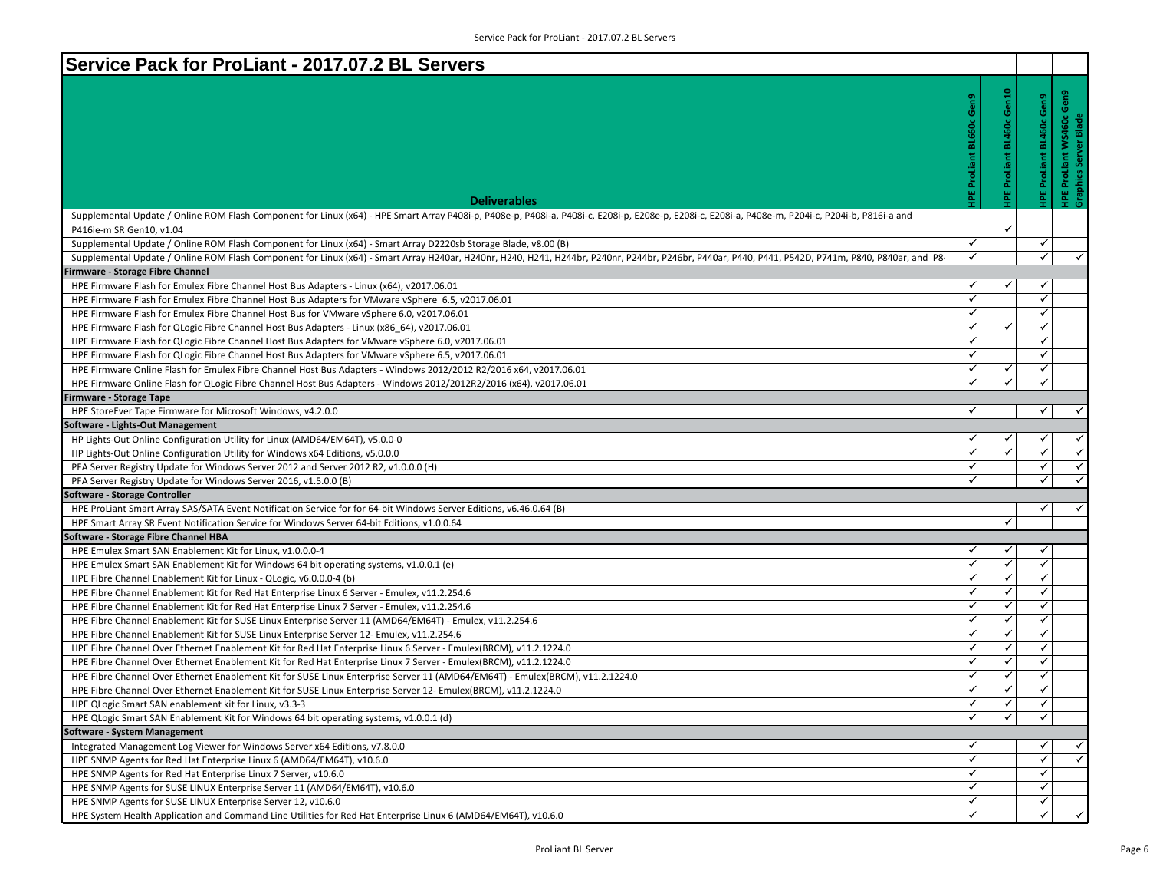| Service Pack for ProLiant - 2017.07.2 BL Servers                                                                                                                                                                                                |                   |                   |                          |                                                   |
|-------------------------------------------------------------------------------------------------------------------------------------------------------------------------------------------------------------------------------------------------|-------------------|-------------------|--------------------------|---------------------------------------------------|
|                                                                                                                                                                                                                                                 |                   |                   |                          |                                                   |
|                                                                                                                                                                                                                                                 | Gen9              | Gen10             | HPE ProLiant BL460c Gen9 | HPE ProLiant WS460c Gen9<br>Graphics Server Blade |
|                                                                                                                                                                                                                                                 |                   |                   |                          |                                                   |
|                                                                                                                                                                                                                                                 |                   | : BL460c          |                          |                                                   |
|                                                                                                                                                                                                                                                 |                   |                   |                          |                                                   |
|                                                                                                                                                                                                                                                 |                   |                   |                          |                                                   |
|                                                                                                                                                                                                                                                 | ProLiant          | ProLiant          |                          |                                                   |
|                                                                                                                                                                                                                                                 |                   |                   |                          |                                                   |
| <b>Deliverables</b>                                                                                                                                                                                                                             |                   |                   |                          |                                                   |
| Supplemental Update / Online ROM Flash Component for Linux (x64) - HPE Smart Array P408i-p, P408i-a, P408i-a, P408i-c, E208i-p, E208e-p, E208i-c, E208i-a, P408e-m, P204i-c, P204i-c, P204i-b, P816i-a and                                      |                   |                   |                          |                                                   |
| P416ie-m SR Gen10, v1.04                                                                                                                                                                                                                        |                   | $\checkmark$      |                          |                                                   |
| Supplemental Update / Online ROM Flash Component for Linux (x64) - Smart Array D2220sb Storage Blade, v8.00 (B)                                                                                                                                 | $\checkmark$      |                   | ✓                        |                                                   |
| Supplemental Update / Online ROM Flash Component for Linux (x64) - Smart Array H240ar, H240nr, H240, H241, H244br, P2440r, P244br, P244br, P440ar, P440, P441, P542D, P741m, P840, P840ar, and P8-                                              | $\checkmark$      |                   | $\checkmark$             | $\checkmark$                                      |
| irmware - Storage Fibre Channel                                                                                                                                                                                                                 |                   |                   |                          |                                                   |
| HPE Firmware Flash for Emulex Fibre Channel Host Bus Adapters - Linux (x64), v2017.06.01                                                                                                                                                        | ✓                 | ✓                 | ✓                        |                                                   |
| HPE Firmware Flash for Emulex Fibre Channel Host Bus Adapters for VMware vSphere 6.5, v2017.06.01                                                                                                                                               | $\checkmark$      |                   | $\checkmark$             |                                                   |
| HPE Firmware Flash for Emulex Fibre Channel Host Bus for VMware vSphere 6.0, v2017.06.01                                                                                                                                                        | $\checkmark$      |                   | ✓                        |                                                   |
| HPE Firmware Flash for QLogic Fibre Channel Host Bus Adapters - Linux (x86 64), v2017.06.01                                                                                                                                                     | $\checkmark$      | ✓                 | $\checkmark$             |                                                   |
| HPE Firmware Flash for QLogic Fibre Channel Host Bus Adapters for VMware vSphere 6.0, v2017.06.01                                                                                                                                               | $\checkmark$      |                   | $\checkmark$             |                                                   |
| HPE Firmware Flash for QLogic Fibre Channel Host Bus Adapters for VMware vSphere 6.5, v2017.06.01                                                                                                                                               | $\checkmark$      |                   | $\checkmark$             |                                                   |
| HPE Firmware Online Flash for Emulex Fibre Channel Host Bus Adapters - Windows 2012/2012 R2/2016 x64, v2017.06.01                                                                                                                               | $\checkmark$      | ✓                 | $\checkmark$             |                                                   |
| HPE Firmware Online Flash for QLogic Fibre Channel Host Bus Adapters - Windows 2012/2012R2/2016 (x64), v2017.06.01                                                                                                                              | $\checkmark$      | ✓                 | $\checkmark$             |                                                   |
| Firmware - Storage Tape                                                                                                                                                                                                                         |                   |                   |                          |                                                   |
| HPE StoreEver Tape Firmware for Microsoft Windows, v4.2.0.0                                                                                                                                                                                     | $\checkmark$      |                   | $\checkmark$             | $\checkmark$                                      |
| Software - Lights-Out Management                                                                                                                                                                                                                |                   |                   |                          |                                                   |
| HP Lights-Out Online Configuration Utility for Linux (AMD64/EM64T), v5.0.0-0                                                                                                                                                                    | ✓                 |                   | ✓                        | $\checkmark$                                      |
| HP Lights-Out Online Configuration Utility for Windows x64 Editions, v5.0.0.0                                                                                                                                                                   | $\checkmark$      | $\checkmark$      | $\checkmark$             | ✓                                                 |
| PFA Server Registry Update for Windows Server 2012 and Server 2012 R2, v1.0.0.0 (H)                                                                                                                                                             | $\checkmark$      |                   | ✓                        | $\checkmark$                                      |
| PFA Server Registry Update for Windows Server 2016, v1.5.0.0 (B)                                                                                                                                                                                | $\checkmark$      |                   | $\checkmark$             | $\overline{\checkmark}$                           |
| Software - Storage Controller                                                                                                                                                                                                                   |                   |                   |                          |                                                   |
| HPE ProLiant Smart Array SAS/SATA Event Notification Service for for 64-bit Windows Server Editions, v6.46.0.64 (B)                                                                                                                             |                   |                   | ✓                        | $\checkmark$                                      |
| HPE Smart Array SR Event Notification Service for Windows Server 64-bit Editions, v1.0.0.64                                                                                                                                                     |                   | ✓                 |                          |                                                   |
| Software - Storage Fibre Channel HBA                                                                                                                                                                                                            |                   |                   |                          |                                                   |
| HPE Emulex Smart SAN Enablement Kit for Linux, v1.0.0.0-4                                                                                                                                                                                       | ✓<br>$\checkmark$ | ✓<br>$\checkmark$ | ✓                        |                                                   |
| HPE Emulex Smart SAN Enablement Kit for Windows 64 bit operating systems, v1.0.0.1 (e)                                                                                                                                                          | $\checkmark$      |                   | $\checkmark$             |                                                   |
| HPE Fibre Channel Enablement Kit for Linux - QLogic, v6.0.0.0-4 (b)                                                                                                                                                                             | $\checkmark$      | $\checkmark$      | $\checkmark$             |                                                   |
| HPE Fibre Channel Enablement Kit for Red Hat Enterprise Linux 6 Server - Emulex, v11.2.254.6                                                                                                                                                    | $\checkmark$      | ✓<br>$\checkmark$ | ✔<br>$\checkmark$        |                                                   |
| HPE Fibre Channel Enablement Kit for Red Hat Enterprise Linux 7 Server - Emulex, v11.2.254.6                                                                                                                                                    | $\checkmark$      | ✓                 | ✓                        |                                                   |
| HPE Fibre Channel Enablement Kit for SUSE Linux Enterprise Server 11 (AMD64/EM64T) - Emulex, v11.2.254.6                                                                                                                                        | $\checkmark$      | ✓                 | $\checkmark$             |                                                   |
| HPE Fibre Channel Enablement Kit for SUSE Linux Enterprise Server 12- Emulex, v11.2.254.6                                                                                                                                                       | $\checkmark$      | $\checkmark$      | $\checkmark$             |                                                   |
| HPE Fibre Channel Over Ethernet Enablement Kit for Red Hat Enterprise Linux 6 Server - Emulex(BRCM), v11.2.1224.0                                                                                                                               | ✓                 | ✓                 | ✔                        |                                                   |
| HPE Fibre Channel Over Ethernet Enablement Kit for Red Hat Enterprise Linux 7 Server - Emulex(BRCM), v11.2.1224.0                                                                                                                               | ✓                 | ✓                 | $\checkmark$             |                                                   |
| HPE Fibre Channel Over Ethernet Enablement Kit for SUSE Linux Enterprise Server 11 (AMD64/EM64T) - Emulex(BRCM), v11.2.1224.0<br>HPE Fibre Channel Over Ethernet Enablement Kit for SUSE Linux Enterprise Server 12- Emulex(BRCM), v11.2.1224.0 | ✓                 | ✓                 | ✓                        |                                                   |
|                                                                                                                                                                                                                                                 |                   |                   |                          |                                                   |
| HPE QLogic Smart SAN enablement kit for Linux, v3.3-3                                                                                                                                                                                           | ✓<br>$\checkmark$ | ✓                 | ✓<br>✓                   |                                                   |
| HPE QLogic Smart SAN Enablement Kit for Windows 64 bit operating systems, v1.0.0.1 (d)<br>Software - System Management                                                                                                                          |                   |                   |                          |                                                   |
| Integrated Management Log Viewer for Windows Server x64 Editions, v7.8.0.0                                                                                                                                                                      | $\checkmark$      |                   | ✓                        | $\checkmark$                                      |
| HPE SNMP Agents for Red Hat Enterprise Linux 6 (AMD64/EM64T), v10.6.0                                                                                                                                                                           | $\checkmark$      |                   | ✓                        | $\blacktriangle$                                  |
| HPE SNMP Agents for Red Hat Enterprise Linux 7 Server, v10.6.0                                                                                                                                                                                  | $\checkmark$      |                   | ✓                        |                                                   |
| HPE SNMP Agents for SUSE LINUX Enterprise Server 11 (AMD64/EM64T), v10.6.0                                                                                                                                                                      | $\checkmark$      |                   | $\checkmark$             |                                                   |
| HPE SNMP Agents for SUSE LINUX Enterprise Server 12, v10.6.0                                                                                                                                                                                    | $\checkmark$      |                   | ✓                        |                                                   |
| HPE System Health Application and Command Line Utilities for Red Hat Enterprise Linux 6 (AMD64/EM64T), v10.6.0                                                                                                                                  | ✓                 |                   | ✓                        | $\checkmark$                                      |
|                                                                                                                                                                                                                                                 |                   |                   |                          |                                                   |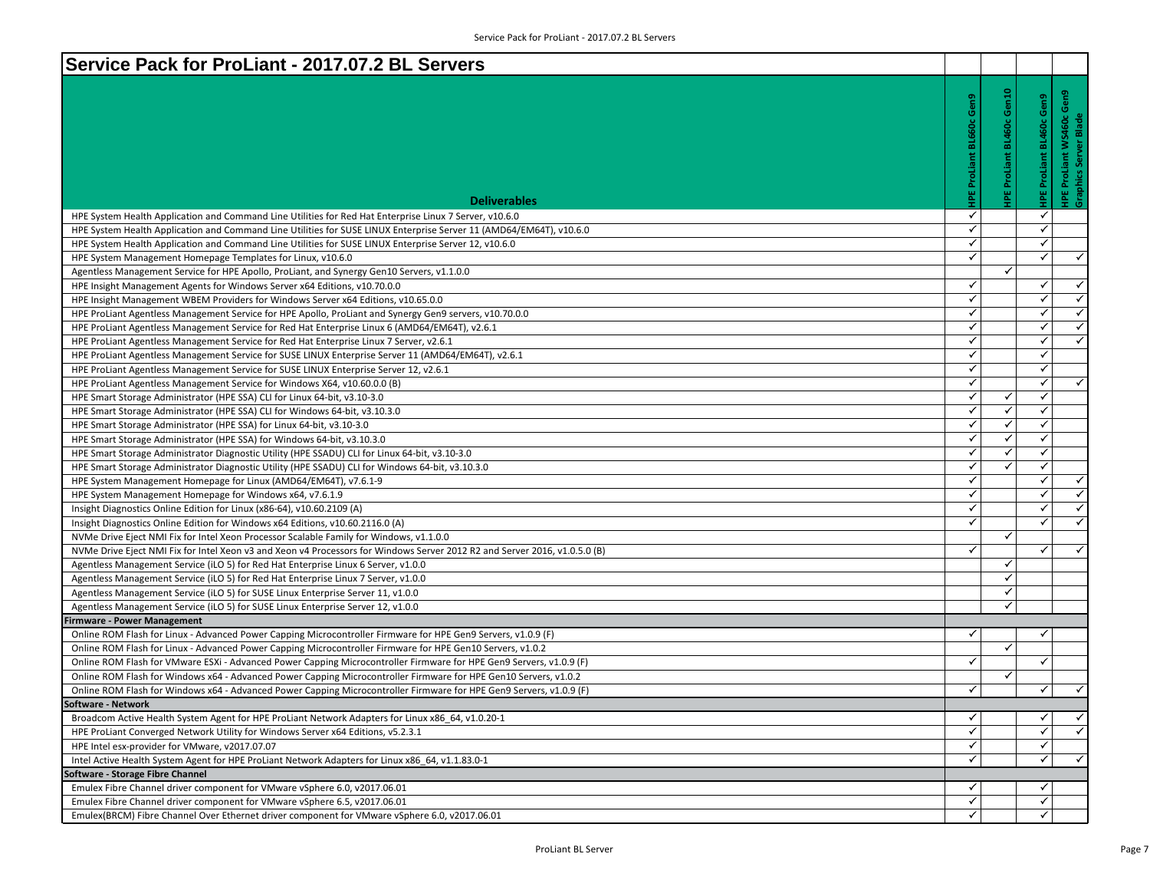| <b>BL460c Gen10</b><br>HPE ProLiant WS460c Gen9<br>Graphics Server Blade<br>HPE ProLiant BL460c Gen9<br>ProLiant<br>ProLiant<br><b>Deliverables</b><br>✓<br>$\checkmark$<br>HPE System Health Application and Command Line Utilities for Red Hat Enterprise Linux 7 Server, v10.6.0<br>$\checkmark$<br>$\checkmark$<br>HPE System Health Application and Command Line Utilities for SUSE LINUX Enterprise Server 11 (AMD64/EM64T), v10.6.0<br>$\checkmark$<br>✓<br>HPE System Health Application and Command Line Utilities for SUSE LINUX Enterprise Server 12, v10.6.0<br>$\checkmark$<br>$\checkmark$<br>$\checkmark$<br>HPE System Management Homepage Templates for Linux, v10.6.0<br>✓<br>Agentless Management Service for HPE Apollo, ProLiant, and Synergy Gen10 Servers, v1.1.0.0<br>$\checkmark$<br>$\checkmark$<br>$\checkmark$<br>HPE Insight Management Agents for Windows Server x64 Editions, v10.70.0.0<br>$\checkmark$<br>$\checkmark$<br>$\checkmark$<br>HPE Insight Management WBEM Providers for Windows Server x64 Editions, v10.65.0.0<br>$\checkmark$<br>✓<br>✓<br>HPE ProLiant Agentless Management Service for HPE Apollo, ProLiant and Synergy Gen9 servers, v10.70.0.0<br>$\checkmark$<br>$\checkmark$<br>$\checkmark$<br>HPE ProLiant Agentless Management Service for Red Hat Enterprise Linux 6 (AMD64/EM64T), v2.6.1<br>$\blacktriangle$<br>$\checkmark$<br>✓<br>HPE ProLiant Agentless Management Service for Red Hat Enterprise Linux 7 Server, v2.6.1<br>$\checkmark$<br>$\checkmark$<br>HPE ProLiant Agentless Management Service for SUSE LINUX Enterprise Server 11 (AMD64/EM64T), v2.6.1<br>$\checkmark$<br>$\checkmark$<br>HPE ProLiant Agentless Management Service for SUSE LINUX Enterprise Server 12, v2.6.1<br>$\blacktriangle$<br>$\checkmark$<br>$\checkmark$<br>HPE ProLiant Agentless Management Service for Windows X64, v10.60.0.0 (B)<br>$\checkmark$<br>$\checkmark$<br>$\checkmark$<br>HPE Smart Storage Administrator (HPE SSA) CLI for Linux 64-bit, v3.10-3.0<br>$\checkmark$<br>✓<br>✓<br>HPE Smart Storage Administrator (HPE SSA) CLI for Windows 64-bit, v3.10.3.0<br>✓<br>$\checkmark$<br>$\checkmark$<br>HPE Smart Storage Administrator (HPE SSA) for Linux 64-bit, v3.10-3.0<br>$\checkmark$<br>$\checkmark$<br>$\checkmark$<br>HPE Smart Storage Administrator (HPE SSA) for Windows 64-bit, v3.10.3.0<br>✓<br>✓<br>$\checkmark$<br>HPE Smart Storage Administrator Diagnostic Utility (HPE SSADU) CLI for Linux 64-bit, v3.10-3.0<br>$\checkmark$<br>$\checkmark$<br>$\checkmark$<br>HPE Smart Storage Administrator Diagnostic Utility (HPE SSADU) CLI for Windows 64-bit, v3.10.3.0<br>$\checkmark$<br>$\checkmark$<br>✓<br>HPE System Management Homepage for Linux (AMD64/EM64T), v7.6.1-9<br>$\checkmark$<br>$\checkmark$<br>$\checkmark$<br>HPE System Management Homepage for Windows x64, v7.6.1.9<br>$\checkmark$<br>$\checkmark$<br>Insight Diagnostics Online Edition for Linux (x86-64), v10.60.2109 (A)<br>$\checkmark$<br>$\checkmark$<br>$\checkmark$<br>✓<br>Insight Diagnostics Online Edition for Windows x64 Editions, v10.60.2116.0 (A)<br>✓<br>NVMe Drive Eject NMI Fix for Intel Xeon Processor Scalable Family for Windows, v1.1.0.0<br>$\checkmark$<br>$\checkmark$<br>NVMe Drive Eject NMI Fix for Intel Xeon v3 and Xeon v4 Processors for Windows Server 2012 R2 and Server 2016, v1.0.5.0 (B)<br>$\checkmark$<br>Agentless Management Service (iLO 5) for Red Hat Enterprise Linux 6 Server, v1.0.0<br>$\checkmark$<br>Agentless Management Service (iLO 5) for Red Hat Enterprise Linux 7 Server, v1.0.0<br>✓<br>Agentless Management Service (iLO 5) for SUSE Linux Enterprise Server 11, v1.0.0<br>✓<br>Agentless Management Service (iLO 5) for SUSE Linux Enterprise Server 12, v1.0.0<br><b>Firmware - Power Management</b><br>$\checkmark$<br>Online ROM Flash for Linux - Advanced Power Capping Microcontroller Firmware for HPE Gen9 Servers, v1.0.9 (F)<br>✓<br>$\checkmark$<br>Online ROM Flash for Linux - Advanced Power Capping Microcontroller Firmware for HPE Gen10 Servers, v1.0.2<br>✓<br>$\checkmark$<br>Online ROM Flash for VMware ESXi - Advanced Power Capping Microcontroller Firmware for HPE Gen9 Servers, v1.0.9 (F)<br>Online ROM Flash for Windows x64 - Advanced Power Capping Microcontroller Firmware for HPE Gen10 Servers, v1.0.2<br>✓<br>$\checkmark$<br>$\checkmark$<br>✓<br>Online ROM Flash for Windows x64 - Advanced Power Capping Microcontroller Firmware for HPE Gen9 Servers, v1.0.9 (F)<br>Software - Network<br>Broadcom Active Health System Agent for HPE ProLiant Network Adapters for Linux x86 64, v1.0.20-1<br>$\checkmark$<br>✓<br>$\checkmark$<br>$\checkmark$<br>✓<br>✓<br>HPE ProLiant Converged Network Utility for Windows Server x64 Editions, v5.2.3.1<br>$\checkmark$<br>✓<br>HPE Intel esx-provider for VMware, v2017.07.07<br>$\checkmark$<br>✓<br>Intel Active Health System Agent for HPE ProLiant Network Adapters for Linux x86 64, v1.1.83.0-1<br>Software - Storage Fibre Channel<br>Emulex Fibre Channel driver component for VMware vSphere 6.0, v2017.06.01<br>✓<br>✓ | Service Pack for ProLiant - 2017.07.2 BL Servers                          |   |   |  |
|-----------------------------------------------------------------------------------------------------------------------------------------------------------------------------------------------------------------------------------------------------------------------------------------------------------------------------------------------------------------------------------------------------------------------------------------------------------------------------------------------------------------------------------------------------------------------------------------------------------------------------------------------------------------------------------------------------------------------------------------------------------------------------------------------------------------------------------------------------------------------------------------------------------------------------------------------------------------------------------------------------------------------------------------------------------------------------------------------------------------------------------------------------------------------------------------------------------------------------------------------------------------------------------------------------------------------------------------------------------------------------------------------------------------------------------------------------------------------------------------------------------------------------------------------------------------------------------------------------------------------------------------------------------------------------------------------------------------------------------------------------------------------------------------------------------------------------------------------------------------------------------------------------------------------------------------------------------------------------------------------------------------------------------------------------------------------------------------------------------------------------------------------------------------------------------------------------------------------------------------------------------------------------------------------------------------------------------------------------------------------------------------------------------------------------------------------------------------------------------------------------------------------------------------------------------------------------------------------------------------------------------------------------------------------------------------------------------------------------------------------------------------------------------------------------------------------------------------------------------------------------------------------------------------------------------------------------------------------------------------------------------------------------------------------------------------------------------------------------------------------------------------------------------------------------------------------------------------------------------------------------------------------------------------------------------------------------------------------------------------------------------------------------------------------------------------------------------------------------------------------------------------------------------------------------------------------------------------------------------------------------------------------------------------------------------------------------------------------------------------------------------------------------------------------------------------------------------------------------------------------------------------------------------------------------------------------------------------------------------------------------------------------------------------------------------------------------------------------------------------------------------------------------------------------------------------------------------------------------------------------------------------------------------------------------------------------------------------------------------------------------------------------------------------------------------------------------------------------------------------------------------------------------------------------------------------------------------------------------------------------------------------------------------------------------------------------------------------------------------------------------------------------------------------------------------------------------------------------------------------------------------------------------------------------------------------------------------------------------------------------------------------------------------------------------------------------------------------------------------------------------------------------|---------------------------------------------------------------------------|---|---|--|
|                                                                                                                                                                                                                                                                                                                                                                                                                                                                                                                                                                                                                                                                                                                                                                                                                                                                                                                                                                                                                                                                                                                                                                                                                                                                                                                                                                                                                                                                                                                                                                                                                                                                                                                                                                                                                                                                                                                                                                                                                                                                                                                                                                                                                                                                                                                                                                                                                                                                                                                                                                                                                                                                                                                                                                                                                                                                                                                                                                                                                                                                                                                                                                                                                                                                                                                                                                                                                                                                                                                                                                                                                                                                                                                                                                                                                                                                                                                                                                                                                                                                                                                                                                                                                                                                                                                                                                                                                                                                                                                                                                                                                                                                                                                                                                                                                                                                                                                                                                                                                                                                                                                                               |                                                                           |   |   |  |
|                                                                                                                                                                                                                                                                                                                                                                                                                                                                                                                                                                                                                                                                                                                                                                                                                                                                                                                                                                                                                                                                                                                                                                                                                                                                                                                                                                                                                                                                                                                                                                                                                                                                                                                                                                                                                                                                                                                                                                                                                                                                                                                                                                                                                                                                                                                                                                                                                                                                                                                                                                                                                                                                                                                                                                                                                                                                                                                                                                                                                                                                                                                                                                                                                                                                                                                                                                                                                                                                                                                                                                                                                                                                                                                                                                                                                                                                                                                                                                                                                                                                                                                                                                                                                                                                                                                                                                                                                                                                                                                                                                                                                                                                                                                                                                                                                                                                                                                                                                                                                                                                                                                                               |                                                                           |   |   |  |
| $\checkmark$<br>$\checkmark$                                                                                                                                                                                                                                                                                                                                                                                                                                                                                                                                                                                                                                                                                                                                                                                                                                                                                                                                                                                                                                                                                                                                                                                                                                                                                                                                                                                                                                                                                                                                                                                                                                                                                                                                                                                                                                                                                                                                                                                                                                                                                                                                                                                                                                                                                                                                                                                                                                                                                                                                                                                                                                                                                                                                                                                                                                                                                                                                                                                                                                                                                                                                                                                                                                                                                                                                                                                                                                                                                                                                                                                                                                                                                                                                                                                                                                                                                                                                                                                                                                                                                                                                                                                                                                                                                                                                                                                                                                                                                                                                                                                                                                                                                                                                                                                                                                                                                                                                                                                                                                                                                                                  |                                                                           |   |   |  |
|                                                                                                                                                                                                                                                                                                                                                                                                                                                                                                                                                                                                                                                                                                                                                                                                                                                                                                                                                                                                                                                                                                                                                                                                                                                                                                                                                                                                                                                                                                                                                                                                                                                                                                                                                                                                                                                                                                                                                                                                                                                                                                                                                                                                                                                                                                                                                                                                                                                                                                                                                                                                                                                                                                                                                                                                                                                                                                                                                                                                                                                                                                                                                                                                                                                                                                                                                                                                                                                                                                                                                                                                                                                                                                                                                                                                                                                                                                                                                                                                                                                                                                                                                                                                                                                                                                                                                                                                                                                                                                                                                                                                                                                                                                                                                                                                                                                                                                                                                                                                                                                                                                                                               |                                                                           |   |   |  |
|                                                                                                                                                                                                                                                                                                                                                                                                                                                                                                                                                                                                                                                                                                                                                                                                                                                                                                                                                                                                                                                                                                                                                                                                                                                                                                                                                                                                                                                                                                                                                                                                                                                                                                                                                                                                                                                                                                                                                                                                                                                                                                                                                                                                                                                                                                                                                                                                                                                                                                                                                                                                                                                                                                                                                                                                                                                                                                                                                                                                                                                                                                                                                                                                                                                                                                                                                                                                                                                                                                                                                                                                                                                                                                                                                                                                                                                                                                                                                                                                                                                                                                                                                                                                                                                                                                                                                                                                                                                                                                                                                                                                                                                                                                                                                                                                                                                                                                                                                                                                                                                                                                                                               |                                                                           |   |   |  |
|                                                                                                                                                                                                                                                                                                                                                                                                                                                                                                                                                                                                                                                                                                                                                                                                                                                                                                                                                                                                                                                                                                                                                                                                                                                                                                                                                                                                                                                                                                                                                                                                                                                                                                                                                                                                                                                                                                                                                                                                                                                                                                                                                                                                                                                                                                                                                                                                                                                                                                                                                                                                                                                                                                                                                                                                                                                                                                                                                                                                                                                                                                                                                                                                                                                                                                                                                                                                                                                                                                                                                                                                                                                                                                                                                                                                                                                                                                                                                                                                                                                                                                                                                                                                                                                                                                                                                                                                                                                                                                                                                                                                                                                                                                                                                                                                                                                                                                                                                                                                                                                                                                                                               |                                                                           |   |   |  |
|                                                                                                                                                                                                                                                                                                                                                                                                                                                                                                                                                                                                                                                                                                                                                                                                                                                                                                                                                                                                                                                                                                                                                                                                                                                                                                                                                                                                                                                                                                                                                                                                                                                                                                                                                                                                                                                                                                                                                                                                                                                                                                                                                                                                                                                                                                                                                                                                                                                                                                                                                                                                                                                                                                                                                                                                                                                                                                                                                                                                                                                                                                                                                                                                                                                                                                                                                                                                                                                                                                                                                                                                                                                                                                                                                                                                                                                                                                                                                                                                                                                                                                                                                                                                                                                                                                                                                                                                                                                                                                                                                                                                                                                                                                                                                                                                                                                                                                                                                                                                                                                                                                                                               |                                                                           |   |   |  |
|                                                                                                                                                                                                                                                                                                                                                                                                                                                                                                                                                                                                                                                                                                                                                                                                                                                                                                                                                                                                                                                                                                                                                                                                                                                                                                                                                                                                                                                                                                                                                                                                                                                                                                                                                                                                                                                                                                                                                                                                                                                                                                                                                                                                                                                                                                                                                                                                                                                                                                                                                                                                                                                                                                                                                                                                                                                                                                                                                                                                                                                                                                                                                                                                                                                                                                                                                                                                                                                                                                                                                                                                                                                                                                                                                                                                                                                                                                                                                                                                                                                                                                                                                                                                                                                                                                                                                                                                                                                                                                                                                                                                                                                                                                                                                                                                                                                                                                                                                                                                                                                                                                                                               |                                                                           |   |   |  |
|                                                                                                                                                                                                                                                                                                                                                                                                                                                                                                                                                                                                                                                                                                                                                                                                                                                                                                                                                                                                                                                                                                                                                                                                                                                                                                                                                                                                                                                                                                                                                                                                                                                                                                                                                                                                                                                                                                                                                                                                                                                                                                                                                                                                                                                                                                                                                                                                                                                                                                                                                                                                                                                                                                                                                                                                                                                                                                                                                                                                                                                                                                                                                                                                                                                                                                                                                                                                                                                                                                                                                                                                                                                                                                                                                                                                                                                                                                                                                                                                                                                                                                                                                                                                                                                                                                                                                                                                                                                                                                                                                                                                                                                                                                                                                                                                                                                                                                                                                                                                                                                                                                                                               |                                                                           |   |   |  |
|                                                                                                                                                                                                                                                                                                                                                                                                                                                                                                                                                                                                                                                                                                                                                                                                                                                                                                                                                                                                                                                                                                                                                                                                                                                                                                                                                                                                                                                                                                                                                                                                                                                                                                                                                                                                                                                                                                                                                                                                                                                                                                                                                                                                                                                                                                                                                                                                                                                                                                                                                                                                                                                                                                                                                                                                                                                                                                                                                                                                                                                                                                                                                                                                                                                                                                                                                                                                                                                                                                                                                                                                                                                                                                                                                                                                                                                                                                                                                                                                                                                                                                                                                                                                                                                                                                                                                                                                                                                                                                                                                                                                                                                                                                                                                                                                                                                                                                                                                                                                                                                                                                                                               |                                                                           |   |   |  |
|                                                                                                                                                                                                                                                                                                                                                                                                                                                                                                                                                                                                                                                                                                                                                                                                                                                                                                                                                                                                                                                                                                                                                                                                                                                                                                                                                                                                                                                                                                                                                                                                                                                                                                                                                                                                                                                                                                                                                                                                                                                                                                                                                                                                                                                                                                                                                                                                                                                                                                                                                                                                                                                                                                                                                                                                                                                                                                                                                                                                                                                                                                                                                                                                                                                                                                                                                                                                                                                                                                                                                                                                                                                                                                                                                                                                                                                                                                                                                                                                                                                                                                                                                                                                                                                                                                                                                                                                                                                                                                                                                                                                                                                                                                                                                                                                                                                                                                                                                                                                                                                                                                                                               |                                                                           |   |   |  |
|                                                                                                                                                                                                                                                                                                                                                                                                                                                                                                                                                                                                                                                                                                                                                                                                                                                                                                                                                                                                                                                                                                                                                                                                                                                                                                                                                                                                                                                                                                                                                                                                                                                                                                                                                                                                                                                                                                                                                                                                                                                                                                                                                                                                                                                                                                                                                                                                                                                                                                                                                                                                                                                                                                                                                                                                                                                                                                                                                                                                                                                                                                                                                                                                                                                                                                                                                                                                                                                                                                                                                                                                                                                                                                                                                                                                                                                                                                                                                                                                                                                                                                                                                                                                                                                                                                                                                                                                                                                                                                                                                                                                                                                                                                                                                                                                                                                                                                                                                                                                                                                                                                                                               |                                                                           |   |   |  |
|                                                                                                                                                                                                                                                                                                                                                                                                                                                                                                                                                                                                                                                                                                                                                                                                                                                                                                                                                                                                                                                                                                                                                                                                                                                                                                                                                                                                                                                                                                                                                                                                                                                                                                                                                                                                                                                                                                                                                                                                                                                                                                                                                                                                                                                                                                                                                                                                                                                                                                                                                                                                                                                                                                                                                                                                                                                                                                                                                                                                                                                                                                                                                                                                                                                                                                                                                                                                                                                                                                                                                                                                                                                                                                                                                                                                                                                                                                                                                                                                                                                                                                                                                                                                                                                                                                                                                                                                                                                                                                                                                                                                                                                                                                                                                                                                                                                                                                                                                                                                                                                                                                                                               |                                                                           |   |   |  |
|                                                                                                                                                                                                                                                                                                                                                                                                                                                                                                                                                                                                                                                                                                                                                                                                                                                                                                                                                                                                                                                                                                                                                                                                                                                                                                                                                                                                                                                                                                                                                                                                                                                                                                                                                                                                                                                                                                                                                                                                                                                                                                                                                                                                                                                                                                                                                                                                                                                                                                                                                                                                                                                                                                                                                                                                                                                                                                                                                                                                                                                                                                                                                                                                                                                                                                                                                                                                                                                                                                                                                                                                                                                                                                                                                                                                                                                                                                                                                                                                                                                                                                                                                                                                                                                                                                                                                                                                                                                                                                                                                                                                                                                                                                                                                                                                                                                                                                                                                                                                                                                                                                                                               |                                                                           |   |   |  |
|                                                                                                                                                                                                                                                                                                                                                                                                                                                                                                                                                                                                                                                                                                                                                                                                                                                                                                                                                                                                                                                                                                                                                                                                                                                                                                                                                                                                                                                                                                                                                                                                                                                                                                                                                                                                                                                                                                                                                                                                                                                                                                                                                                                                                                                                                                                                                                                                                                                                                                                                                                                                                                                                                                                                                                                                                                                                                                                                                                                                                                                                                                                                                                                                                                                                                                                                                                                                                                                                                                                                                                                                                                                                                                                                                                                                                                                                                                                                                                                                                                                                                                                                                                                                                                                                                                                                                                                                                                                                                                                                                                                                                                                                                                                                                                                                                                                                                                                                                                                                                                                                                                                                               |                                                                           |   |   |  |
|                                                                                                                                                                                                                                                                                                                                                                                                                                                                                                                                                                                                                                                                                                                                                                                                                                                                                                                                                                                                                                                                                                                                                                                                                                                                                                                                                                                                                                                                                                                                                                                                                                                                                                                                                                                                                                                                                                                                                                                                                                                                                                                                                                                                                                                                                                                                                                                                                                                                                                                                                                                                                                                                                                                                                                                                                                                                                                                                                                                                                                                                                                                                                                                                                                                                                                                                                                                                                                                                                                                                                                                                                                                                                                                                                                                                                                                                                                                                                                                                                                                                                                                                                                                                                                                                                                                                                                                                                                                                                                                                                                                                                                                                                                                                                                                                                                                                                                                                                                                                                                                                                                                                               |                                                                           |   |   |  |
|                                                                                                                                                                                                                                                                                                                                                                                                                                                                                                                                                                                                                                                                                                                                                                                                                                                                                                                                                                                                                                                                                                                                                                                                                                                                                                                                                                                                                                                                                                                                                                                                                                                                                                                                                                                                                                                                                                                                                                                                                                                                                                                                                                                                                                                                                                                                                                                                                                                                                                                                                                                                                                                                                                                                                                                                                                                                                                                                                                                                                                                                                                                                                                                                                                                                                                                                                                                                                                                                                                                                                                                                                                                                                                                                                                                                                                                                                                                                                                                                                                                                                                                                                                                                                                                                                                                                                                                                                                                                                                                                                                                                                                                                                                                                                                                                                                                                                                                                                                                                                                                                                                                                               |                                                                           |   |   |  |
|                                                                                                                                                                                                                                                                                                                                                                                                                                                                                                                                                                                                                                                                                                                                                                                                                                                                                                                                                                                                                                                                                                                                                                                                                                                                                                                                                                                                                                                                                                                                                                                                                                                                                                                                                                                                                                                                                                                                                                                                                                                                                                                                                                                                                                                                                                                                                                                                                                                                                                                                                                                                                                                                                                                                                                                                                                                                                                                                                                                                                                                                                                                                                                                                                                                                                                                                                                                                                                                                                                                                                                                                                                                                                                                                                                                                                                                                                                                                                                                                                                                                                                                                                                                                                                                                                                                                                                                                                                                                                                                                                                                                                                                                                                                                                                                                                                                                                                                                                                                                                                                                                                                                               |                                                                           |   |   |  |
|                                                                                                                                                                                                                                                                                                                                                                                                                                                                                                                                                                                                                                                                                                                                                                                                                                                                                                                                                                                                                                                                                                                                                                                                                                                                                                                                                                                                                                                                                                                                                                                                                                                                                                                                                                                                                                                                                                                                                                                                                                                                                                                                                                                                                                                                                                                                                                                                                                                                                                                                                                                                                                                                                                                                                                                                                                                                                                                                                                                                                                                                                                                                                                                                                                                                                                                                                                                                                                                                                                                                                                                                                                                                                                                                                                                                                                                                                                                                                                                                                                                                                                                                                                                                                                                                                                                                                                                                                                                                                                                                                                                                                                                                                                                                                                                                                                                                                                                                                                                                                                                                                                                                               |                                                                           |   |   |  |
|                                                                                                                                                                                                                                                                                                                                                                                                                                                                                                                                                                                                                                                                                                                                                                                                                                                                                                                                                                                                                                                                                                                                                                                                                                                                                                                                                                                                                                                                                                                                                                                                                                                                                                                                                                                                                                                                                                                                                                                                                                                                                                                                                                                                                                                                                                                                                                                                                                                                                                                                                                                                                                                                                                                                                                                                                                                                                                                                                                                                                                                                                                                                                                                                                                                                                                                                                                                                                                                                                                                                                                                                                                                                                                                                                                                                                                                                                                                                                                                                                                                                                                                                                                                                                                                                                                                                                                                                                                                                                                                                                                                                                                                                                                                                                                                                                                                                                                                                                                                                                                                                                                                                               |                                                                           |   |   |  |
|                                                                                                                                                                                                                                                                                                                                                                                                                                                                                                                                                                                                                                                                                                                                                                                                                                                                                                                                                                                                                                                                                                                                                                                                                                                                                                                                                                                                                                                                                                                                                                                                                                                                                                                                                                                                                                                                                                                                                                                                                                                                                                                                                                                                                                                                                                                                                                                                                                                                                                                                                                                                                                                                                                                                                                                                                                                                                                                                                                                                                                                                                                                                                                                                                                                                                                                                                                                                                                                                                                                                                                                                                                                                                                                                                                                                                                                                                                                                                                                                                                                                                                                                                                                                                                                                                                                                                                                                                                                                                                                                                                                                                                                                                                                                                                                                                                                                                                                                                                                                                                                                                                                                               |                                                                           |   |   |  |
|                                                                                                                                                                                                                                                                                                                                                                                                                                                                                                                                                                                                                                                                                                                                                                                                                                                                                                                                                                                                                                                                                                                                                                                                                                                                                                                                                                                                                                                                                                                                                                                                                                                                                                                                                                                                                                                                                                                                                                                                                                                                                                                                                                                                                                                                                                                                                                                                                                                                                                                                                                                                                                                                                                                                                                                                                                                                                                                                                                                                                                                                                                                                                                                                                                                                                                                                                                                                                                                                                                                                                                                                                                                                                                                                                                                                                                                                                                                                                                                                                                                                                                                                                                                                                                                                                                                                                                                                                                                                                                                                                                                                                                                                                                                                                                                                                                                                                                                                                                                                                                                                                                                                               |                                                                           |   |   |  |
|                                                                                                                                                                                                                                                                                                                                                                                                                                                                                                                                                                                                                                                                                                                                                                                                                                                                                                                                                                                                                                                                                                                                                                                                                                                                                                                                                                                                                                                                                                                                                                                                                                                                                                                                                                                                                                                                                                                                                                                                                                                                                                                                                                                                                                                                                                                                                                                                                                                                                                                                                                                                                                                                                                                                                                                                                                                                                                                                                                                                                                                                                                                                                                                                                                                                                                                                                                                                                                                                                                                                                                                                                                                                                                                                                                                                                                                                                                                                                                                                                                                                                                                                                                                                                                                                                                                                                                                                                                                                                                                                                                                                                                                                                                                                                                                                                                                                                                                                                                                                                                                                                                                                               |                                                                           |   |   |  |
|                                                                                                                                                                                                                                                                                                                                                                                                                                                                                                                                                                                                                                                                                                                                                                                                                                                                                                                                                                                                                                                                                                                                                                                                                                                                                                                                                                                                                                                                                                                                                                                                                                                                                                                                                                                                                                                                                                                                                                                                                                                                                                                                                                                                                                                                                                                                                                                                                                                                                                                                                                                                                                                                                                                                                                                                                                                                                                                                                                                                                                                                                                                                                                                                                                                                                                                                                                                                                                                                                                                                                                                                                                                                                                                                                                                                                                                                                                                                                                                                                                                                                                                                                                                                                                                                                                                                                                                                                                                                                                                                                                                                                                                                                                                                                                                                                                                                                                                                                                                                                                                                                                                                               |                                                                           |   |   |  |
|                                                                                                                                                                                                                                                                                                                                                                                                                                                                                                                                                                                                                                                                                                                                                                                                                                                                                                                                                                                                                                                                                                                                                                                                                                                                                                                                                                                                                                                                                                                                                                                                                                                                                                                                                                                                                                                                                                                                                                                                                                                                                                                                                                                                                                                                                                                                                                                                                                                                                                                                                                                                                                                                                                                                                                                                                                                                                                                                                                                                                                                                                                                                                                                                                                                                                                                                                                                                                                                                                                                                                                                                                                                                                                                                                                                                                                                                                                                                                                                                                                                                                                                                                                                                                                                                                                                                                                                                                                                                                                                                                                                                                                                                                                                                                                                                                                                                                                                                                                                                                                                                                                                                               |                                                                           |   |   |  |
|                                                                                                                                                                                                                                                                                                                                                                                                                                                                                                                                                                                                                                                                                                                                                                                                                                                                                                                                                                                                                                                                                                                                                                                                                                                                                                                                                                                                                                                                                                                                                                                                                                                                                                                                                                                                                                                                                                                                                                                                                                                                                                                                                                                                                                                                                                                                                                                                                                                                                                                                                                                                                                                                                                                                                                                                                                                                                                                                                                                                                                                                                                                                                                                                                                                                                                                                                                                                                                                                                                                                                                                                                                                                                                                                                                                                                                                                                                                                                                                                                                                                                                                                                                                                                                                                                                                                                                                                                                                                                                                                                                                                                                                                                                                                                                                                                                                                                                                                                                                                                                                                                                                                               |                                                                           |   |   |  |
|                                                                                                                                                                                                                                                                                                                                                                                                                                                                                                                                                                                                                                                                                                                                                                                                                                                                                                                                                                                                                                                                                                                                                                                                                                                                                                                                                                                                                                                                                                                                                                                                                                                                                                                                                                                                                                                                                                                                                                                                                                                                                                                                                                                                                                                                                                                                                                                                                                                                                                                                                                                                                                                                                                                                                                                                                                                                                                                                                                                                                                                                                                                                                                                                                                                                                                                                                                                                                                                                                                                                                                                                                                                                                                                                                                                                                                                                                                                                                                                                                                                                                                                                                                                                                                                                                                                                                                                                                                                                                                                                                                                                                                                                                                                                                                                                                                                                                                                                                                                                                                                                                                                                               |                                                                           |   |   |  |
|                                                                                                                                                                                                                                                                                                                                                                                                                                                                                                                                                                                                                                                                                                                                                                                                                                                                                                                                                                                                                                                                                                                                                                                                                                                                                                                                                                                                                                                                                                                                                                                                                                                                                                                                                                                                                                                                                                                                                                                                                                                                                                                                                                                                                                                                                                                                                                                                                                                                                                                                                                                                                                                                                                                                                                                                                                                                                                                                                                                                                                                                                                                                                                                                                                                                                                                                                                                                                                                                                                                                                                                                                                                                                                                                                                                                                                                                                                                                                                                                                                                                                                                                                                                                                                                                                                                                                                                                                                                                                                                                                                                                                                                                                                                                                                                                                                                                                                                                                                                                                                                                                                                                               |                                                                           |   |   |  |
|                                                                                                                                                                                                                                                                                                                                                                                                                                                                                                                                                                                                                                                                                                                                                                                                                                                                                                                                                                                                                                                                                                                                                                                                                                                                                                                                                                                                                                                                                                                                                                                                                                                                                                                                                                                                                                                                                                                                                                                                                                                                                                                                                                                                                                                                                                                                                                                                                                                                                                                                                                                                                                                                                                                                                                                                                                                                                                                                                                                                                                                                                                                                                                                                                                                                                                                                                                                                                                                                                                                                                                                                                                                                                                                                                                                                                                                                                                                                                                                                                                                                                                                                                                                                                                                                                                                                                                                                                                                                                                                                                                                                                                                                                                                                                                                                                                                                                                                                                                                                                                                                                                                                               |                                                                           |   |   |  |
|                                                                                                                                                                                                                                                                                                                                                                                                                                                                                                                                                                                                                                                                                                                                                                                                                                                                                                                                                                                                                                                                                                                                                                                                                                                                                                                                                                                                                                                                                                                                                                                                                                                                                                                                                                                                                                                                                                                                                                                                                                                                                                                                                                                                                                                                                                                                                                                                                                                                                                                                                                                                                                                                                                                                                                                                                                                                                                                                                                                                                                                                                                                                                                                                                                                                                                                                                                                                                                                                                                                                                                                                                                                                                                                                                                                                                                                                                                                                                                                                                                                                                                                                                                                                                                                                                                                                                                                                                                                                                                                                                                                                                                                                                                                                                                                                                                                                                                                                                                                                                                                                                                                                               |                                                                           |   |   |  |
|                                                                                                                                                                                                                                                                                                                                                                                                                                                                                                                                                                                                                                                                                                                                                                                                                                                                                                                                                                                                                                                                                                                                                                                                                                                                                                                                                                                                                                                                                                                                                                                                                                                                                                                                                                                                                                                                                                                                                                                                                                                                                                                                                                                                                                                                                                                                                                                                                                                                                                                                                                                                                                                                                                                                                                                                                                                                                                                                                                                                                                                                                                                                                                                                                                                                                                                                                                                                                                                                                                                                                                                                                                                                                                                                                                                                                                                                                                                                                                                                                                                                                                                                                                                                                                                                                                                                                                                                                                                                                                                                                                                                                                                                                                                                                                                                                                                                                                                                                                                                                                                                                                                                               |                                                                           |   |   |  |
|                                                                                                                                                                                                                                                                                                                                                                                                                                                                                                                                                                                                                                                                                                                                                                                                                                                                                                                                                                                                                                                                                                                                                                                                                                                                                                                                                                                                                                                                                                                                                                                                                                                                                                                                                                                                                                                                                                                                                                                                                                                                                                                                                                                                                                                                                                                                                                                                                                                                                                                                                                                                                                                                                                                                                                                                                                                                                                                                                                                                                                                                                                                                                                                                                                                                                                                                                                                                                                                                                                                                                                                                                                                                                                                                                                                                                                                                                                                                                                                                                                                                                                                                                                                                                                                                                                                                                                                                                                                                                                                                                                                                                                                                                                                                                                                                                                                                                                                                                                                                                                                                                                                                               |                                                                           |   |   |  |
|                                                                                                                                                                                                                                                                                                                                                                                                                                                                                                                                                                                                                                                                                                                                                                                                                                                                                                                                                                                                                                                                                                                                                                                                                                                                                                                                                                                                                                                                                                                                                                                                                                                                                                                                                                                                                                                                                                                                                                                                                                                                                                                                                                                                                                                                                                                                                                                                                                                                                                                                                                                                                                                                                                                                                                                                                                                                                                                                                                                                                                                                                                                                                                                                                                                                                                                                                                                                                                                                                                                                                                                                                                                                                                                                                                                                                                                                                                                                                                                                                                                                                                                                                                                                                                                                                                                                                                                                                                                                                                                                                                                                                                                                                                                                                                                                                                                                                                                                                                                                                                                                                                                                               |                                                                           |   |   |  |
|                                                                                                                                                                                                                                                                                                                                                                                                                                                                                                                                                                                                                                                                                                                                                                                                                                                                                                                                                                                                                                                                                                                                                                                                                                                                                                                                                                                                                                                                                                                                                                                                                                                                                                                                                                                                                                                                                                                                                                                                                                                                                                                                                                                                                                                                                                                                                                                                                                                                                                                                                                                                                                                                                                                                                                                                                                                                                                                                                                                                                                                                                                                                                                                                                                                                                                                                                                                                                                                                                                                                                                                                                                                                                                                                                                                                                                                                                                                                                                                                                                                                                                                                                                                                                                                                                                                                                                                                                                                                                                                                                                                                                                                                                                                                                                                                                                                                                                                                                                                                                                                                                                                                               |                                                                           |   |   |  |
|                                                                                                                                                                                                                                                                                                                                                                                                                                                                                                                                                                                                                                                                                                                                                                                                                                                                                                                                                                                                                                                                                                                                                                                                                                                                                                                                                                                                                                                                                                                                                                                                                                                                                                                                                                                                                                                                                                                                                                                                                                                                                                                                                                                                                                                                                                                                                                                                                                                                                                                                                                                                                                                                                                                                                                                                                                                                                                                                                                                                                                                                                                                                                                                                                                                                                                                                                                                                                                                                                                                                                                                                                                                                                                                                                                                                                                                                                                                                                                                                                                                                                                                                                                                                                                                                                                                                                                                                                                                                                                                                                                                                                                                                                                                                                                                                                                                                                                                                                                                                                                                                                                                                               |                                                                           |   |   |  |
|                                                                                                                                                                                                                                                                                                                                                                                                                                                                                                                                                                                                                                                                                                                                                                                                                                                                                                                                                                                                                                                                                                                                                                                                                                                                                                                                                                                                                                                                                                                                                                                                                                                                                                                                                                                                                                                                                                                                                                                                                                                                                                                                                                                                                                                                                                                                                                                                                                                                                                                                                                                                                                                                                                                                                                                                                                                                                                                                                                                                                                                                                                                                                                                                                                                                                                                                                                                                                                                                                                                                                                                                                                                                                                                                                                                                                                                                                                                                                                                                                                                                                                                                                                                                                                                                                                                                                                                                                                                                                                                                                                                                                                                                                                                                                                                                                                                                                                                                                                                                                                                                                                                                               |                                                                           |   |   |  |
|                                                                                                                                                                                                                                                                                                                                                                                                                                                                                                                                                                                                                                                                                                                                                                                                                                                                                                                                                                                                                                                                                                                                                                                                                                                                                                                                                                                                                                                                                                                                                                                                                                                                                                                                                                                                                                                                                                                                                                                                                                                                                                                                                                                                                                                                                                                                                                                                                                                                                                                                                                                                                                                                                                                                                                                                                                                                                                                                                                                                                                                                                                                                                                                                                                                                                                                                                                                                                                                                                                                                                                                                                                                                                                                                                                                                                                                                                                                                                                                                                                                                                                                                                                                                                                                                                                                                                                                                                                                                                                                                                                                                                                                                                                                                                                                                                                                                                                                                                                                                                                                                                                                                               |                                                                           |   |   |  |
|                                                                                                                                                                                                                                                                                                                                                                                                                                                                                                                                                                                                                                                                                                                                                                                                                                                                                                                                                                                                                                                                                                                                                                                                                                                                                                                                                                                                                                                                                                                                                                                                                                                                                                                                                                                                                                                                                                                                                                                                                                                                                                                                                                                                                                                                                                                                                                                                                                                                                                                                                                                                                                                                                                                                                                                                                                                                                                                                                                                                                                                                                                                                                                                                                                                                                                                                                                                                                                                                                                                                                                                                                                                                                                                                                                                                                                                                                                                                                                                                                                                                                                                                                                                                                                                                                                                                                                                                                                                                                                                                                                                                                                                                                                                                                                                                                                                                                                                                                                                                                                                                                                                                               |                                                                           |   |   |  |
|                                                                                                                                                                                                                                                                                                                                                                                                                                                                                                                                                                                                                                                                                                                                                                                                                                                                                                                                                                                                                                                                                                                                                                                                                                                                                                                                                                                                                                                                                                                                                                                                                                                                                                                                                                                                                                                                                                                                                                                                                                                                                                                                                                                                                                                                                                                                                                                                                                                                                                                                                                                                                                                                                                                                                                                                                                                                                                                                                                                                                                                                                                                                                                                                                                                                                                                                                                                                                                                                                                                                                                                                                                                                                                                                                                                                                                                                                                                                                                                                                                                                                                                                                                                                                                                                                                                                                                                                                                                                                                                                                                                                                                                                                                                                                                                                                                                                                                                                                                                                                                                                                                                                               |                                                                           |   |   |  |
|                                                                                                                                                                                                                                                                                                                                                                                                                                                                                                                                                                                                                                                                                                                                                                                                                                                                                                                                                                                                                                                                                                                                                                                                                                                                                                                                                                                                                                                                                                                                                                                                                                                                                                                                                                                                                                                                                                                                                                                                                                                                                                                                                                                                                                                                                                                                                                                                                                                                                                                                                                                                                                                                                                                                                                                                                                                                                                                                                                                                                                                                                                                                                                                                                                                                                                                                                                                                                                                                                                                                                                                                                                                                                                                                                                                                                                                                                                                                                                                                                                                                                                                                                                                                                                                                                                                                                                                                                                                                                                                                                                                                                                                                                                                                                                                                                                                                                                                                                                                                                                                                                                                                               |                                                                           |   |   |  |
|                                                                                                                                                                                                                                                                                                                                                                                                                                                                                                                                                                                                                                                                                                                                                                                                                                                                                                                                                                                                                                                                                                                                                                                                                                                                                                                                                                                                                                                                                                                                                                                                                                                                                                                                                                                                                                                                                                                                                                                                                                                                                                                                                                                                                                                                                                                                                                                                                                                                                                                                                                                                                                                                                                                                                                                                                                                                                                                                                                                                                                                                                                                                                                                                                                                                                                                                                                                                                                                                                                                                                                                                                                                                                                                                                                                                                                                                                                                                                                                                                                                                                                                                                                                                                                                                                                                                                                                                                                                                                                                                                                                                                                                                                                                                                                                                                                                                                                                                                                                                                                                                                                                                               |                                                                           |   |   |  |
|                                                                                                                                                                                                                                                                                                                                                                                                                                                                                                                                                                                                                                                                                                                                                                                                                                                                                                                                                                                                                                                                                                                                                                                                                                                                                                                                                                                                                                                                                                                                                                                                                                                                                                                                                                                                                                                                                                                                                                                                                                                                                                                                                                                                                                                                                                                                                                                                                                                                                                                                                                                                                                                                                                                                                                                                                                                                                                                                                                                                                                                                                                                                                                                                                                                                                                                                                                                                                                                                                                                                                                                                                                                                                                                                                                                                                                                                                                                                                                                                                                                                                                                                                                                                                                                                                                                                                                                                                                                                                                                                                                                                                                                                                                                                                                                                                                                                                                                                                                                                                                                                                                                                               |                                                                           |   |   |  |
|                                                                                                                                                                                                                                                                                                                                                                                                                                                                                                                                                                                                                                                                                                                                                                                                                                                                                                                                                                                                                                                                                                                                                                                                                                                                                                                                                                                                                                                                                                                                                                                                                                                                                                                                                                                                                                                                                                                                                                                                                                                                                                                                                                                                                                                                                                                                                                                                                                                                                                                                                                                                                                                                                                                                                                                                                                                                                                                                                                                                                                                                                                                                                                                                                                                                                                                                                                                                                                                                                                                                                                                                                                                                                                                                                                                                                                                                                                                                                                                                                                                                                                                                                                                                                                                                                                                                                                                                                                                                                                                                                                                                                                                                                                                                                                                                                                                                                                                                                                                                                                                                                                                                               |                                                                           |   |   |  |
|                                                                                                                                                                                                                                                                                                                                                                                                                                                                                                                                                                                                                                                                                                                                                                                                                                                                                                                                                                                                                                                                                                                                                                                                                                                                                                                                                                                                                                                                                                                                                                                                                                                                                                                                                                                                                                                                                                                                                                                                                                                                                                                                                                                                                                                                                                                                                                                                                                                                                                                                                                                                                                                                                                                                                                                                                                                                                                                                                                                                                                                                                                                                                                                                                                                                                                                                                                                                                                                                                                                                                                                                                                                                                                                                                                                                                                                                                                                                                                                                                                                                                                                                                                                                                                                                                                                                                                                                                                                                                                                                                                                                                                                                                                                                                                                                                                                                                                                                                                                                                                                                                                                                               | Emulex Fibre Channel driver component for VMware vSphere 6.5, v2017.06.01 | ✓ | ✔ |  |
| $\checkmark$<br>✓<br>Emulex(BRCM) Fibre Channel Over Ethernet driver component for VMware vSphere 6.0, v2017.06.01                                                                                                                                                                                                                                                                                                                                                                                                                                                                                                                                                                                                                                                                                                                                                                                                                                                                                                                                                                                                                                                                                                                                                                                                                                                                                                                                                                                                                                                                                                                                                                                                                                                                                                                                                                                                                                                                                                                                                                                                                                                                                                                                                                                                                                                                                                                                                                                                                                                                                                                                                                                                                                                                                                                                                                                                                                                                                                                                                                                                                                                                                                                                                                                                                                                                                                                                                                                                                                                                                                                                                                                                                                                                                                                                                                                                                                                                                                                                                                                                                                                                                                                                                                                                                                                                                                                                                                                                                                                                                                                                                                                                                                                                                                                                                                                                                                                                                                                                                                                                                            |                                                                           |   |   |  |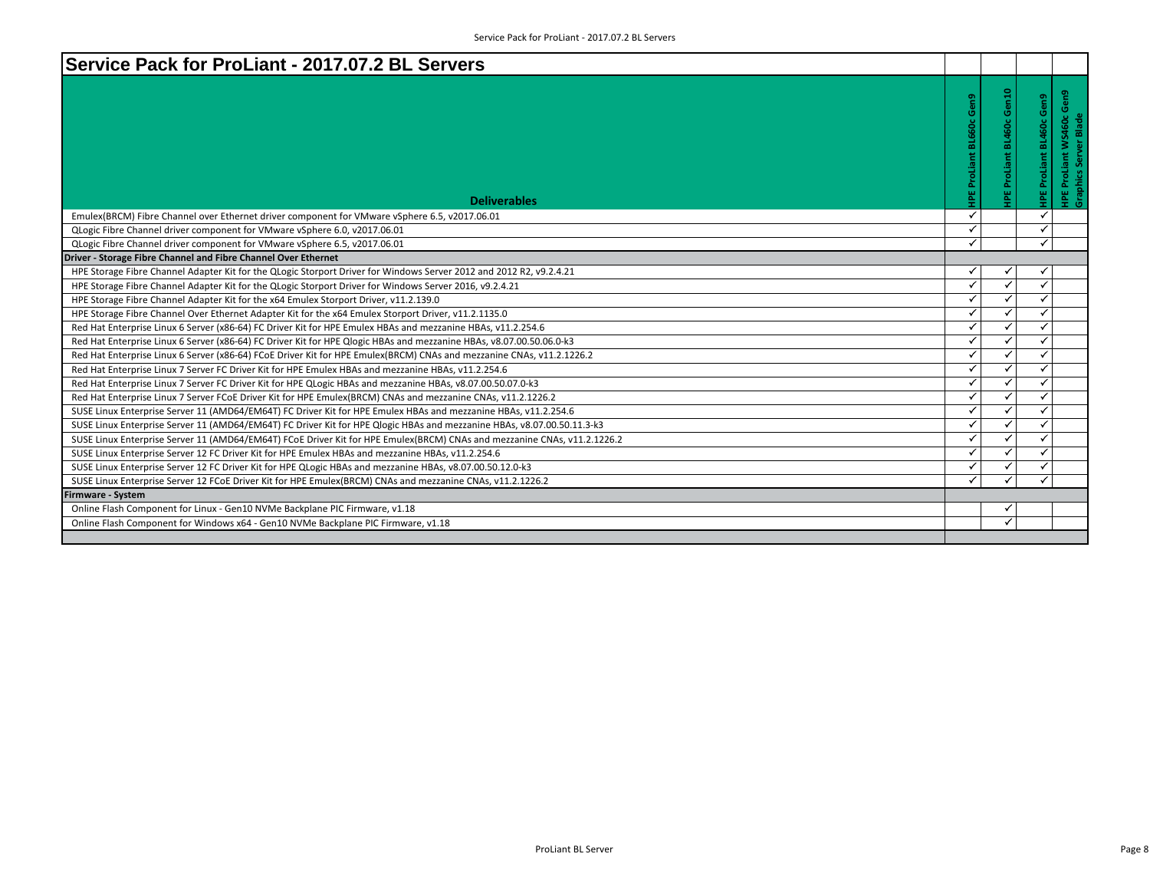| Service Pack for ProLiant - 2017.07.2 BL Servers                                                                         |                          |       |                                 |                                                                 |
|--------------------------------------------------------------------------------------------------------------------------|--------------------------|-------|---------------------------------|-----------------------------------------------------------------|
| <b>Deliverables</b>                                                                                                      | HPE ProLiant BL660c Gen9 | Gen10 | <b>HPE ProLiant BL460c Gen9</b> | ProLiant WS460c Gen9<br>Server Blade<br>HPE ProLi<br>Graphics : |
| Emulex(BRCM) Fibre Channel over Ethernet driver component for VMware vSphere 6.5, v2017.06.01                            | $\checkmark$             |       | $\checkmark$                    |                                                                 |
| QLogic Fibre Channel driver component for VMware vSphere 6.0, v2017.06.01                                                | ✓                        |       | ✓                               |                                                                 |
| QLogic Fibre Channel driver component for VMware vSphere 6.5, v2017.06.01                                                | ✓                        |       | ✓                               |                                                                 |
| Driver - Storage Fibre Channel and Fibre Channel Over Ethernet                                                           |                          |       |                                 |                                                                 |
| HPE Storage Fibre Channel Adapter Kit for the QLogic Storport Driver for Windows Server 2012 and 2012 R2, v9.2.4.21      | ✓                        |       |                                 |                                                                 |
| HPE Storage Fibre Channel Adapter Kit for the QLogic Storport Driver for Windows Server 2016, v9.2.4.21                  | $\checkmark$             |       | ✓                               |                                                                 |
| HPE Storage Fibre Channel Adapter Kit for the x64 Emulex Storport Driver, v11.2.139.0                                    | $\checkmark$             |       | ✓                               |                                                                 |
| HPE Storage Fibre Channel Over Ethernet Adapter Kit for the x64 Emulex Storport Driver, v11.2.1135.0                     | $\checkmark$             |       | ✓                               |                                                                 |
| Red Hat Enterprise Linux 6 Server (x86-64) FC Driver Kit for HPE Emulex HBAs and mezzanine HBAs, v11.2.254.6             | $\checkmark$             |       | ✓                               |                                                                 |
| Red Hat Enterprise Linux 6 Server (x86-64) FC Driver Kit for HPE Qlogic HBAs and mezzanine HBAs, v8.07.00.50.06.0-k3     | ✓                        |       | ✓                               |                                                                 |
| Red Hat Enterprise Linux 6 Server (x86-64) FCoE Driver Kit for HPE Emulex(BRCM) CNAs and mezzanine CNAs, v11.2.1226.2    | ✓                        |       | ✓                               |                                                                 |
| Red Hat Enterprise Linux 7 Server FC Driver Kit for HPE Emulex HBAs and mezzanine HBAs, v11.2.254.6                      | $\checkmark$             |       | ✓                               |                                                                 |
| Red Hat Enterprise Linux 7 Server FC Driver Kit for HPE QLogic HBAs and mezzanine HBAs, v8.07.00.50.07.0-k3              | $\checkmark$             | ✓     | ✓                               |                                                                 |
| Red Hat Enterprise Linux 7 Server FCoE Driver Kit for HPE Emulex(BRCM) CNAs and mezzanine CNAs, v11.2.1226.2             | ✓                        |       | ✓                               |                                                                 |
| SUSE Linux Enterprise Server 11 (AMD64/EM64T) FC Driver Kit for HPE Emulex HBAs and mezzanine HBAs, v11.2.254.6          | $\checkmark$             |       | $\checkmark$                    |                                                                 |
| SUSE Linux Enterprise Server 11 (AMD64/EM64T) FC Driver Kit for HPE Qlogic HBAs and mezzanine HBAs, v8.07.00.50.11.3-k3  | ✓                        |       | ✓                               |                                                                 |
| SUSE Linux Enterprise Server 11 (AMD64/EM64T) FCoE Driver Kit for HPE Emulex(BRCM) CNAs and mezzanine CNAs, v11.2.1226.2 | $\checkmark$             |       | ✓                               |                                                                 |
| SUSE Linux Enterprise Server 12 FC Driver Kit for HPE Emulex HBAs and mezzanine HBAs, v11.2.254.6                        | ✓                        |       | ✓                               |                                                                 |
| SUSE Linux Enterprise Server 12 FC Driver Kit for HPE QLogic HBAs and mezzanine HBAs, v8.07.00.50.12.0-k3                | ✓                        |       | ✓                               |                                                                 |
| SUSE Linux Enterprise Server 12 FCoE Driver Kit for HPE Emulex(BRCM) CNAs and mezzanine CNAs, v11.2.1226.2               | ✓                        |       | ✓                               |                                                                 |
| Firmware - System                                                                                                        |                          |       |                                 |                                                                 |
| Online Flash Component for Linux - Gen10 NVMe Backplane PIC Firmware, v1.18                                              |                          |       |                                 |                                                                 |
| Online Flash Component for Windows x64 - Gen10 NVMe Backplane PIC Firmware, v1.18                                        |                          |       |                                 |                                                                 |
|                                                                                                                          |                          |       |                                 |                                                                 |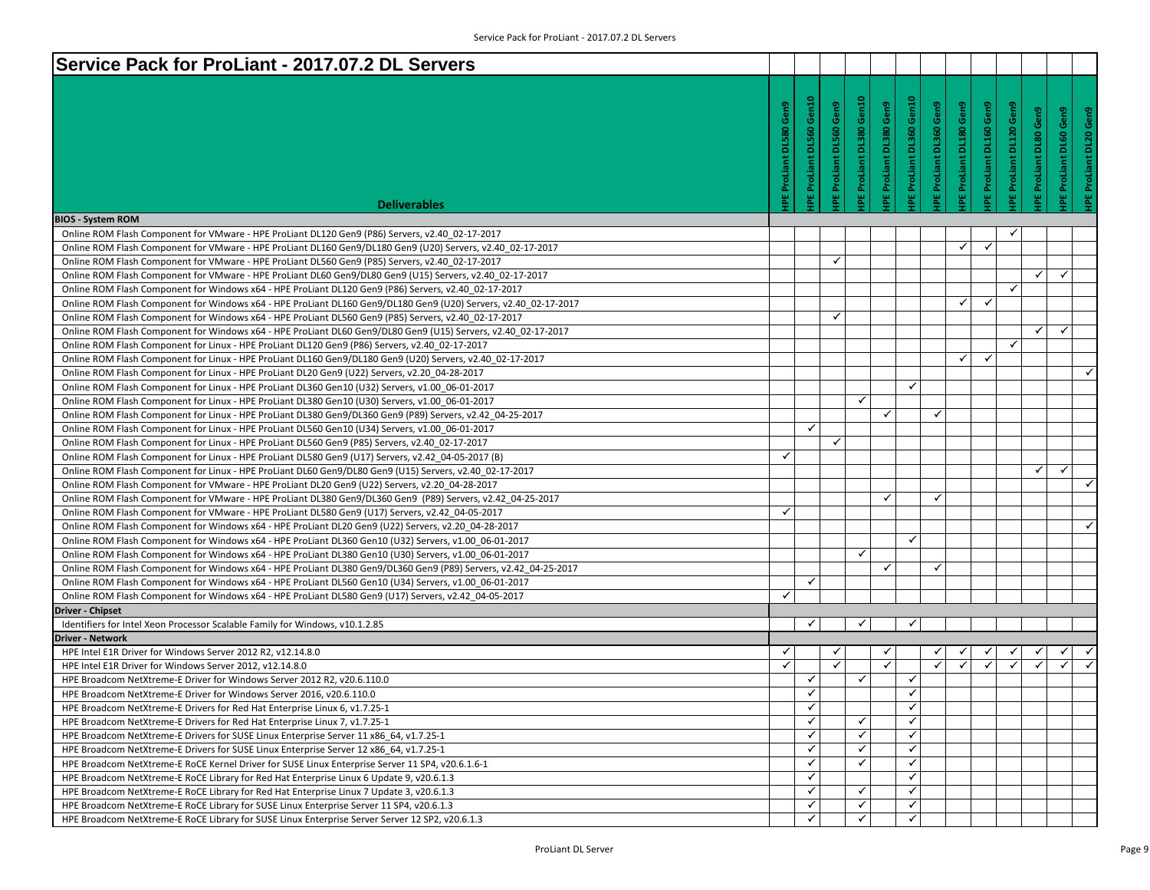| Service Pack for ProLiant - 2017.07.2 DL Servers                                                                |                    |                    |                    |                          |                         |                                |                         |                               |                                |                         |                              |                               |
|-----------------------------------------------------------------------------------------------------------------|--------------------|--------------------|--------------------|--------------------------|-------------------------|--------------------------------|-------------------------|-------------------------------|--------------------------------|-------------------------|------------------------------|-------------------------------|
|                                                                                                                 |                    |                    |                    |                          |                         |                                |                         |                               |                                |                         |                              |                               |
|                                                                                                                 |                    |                    |                    |                          |                         |                                |                         |                               |                                |                         |                              |                               |
|                                                                                                                 | Gen9               | Gen10              | Gen9               |                          |                         |                                |                         |                               |                                |                         |                              |                               |
|                                                                                                                 |                    |                    |                    |                          |                         |                                |                         |                               |                                |                         |                              | Gen9                          |
|                                                                                                                 |                    |                    |                    |                          |                         |                                |                         |                               |                                |                         |                              |                               |
|                                                                                                                 |                    |                    |                    |                          |                         |                                |                         |                               |                                |                         |                              |                               |
|                                                                                                                 |                    |                    |                    |                          |                         |                                |                         |                               |                                |                         |                              |                               |
|                                                                                                                 |                    |                    |                    |                          |                         |                                |                         |                               |                                |                         |                              | ProLiant DL20                 |
| <b>Deliverables</b>                                                                                             | IPE ProLiant DL580 | IPE ProLiant DL560 | IPE ProLiant DL560 | IPE ProLiant DL380 Gen10 | IPE ProLiant DL380 Gen9 | <b>PE ProLiant DL360 Gen10</b> | IPE ProLiant DL360 Gen9 | <b>PE ProLiant DL180 Gen9</b> | <b>IPE ProLiant DL160 Gen9</b> | IPE ProLiant DL120 Gen9 | <b>PE ProLiant DL80 Gen9</b> | <b>IPE ProLiant DL60 Gen9</b> |
| <b>BIOS - System ROM</b>                                                                                        |                    |                    |                    |                          |                         |                                |                         |                               |                                |                         |                              |                               |
| Online ROM Flash Component for VMware - HPE ProLiant DL120 Gen9 (P86) Servers, v2.40 02-17-2017                 |                    |                    |                    |                          |                         |                                |                         |                               |                                | $\checkmark$            |                              |                               |
| Online ROM Flash Component for VMware - HPE ProLiant DL160 Gen9/DL180 Gen9 (U20) Servers, v2.40 02-17-2017      |                    |                    |                    |                          |                         |                                |                         | $\checkmark$                  | $\checkmark$                   |                         |                              |                               |
| Online ROM Flash Component for VMware - HPE ProLiant DL560 Gen9 (P85) Servers, v2.40 02-17-2017                 |                    |                    | ✓                  |                          |                         |                                |                         |                               |                                |                         |                              |                               |
| Online ROM Flash Component for VMware - HPE ProLiant DL60 Gen9/DL80 Gen9 (U15) Servers, v2.40 02-17-2017        |                    |                    |                    |                          |                         |                                |                         |                               |                                |                         | $\checkmark$                 | ✓                             |
| Online ROM Flash Component for Windows x64 - HPE ProLiant DL120 Gen9 (P86) Servers, v2.40 02-17-2017            |                    |                    |                    |                          |                         |                                |                         |                               |                                | $\checkmark$            |                              |                               |
| Online ROM Flash Component for Windows x64 - HPE ProLiant DL160 Gen9/DL180 Gen9 (U20) Servers, v2.40 02-17-2017 |                    |                    |                    |                          |                         |                                |                         | ✓                             | ✓                              |                         |                              |                               |
| Online ROM Flash Component for Windows x64 - HPE ProLiant DL560 Gen9 (P85) Servers, v2.40 02-17-2017            |                    |                    | ✓                  |                          |                         |                                |                         |                               |                                |                         |                              |                               |
| Online ROM Flash Component for Windows x64 - HPE ProLiant DL60 Gen9/DL80 Gen9 (U15) Servers, v2.40 02-17-2017   |                    |                    |                    |                          |                         |                                |                         |                               |                                |                         | ✓                            | ✓                             |
| Online ROM Flash Component for Linux - HPE ProLiant DL120 Gen9 (P86) Servers, v2.40 02-17-2017                  |                    |                    |                    |                          |                         |                                |                         |                               |                                | $\checkmark$            |                              |                               |
| Online ROM Flash Component for Linux - HPE ProLiant DL160 Gen9/DL180 Gen9 (U20) Servers, v2.40 02-17-2017       |                    |                    |                    |                          |                         |                                |                         | ✓                             | √                              |                         |                              |                               |
| Online ROM Flash Component for Linux - HPE ProLiant DL20 Gen9 (U22) Servers, v2.20 04-28-2017                   |                    |                    |                    |                          |                         |                                |                         |                               |                                |                         |                              | ✓                             |
| Online ROM Flash Component for Linux - HPE ProLiant DL360 Gen10 (U32) Servers, v1.00 06-01-2017                 |                    |                    |                    |                          |                         | $\checkmark$                   |                         |                               |                                |                         |                              |                               |
| Online ROM Flash Component for Linux - HPE ProLiant DL380 Gen10 (U30) Servers, v1.00 06-01-2017                 |                    |                    |                    | $\checkmark$             |                         |                                |                         |                               |                                |                         |                              |                               |
| Online ROM Flash Component for Linux - HPE ProLiant DL380 Gen9/DL360 Gen9 (P89) Servers, v2.42 04-25-2017       |                    |                    |                    |                          | ✓                       |                                | ✓                       |                               |                                |                         |                              |                               |
| Online ROM Flash Component for Linux - HPE ProLiant DL560 Gen10 (U34) Servers, v1.00 06-01-2017                 |                    | $\checkmark$       |                    |                          |                         |                                |                         |                               |                                |                         |                              |                               |
| Online ROM Flash Component for Linux - HPE ProLiant DL560 Gen9 (P85) Servers, v2.40 02-17-2017                  |                    |                    | ✓                  |                          |                         |                                |                         |                               |                                |                         |                              |                               |
| Online ROM Flash Component for Linux - HPE ProLiant DL580 Gen9 (U17) Servers, v2.42 04-05-2017 (B)              | $\checkmark$       |                    |                    |                          |                         |                                |                         |                               |                                |                         |                              |                               |
| Online ROM Flash Component for Linux - HPE ProLiant DL60 Gen9/DL80 Gen9 (U15) Servers, v2.40 02-17-2017         |                    |                    |                    |                          |                         |                                |                         |                               |                                |                         | ✓                            | ✓                             |
| Online ROM Flash Component for VMware - HPE ProLiant DL20 Gen9 (U22) Servers, v2.20 04-28-2017                  |                    |                    |                    |                          |                         |                                |                         |                               |                                |                         |                              |                               |
| Online ROM Flash Component for VMware - HPE ProLiant DL380 Gen9/DL360 Gen9 (P89) Servers, v2.42 04-25-2017      |                    |                    |                    |                          | ✓                       |                                | ✓                       |                               |                                |                         |                              |                               |
| Online ROM Flash Component for VMware - HPE ProLiant DL580 Gen9 (U17) Servers, v2.42 04-05-2017                 | $\checkmark$       |                    |                    |                          |                         |                                |                         |                               |                                |                         |                              |                               |
| Online ROM Flash Component for Windows x64 - HPE ProLiant DL20 Gen9 (U22) Servers, v2.20 04-28-2017             |                    |                    |                    |                          |                         |                                |                         |                               |                                |                         |                              |                               |
| Online ROM Flash Component for Windows x64 - HPE ProLiant DL360 Gen10 (U32) Servers, v1.00 06-01-2017           |                    |                    |                    |                          |                         | $\checkmark$                   |                         |                               |                                |                         |                              |                               |
| Online ROM Flash Component for Windows x64 - HPE ProLiant DL380 Gen10 (U30) Servers, v1.00 06-01-2017           |                    |                    |                    | $\checkmark$             |                         |                                |                         |                               |                                |                         |                              |                               |
| Online ROM Flash Component for Windows x64 - HPE ProLiant DL380 Gen9/DL360 Gen9 (P89) Servers, v2.42 04-25-2017 |                    |                    |                    |                          | ✓                       |                                | ✓                       |                               |                                |                         |                              |                               |
| Online ROM Flash Component for Windows x64 - HPE ProLiant DL560 Gen10 (U34) Servers, v1.00 06-01-2017           |                    | ✔                  |                    |                          |                         |                                |                         |                               |                                |                         |                              |                               |
| Online ROM Flash Component for Windows x64 - HPE ProLiant DL580 Gen9 (U17) Servers, v2.42 04-05-2017            | $\checkmark$       |                    |                    |                          |                         |                                |                         |                               |                                |                         |                              |                               |
| <b>Driver - Chipset</b>                                                                                         |                    |                    |                    |                          |                         |                                |                         |                               |                                |                         |                              |                               |
| Identifiers for Intel Xeon Processor Scalable Family for Windows, v10.1.2.85                                    |                    | ✓                  |                    | ✓                        |                         | ✓                              |                         |                               |                                |                         |                              |                               |
| <b>Driver - Network</b>                                                                                         |                    |                    |                    |                          |                         |                                |                         |                               |                                |                         |                              |                               |
| HPE Intel E1R Driver for Windows Server 2012 R2, v12.14.8.0                                                     | ✓                  |                    | ✓                  |                          | ✓                       |                                |                         |                               |                                |                         |                              | ✓                             |
| HPE Intel E1R Driver for Windows Server 2012, v12.14.8.0                                                        | $\checkmark$       |                    | $\checkmark$       |                          | $\checkmark$            |                                | ✓                       | $\checkmark$                  | $\checkmark$                   | ✓                       | $\checkmark$                 | $\checkmark$                  |
| HPE Broadcom NetXtreme-E Driver for Windows Server 2012 R2, v20.6.110.0                                         |                    | ✓                  |                    | ✓                        |                         | ✓                              |                         |                               |                                |                         |                              |                               |
| HPE Broadcom NetXtreme-E Driver for Windows Server 2016, v20.6.110.0                                            |                    | ✓                  |                    |                          |                         | ✓                              |                         |                               |                                |                         |                              |                               |
| HPE Broadcom NetXtreme-E Drivers for Red Hat Enterprise Linux 6, v1.7.25-1                                      |                    | ✓                  |                    |                          |                         | $\checkmark$                   |                         |                               |                                |                         |                              |                               |
| HPE Broadcom NetXtreme-E Drivers for Red Hat Enterprise Linux 7, v1.7.25-1                                      |                    | $\checkmark$       |                    | $\checkmark$             |                         | $\checkmark$                   |                         |                               |                                |                         |                              |                               |
| HPE Broadcom NetXtreme-E Drivers for SUSE Linux Enterprise Server 11 x86 64, v1.7.25-1                          |                    | ✓                  |                    | $\checkmark$             |                         | $\checkmark$                   |                         |                               |                                |                         |                              |                               |
| HPE Broadcom NetXtreme-E Drivers for SUSE Linux Enterprise Server 12 x86 64, v1.7.25-1                          |                    | ✓                  |                    | $\checkmark$             |                         | $\checkmark$                   |                         |                               |                                |                         |                              |                               |
| HPE Broadcom NetXtreme-E RoCE Kernel Driver for SUSE Linux Enterprise Server 11 SP4, v20.6.1.6-1                |                    | ✓                  |                    | ✓                        |                         | $\checkmark$                   |                         |                               |                                |                         |                              |                               |
| HPE Broadcom NetXtreme-E RoCE Library for Red Hat Enterprise Linux 6 Update 9, v20.6.1.3                        |                    | $\checkmark$       |                    |                          |                         | $\checkmark$                   |                         |                               |                                |                         |                              |                               |
| HPE Broadcom NetXtreme-E RoCE Library for Red Hat Enterprise Linux 7 Update 3, v20.6.1.3                        |                    | $\checkmark$       |                    | $\checkmark$             |                         | $\checkmark$                   |                         |                               |                                |                         |                              |                               |
| HPE Broadcom NetXtreme-E RoCE Library for SUSE Linux Enterprise Server 11 SP4, v20.6.1.3                        |                    | ✓                  |                    | $\checkmark$             |                         | $\checkmark$                   |                         |                               |                                |                         |                              |                               |
| HPE Broadcom NetXtreme-E RoCE Library for SUSE Linux Enterprise Server Server 12 SP2, v20.6.1.3                 |                    | ✓                  |                    | ✓                        |                         | ✓                              |                         |                               |                                |                         |                              |                               |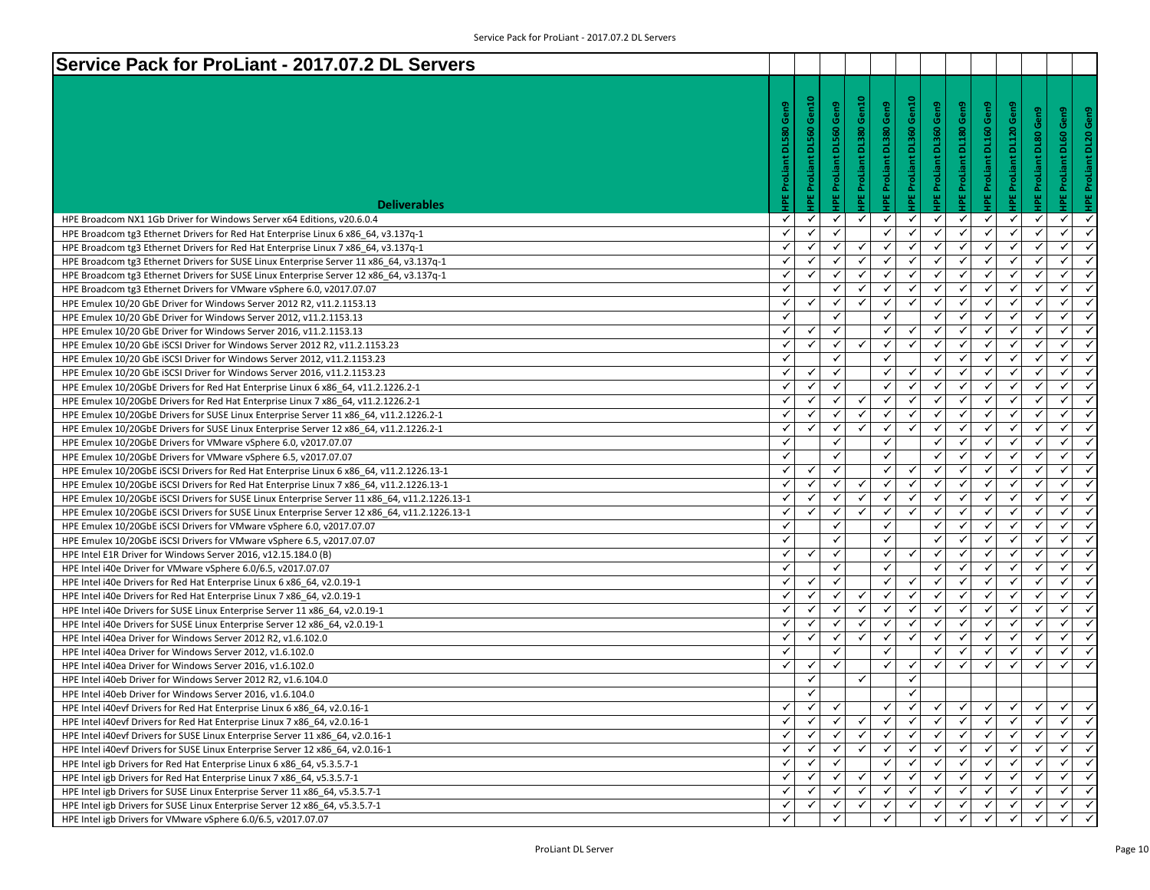| Service Pack for ProLiant - 2017.07.2 DL Servers                                                                                               |                              |                              |                   |                                 |                                |                          |                              |                     |                                |                                |                                                           |              |
|------------------------------------------------------------------------------------------------------------------------------------------------|------------------------------|------------------------------|-------------------|---------------------------------|--------------------------------|--------------------------|------------------------------|---------------------|--------------------------------|--------------------------------|-----------------------------------------------------------|--------------|
|                                                                                                                                                |                              |                              |                   |                                 |                                |                          |                              |                     |                                |                                |                                                           |              |
|                                                                                                                                                |                              |                              |                   |                                 |                                |                          |                              |                     |                                |                                |                                                           |              |
|                                                                                                                                                | Gen9                         | Gen10                        | Gen9              |                                 |                                |                          | Gen9                         | Gen9                |                                |                                | Gen9                                                      | Gen9         |
|                                                                                                                                                |                              |                              |                   |                                 |                                |                          |                              |                     |                                |                                |                                                           |              |
|                                                                                                                                                | <b>DL580</b>                 |                              | <b>DL560</b>      |                                 |                                |                          |                              | <b>DL180</b>        |                                |                                |                                                           | <b>DL20</b>  |
|                                                                                                                                                |                              |                              |                   |                                 |                                |                          |                              |                     |                                |                                |                                                           |              |
|                                                                                                                                                |                              |                              |                   |                                 |                                |                          |                              |                     |                                |                                |                                                           |              |
|                                                                                                                                                |                              |                              | ProLiant          |                                 |                                |                          |                              |                     |                                |                                |                                                           |              |
| <b>Deliverables</b>                                                                                                                            | <b>IPE ProLiant</b>          | <b>IPE ProLiant DL560</b>    | 삍                 | <b>IPE ProLiant DL380 Gen10</b> | <b>IPE ProLiant DL380 Gen9</b> | HPE ProLiant DL360 Gen10 | <b>IPE ProLiant DL360</b>    | <b>IPE ProLiant</b> | <b>IPE ProLiant DL160 Gen9</b> | <b>IPE ProLiant DL120 Gen9</b> | <b>IPE ProLiant DL80 Gen9</b><br><b>HPE ProLiant DL60</b> |              |
| HPE Broadcom NX1 1Gb Driver for Windows Server x64 Editions, v20.6.0.4                                                                         | ✓                            | ✓                            | $\checkmark$      | ✓                               | ✓                              | ✓                        | $\checkmark$                 | ✓                   | ✔                              | ✓                              | ✓<br>✓                                                    | $\checkmark$ |
| HPE Broadcom tg3 Ethernet Drivers for Red Hat Enterprise Linux 6 x86 64, v3.137q-1                                                             | ✓                            | $\checkmark$                 | ✓                 |                                 | $\checkmark$                   | ✓                        | ✓                            | ✓                   | ✓                              | ✓                              | ✓<br>✓                                                    |              |
| HPE Broadcom tg3 Ethernet Drivers for Red Hat Enterprise Linux 7 x86 64, v3.137q-1                                                             | $\checkmark$                 | ✓                            | ✓                 | ✓                               | ✓                              | ✓                        | ✓                            | $\checkmark$        | ✓                              | ✓                              | ✓<br>✓                                                    | $\checkmark$ |
| HPE Broadcom tg3 Ethernet Drivers for SUSE Linux Enterprise Server 11 x86_64, v3.137q-1                                                        | $\checkmark$                 | ✓                            | √                 |                                 | ✓                              | $\checkmark$             | $\checkmark$                 | √                   | $\checkmark$                   | ✓                              | ✓<br>$\checkmark$                                         |              |
| HPE Broadcom tg3 Ethernet Drivers for SUSE Linux Enterprise Server 12 x86_64, v3.137q-1                                                        | $\checkmark$                 | $\checkmark$                 | $\checkmark$      | ✓                               | $\checkmark$                   | $\checkmark$             | $\checkmark$                 | $\checkmark$        | ✓                              | ✓                              | $\checkmark$<br>$\checkmark$                              | $\checkmark$ |
| HPE Broadcom tg3 Ethernet Drivers for VMware vSphere 6.0, v2017.07.07                                                                          | $\checkmark$                 |                              | ✓                 | ✓                               | $\checkmark$                   | $\checkmark$             | $\checkmark$                 | ✓                   | $\checkmark$                   | $\checkmark$                   | ✓<br>$\checkmark$                                         |              |
| HPE Emulex 10/20 GbE Driver for Windows Server 2012 R2, v11.2.1153.13                                                                          | ✓                            | $\checkmark$                 | ✓                 | ✓                               | ✓                              | ✓                        | ✓                            | ✓                   | ✓                              | ✓                              | ✓<br>✓                                                    |              |
| HPE Emulex 10/20 GbE Driver for Windows Server 2012, v11.2.1153.13                                                                             | $\checkmark$                 |                              | ✓                 |                                 | ✓                              |                          | ✓                            | $\checkmark$        | √                              | ✓                              | $\checkmark$<br>✓                                         | $\checkmark$ |
| HPE Emulex 10/20 GbE Driver for Windows Server 2016, v11.2.1153.13                                                                             | $\checkmark$                 | $\checkmark$                 | $\checkmark$      |                                 | ✓                              | ✓                        | $\checkmark$                 | $\checkmark$        | $\checkmark$                   | $\checkmark$                   | $\checkmark$<br>✓                                         |              |
| HPE Emulex 10/20 GbE iSCSI Driver for Windows Server 2012 R2, v11.2.1153.23                                                                    | $\checkmark$                 | $\checkmark$                 | $\checkmark$      | ✓                               | ✓                              | $\checkmark$             | $\checkmark$                 | $\checkmark$        | ✓                              | $\checkmark$                   | ✓<br>✓                                                    | $\checkmark$ |
| HPE Emulex 10/20 GbE ISCSI Driver for Windows Server 2012, v11.2.1153.23                                                                       | $\checkmark$                 |                              | ✓                 |                                 | ✓                              |                          | $\checkmark$                 | ✓                   | ✓                              | $\checkmark$                   | ✓<br>✓                                                    |              |
| HPE Emulex 10/20 GbE ISCSI Driver for Windows Server 2016, v11.2.1153.23                                                                       | ✓                            | $\checkmark$                 | ✓                 |                                 | ✓                              | ✓                        | ✓                            | ✓                   | ✓                              | ✓                              | ✓<br>✓                                                    |              |
| HPE Emulex 10/20GbE Drivers for Red Hat Enterprise Linux 6 x86 64, v11.2.1226.2-1                                                              | $\checkmark$                 | ✓                            | ✓                 |                                 | $\checkmark$                   | $\checkmark$             | ✓                            | ✓                   | ✓                              | ✓                              | $\checkmark$<br>✓                                         | $\checkmark$ |
| HPE Emulex 10/20GbE Drivers for Red Hat Enterprise Linux 7 x86_64, v11.2.1226.2-1                                                              | $\checkmark$                 | ✓                            | $\checkmark$      |                                 | $\checkmark$                   | $\checkmark$             | $\checkmark$                 | $\checkmark$        | $\checkmark$                   | ✓                              | $\checkmark$<br>✓                                         |              |
| HPE Emulex 10/20GbE Drivers for SUSE Linux Enterprise Server 11 x86 64, v11.2.1226.2-1                                                         | $\checkmark$                 | ✓                            | $\checkmark$      | ✓                               | $\checkmark$                   | $\checkmark$             | $\checkmark$                 | $\checkmark$        | $\checkmark$                   | $\checkmark$                   | ✓<br>$\checkmark$                                         | $\checkmark$ |
| HPE Emulex 10/20GbE Drivers for SUSE Linux Enterprise Server 12 x86 64, v11.2.1226.2-1                                                         | $\checkmark$                 | $\checkmark$                 | ✓                 | ✓                               | ✓                              | $\checkmark$             | $\checkmark$                 | ✓                   | ✓                              | $\checkmark$                   | ✓<br>$\checkmark$                                         |              |
| HPE Emulex 10/20GbE Drivers for VMware vSphere 6.0, v2017.07.07                                                                                | ✓                            |                              | ✓                 |                                 | $\checkmark$                   |                          | ✓                            | ✓                   | ✓                              | ✓                              | ✓<br>✓                                                    |              |
| HPE Emulex 10/20GbE Drivers for VMware vSphere 6.5, v2017.07.07                                                                                | $\checkmark$                 |                              | ✓                 |                                 | ✓                              |                          | ✓                            | ✓                   | ✓                              | ✓                              | $\checkmark$<br>✓                                         | $\checkmark$ |
| HPE Emulex 10/20GbE iSCSI Drivers for Red Hat Enterprise Linux 6 x86_64, v11.2.1226.13-1                                                       | $\checkmark$                 | ✓                            | ٧                 |                                 | ✓<br>$\checkmark$              | ✓<br>$\checkmark$        | $\checkmark$                 | ٧                   | $\checkmark$                   | ✓                              | $\checkmark$<br>$\checkmark$                              |              |
| HPE Emulex 10/20GbE iSCSI Drivers for Red Hat Enterprise Linux 7 x86_64, v11.2.1226.13-1                                                       | $\checkmark$<br>$\checkmark$ | $\checkmark$<br>$\checkmark$ | $\checkmark$<br>✓ | ✓<br>✓                          | $\checkmark$                   | $\checkmark$             | $\checkmark$<br>$\checkmark$ | $\checkmark$<br>✓   | ✓<br>$\checkmark$              | ✓<br>$\checkmark$              | $\checkmark$<br>✓<br>✓<br>$\checkmark$                    | $\checkmark$ |
| HPE Emulex 10/20GbE ISCSI Drivers for SUSE Linux Enterprise Server 11 x86_64, v11.2.1226.13-1                                                  | $\checkmark$                 | $\checkmark$                 | ✓                 |                                 | $\checkmark$                   | ✓                        | ✓                            | ✓                   | ✓                              | ✓                              | ✓<br>✓                                                    |              |
| HPE Emulex 10/20GbE iSCSI Drivers for SUSE Linux Enterprise Server 12 x86 64, v11.2.1226.13-1                                                  | $\checkmark$                 |                              | ✓                 |                                 | ✓                              |                          | ✓                            | $\checkmark$        | √                              | ✓                              | $\checkmark$<br>✓                                         | $\checkmark$ |
| HPE Emulex 10/20GbE ISCSI Drivers for VMware vSphere 6.0, v2017.07.07<br>HPE Emulex 10/20GbE iSCSI Drivers for VMware vSphere 6.5, v2017.07.07 | $\checkmark$                 |                              | ✓                 |                                 | ✓                              |                          | $\checkmark$                 | $\checkmark$        | ✓                              | ✓                              | ✓<br>$\checkmark$                                         |              |
| HPE Intel E1R Driver for Windows Server 2016, v12.15.184.0 (B)                                                                                 | $\checkmark$                 | $\checkmark$                 | ✓                 |                                 | ✓                              | $\checkmark$             | $\checkmark$                 | $\checkmark$        | ✓                              | $\checkmark$                   | ✓<br>✓                                                    | $\checkmark$ |
| HPE Intel i40e Driver for VMware vSphere 6.0/6.5, v2017.07.07                                                                                  | $\checkmark$                 |                              | ✓                 |                                 | ✓                              |                          | $\checkmark$                 | ✓                   | ✓                              | $\checkmark$                   | $\checkmark$<br>✓                                         |              |
| HPE Intel i40e Drivers for Red Hat Enterprise Linux 6 x86 64, v2.0.19-1                                                                        | ✓                            | ✓                            | ✓                 |                                 | ✓                              | ✓                        | ✓                            | ✓                   | ✓                              | ✓                              | ✓<br>✓                                                    |              |
| HPE Intel i40e Drivers for Red Hat Enterprise Linux 7 x86 64, v2.0.19-1                                                                        | ✓                            | ✓                            | ✓                 | ✓                               | ✓                              | ✓                        | ✓                            | ✓                   | ✓                              | ✓                              | $\checkmark$<br>✓                                         | $\checkmark$ |
| HPE Intel i40e Drivers for SUSE Linux Enterprise Server 11 x86 64, v2.0.19-1                                                                   | $\checkmark$                 | ✓                            | ٧                 | √                               | $\checkmark$                   | $\checkmark$             | $\checkmark$                 | √                   | $\checkmark$                   | ✓                              | $\checkmark$<br>✓                                         |              |
| HPE Intel i40e Drivers for SUSE Linux Enterprise Server 12 x86 64, v2.0.19-1                                                                   | $\checkmark$                 | ✓                            | $\checkmark$      | ✓                               | $\checkmark$                   | $\checkmark$             | $\checkmark$                 | $\checkmark$        | $\checkmark$                   | $\checkmark$                   | ✓<br>$\checkmark$                                         | $\checkmark$ |
| HPE Intel i40ea Driver for Windows Server 2012 R2, v1.6.102.0                                                                                  | $\checkmark$                 | $\checkmark$                 | ✓                 | ✓                               | ✓                              | $\checkmark$             | $\checkmark$                 | ✓                   | $\checkmark$                   | ✓                              | $\checkmark$<br>✓                                         |              |
| HPE Intel i40ea Driver for Windows Server 2012, v1.6.102.0                                                                                     | ✓                            |                              | ✓                 |                                 | ✓                              |                          | ✓                            | ✓                   | $\checkmark$                   | ✓                              | ✓<br>✓                                                    |              |
| HPE Intel i40ea Driver for Windows Server 2016, v1.6.102.0                                                                                     | $\checkmark$                 | ✓                            | ✓                 |                                 | ✓                              | ✓                        | ✓                            | $\checkmark$        | ✓                              | ✓                              | $\checkmark$<br>✓                                         |              |
| HPE Intel i40eb Driver for Windows Server 2012 R2, v1.6.104.0                                                                                  |                              | ✓                            |                   | $\checkmark$                    |                                | ✓                        |                              |                     |                                |                                |                                                           |              |
| HPE Intel i40eb Driver for Windows Server 2016, v1.6.104.0                                                                                     |                              | ✓                            |                   |                                 |                                | $\checkmark$             |                              |                     |                                |                                |                                                           |              |
| HPE Intel i40evf Drivers for Red Hat Enterprise Linux 6 x86_64, v2.0.16-1                                                                      | ✔                            |                              |                   |                                 |                                |                          | ✔                            | Y.                  | ✔                              |                                | ✓                                                         |              |
| HPE Intel i40evf Drivers for Red Hat Enterprise Linux 7 x86 64, v2.0.16-1                                                                      | ✓                            | $\checkmark$                 |                   |                                 | ✓                              | ✓                        | ✓                            | ✓                   |                                | ✓                              | ✓<br>✓                                                    |              |
| HPE Intel i40evf Drivers for SUSE Linux Enterprise Server 11 x86 64, v2.0.16-1                                                                 | ✓                            | ✓                            |                   |                                 | ✓                              | ✓                        | ✓                            | $\checkmark$        | √                              | ✓                              | $\checkmark$<br>✓                                         | $\checkmark$ |
| HPE Intel i40evf Drivers for SUSE Linux Enterprise Server 12 x86_64, v2.0.16-1                                                                 | ✓                            | ✓                            |                   |                                 |                                | ✓                        | ✓                            |                     |                                |                                | $\checkmark$                                              |              |
| HPE Intel igb Drivers for Red Hat Enterprise Linux 6 x86 64, v5.3.5.7-1                                                                        | $\checkmark$                 | ✓                            | ✓                 |                                 | ✓                              | ✓                        | ✓                            | $\checkmark$        | $\checkmark$                   | ✓                              | $\checkmark$<br>✓                                         | $\checkmark$ |
| HPE Intel igb Drivers for Red Hat Enterprise Linux 7 x86 64, v5.3.5.7-1                                                                        | ✓                            | ✓                            |                   |                                 | ✓                              | ✓                        | ✓                            |                     |                                | ✓                              | ✓                                                         |              |
| HPE Intel igb Drivers for SUSE Linux Enterprise Server 11 x86_64, v5.3.5.7-1                                                                   | ✓                            | ✓                            |                   |                                 |                                | ✓                        | $\checkmark$                 |                     |                                |                                | ✓<br>✓                                                    |              |
| HPE Intel igb Drivers for SUSE Linux Enterprise Server 12 x86 64, v5.3.5.7-1                                                                   | ✓                            | ✓                            |                   |                                 |                                | ✓                        | ✓                            |                     |                                |                                | ✓                                                         |              |
| HPE Intel igb Drivers for VMware vSphere 6.0/6.5, v2017.07.07                                                                                  |                              |                              |                   |                                 |                                |                          |                              |                     |                                |                                |                                                           |              |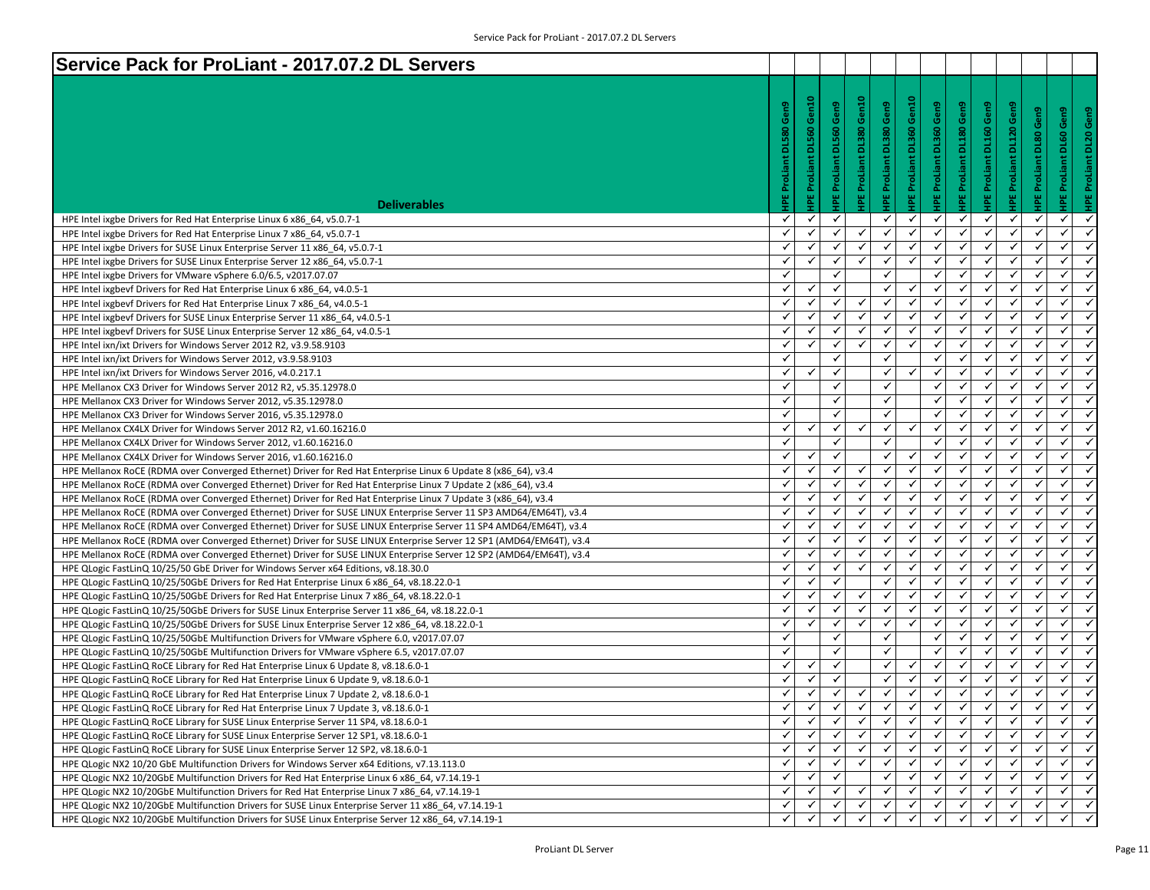| Service Pack for ProLiant - 2017.07.2 DL Servers                                                                                                                                                           |                              |                           |              |                                 |                         |                          |                                |              |                                |                                |                          |                                              |
|------------------------------------------------------------------------------------------------------------------------------------------------------------------------------------------------------------|------------------------------|---------------------------|--------------|---------------------------------|-------------------------|--------------------------|--------------------------------|--------------|--------------------------------|--------------------------------|--------------------------|----------------------------------------------|
|                                                                                                                                                                                                            |                              |                           |              |                                 |                         |                          |                                |              |                                |                                |                          |                                              |
|                                                                                                                                                                                                            |                              |                           |              |                                 |                         |                          |                                |              |                                |                                |                          |                                              |
|                                                                                                                                                                                                            | Gen9                         | Gen10                     | Gen9         |                                 |                         |                          |                                | Gen9         |                                |                                |                          | Gen9                                         |
|                                                                                                                                                                                                            |                              |                           |              |                                 |                         |                          |                                |              |                                |                                | Gen9                     | Gen9                                         |
|                                                                                                                                                                                                            | <b>DL580</b>                 |                           | <b>DL560</b> |                                 |                         |                          |                                | <b>DL180</b> |                                |                                |                          | <b>DL20</b>                                  |
|                                                                                                                                                                                                            |                              |                           |              |                                 |                         |                          |                                |              |                                |                                |                          |                                              |
|                                                                                                                                                                                                            |                              |                           |              |                                 |                         |                          |                                |              |                                |                                |                          |                                              |
|                                                                                                                                                                                                            |                              |                           | ProLia       |                                 |                         |                          |                                | ProLiant     |                                |                                |                          |                                              |
|                                                                                                                                                                                                            | <b>IPE ProLiant</b>          | <b>IPE ProLiant DL560</b> |              | <b>IPE ProLiant DL380 Gen10</b> | IPE ProLiant DL380 Gen9 | HPE ProLiant DL360 Gen10 | <b>IPE ProLiant DL360 Gen9</b> | w.           | <b>HPE ProLiant DL160 Gen9</b> | <b>IPE ProLiant DL120 Gen9</b> | <b>IPE ProLiant DL80</b> | <b>HPE ProLiant DL60</b>                     |
| <b>Deliverables</b>                                                                                                                                                                                        |                              |                           |              |                                 |                         |                          |                                |              |                                |                                |                          |                                              |
| HPE Intel ixgbe Drivers for Red Hat Enterprise Linux 6 x86_64, v5.0.7-1                                                                                                                                    | ✓                            | ✓                         | ✓            |                                 | $\checkmark$            | ✓                        | $\checkmark$                   | ✓            | $\checkmark$                   | $\checkmark$                   | ✓                        | ✓<br>$\checkmark$                            |
| HPE Intel ixgbe Drivers for Red Hat Enterprise Linux 7 x86 64, v5.0.7-1                                                                                                                                    | $\checkmark$                 | $\checkmark$              | ✓            | $\checkmark$                    | $\checkmark$            | $\checkmark$             | $\checkmark$                   | $\checkmark$ | $\checkmark$                   | ✓                              | ✓                        | ✓                                            |
| HPE Intel ixgbe Drivers for SUSE Linux Enterprise Server 11 x86 64, v5.0.7-1                                                                                                                               | $\checkmark$                 | ✓                         | ✓            | ✓                               | ✓                       | $\checkmark$             | ✓                              | $\checkmark$ | $\checkmark$                   | $\checkmark$                   | $\checkmark$             | ✓<br>$\checkmark$                            |
| HPE Intel ixgbe Drivers for SUSE Linux Enterprise Server 12 x86_64, v5.0.7-1                                                                                                                               | $\checkmark$                 | $\checkmark$              | $\checkmark$ | $\checkmark$                    | $\checkmark$            | $\checkmark$             | $\checkmark$                   | $\checkmark$ | $\checkmark$                   | ✓                              | ✓                        | $\checkmark$                                 |
| HPE Intel ixgbe Drivers for VMware vSphere 6.0/6.5, v2017.07.07                                                                                                                                            | ✓                            |                           | ✓            |                                 | ✓                       |                          | $\checkmark$                   | $\checkmark$ | ✓                              | ✓                              | ✓                        | $\checkmark$<br>$\checkmark$                 |
| HPE Intel ixgbevf Drivers for Red Hat Enterprise Linux 6 x86_64, v4.0.5-1                                                                                                                                  | $\checkmark$                 | ✓                         | ✓            |                                 | ✓                       | $\checkmark$             | $\checkmark$                   | $\checkmark$ | ✓                              | ✓                              | $\checkmark$             | $\checkmark$                                 |
| HPE Intel ixgbevf Drivers for Red Hat Enterprise Linux 7 x86_64, v4.0.5-1                                                                                                                                  | ✓                            | ✓                         | ✓            | ✓                               | ✓                       | ✓                        | $\checkmark$                   | $\checkmark$ | $\checkmark$                   | ✓                              | ✓                        | ✓                                            |
| HPE Intel ixgbevf Drivers for SUSE Linux Enterprise Server 11 x86 64, v4.0.5-1                                                                                                                             | $\checkmark$                 | ✓                         | ✓            | ✓                               | ✓                       | $\checkmark$             | ✓                              | $\checkmark$ | ✓                              | ✓                              | ✓                        | ✓                                            |
| HPE Intel ixgbevf Drivers for SUSE Linux Enterprise Server 12 x86_64, v4.0.5-1                                                                                                                             | $\checkmark$                 | ✓                         | $\checkmark$ | $\checkmark$                    | ✓                       | $\checkmark$             | $\checkmark$                   | $\checkmark$ | $\checkmark$                   | ✓                              | ✓                        | $\checkmark$                                 |
| HPE Intel ixn/ixt Drivers for Windows Server 2012 R2, v3.9.58.9103                                                                                                                                         | $\checkmark$                 | $\checkmark$              | $\checkmark$ | ✓                               | $\checkmark$            | $\checkmark$             | $\checkmark$<br>$\checkmark$   | $\checkmark$ | $\checkmark$                   | $\checkmark$                   | $\checkmark$             | $\checkmark$<br>$\checkmark$<br>$\checkmark$ |
| HPE Intel ixn/ixt Drivers for Windows Server 2012, v3.9.58.9103                                                                                                                                            | $\checkmark$                 | $\checkmark$              | ✓            |                                 | ✓                       | $\checkmark$             |                                | $\checkmark$ | ✓                              | ✓<br>✓                         | $\checkmark$             | ✓                                            |
| HPE Intel ixn/ixt Drivers for Windows Server 2016, v4.0.217.1                                                                                                                                              | $\checkmark$<br>$\checkmark$ |                           | ✓            |                                 | ✓                       |                          | ✓<br>✓                         | ✓            | ✓                              |                                | ✓<br>✓                   | ✓<br>$\checkmark$                            |
| HPE Mellanox CX3 Driver for Windows Server 2012 R2, v5.35.12978.0                                                                                                                                          |                              |                           | ✓            |                                 | ✓                       |                          |                                | ✓            | ✓<br>$\checkmark$              | ✓                              | ✓                        | $\checkmark$                                 |
| HPE Mellanox CX3 Driver for Windows Server 2012, v5.35.12978.0                                                                                                                                             | $\checkmark$<br>$\checkmark$ |                           | ✓            |                                 | ✓<br>$\checkmark$       |                          | $\checkmark$<br>$\checkmark$   | ✓            |                                | ✓                              | ✓                        | $\checkmark$                                 |
| HPE Mellanox CX3 Driver for Windows Server 2016, v5.35.12978.0                                                                                                                                             |                              |                           | ✓            |                                 |                         |                          |                                | ✔            | ✓                              | ✓                              |                          | $\checkmark$<br>$\checkmark$                 |
| HPE Mellanox CX4LX Driver for Windows Server 2012 R2, v1.60.16216.0                                                                                                                                        | $\checkmark$<br>$\checkmark$ | ✓                         | ✓<br>✓       | $\checkmark$                    | ✓<br>✓                  | $\checkmark$             | $\checkmark$<br>✓              | ✓<br>✓       | ✓                              | ✓<br>✓                         | $\checkmark$<br>✓        | ✓                                            |
| HPE Mellanox CX4LX Driver for Windows Server 2012, v1.60.16216.0                                                                                                                                           | $\checkmark$                 |                           | ✓            |                                 | ✓                       | $\checkmark$             | ✓                              | ✓            | ✓                              | ✓                              | ✓                        | ✓<br>✓                                       |
| HPE Mellanox CX4LX Driver for Windows Server 2016, v1.60.16216.0                                                                                                                                           | $\checkmark$                 | ✓<br>✓                    | $\checkmark$ | $\checkmark$                    | ✓                       | $\checkmark$             | $\checkmark$                   | $\checkmark$ | ✓<br>$\checkmark$              | ✓                              | ✓                        | $\checkmark$                                 |
| HPE Mellanox RoCE (RDMA over Converged Ethernet) Driver for Red Hat Enterprise Linux 6 Update 8 (x86 64), v3.4                                                                                             | $\checkmark$                 | $\checkmark$              | $\checkmark$ | $\checkmark$                    | $\checkmark$            | $\checkmark$             | $\checkmark$                   | $\checkmark$ | $\checkmark$                   | ✓                              | $\checkmark$             | $\checkmark$<br>$\checkmark$                 |
| HPE Mellanox RoCE (RDMA over Converged Ethernet) Driver for Red Hat Enterprise Linux 7 Update 2 (x86 64), v3.4                                                                                             | ✓                            | ✓                         | ✓            | ✓                               | ✓                       | $\checkmark$             | $\checkmark$                   | $\checkmark$ | ✓                              | ✓                              | $\checkmark$             | $\checkmark$                                 |
| HPE Mellanox RoCE (RDMA over Converged Ethernet) Driver for Red Hat Enterprise Linux 7 Update 3 (x86_64), v3.4                                                                                             | ✓                            | $\checkmark$              | ✓            | ✓                               | ✓                       | $\checkmark$             | $\checkmark$                   | ✓            | ✓                              | ✓                              | ✓                        | ✓                                            |
| HPE Mellanox RoCE (RDMA over Converged Ethernet) Driver for SUSE LINUX Enterprise Server 11 SP3 AMD64/EM64T), v3.4                                                                                         | $\checkmark$                 | ✓                         | $\checkmark$ | ✓                               | ✓                       | ✓                        | ✓                              | ✓            | ✓                              | ✓                              | ✓                        | ✓                                            |
| HPE Mellanox RoCE (RDMA over Converged Ethernet) Driver for SUSE LINUX Enterprise Server 11 SP4 AMD64/EM64T), v3.4                                                                                         | $\checkmark$                 | ✓                         | ✓            | $\checkmark$                    | ✓                       | $\checkmark$             | $\checkmark$                   | ✓            | $\checkmark$                   | ✓                              | ✓                        | $\checkmark$                                 |
| HPE Mellanox RoCE (RDMA over Converged Ethernet) Driver for SUSE LINUX Enterprise Server 12 SP1 (AMD64/EM64T), v3.4                                                                                        | $\checkmark$                 | $\checkmark$              | ✔            | ✓                               | $\checkmark$            | $\checkmark$             | $\checkmark$                   | $\checkmark$ | ✓                              | $\checkmark$                   | ✓                        | $\checkmark$<br>$\checkmark$                 |
| HPE Mellanox RoCE (RDMA over Converged Ethernet) Driver for SUSE LINUX Enterprise Server 12 SP2 (AMD64/EM64T), v3.4<br>HPE QLogic FastLinQ 10/25/50 GbE Driver for Windows Server x64 Editions, v8.18.30.0 | $\checkmark$                 | $\checkmark$              | ✓            | ✓                               | ✓                       | $\checkmark$             | $\checkmark$                   | ✓            | ✓                              | ✓                              | $\checkmark$             | $\checkmark$                                 |
| HPE QLogic FastLinQ 10/25/50GbE Drivers for Red Hat Enterprise Linux 6 x86_64, v8.18.22.0-1                                                                                                                | ✓                            | ✓                         | ✓            |                                 | ✓                       | ✓                        | ✓                              | $\checkmark$ | ✓                              | ✓                              | ✓                        | ✓                                            |
| HPE QLogic FastLinQ 10/25/50GbE Drivers for Red Hat Enterprise Linux 7 x86 64, v8.18.22.0-1                                                                                                                | $\checkmark$                 | ✓                         | ✓            | ✓                               | ✓                       | $\checkmark$             | ✓                              | $\checkmark$ | ✓                              | ✓                              | ✓                        | ✓<br>$\checkmark$                            |
| HPE QLogic FastLinQ 10/25/50GbE Drivers for SUSE Linux Enterprise Server 11 x86_64, v8.18.22.0-1                                                                                                           | $\checkmark$                 | ✓                         | ✓            | $\checkmark$                    | $\checkmark$            | $\checkmark$             | $\checkmark$                   | ✓            | $\checkmark$                   | ✓                              | ✓                        | $\checkmark$                                 |
| HPE QLogic FastLinQ 10/25/50GbE Drivers for SUSE Linux Enterprise Server 12 x86_64, v8.18.22.0-1                                                                                                           | $\checkmark$                 | $\checkmark$              | $\checkmark$ | $\checkmark$                    | $\checkmark$            | $\checkmark$             | $\checkmark$                   | $\checkmark$ | $\checkmark$                   | $\checkmark$                   | $\checkmark$             | $\checkmark$<br>$\checkmark$                 |
| HPE QLogic FastLinQ 10/25/50GbE Multifunction Drivers for VMware vSphere 6.0, v2017.07.07                                                                                                                  | $\checkmark$                 |                           | ✓            |                                 | ✓                       |                          | ✓                              | $\checkmark$ | ✓                              | ✓                              | $\checkmark$             | $\checkmark$                                 |
| HPE QLogic FastLinQ 10/25/50GbE Multifunction Drivers for VMware vSphere 6.5, v2017.07.07                                                                                                                  | $\checkmark$                 |                           | ✓            |                                 | ✓                       |                          | ✓                              | ✓            | ✓                              | ✓                              | ✓                        | $\checkmark$                                 |
| HPE QLogic FastLinQ RoCE Library for Red Hat Enterprise Linux 6 Update 8, v8.18.6.0-1                                                                                                                      | $\checkmark$                 | ✓                         | ✓            |                                 | ✓                       | ✓                        | ✓                              | ✓            | ✓                              | ✓                              | ✓                        | ✓<br>$\checkmark$                            |
| HPE QLogic FastLinQ RoCE Library for Red Hat Enterprise Linux 6 Update 9, v8.18.6.0-1                                                                                                                      | ✓                            | ✓                         |              |                                 | ✓                       | $\checkmark$             | $\checkmark$                   | √            | $\checkmark$                   | ✓                              | ✓                        | ✓                                            |
| HPE QLogic FastLinQ RoCE Library for Red Hat Enterprise Linux 7 Update 2, v8.18.6.0-1                                                                                                                      | $\checkmark$                 | $\checkmark$              | $\checkmark$ | $\checkmark$                    | $\checkmark$            | $\checkmark$             | $\checkmark$                   | $\checkmark$ | ✓                              | $\checkmark$                   | ✓                        | $\checkmark$<br>$\checkmark$                 |
| HPE QLogic FastLinQ RoCE Library for Red Hat Enterprise Linux 7 Update 3, v8.18.6.0-1                                                                                                                      | ✔                            | ✔                         | ✓            |                                 | $\checkmark$            | ✔                        | ✔                              | Y.           |                                |                                |                          | ✔                                            |
| HPE QLogic FastLinQ RoCE Library for SUSE Linux Enterprise Server 11 SP4, v8.18.6.0-1                                                                                                                      | ✓                            | $\checkmark$              |              |                                 | ✓                       | ✓                        | $\checkmark$                   | ✓            |                                | ✓                              | ✓                        | ✓                                            |
| HPE QLogic FastLinQ RoCE Library for SUSE Linux Enterprise Server 12 SP1, v8.18.6.0-1                                                                                                                      | ✓                            | ✓                         | $\checkmark$ | $\checkmark$                    | ✓                       | ✓                        | ✓                              | $\checkmark$ | $\checkmark$                   | ✓                              | ✓                        | ✓<br>$\checkmark$                            |
| HPE QLogic FastLinQ RoCE Library for SUSE Linux Enterprise Server 12 SP2, v8.18.6.0-1                                                                                                                      | ✓                            | ✓                         |              |                                 |                         | $\checkmark$             | $\checkmark$                   |              |                                |                                |                          | ✓                                            |
| HPE QLogic NX2 10/20 GbE Multifunction Drivers for Windows Server x64 Editions, v7.13.113.0                                                                                                                | ✓                            | $\checkmark$              | $\checkmark$ |                                 | $\checkmark$            | $\checkmark$             | ✓                              | $\checkmark$ |                                | ✓                              | $\checkmark$             | $\checkmark$<br>$\checkmark$                 |
| HPE QLogic NX2 10/20GbE Multifunction Drivers for Red Hat Enterprise Linux 6 x86 64, v7.14.19-1                                                                                                            | ✓                            | ✓                         |              |                                 | ✓                       | ✓                        | ✓                              |              |                                |                                | ✓                        | $\checkmark$                                 |
| HPE QLogic NX2 10/20GbE Multifunction Drivers for Red Hat Enterprise Linux 7 x86 64, v7.14.19-1                                                                                                            | ✓                            | ✓                         |              |                                 | ✓                       | ✓                        | ✓                              |              |                                |                                | ✓                        | $\checkmark$                                 |
| HPE QLogic NX2 10/20GbE Multifunction Drivers for SUSE Linux Enterprise Server 11 x86 64, v7.14.19-1                                                                                                       | ✓                            |                           |              |                                 | ✓                       | ✓                        | ✓                              |              |                                |                                | ✓                        | ✓                                            |
| HPE QLogic NX2 10/20GbE Multifunction Drivers for SUSE Linux Enterprise Server 12 x86_64, v7.14.19-1                                                                                                       |                              |                           |              |                                 |                         |                          |                                |              |                                |                                |                          |                                              |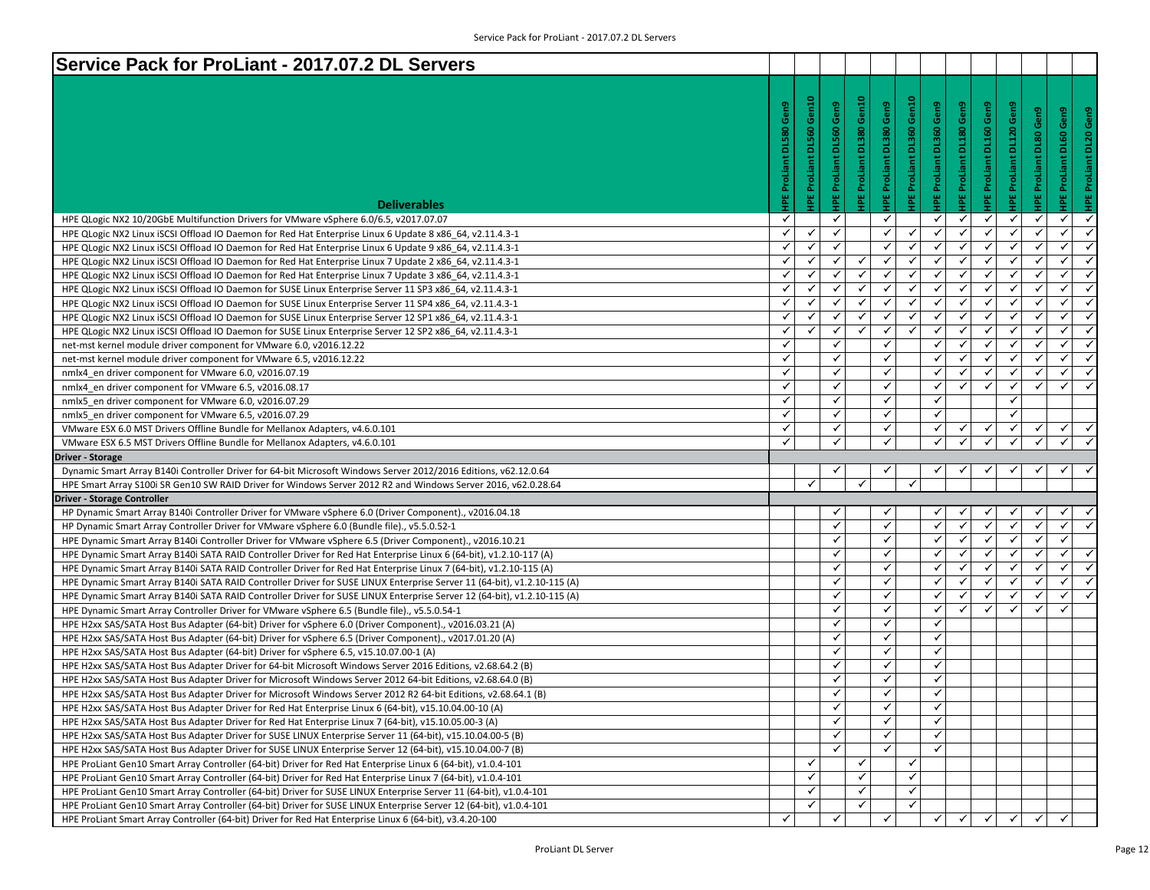| Service Pack for ProLiant - 2017.07.2 DL Servers                                                                                                                                                                    |                     |                     |                     |                          |                                |                                 |                                |                         |                                |                         |                        |                                |
|---------------------------------------------------------------------------------------------------------------------------------------------------------------------------------------------------------------------|---------------------|---------------------|---------------------|--------------------------|--------------------------------|---------------------------------|--------------------------------|-------------------------|--------------------------------|-------------------------|------------------------|--------------------------------|
|                                                                                                                                                                                                                     |                     |                     |                     |                          |                                |                                 |                                |                         |                                |                         |                        |                                |
|                                                                                                                                                                                                                     |                     | Gen10               | Gen9                | IPE ProLiant DL380 Gen10 |                                | <b>IPE ProLiant DL360 Gen10</b> |                                |                         |                                |                         |                        |                                |
|                                                                                                                                                                                                                     | DL580 Gen9          |                     |                     |                          | <b>IPE ProLiant DL380 Gen9</b> |                                 | <b>IPE ProLiant DL360 Gen9</b> | IPE ProLiant DL180 Gen9 | <b>IPE ProLiant DL160 Gen9</b> | IPE ProLiant DL120 Gen9 | IPE ProLiant DL80 Gen9 | Gen9<br>HPE ProLiant DL20 Gen9 |
|                                                                                                                                                                                                                     |                     | <b>DL560</b>        | <b>DL560</b>        |                          |                                |                                 |                                |                         |                                |                         |                        | DL60                           |
|                                                                                                                                                                                                                     |                     |                     |                     |                          |                                |                                 |                                |                         |                                |                         |                        |                                |
|                                                                                                                                                                                                                     |                     |                     |                     |                          |                                |                                 |                                |                         |                                |                         |                        |                                |
|                                                                                                                                                                                                                     |                     |                     |                     |                          |                                |                                 |                                |                         |                                |                         |                        |                                |
|                                                                                                                                                                                                                     | <b>IPE ProLiant</b> | <b>IPE ProLiant</b> | <b>IPE ProLiant</b> |                          |                                |                                 |                                |                         |                                |                         |                        | <b>IPE ProLiant</b>            |
| <b>Deliverables</b>                                                                                                                                                                                                 |                     |                     |                     |                          |                                |                                 |                                |                         |                                |                         |                        |                                |
| HPE QLogic NX2 10/20GbE Multifunction Drivers for VMware vSphere 6.0/6.5, v2017.07.07                                                                                                                               | ✓                   |                     | $\checkmark$        |                          | $\checkmark$                   |                                 | $\checkmark$                   | ✓                       | $\checkmark$                   | ✓                       | $\checkmark$           | ✓<br>✓                         |
| HPE QLogic NX2 Linux iSCSI Offload IO Daemon for Red Hat Enterprise Linux 6 Update 8 x86 64, v2.11.4.3-1                                                                                                            | ✓                   | ✓                   | $\checkmark$        |                          | $\checkmark$                   | ✓                               | ✓                              | ✓                       | $\checkmark$                   | $\checkmark$            | ✓                      | $\checkmark$                   |
| HPE QLogic NX2 Linux iSCSI Offload IO Daemon for Red Hat Enterprise Linux 6 Update 9 x86 64, v2.11.4.3-1                                                                                                            | ✓                   | ✓                   | $\checkmark$        |                          | $\checkmark$                   | $\checkmark$                    | ✓                              | $\checkmark$            | $\checkmark$                   | $\checkmark$            | ✓                      | $\checkmark$                   |
| HPE QLogic NX2 Linux iSCSI Offload IO Daemon for Red Hat Enterprise Linux 7 Update 2 x86_64, v2.11.4.3-1                                                                                                            | ✓                   | $\checkmark$        | ✓                   | $\checkmark$             | $\checkmark$                   | ✓                               | $\checkmark$                   | $\checkmark$            | $\checkmark$                   | $\checkmark$            | ✓                      | $\checkmark$<br>✓              |
| HPE QLogic NX2 Linux iSCSI Offload IO Daemon for Red Hat Enterprise Linux 7 Update 3 x86 64, v2.11.4.3-1                                                                                                            | ✓                   | $\checkmark$        | ✓                   | $\checkmark$             | $\checkmark$                   | $\checkmark$                    | $\checkmark$                   | $\checkmark$            | ✓                              | $\checkmark$            | ✓                      | $\checkmark$                   |
| HPE QLogic NX2 Linux iSCSI Offload IO Daemon for SUSE Linux Enterprise Server 11 SP3 x86_64, v2.11.4.3-1                                                                                                            | ✓                   | $\checkmark$        | ✓                   | ✓                        | $\checkmark$                   | ✓                               | ✓                              | ✓                       | ✓                              | $\checkmark$            | √                      | ✓<br>$\checkmark$              |
| HPE QLogic NX2 Linux iSCSI Offload IO Daemon for SUSE Linux Enterprise Server 11 SP4 x86 64, v2.11.4.3-1                                                                                                            | ✓                   | $\checkmark$        | ✓                   | ✓                        | ✓                              | ✓                               | ✓                              | ✓                       | ✓                              | ✓                       | ✓                      | ✓                              |
| HPE QLogic NX2 Linux iSCSI Offload IO Daemon for SUSE Linux Enterprise Server 12 SP1 x86_64, v2.11.4.3-1                                                                                                            | ✓                   | ✓                   | $\checkmark$        | $\checkmark$             | $\checkmark$                   | $\checkmark$                    | ✓                              | $\checkmark$            | $\checkmark$                   | $\checkmark$            | $\checkmark$           | $\checkmark$<br>$\checkmark$   |
| HPE QLogic NX2 Linux iSCSI Offload IO Daemon for SUSE Linux Enterprise Server 12 SP2 x86_64, v2.11.4.3-1                                                                                                            | ✓                   | ✓                   | $\checkmark$        | $\checkmark$             | $\checkmark$                   | ✓                               | $\checkmark$                   | $\checkmark$            | $\checkmark$                   | $\checkmark$            | ✓                      | $\checkmark$<br>✓              |
| net-mst kernel module driver component for VMware 6.0, v2016.12.22                                                                                                                                                  | ✓                   |                     | ✓                   |                          | ✓                              |                                 | $\checkmark$                   | $\checkmark$            | ✓                              | $\checkmark$            | ✓                      | $\checkmark$                   |
| net-mst kernel module driver component for VMware 6.5, v2016.12.22                                                                                                                                                  | ✓                   |                     | $\checkmark$        |                          | $\checkmark$                   |                                 | ✓                              | ✓                       | ✓                              | $\checkmark$            | ✓                      | $\checkmark$<br>$\checkmark$   |
| nmlx4 en driver component for VMware 6.0, v2016.07.19                                                                                                                                                               | ✓                   |                     | $\checkmark$        |                          | $\checkmark$                   |                                 | ✓                              | ✓                       | ✓                              | ✓                       | ✓                      | ✓                              |
| nmlx4 en driver component for VMware 6.5, v2016.08.17                                                                                                                                                               | $\checkmark$        |                     | $\checkmark$        |                          | $\checkmark$                   |                                 | $\checkmark$                   | $\checkmark$            | $\checkmark$                   | $\checkmark$            | $\checkmark$           | $\checkmark$                   |
| nmlx5 en driver component for VMware 6.0, v2016.07.29                                                                                                                                                               | ✓                   |                     | $\checkmark$        |                          | $\checkmark$                   |                                 | $\checkmark$                   |                         |                                | $\checkmark$            |                        |                                |
| nmlx5 en driver component for VMware 6.5, v2016.07.29                                                                                                                                                               | ✓                   |                     | $\checkmark$        |                          | ✓                              |                                 | $\checkmark$                   |                         |                                | $\checkmark$            |                        |                                |
| VMware ESX 6.0 MST Drivers Offline Bundle for Mellanox Adapters, v4.6.0.101                                                                                                                                         | ✓                   |                     | $\checkmark$        |                          | $\checkmark$                   |                                 | ✓                              | ✓                       | $\checkmark$                   | ✓                       | ✓                      | $\checkmark$<br>$\checkmark$   |
|                                                                                                                                                                                                                     |                     |                     |                     |                          |                                |                                 |                                |                         |                                |                         |                        |                                |
| VMware ESX 6.5 MST Drivers Offline Bundle for Mellanox Adapters, v4.6.0.101                                                                                                                                         | ✓                   |                     | ✓                   |                          |                                |                                 | $\checkmark$                   |                         | ✓                              |                         |                        |                                |
| <b>Driver - Storage</b>                                                                                                                                                                                             |                     |                     |                     |                          |                                |                                 |                                |                         |                                |                         |                        |                                |
| Dynamic Smart Array B140i Controller Driver for 64-bit Microsoft Windows Server 2012/2016 Editions, v62.12.0.64                                                                                                     |                     |                     |                     |                          |                                |                                 |                                |                         | ✓                              | ✓                       | ✓                      | ✓                              |
| HPE Smart Array S100i SR Gen10 SW RAID Driver for Windows Server 2012 R2 and Windows Server 2016, v62.0.28.64                                                                                                       |                     | ✓                   |                     | ✓                        |                                | ✓                               |                                |                         |                                |                         |                        |                                |
| <b>Driver - Storage Controller</b>                                                                                                                                                                                  |                     |                     |                     |                          |                                |                                 |                                |                         |                                |                         |                        |                                |
| HP Dynamic Smart Array B140i Controller Driver for VMware vSphere 6.0 (Driver Component)., v2016.04.18                                                                                                              |                     |                     | √                   |                          |                                |                                 |                                |                         |                                |                         |                        |                                |
| HP Dynamic Smart Array Controller Driver for VMware vSphere 6.0 (Bundle file)., v5.5.0.52-1                                                                                                                         |                     |                     | ✓                   |                          | $\checkmark$                   |                                 | $\checkmark$                   | ✓                       | $\checkmark$                   | ✓                       | $\checkmark$           | $\checkmark$                   |
| HPE Dynamic Smart Array B140i Controller Driver for VMware vSphere 6.5 (Driver Component)., v2016.10.21                                                                                                             |                     |                     | $\checkmark$        |                          | $\checkmark$                   |                                 | ✓                              | $\checkmark$            | $\checkmark$                   | $\checkmark$            | ✓                      | $\checkmark$                   |
| HPE Dynamic Smart Array B140i SATA RAID Controller Driver for Red Hat Enterprise Linux 6 (64-bit), v1.2.10-117 (A)                                                                                                  |                     |                     | $\checkmark$        |                          | ✓                              |                                 | $\checkmark$                   | $\checkmark$            | ✓                              | $\checkmark$            | ✓                      | $\checkmark$                   |
| HPE Dynamic Smart Array B140i SATA RAID Controller Driver for Red Hat Enterprise Linux 7 (64-bit), v1.2.10-115 (A)                                                                                                  |                     |                     | $\checkmark$        |                          | ✓                              |                                 | ✓                              | ✓                       | ✓                              | $\checkmark$            | ✓                      | ✓<br>$\checkmark$              |
| HPE Dynamic Smart Array B140i SATA RAID Controller Driver for SUSE LINUX Enterprise Server 11 (64-bit), v1.2.10-115 (A)                                                                                             |                     |                     | ✓                   |                          | $\checkmark$                   |                                 | ✓                              | $\checkmark$            | ✓                              | $\checkmark$            | ✓                      | ✓                              |
| HPE Dynamic Smart Array B140i SATA RAID Controller Driver for SUSE LINUX Enterprise Server 12 (64-bit), v1.2.10-115 (A)                                                                                             |                     |                     | $\checkmark$        |                          | $\checkmark$                   |                                 | $\checkmark$                   | $\checkmark$            | $\checkmark$                   | $\checkmark$            | ✓                      | $\checkmark$<br>$\checkmark$   |
| HPE Dynamic Smart Array Controller Driver for VMware vSphere 6.5 (Bundle file)., v5.5.0.54-1                                                                                                                        |                     |                     | $\checkmark$        |                          | $\checkmark$                   |                                 | ✓                              | $\checkmark$            | $\checkmark$                   | $\checkmark$            | ✓                      | ✓                              |
| HPE H2xx SAS/SATA Host Bus Adapter (64-bit) Driver for vSphere 6.0 (Driver Component)., v2016.03.21 (A)                                                                                                             |                     |                     | ✓                   |                          | ✓                              |                                 | ✓                              |                         |                                |                         |                        |                                |
| HPE H2xx SAS/SATA Host Bus Adapter (64-bit) Driver for vSphere 6.5 (Driver Component)., v2017.01.20 (A)                                                                                                             |                     |                     | ✓                   |                          | ✓<br>$\checkmark$              |                                 | ✓                              |                         |                                |                         |                        |                                |
| HPE H2xx SAS/SATA Host Bus Adapter (64-bit) Driver for vSphere 6.5, v15.10.07.00-1 (A)                                                                                                                              |                     |                     | ✓<br>✓              |                          | ✓                              |                                 | ✓<br>$\checkmark$              |                         |                                |                         |                        |                                |
| HPE H2xx SAS/SATA Host Bus Adapter Driver for 64-bit Microsoft Windows Server 2016 Editions, v2.68.64.2 (B)                                                                                                         |                     |                     | ✓                   |                          | ✓                              |                                 | $\checkmark$                   |                         |                                |                         |                        |                                |
| HPE H2xx SAS/SATA Host Bus Adapter Driver for Microsoft Windows Server 2012 64-bit Editions, v2.68.64.0 (B)                                                                                                         |                     |                     | ✓                   |                          | $\checkmark$                   |                                 | ✓                              |                         |                                |                         |                        |                                |
| HPE H2xx SAS/SATA Host Bus Adapter Driver for Microsoft Windows Server 2012 R2 64-bit Editions, v2.68.64.1 (B)                                                                                                      |                     |                     |                     |                          | ✓                              |                                 | ✓                              |                         |                                |                         |                        |                                |
| HPE H2xx SAS/SATA Host Bus Adapter Driver for Red Hat Enterprise Linux 6 (64-bit), v15.10.04.00-10 (A)                                                                                                              |                     |                     | ✓<br>$\checkmark$   |                          | $\checkmark$                   |                                 | $\checkmark$                   |                         |                                |                         |                        |                                |
| HPE H2xx SAS/SATA Host Bus Adapter Driver for Red Hat Enterprise Linux 7 (64-bit), v15.10.05.00-3 (A)<br>HPE H2xx SAS/SATA Host Bus Adapter Driver for SUSE LINUX Enterprise Server 11 (64-bit), v15.10.04.00-5 (B) |                     |                     | ✓                   |                          | $\checkmark$                   |                                 | $\checkmark$                   |                         |                                |                         |                        |                                |
| HPE H2xx SAS/SATA Host Bus Adapter Driver for SUSE LINUX Enterprise Server 12 (64-bit), v15.10.04.00-7 (B)                                                                                                          |                     |                     | ✓                   |                          | ✓                              |                                 | $\checkmark$                   |                         |                                |                         |                        |                                |
| HPE ProLiant Gen10 Smart Array Controller (64-bit) Driver for Red Hat Enterprise Linux 6 (64-bit), v1.0.4-101                                                                                                       |                     | $\checkmark$        |                     | ✓                        |                                | ✓                               |                                |                         |                                |                         |                        |                                |
| HPE ProLiant Gen10 Smart Array Controller (64-bit) Driver for Red Hat Enterprise Linux 7 (64-bit), v1.0.4-101                                                                                                       |                     | $\checkmark$        |                     | $\checkmark$             |                                | ✓                               |                                |                         |                                |                         |                        |                                |
| HPE ProLiant Gen10 Smart Array Controller (64-bit) Driver for SUSE LINUX Enterprise Server 11 (64-bit), v1.0.4-101                                                                                                  |                     | $\checkmark$        |                     | ✓                        |                                | ✓                               |                                |                         |                                |                         |                        |                                |
| HPE ProLiant Gen10 Smart Array Controller (64-bit) Driver for SUSE LINUX Enterprise Server 12 (64-bit), v1.0.4-101                                                                                                  |                     | ✓                   |                     | $\checkmark$             |                                | ✓                               |                                |                         |                                |                         |                        |                                |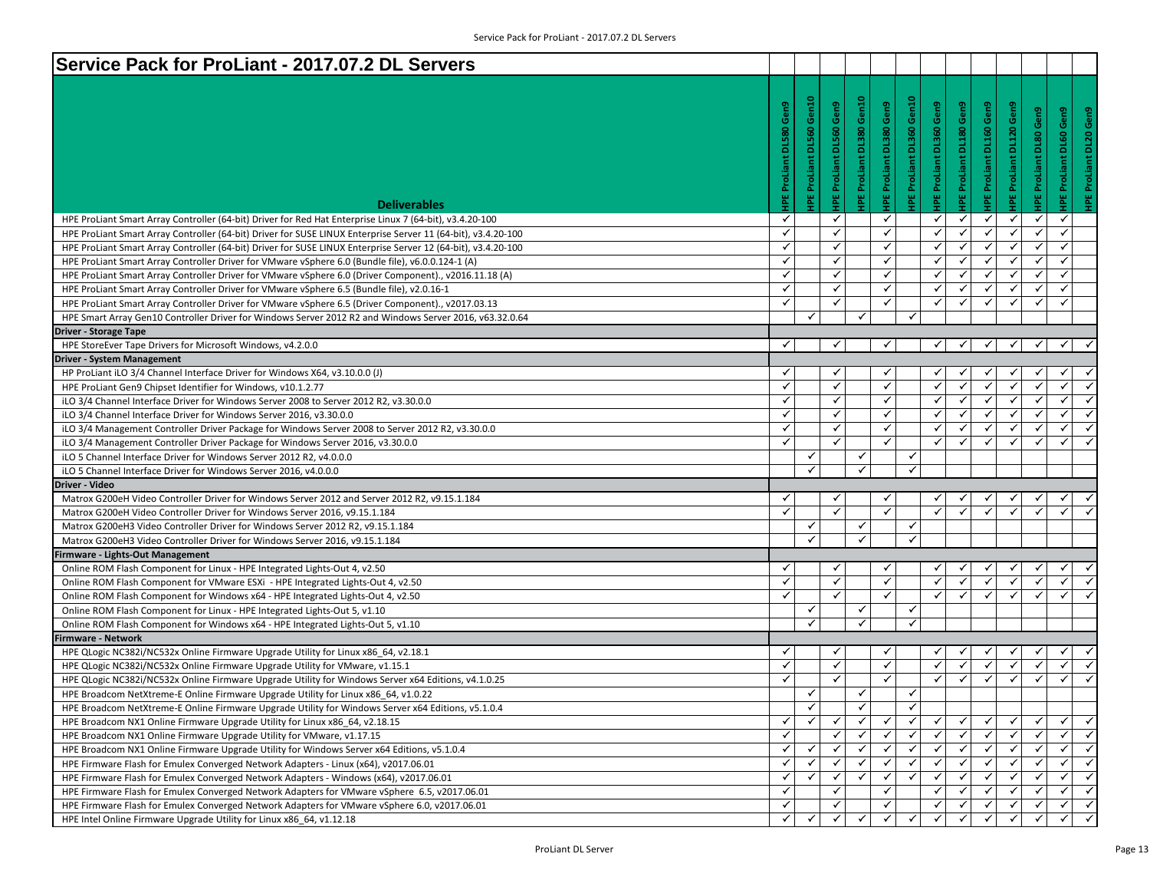| Service Pack for ProLiant - 2017.07.2 DL Servers                                                              |                     |                                 |                     |                          |                         |                          |                                |                     |                                                    |                          |                               |
|---------------------------------------------------------------------------------------------------------------|---------------------|---------------------------------|---------------------|--------------------------|-------------------------|--------------------------|--------------------------------|---------------------|----------------------------------------------------|--------------------------|-------------------------------|
|                                                                                                               |                     |                                 |                     |                          |                         |                          |                                |                     |                                                    |                          |                               |
|                                                                                                               | Gen9                | <b>IPE ProLiant DL560 Gen10</b> | Gen9                | IPE ProLiant DL380 Gen10 | IPE ProLiant DL380 Gen9 | IPE ProLiant DL360 Gen10 | <b>IPE ProLiant DL360 Gen9</b> | Gen9                | IPE ProLiant DL160 Gen9<br>IPE ProLiant DL120 Gen9 | Gen9                     | Gen9                          |
|                                                                                                               |                     |                                 |                     |                          |                         |                          |                                |                     |                                                    |                          | <b>IPE ProLiant DL60 Gen9</b> |
|                                                                                                               | <b>DL580</b>        |                                 | <b>DL560</b>        |                          |                         |                          |                                | <b>DL180</b>        |                                                    |                          | DL2O                          |
|                                                                                                               |                     |                                 |                     |                          |                         |                          |                                |                     |                                                    |                          |                               |
|                                                                                                               |                     |                                 |                     |                          |                         |                          |                                |                     |                                                    |                          | ProLiant                      |
|                                                                                                               |                     |                                 |                     |                          |                         |                          |                                |                     |                                                    |                          |                               |
| <b>Deliverables</b>                                                                                           | <b>IPE ProLiant</b> |                                 | <b>IPE ProLiant</b> |                          |                         |                          |                                | <b>IPE ProLiant</b> |                                                    | <b>IPE ProLiant DL80</b> | 쀻                             |
| HPE ProLiant Smart Array Controller (64-bit) Driver for Red Hat Enterprise Linux 7 (64-bit), v3.4.20-100      | $\checkmark$        |                                 | $\checkmark$        |                          | ✓                       |                          | $\checkmark$                   | $\checkmark$        | ✓<br>$\checkmark$                                  | ✓                        | ✓                             |
| HPE ProLiant Smart Array Controller (64-bit) Driver for SUSE LINUX Enterprise Server 11 (64-bit), v3.4.20-100 | $\checkmark$        |                                 | ✓                   |                          | $\checkmark$            |                          | $\checkmark$                   | ✓                   | $\checkmark$<br>✓                                  | ✓                        | $\checkmark$                  |
| HPE ProLiant Smart Array Controller (64-bit) Driver for SUSE LINUX Enterprise Server 12 (64-bit), v3.4.20-100 | $\checkmark$        |                                 | ✓                   |                          | $\checkmark$            |                          | $\checkmark$                   | ✓                   | $\checkmark$<br>$\checkmark$                       | $\checkmark$             | $\checkmark$                  |
| HPE ProLiant Smart Array Controller Driver for VMware vSphere 6.0 (Bundle file), v6.0.0.124-1 (A)             | $\checkmark$        |                                 | ✓                   |                          | $\checkmark$            |                          | ✓                              | ✓                   | ✓<br>✓                                             | ✓                        | $\checkmark$                  |
| HPE ProLiant Smart Array Controller Driver for VMware vSphere 6.0 (Driver Component)., v2016.11.18 (A)        | $\checkmark$        |                                 | ✓                   |                          | $\checkmark$            |                          | ✓                              | $\checkmark$        | $\checkmark$<br>✓                                  | ✓                        | $\checkmark$                  |
| HPE ProLiant Smart Array Controller Driver for VMware vSphere 6.5 (Bundle file), v2.0.16-1                    | $\checkmark$        |                                 | $\checkmark$        |                          | ✓                       |                          | ✓                              | ✓                   | ✓<br>✓                                             | ✓                        | ✓                             |
| HPE ProLiant Smart Array Controller Driver for VMware vSphere 6.5 (Driver Component)., v2017.03.13            | $\checkmark$        |                                 | ✓                   |                          | $\checkmark$            |                          | ✓                              | ✓                   | $\checkmark$<br>✓                                  | ✓                        | $\checkmark$                  |
| HPE Smart Array Gen10 Controller Driver for Windows Server 2012 R2 and Windows Server 2016, v63.32.0.64       |                     | ✓                               |                     | ✓                        |                         | $\checkmark$             |                                |                     |                                                    |                          |                               |
| <b>Driver - Storage Tape</b>                                                                                  |                     |                                 |                     |                          |                         |                          |                                |                     |                                                    |                          |                               |
| HPE StoreEver Tape Drivers for Microsoft Windows, v4.2.0.0                                                    | ✓                   |                                 | ✓                   |                          | ✓                       |                          | ✓                              | $\checkmark$        | $\checkmark$<br>$\checkmark$                       | ✓                        | ✓                             |
| <b>Driver - System Management</b>                                                                             |                     |                                 |                     |                          |                         |                          |                                |                     |                                                    |                          |                               |
| HP ProLiant iLO 3/4 Channel Interface Driver for Windows X64, v3.10.0.0 (J)                                   | ✓                   |                                 | ✓                   |                          | ✓                       |                          | ✓                              |                     |                                                    |                          | ✓                             |
| HPE ProLiant Gen9 Chipset Identifier for Windows, v10.1.2.77                                                  | $\checkmark$        |                                 | ✓                   |                          | $\checkmark$            |                          | ✓                              | $\checkmark$        | ✓<br>$\checkmark$                                  | $\checkmark$             | ✓                             |
| iLO 3/4 Channel Interface Driver for Windows Server 2008 to Server 2012 R2, v3.30.0.0                         | $\checkmark$        |                                 | ✓                   |                          | ✓                       |                          | ✓                              | ✓                   | $\checkmark$<br>✓                                  | ✓                        | ✓                             |
| iLO 3/4 Channel Interface Driver for Windows Server 2016, v3.30.0.0                                           | $\checkmark$        |                                 | ✓                   |                          | $\checkmark$            |                          | $\checkmark$                   | ✓                   | ✓<br>$\checkmark$                                  | ✓                        | $\checkmark$<br>$\checkmark$  |
| iLO 3/4 Management Controller Driver Package for Windows Server 2008 to Server 2012 R2, v3.30.0.0             | $\checkmark$        |                                 | $\checkmark$        |                          | ✓                       |                          | ✓                              | ✓                   | ✓<br>✓                                             | ✓                        | ✓<br>$\checkmark$             |
| iLO 3/4 Management Controller Driver Package for Windows Server 2016, v3.30.0.0                               | $\checkmark$        |                                 | ✓                   |                          | $\checkmark$            |                          | $\checkmark$                   | $\checkmark$        | $\checkmark$<br>✓                                  | ✓                        | $\checkmark$                  |
| iLO 5 Channel Interface Driver for Windows Server 2012 R2, v4.0.0.0                                           |                     | ✓                               |                     | ✓                        |                         | $\checkmark$             |                                |                     |                                                    |                          |                               |
| iLO 5 Channel Interface Driver for Windows Server 2016, v4.0.0.0                                              |                     | ✓                               |                     | ✓                        |                         | $\checkmark$             |                                |                     |                                                    |                          |                               |
| Driver - Video                                                                                                |                     |                                 |                     |                          |                         |                          |                                |                     |                                                    |                          |                               |
| Matrox G200eH Video Controller Driver for Windows Server 2012 and Server 2012 R2, v9.15.1.184                 | ✓                   |                                 |                     |                          | $\checkmark$            |                          |                                |                     |                                                    |                          |                               |
| Matrox G200eH Video Controller Driver for Windows Server 2016, v9.15.1.184                                    | $\checkmark$        |                                 | $\checkmark$        |                          | $\checkmark$            |                          | ✓                              |                     |                                                    |                          | ✓                             |
| Matrox G200eH3 Video Controller Driver for Windows Server 2012 R2, v9.15.1.184                                |                     | ✓                               |                     | ✓                        |                         | $\checkmark$             |                                |                     |                                                    |                          |                               |
| Matrox G200eH3 Video Controller Driver for Windows Server 2016, v9.15.1.184                                   |                     | ✓                               |                     | ✓                        |                         | $\checkmark$             |                                |                     |                                                    |                          |                               |
| Firmware - Lights-Out Management                                                                              |                     |                                 |                     |                          |                         |                          |                                |                     |                                                    |                          |                               |
| Online ROM Flash Component for Linux - HPE Integrated Lights-Out 4, v2.50                                     | ✓                   |                                 |                     |                          | ✓                       |                          | ✓                              |                     |                                                    |                          | ✓                             |
| Online ROM Flash Component for VMware ESXi - HPE Integrated Lights-Out 4, v2.50                               | $\checkmark$        |                                 | ✓                   |                          | $\checkmark$            |                          | $\checkmark$                   | ✓                   | $\checkmark$                                       | ✓                        | ✓                             |
| Online ROM Flash Component for Windows x64 - HPE Integrated Lights-Out 4, v2.50                               | $\checkmark$        |                                 | $\checkmark$        |                          | $\checkmark$            |                          | $\checkmark$                   | ✓                   | ✓<br>$\checkmark$                                  | $\checkmark$             | $\checkmark$<br>$\checkmark$  |
| Online ROM Flash Component for Linux - HPE Integrated Lights-Out 5, v1.10                                     |                     | ✓                               |                     | ✓                        |                         | $\checkmark$             |                                |                     |                                                    |                          |                               |
| Online ROM Flash Component for Windows x64 - HPE Integrated Lights-Out 5, v1.10                               |                     | ✓                               |                     | ✓                        |                         | $\checkmark$             |                                |                     |                                                    |                          |                               |
| Firmware - Network                                                                                            |                     |                                 |                     |                          |                         |                          |                                |                     |                                                    |                          |                               |
| HPE QLogic NC382i/NC532x Online Firmware Upgrade Utility for Linux x86_64, v2.18.1                            | ✓                   |                                 | ✓                   |                          | ✓                       |                          | ✓                              |                     |                                                    |                          | ✓                             |
| HPE QLogic NC382i/NC532x Online Firmware Upgrade Utility for VMware, v1.15.1                                  | $\checkmark$        |                                 | ✓                   |                          | $\checkmark$            |                          | ✓                              | $\checkmark$        | $\checkmark$<br>$\checkmark$                       | $\checkmark$             | ✓<br>$\checkmark$             |
| HPE QLogic NC382i/NC532x Online Firmware Upgrade Utility for Windows Server x64 Editions, v4.1.0.25           | $\checkmark$        |                                 | ✓                   |                          | ✓                       |                          | ✓                              | ✓                   | ✓<br>✓                                             | ✓                        | ✓<br>✓                        |
| HPE Broadcom NetXtreme-E Online Firmware Upgrade Utility for Linux x86 64, v1.0.22                            |                     | ✓                               |                     | ✓                        |                         | $\checkmark$             |                                |                     |                                                    |                          |                               |
| HPE Broadcom NetXtreme-E Online Firmware Upgrade Utility for Windows Server x64 Editions, v5.1.0.4            |                     | ✓                               |                     | ✓                        |                         | ✓                        |                                |                     |                                                    |                          |                               |
| HPE Broadcom NX1 Online Firmware Upgrade Utility for Linux x86 64, v2.18.15                                   | ✓                   | $\checkmark$                    | ✓                   | ✓                        | ✓                       | $\checkmark$             | ✓                              | ✓                   | ✓                                                  | ✓                        | ✓                             |
| HPE Broadcom NX1 Online Firmware Upgrade Utility for VMware, v1.17.15                                         | $\checkmark$        |                                 |                     |                          | $\checkmark$            | $\checkmark$             | $\checkmark$                   | $\checkmark$        | ✓<br>$\checkmark$                                  | $\checkmark$             | $\checkmark$                  |
| HPE Broadcom NX1 Online Firmware Upgrade Utility for Windows Server x64 Editions, v5.1.0.4                    | ✓                   | ✓                               |                     | ✓                        | ✓                       | ✓                        | ✓                              | ✓                   | ✓<br>✓                                             | ✓                        | $\checkmark$                  |
| HPE Firmware Flash for Emulex Converged Network Adapters - Linux (x64), v2017.06.01                           | ✓                   | ✓                               |                     |                          |                         | ✓                        | ✓                              |                     |                                                    |                          | ✓                             |
| HPE Firmware Flash for Emulex Converged Network Adapters - Windows (x64), v2017.06.01                         | ✓                   | ✓                               |                     | ✓                        | ✓                       | $\checkmark$             | ✓                              | ✓                   | ✓                                                  | $\checkmark$             | ✓                             |
| HPE Firmware Flash for Emulex Converged Network Adapters for VMware vSphere 6.5, v2017.06.01                  | ✓                   |                                 |                     |                          | ✓                       |                          | ✓                              |                     | ✓                                                  | ✓                        | ✓                             |
| HPE Firmware Flash for Emulex Converged Network Adapters for VMware vSphere 6.0, v2017.06.01                  | $\checkmark$        |                                 | $\checkmark$        |                          | $\checkmark$            |                          | $\checkmark$                   | $\checkmark$        | ✓<br>✓                                             | $\checkmark$             | $\checkmark$<br>$\checkmark$  |
| HPE Intel Online Firmware Upgrade Utility for Linux x86_64, v1.12.18                                          | ✓                   | ✓                               | ✓                   | ✓                        | ✓                       | $\checkmark$             | ✓                              | ✓                   | ✓<br>✓                                             | ✓                        | $\checkmark$                  |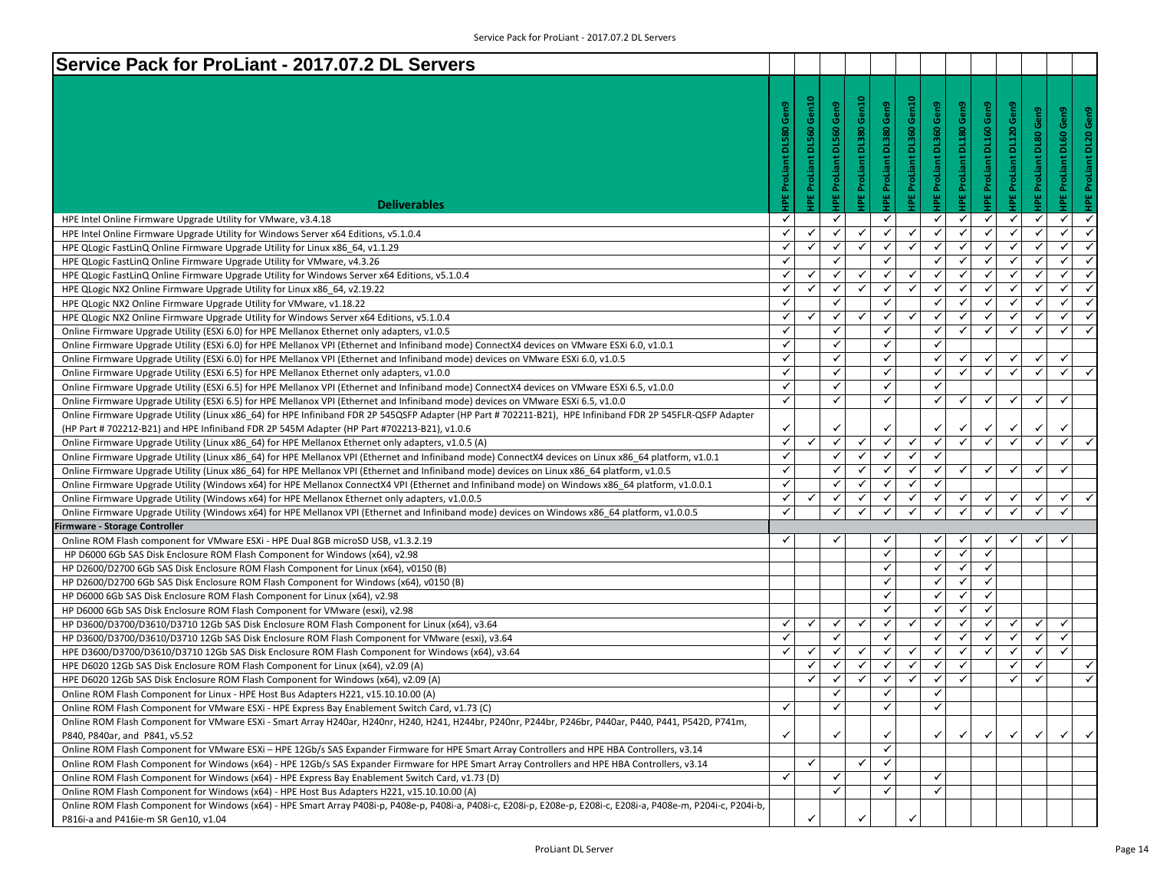| Service Pack for ProLiant - 2017.07.2 DL Servers                                                                                                                               |                     |                                 |                     |                          |                         |                                 |                                |                           |                         |                                |                              |                              |                   |
|--------------------------------------------------------------------------------------------------------------------------------------------------------------------------------|---------------------|---------------------------------|---------------------|--------------------------|-------------------------|---------------------------------|--------------------------------|---------------------------|-------------------------|--------------------------------|------------------------------|------------------------------|-------------------|
|                                                                                                                                                                                |                     |                                 |                     |                          |                         |                                 |                                |                           |                         |                                |                              |                              |                   |
|                                                                                                                                                                                |                     |                                 |                     |                          |                         |                                 |                                |                           |                         |                                |                              |                              |                   |
|                                                                                                                                                                                | Gen9                | <b>IPE ProLiant DL560 Gen10</b> | Gen9                | HPE ProLiant DL380 Gen10 | HPE ProLiant DL380 Gen9 | <b>HPE ProLiant DL360 Gen10</b> | <b>HPE ProLiant DL360 Gen9</b> | Gen9                      | HPE ProLiant DL160 Gen9 | <b>IPE ProLiant DL120 Gen9</b> | Gen9                         | Gen9                         | Gen9              |
|                                                                                                                                                                                | <b>DL580</b>        |                                 | <b>DL560</b>        |                          |                         |                                 |                                | <b>IPE ProLiant DL180</b> |                         |                                |                              |                              |                   |
|                                                                                                                                                                                |                     |                                 |                     |                          |                         |                                 |                                |                           |                         |                                | HPE ProLiant DL80            | <b>HPEProLiant DL60</b>      | HPE ProLiant DL20 |
|                                                                                                                                                                                |                     |                                 |                     |                          |                         |                                 |                                |                           |                         |                                |                              |                              |                   |
|                                                                                                                                                                                | <b>HPE ProLiant</b> |                                 | <b>HPE ProLiant</b> |                          |                         |                                 |                                |                           |                         |                                |                              |                              |                   |
|                                                                                                                                                                                |                     |                                 |                     |                          |                         |                                 |                                |                           |                         |                                |                              |                              |                   |
| <b>Deliverables</b>                                                                                                                                                            |                     |                                 |                     |                          |                         |                                 |                                |                           |                         |                                |                              |                              |                   |
| HPE Intel Online Firmware Upgrade Utility for VMware, v3.4.18                                                                                                                  | $\checkmark$        |                                 | ✓                   |                          | ✓                       |                                 | ✓                              | $\checkmark$              | ✔                       | ✓                              | $\checkmark$                 | ✓<br>$\checkmark$            |                   |
| HPE Intel Online Firmware Upgrade Utility for Windows Server x64 Editions, v5.1.0.4                                                                                            | $\checkmark$        | ✓                               | ✓                   | ✓                        | $\checkmark$            | $\checkmark$                    | $\checkmark$                   | ✓                         | ✓                       | $\checkmark$                   | $\checkmark$                 | $\checkmark$<br>$\checkmark$ |                   |
| HPE QLogic FastLinQ Online Firmware Upgrade Utility for Linux x86 64, v1.1.29                                                                                                  | $\checkmark$        | ✓                               | ✓                   | ✓                        | ✓                       | $\checkmark$                    | ✓                              | ✓                         | $\checkmark$            | ✓                              | $\checkmark$                 | ✓<br>$\checkmark$            |                   |
| HPE QLogic FastLinQ Online Firmware Upgrade Utility for VMware, v4.3.26                                                                                                        | $\checkmark$        |                                 | ✓                   |                          | $\checkmark$            |                                 | $\checkmark$                   | ✓                         | ✓                       | $\checkmark$                   | $\checkmark$                 | ✓<br>$\checkmark$            |                   |
| HPE QLogic FastLinQ Online Firmware Upgrade Utility for Windows Server x64 Editions, v5.1.0.4                                                                                  | $\checkmark$        | ✓                               | $\checkmark$        | ✓                        | $\checkmark$            | $\checkmark$                    | $\checkmark$                   | $\checkmark$              | $\checkmark$            | $\checkmark$                   | $\checkmark$                 | $\checkmark$<br>$\checkmark$ |                   |
| HPE QLogic NX2 Online Firmware Upgrade Utility for Linux x86 64, v2.19.22                                                                                                      | $\checkmark$        | ✓                               | ✓                   | ✓                        | $\checkmark$            | $\checkmark$                    | $\checkmark$                   | ✓                         | ✓                       | ✓                              | $\checkmark$                 | ✓<br>$\checkmark$            |                   |
| HPE QLogic NX2 Online Firmware Upgrade Utility for VMware, v1.18.22                                                                                                            | $\checkmark$        |                                 | ✓                   |                          | $\checkmark$            |                                 | ✓                              | ✓                         | ✓                       | $\checkmark$                   | ✓                            | ✓<br>$\checkmark$            |                   |
| HPE QLogic NX2 Online Firmware Upgrade Utility for Windows Server x64 Editions, v5.1.0.4                                                                                       | $\checkmark$        | ✓                               | $\checkmark$        | ✓                        | $\checkmark$            | $\checkmark$                    | ✓                              | $\checkmark$              | $\checkmark$            | ✓                              | $\checkmark$                 | ✓<br>$\checkmark$            |                   |
| Online Firmware Upgrade Utility (ESXi 6.0) for HPE Mellanox Ethernet only adapters, v1.0.5                                                                                     | $\checkmark$        |                                 | ✓                   |                          | $\checkmark$            |                                 | $\checkmark$                   | ✓                         | ✓                       | $\checkmark$                   | $\checkmark$                 | $\checkmark$<br>$\checkmark$ |                   |
| Online Firmware Upgrade Utility (ESXi 6.0) for HPE Mellanox VPI (Ethernet and Infiniband mode) ConnectX4 devices on VMware ESXi 6.0, v1.0.1                                    | $\checkmark$        |                                 | ✓                   |                          | $\checkmark$            |                                 | $\checkmark$                   |                           |                         |                                |                              |                              |                   |
| Online Firmware Upgrade Utility (ESXi 6.0) for HPE Mellanox VPI (Ethernet and Infiniband mode) devices on VMware ESXi 6.0, v1.0.5                                              | $\checkmark$        |                                 | ✓                   |                          | $\checkmark$            |                                 | ✓                              | ✓                         | ✓                       | ✓                              | $\checkmark$                 | ✓                            |                   |
| Online Firmware Upgrade Utility (ESXi 6.5) for HPE Mellanox Ethernet only adapters, v1.0.0                                                                                     | ✓                   |                                 | ✓                   |                          | ✓                       |                                 | ✓                              | ✓                         | ✓                       | $\checkmark$                   | $\checkmark$                 | $\checkmark$<br>$\checkmark$ |                   |
| Online Firmware Upgrade Utility (ESXi 6.5) for HPE Mellanox VPI (Ethernet and Infiniband mode) ConnectX4 devices on VMware ESXi 6.5, v1.0.0                                    | $\checkmark$        |                                 | ✓                   |                          | $\checkmark$            |                                 | ✓                              |                           |                         |                                |                              |                              |                   |
| Online Firmware Upgrade Utility (ESXi 6.5) for HPE Mellanox VPI (Ethernet and Infiniband mode) devices on VMware ESXi 6.5, v1.0.0                                              | $\checkmark$        |                                 | ✓                   |                          | $\checkmark$            |                                 | $\checkmark$                   | $\checkmark$              | $\checkmark$            | ✓                              | $\checkmark$                 | $\checkmark$                 |                   |
| Online Firmware Upgrade Utility (Linux x86_64) for HPE Infiniband FDR 2P 545QSFP Adapter (HP Part # 702211-B21), HPE Infiniband FDR 2P 545FLR-QSFP Adapter                     |                     |                                 |                     |                          |                         |                                 |                                |                           |                         |                                |                              |                              |                   |
| (HP Part # 702212-B21) and HPE Infiniband FDR 2P 545M Adapter (HP Part #702213-B21), v1.0.6                                                                                    | $\checkmark$        |                                 |                     |                          | ✓                       |                                 | ✓                              |                           | ✓                       | ✓                              | ✓                            | ✓                            |                   |
| Online Firmware Upgrade Utility (Linux x86_64) for HPE Mellanox Ethernet only adapters, v1.0.5 (A)                                                                             | $\checkmark$        | $\checkmark$                    | ✓                   | ✓                        | $\checkmark$            | $\checkmark$                    | $\checkmark$                   | $\checkmark$              | $\checkmark$            | $\checkmark$                   | $\checkmark$                 | $\checkmark$<br>$\checkmark$ |                   |
| Online Firmware Upgrade Utility (Linux x86_64) for HPE Mellanox VPI (Ethernet and Infiniband mode) ConnectX4 devices on Linux x86_64 platform, v1.0.1                          | $\checkmark$        |                                 | $\checkmark$        | $\checkmark$             | ✓                       | $\checkmark$                    | ✓                              |                           |                         |                                |                              |                              |                   |
| Online Firmware Upgrade Utility (Linux x86_64) for HPE Mellanox VPI (Ethernet and Infiniband mode) devices on Linux x86_64 platform, v1.0.5                                    | $\checkmark$        |                                 | ✓                   | ✓                        | $\checkmark$            | $\checkmark$                    | $\checkmark$                   | ✓                         | $\checkmark$            | ✓                              | ✓                            | $\checkmark$                 |                   |
| Online Firmware Upgrade Utility (Windows x64) for HPE Mellanox ConnectX4 VPI (Ethernet and Infiniband mode) on Windows x86 64 platform, v1.0.0.1                               | $\checkmark$        |                                 | ✓                   | ✓                        | $\checkmark$            | $\checkmark$                    | $\checkmark$                   |                           |                         |                                |                              |                              |                   |
| Online Firmware Upgrade Utility (Windows x64) for HPE Mellanox Ethernet only adapters, v1.0.0.5                                                                                | $\checkmark$        | ✓                               | ✓                   | ✓                        | ✓<br>$\checkmark$       | $\checkmark$<br>$\checkmark$    | ✓<br>$\checkmark$              | $\checkmark$              | ✓                       | ✓<br>$\checkmark$              | $\checkmark$<br>$\checkmark$ | ✓<br>$\checkmark$            |                   |
| Online Firmware Upgrade Utility (Windows x64) for HPE Mellanox VPI (Ethernet and Infiniband mode) devices on Windows x86 64 platform, v1.0.0.5                                 | $\checkmark$        |                                 | ✓                   | ✓                        |                         |                                 |                                | $\checkmark$              | ✓                       |                                |                              |                              |                   |
| <b>Firmware - Storage Controller</b>                                                                                                                                           | ✓                   |                                 | ✓                   |                          | ✓                       |                                 |                                |                           |                         | ✓                              | ✓                            | ✓                            |                   |
| Online ROM Flash component for VMware ESXi - HPE Dual 8GB microSD USB, v1.3.2.19                                                                                               |                     |                                 |                     |                          | $\checkmark$            |                                 | ✓<br>$\checkmark$              | ✓<br>✓                    | ✔<br>✓                  |                                |                              |                              |                   |
| HP D6000 6Gb SAS Disk Enclosure ROM Flash Component for Windows (x64), v2.98                                                                                                   |                     |                                 |                     |                          | ✓                       |                                 | ✓                              | $\checkmark$              | $\checkmark$            |                                |                              |                              |                   |
| HP D2600/D2700 6Gb SAS Disk Enclosure ROM Flash Component for Linux (x64), v0150 (B)<br>HP D2600/D2700 6Gb SAS Disk Enclosure ROM Flash Component for Windows (x64), v0150 (B) |                     |                                 |                     |                          | $\checkmark$            |                                 | ✓                              | ✓                         | ✓                       |                                |                              |                              |                   |
| HP D6000 6Gb SAS Disk Enclosure ROM Flash Component for Linux (x64), v2.98                                                                                                     |                     |                                 |                     |                          | $\checkmark$            |                                 | ✓                              | $\checkmark$              | ✓                       |                                |                              |                              |                   |
| HP D6000 6Gb SAS Disk Enclosure ROM Flash Component for VMware (esxi), v2.98                                                                                                   |                     |                                 |                     |                          | $\checkmark$            |                                 | ✓                              | ✓                         | ✓                       |                                |                              |                              |                   |
| HP D3600/D3700/D3610/D3710 12Gb SAS Disk Enclosure ROM Flash Component for Linux (x64), v3.64                                                                                  | $\checkmark$        | $\checkmark$                    | ✓                   | ✓                        | $\checkmark$            | $\checkmark$                    | $\checkmark$                   | ✓                         | $\checkmark$            | $\checkmark$                   | $\checkmark$                 | ✓                            |                   |
| HP D3600/D3700/D3610/D3710 12Gb SAS Disk Enclosure ROM Flash Component for VMware (esxi), v3.64                                                                                | $\checkmark$        |                                 | ✓                   |                          | $\checkmark$            |                                 | ✓                              | ✓                         | $\checkmark$            | $\checkmark$                   | $\checkmark$                 | $\checkmark$                 |                   |
| HPE D3600/D3700/D3610/D3710 12Gb SAS Disk Enclosure ROM Flash Component for Windows (x64), v3.64                                                                               | $\checkmark$        | ✓                               | ✓                   | ✓                        | $\checkmark$            | ✓                               | ✓                              | ✓                         | ✓                       | $\checkmark$                   | $\checkmark$                 | $\checkmark$                 |                   |
| HPE D6020 12Gb SAS Disk Enclosure ROM Flash Component for Linux (x64), v2.09 (A)                                                                                               |                     | ✓                               | ✓                   | ٧                        | ✓                       | $\checkmark$                    | ✓                              | ✓                         |                         | ✓                              | ✓                            | $\checkmark$                 |                   |
| HPE D6020 12Gb SAS Disk Enclosure ROM Flash Component for Windows (x64), v2.09 (A)                                                                                             |                     | ✓                               | ✓                   | $\checkmark$             | $\checkmark$            | $\checkmark$                    | $\checkmark$                   | $\checkmark$              |                         | $\checkmark$                   | ✓                            | $\checkmark$                 |                   |
| Online ROM Flash Component for Linux - HPE Host Bus Adapters H221, v15.10.10.00 (A)                                                                                            |                     |                                 | $\checkmark$        |                          | $\checkmark$            |                                 | $\checkmark$                   |                           |                         |                                |                              |                              |                   |
| Online ROM Flash Component for VMware ESXi - HPE Express Bay Enablement Switch Card, v1.73 (C)                                                                                 | ✓                   |                                 | ✓                   |                          | ✓                       |                                 | ✔                              |                           |                         |                                |                              |                              |                   |
| Online ROM Flash Component for VMware ESXi - Smart Array H240ar, H240nr, H240, H241, H244br, P240nr, P244br, P246br, P440ar, P440, P441, P542D, P741m,                         |                     |                                 |                     |                          |                         |                                 |                                |                           |                         |                                |                              |                              |                   |
| P840, P840ar, and P841, v5.52                                                                                                                                                  | $\checkmark$        |                                 |                     |                          | ✓                       |                                 | ✓                              |                           |                         | ✓                              | $\checkmark$                 | ✓                            | $\checkmark$      |
| Online ROM Flash Component for VMware ESXi - HPE 12Gb/s SAS Expander Firmware for HPE Smart Array Controllers and HPE HBA Controllers, v3.14                                   |                     |                                 |                     |                          | $\checkmark$            |                                 |                                |                           |                         |                                |                              |                              |                   |
| Online ROM Flash Component for Windows (x64) - HPE 12Gb/s SAS Expander Firmware for HPE Smart Array Controllers and HPE HBA Controllers, v3.14                                 |                     | ✓                               |                     | ✓                        | $\checkmark$            |                                 |                                |                           |                         |                                |                              |                              |                   |
| Online ROM Flash Component for Windows (x64) - HPE Express Bay Enablement Switch Card, v1.73 (D)                                                                               | $\checkmark$        |                                 |                     |                          | ✓                       |                                 | ✓                              |                           |                         |                                |                              |                              |                   |
| Online ROM Flash Component for Windows (x64) - HPE Host Bus Adapters H221, v15.10.10.00 (A)                                                                                    |                     |                                 | ✓                   |                          | $\checkmark$            |                                 | $\checkmark$                   |                           |                         |                                |                              |                              |                   |
| Online ROM Flash Component for Windows (x64) - HPE Smart Array P408i-p, P408e-p, P408i-a, P408i-c, E208i-p, E208i-p, E208i-c, E208i-c, E208i-c, P408e-m, P204i-c, P204i-b,     |                     |                                 |                     |                          |                         |                                 |                                |                           |                         |                                |                              |                              |                   |
| P816i-a and P416ie-m SR Gen10, v1.04                                                                                                                                           |                     | ✓                               |                     |                          |                         | $\checkmark$                    |                                |                           |                         |                                |                              |                              |                   |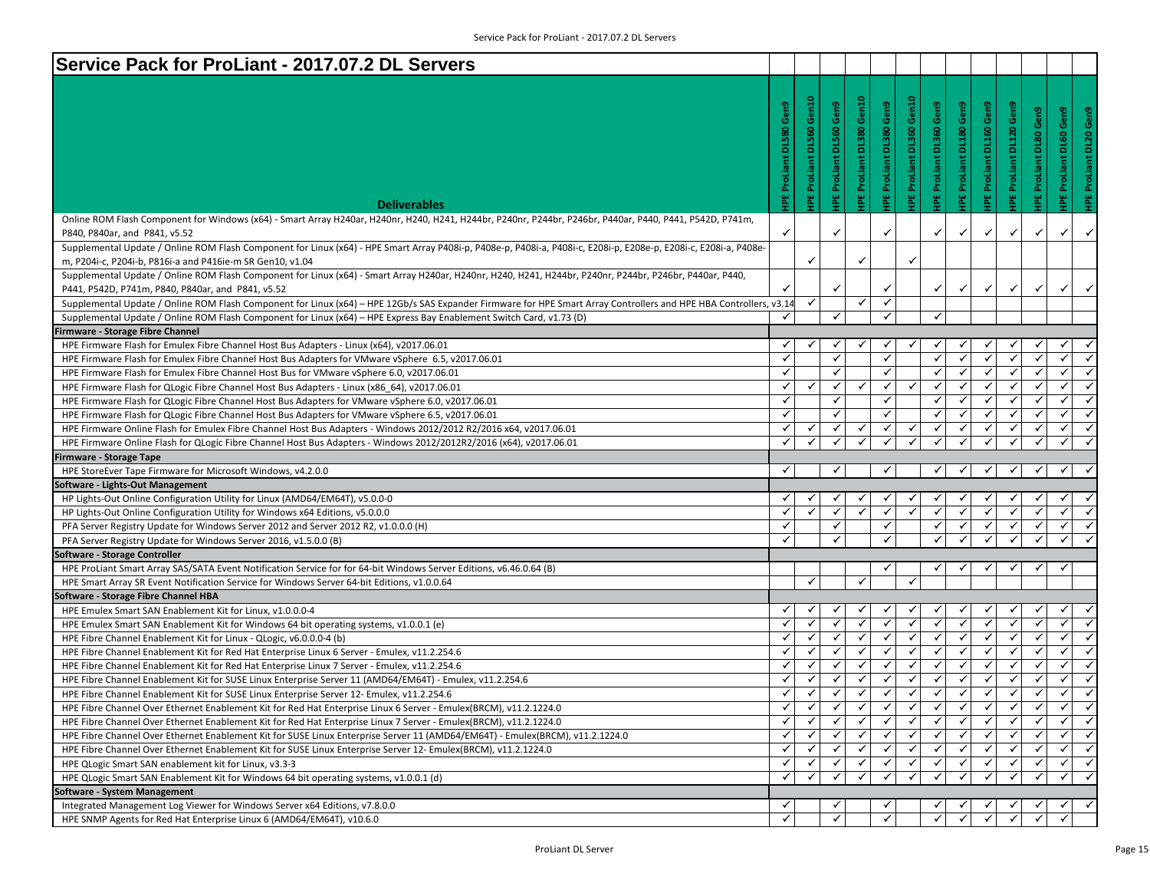| Service Pack for ProLiant - 2017.07.2 DL Servers                                                                                                                                                                                       |                     |                                 |                     |                          |                         |                  |                                |                                |                         |                         |              |                               |                        |
|----------------------------------------------------------------------------------------------------------------------------------------------------------------------------------------------------------------------------------------|---------------------|---------------------------------|---------------------|--------------------------|-------------------------|------------------|--------------------------------|--------------------------------|-------------------------|-------------------------|--------------|-------------------------------|------------------------|
|                                                                                                                                                                                                                                        |                     |                                 |                     |                          |                         |                  |                                |                                |                         |                         |              |                               |                        |
|                                                                                                                                                                                                                                        |                     |                                 |                     | IPE ProLiant DL380 Gen10 |                         | Gen10            |                                |                                |                         |                         |              |                               |                        |
|                                                                                                                                                                                                                                        |                     |                                 | DL560 Gen9          |                          |                         |                  |                                |                                |                         |                         | Gen9         |                               |                        |
|                                                                                                                                                                                                                                        | <b>DL580</b>        |                                 |                     |                          |                         |                  |                                |                                |                         |                         | DL80         |                               |                        |
|                                                                                                                                                                                                                                        |                     |                                 |                     |                          |                         |                  |                                |                                |                         |                         |              |                               |                        |
|                                                                                                                                                                                                                                        |                     |                                 |                     |                          |                         |                  |                                |                                |                         |                         |              |                               |                        |
|                                                                                                                                                                                                                                        |                     |                                 |                     |                          |                         | E ProLiant DL360 |                                |                                |                         |                         | ProLiant     |                               |                        |
| <b>Deliverables</b>                                                                                                                                                                                                                    | <b>IPE ProLiant</b> | <b>IPE ProLiant DL560 Gen10</b> | <b>IPE ProLiant</b> |                          | IPE ProLiant DL380 Gen9 | 画                | <b>IPE ProLiant DL360 Gen9</b> | <b>IPE ProLiant DL180 Gen9</b> | IPE ProLiant DL160 Gen9 | IPE ProLiant DL120 Gen9 | ш<br>횰       | <b>IPE ProLiant DL60 Gen9</b> | HPE ProLiant DL20 Gen9 |
| Online ROM Flash Component for Windows (x64) - Smart Array H240ar, H240nr, H240, H241, H244br, P240nr, P244br, P246br, P440ar, P440, P441, P542D, P741m,                                                                               |                     |                                 |                     |                          |                         |                  |                                |                                |                         |                         |              |                               |                        |
| P840, P840ar, and P841, v5.52                                                                                                                                                                                                          |                     |                                 | $\checkmark$        |                          | ✓                       |                  | ✓                              | ✓                              | ✓                       | ✓                       | ✓            | $\checkmark$                  | $\checkmark$           |
| Supplemental Update / Online ROM Flash Component for Linux (x64) - HPE Smart Array P408i-p, P408e-p, P408i-a, P408i-c, E208i-p, E208e-p, E208i-c, E208i-c, E208i-a, P408e-                                                             |                     |                                 |                     |                          |                         |                  |                                |                                |                         |                         |              |                               |                        |
| m, P204i-c, P204i-b, P816i-a and P416ie-m SR Gen10, v1.04                                                                                                                                                                              |                     | $\checkmark$                    |                     | $\checkmark$             |                         | ✓                |                                |                                |                         |                         |              |                               |                        |
| Supplemental Update / Online ROM Flash Component for Linux (x64) - Smart Array H240ar, H240nr, H240, H241, H244br, P240nr, P244br, P246br, P440ar, P440,                                                                               |                     |                                 |                     |                          |                         |                  |                                |                                |                         |                         |              |                               |                        |
| P441, P542D, P741m, P840, P840ar, and P841, v5.52                                                                                                                                                                                      |                     |                                 | ✓                   |                          | ✓                       |                  | ✓                              | ✓                              | $\checkmark$            | ✓                       | $\checkmark$ | ✓                             | $\checkmark$           |
| Supplemental Update / Online ROM Flash Component for Linux (x64) - HPE 12Gb/s SAS Expander Firmware for HPE Smart Array Controllers and HPE HBA Controllers, v3.14                                                                     |                     | ✓                               |                     | $\checkmark$             | $\checkmark$            |                  |                                |                                |                         |                         |              |                               |                        |
| Supplemental Update / Online ROM Flash Component for Linux (x64) - HPE Express Bay Enablement Switch Card, v1.73 (D)                                                                                                                   | $\checkmark$        |                                 | $\checkmark$        |                          | $\checkmark$            |                  | ✓                              |                                |                         |                         |              |                               |                        |
| Firmware - Storage Fibre Channel                                                                                                                                                                                                       |                     |                                 |                     |                          |                         |                  |                                |                                |                         |                         |              |                               |                        |
| HPE Firmware Flash for Emulex Fibre Channel Host Bus Adapters - Linux (x64), v2017.06.01                                                                                                                                               | ✓                   | ✓                               | ✓                   |                          | ✓                       | ✓                | ✓                              |                                |                         | ✓                       | ✓            | ✓                             |                        |
| HPE Firmware Flash for Emulex Fibre Channel Host Bus Adapters for VMware vSphere 6.5, v2017.06.01                                                                                                                                      | ✓                   |                                 | $\checkmark$        |                          | ✓                       |                  | ✓                              | ✓                              |                         | ✓                       | ✓            | ✓                             | ✓                      |
| HPE Firmware Flash for Emulex Fibre Channel Host Bus for VMware vSphere 6.0, v2017.06.01                                                                                                                                               | $\checkmark$        |                                 | $\checkmark$        |                          | $\checkmark$            |                  | ✓                              | ✓                              | $\checkmark$            | $\checkmark$            | $\checkmark$ | ✓                             | ✓                      |
| HPE Firmware Flash for QLogic Fibre Channel Host Bus Adapters - Linux (x86_64), v2017.06.01                                                                                                                                            | $\checkmark$        | ✓                               | $\checkmark$        | $\checkmark$             | $\checkmark$            | $\checkmark$     | $\checkmark$                   | $\checkmark$                   | $\checkmark$            | $\checkmark$            | $\checkmark$ | $\checkmark$                  | $\checkmark$           |
| HPE Firmware Flash for QLogic Fibre Channel Host Bus Adapters for VMware vSphere 6.0, v2017.06.01                                                                                                                                      | ✓                   |                                 | $\checkmark$        |                          | ✓                       |                  | ✓                              | ✓                              | $\checkmark$            | $\checkmark$            | $\checkmark$ | ✓                             | $\checkmark$           |
| HPE Firmware Flash for QLogic Fibre Channel Host Bus Adapters for VMware vSphere 6.5, v2017.06.01                                                                                                                                      | $\checkmark$        |                                 | $\checkmark$        |                          | ✓                       |                  | ✓                              | $\checkmark$                   | $\checkmark$            | ✓                       | ✓            | ✓                             | $\checkmark$           |
| HPE Firmware Online Flash for Emulex Fibre Channel Host Bus Adapters - Windows 2012/2012 R2/2016 x64, v2017.06.01                                                                                                                      | ✓                   | ✓                               | ✓                   | ✓                        | $\checkmark$            | $\checkmark$     | ✓                              | ✓                              | $\checkmark$            | $\checkmark$            | ✓            | ✓                             | $\checkmark$           |
| HPE Firmware Online Flash for QLogic Fibre Channel Host Bus Adapters - Windows 2012/2012R2/2016 (x64), v2017.06.01                                                                                                                     | ✓                   |                                 | ✓                   |                          |                         |                  |                                |                                |                         |                         |              | ✓                             |                        |
| <b>Firmware - Storage Tape</b>                                                                                                                                                                                                         |                     |                                 |                     |                          |                         |                  |                                |                                |                         |                         |              |                               |                        |
| HPE StoreEver Tape Firmware for Microsoft Windows, v4.2.0.0                                                                                                                                                                            | ✓                   |                                 | ✓                   |                          | ✓                       |                  | ✓                              | ✓                              | $\checkmark$            | $\checkmark$            | ✓            | ✓                             | ✓                      |
| Software - Lights-Out Management                                                                                                                                                                                                       |                     |                                 |                     |                          |                         |                  |                                |                                |                         |                         |              |                               |                        |
| HP Lights-Out Online Configuration Utility for Linux (AMD64/EM64T), v5.0.0-0                                                                                                                                                           | ✓                   |                                 |                     |                          | ✓                       |                  |                                |                                |                         |                         |              |                               |                        |
| HP Lights-Out Online Configuration Utility for Windows x64 Editions, v5.0.0.0                                                                                                                                                          | $\checkmark$        | $\checkmark$                    | $\checkmark$        |                          | ✓                       | $\checkmark$     | $\checkmark$                   | ✓                              | ✓                       | $\checkmark$            | ✓            | ✓                             | ✓                      |
| PFA Server Registry Update for Windows Server 2012 and Server 2012 R2, v1.0.0.0 (H)                                                                                                                                                    | ✓                   |                                 | $\checkmark$        |                          | $\checkmark$            |                  | $\checkmark$                   | $\checkmark$                   | $\checkmark$            | $\checkmark$            | $\checkmark$ | $\checkmark$                  | $\checkmark$           |
| PFA Server Registry Update for Windows Server 2016, v1.5.0.0 (B)                                                                                                                                                                       | ✓                   |                                 | $\checkmark$        |                          | ✓                       |                  | $\checkmark$                   | ✓                              | $\checkmark$            | $\checkmark$            | $\checkmark$ | $\checkmark$                  | ✓                      |
| Software - Storage Controller                                                                                                                                                                                                          |                     |                                 |                     |                          |                         |                  |                                |                                |                         |                         |              |                               |                        |
| HPE ProLiant Smart Array SAS/SATA Event Notification Service for for 64-bit Windows Server Editions, v6.46.0.64 (B)                                                                                                                    |                     | $\checkmark$                    |                     |                          | ✓                       |                  | √                              |                                |                         |                         |              | ✓                             |                        |
| HPE Smart Array SR Event Notification Service for Windows Server 64-bit Editions, v1.0.0.64                                                                                                                                            |                     |                                 |                     | ✓                        |                         |                  |                                |                                |                         |                         |              |                               |                        |
| Software - Storage Fibre Channel HBA                                                                                                                                                                                                   | ✓                   | √                               |                     |                          |                         |                  | √                              |                                |                         |                         |              | ✓                             |                        |
| HPE Emulex Smart SAN Enablement Kit for Linux, v1.0.0.0-4                                                                                                                                                                              | ✓                   | ✓                               | $\checkmark$        |                          | ✓<br>$\checkmark$       | ✓<br>✓           | $\checkmark$                   | $\checkmark$                   | $\checkmark$            | $\checkmark$            | ✓            | ✓                             | $\checkmark$           |
| HPE Emulex Smart SAN Enablement Kit for Windows 64 bit operating systems, v1.0.0.1 (e)                                                                                                                                                 | ✓                   | ✓                               | $\checkmark$        | $\checkmark$             | $\checkmark$            | ✓                | ✓                              | ✓                              | $\checkmark$            | $\checkmark$            | ✓            | ✓                             | $\checkmark$           |
| HPE Fibre Channel Enablement Kit for Linux - QLogic, v6.0.0.0-4 (b)                                                                                                                                                                    | ✓                   | ✓                               | ✓                   | ✓                        | $\checkmark$            | $\checkmark$     | ✓                              | ✓                              | $\checkmark$            | $\checkmark$            | $\checkmark$ | ✓                             | $\checkmark$           |
| HPE Fibre Channel Enablement Kit for Red Hat Enterprise Linux 6 Server - Emulex, v11.2.254.6                                                                                                                                           | $\checkmark$        | $\checkmark$                    | $\checkmark$        | $\checkmark$             | $\checkmark$            | $\checkmark$     | $\checkmark$                   | $\checkmark$                   | $\checkmark$            | $\checkmark$            | $\checkmark$ | $\checkmark$                  | $\checkmark$           |
| HPE Fibre Channel Enablement Kit for Red Hat Enterprise Linux 7 Server - Emulex, v11.2.254.6<br>HPE Fibre Channel Enablement Kit for SUSE Linux Enterprise Server 11 (AMD64/EM64T) - Emulex, v11.2.254.6                               | ✓                   | ✓                               | ✓                   | ✓                        | $\checkmark$            | ✓                | ✓                              | ✓                              | ✓                       | $\checkmark$            | $\checkmark$ | ✓                             | $\checkmark$           |
| HPE Fibre Channel Enablement Kit for SUSE Linux Enterprise Server 12- Emulex, v11.2.254.6                                                                                                                                              | ✓                   | ✓                               | $\checkmark$        | ✓                        | ✓                       | ✓                | $\checkmark$                   | $\checkmark$                   | ✓                       | ✓                       | ✓            | ✓                             | $\checkmark$           |
|                                                                                                                                                                                                                                        | $\checkmark$        | ✔                               | $\checkmark$        | ✓                        | ✓                       | $\checkmark$     | ✓                              | $\checkmark$                   |                         |                         |              |                               |                        |
| HPE Fibre Channel Over Ethernet Enablement Kit for Red Hat Enterprise Linux 6 Server - Emulex(BRCM), v11.2.1224.0<br>HPE Fibre Channel Over Ethernet Enablement Kit for Red Hat Enterprise Linux 7 Server - Emulex(BRCM), v11.2.1224.0 | $\checkmark$        | ✓                               | ✓                   |                          | $\checkmark$            | $\checkmark$     | $\checkmark$                   | ✓                              |                         | ✓                       |              | ✓                             | $\checkmark$           |
| HPE Fibre Channel Over Ethernet Enablement Kit for SUSE Linux Enterprise Server 11 (AMD64/EM64T) - Emulex(BRCM), v11.2.1224.0                                                                                                          | $\checkmark$        | ✓                               | $\checkmark$        | ✓                        | ✓                       | $\checkmark$     | $\checkmark$                   | $\checkmark$                   | $\checkmark$            | $\checkmark$            | $\checkmark$ | ✓                             | $\checkmark$           |
| HPE Fibre Channel Over Ethernet Enablement Kit for SUSE Linux Enterprise Server 12- Emulex(BRCM), v11.2.1224.0                                                                                                                         | ✓                   | ✓                               | ✓                   | ✓                        | $\checkmark$            | ✓                | ✓                              | ✓                              | ✓                       | $\checkmark$            | ✓            | $\checkmark$                  | $\checkmark$           |
| HPE QLogic Smart SAN enablement kit for Linux, v3.3-3                                                                                                                                                                                  | ✓                   |                                 |                     |                          | ✓                       | ✓                | ✓                              | ✓                              |                         |                         |              | ✓                             | $\checkmark$           |
| HPE QLogic Smart SAN Enablement Kit for Windows 64 bit operating systems, v1.0.0.1 (d)                                                                                                                                                 | ✓                   | $\checkmark$                    | ✓                   |                          | ✓                       | ✓                | ✓                              | ✓                              |                         | ✓                       |              | ✓                             | ✓                      |
|                                                                                                                                                                                                                                        |                     |                                 |                     |                          |                         |                  |                                |                                |                         |                         |              |                               |                        |
|                                                                                                                                                                                                                                        |                     |                                 |                     |                          |                         |                  |                                |                                |                         |                         |              |                               |                        |
| Software - System Management<br>Integrated Management Log Viewer for Windows Server x64 Editions, v7.8.0.0                                                                                                                             | $\checkmark$        |                                 | ✓                   |                          |                         |                  |                                |                                |                         |                         |              |                               |                        |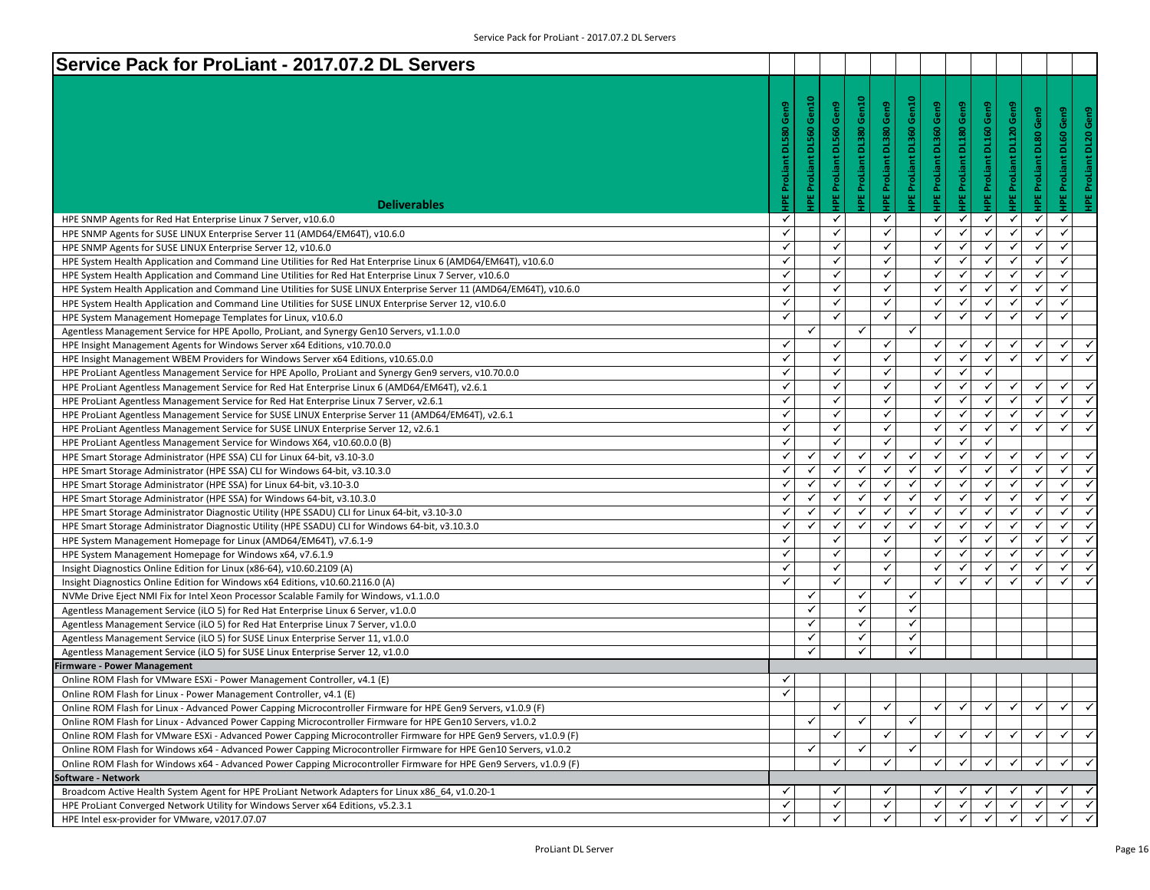| Service Pack for ProLiant - 2017.07.2 DL Servers                                                                    |                     |                    |                     |                                 |                                |                                 |                                |                     |                                                                  |                          |                               |              |
|---------------------------------------------------------------------------------------------------------------------|---------------------|--------------------|---------------------|---------------------------------|--------------------------------|---------------------------------|--------------------------------|---------------------|------------------------------------------------------------------|--------------------------|-------------------------------|--------------|
|                                                                                                                     |                     |                    |                     |                                 |                                |                                 |                                |                     |                                                                  |                          |                               |              |
|                                                                                                                     |                     | Gen10              |                     |                                 |                                |                                 |                                |                     |                                                                  |                          |                               |              |
|                                                                                                                     | DL580 Gen9          |                    | Gen9                | <b>IPE ProLiant DL380 Gen10</b> | <b>IPE ProLiant DL380 Gen9</b> | <b>IPE ProLiant DL360 Gen10</b> | <b>IPE ProLiant DL360 Gen9</b> | Gen9                | <b>IPE ProLiant DL160 Gen9</b><br><b>IPE ProLiant DL120 Gen9</b> | Gen9                     | <b>HPE ProLiant DL60 Gen9</b> | Gen9         |
|                                                                                                                     |                     |                    | <b>DL560</b>        |                                 |                                |                                 |                                | <b>DL180</b>        |                                                                  |                          |                               |              |
|                                                                                                                     |                     |                    |                     |                                 |                                |                                 |                                |                     |                                                                  |                          |                               | <b>DL20</b>  |
|                                                                                                                     |                     |                    |                     |                                 |                                |                                 |                                |                     |                                                                  |                          |                               |              |
|                                                                                                                     | <b>HPE ProLiant</b> | IPE ProLiant DL560 | <b>IPE ProLiant</b> |                                 |                                |                                 |                                | <b>IPE ProLiant</b> |                                                                  | <b>HPE ProLiant DL80</b> |                               | ProLiant     |
|                                                                                                                     |                     |                    |                     |                                 |                                |                                 |                                |                     |                                                                  |                          |                               |              |
| <b>Deliverables</b>                                                                                                 |                     |                    |                     |                                 |                                |                                 |                                |                     |                                                                  |                          |                               | 쀭            |
| HPE SNMP Agents for Red Hat Enterprise Linux 7 Server, v10.6.0                                                      | ✓                   |                    | ✓                   |                                 | ✓                              |                                 | ✓                              | ✓                   | ✓<br>$\checkmark$                                                | $\checkmark$             | ✓                             |              |
| HPE SNMP Agents for SUSE LINUX Enterprise Server 11 (AMD64/EM64T), v10.6.0                                          | $\checkmark$        |                    | ✓                   |                                 | $\checkmark$                   |                                 | ✓                              | ✓                   | ✓<br>✓                                                           | ✓                        | ✓                             |              |
| HPE SNMP Agents for SUSE LINUX Enterprise Server 12, v10.6.0                                                        | $\checkmark$        |                    | ✓                   |                                 | $\checkmark$                   |                                 | ✓                              | $\checkmark$        | $\checkmark$<br>$\checkmark$                                     | $\checkmark$             | $\checkmark$                  |              |
| HPE System Health Application and Command Line Utilities for Red Hat Enterprise Linux 6 (AMD64/EM64T), v10.6.0      | $\checkmark$        |                    | ✓                   |                                 | $\checkmark$                   |                                 | $\checkmark$                   | ✓                   | ✓<br>$\checkmark$                                                | $\checkmark$             | $\checkmark$                  |              |
| HPE System Health Application and Command Line Utilities for Red Hat Enterprise Linux 7 Server, v10.6.0             | $\checkmark$        |                    | ✓                   |                                 | $\checkmark$                   |                                 | ✓                              | ✓                   | ✓<br>$\checkmark$                                                | $\checkmark$             | $\checkmark$                  |              |
| HPE System Health Application and Command Line Utilities for SUSE LINUX Enterprise Server 11 (AMD64/EM64T), v10.6.0 | $\checkmark$        |                    | ✓                   |                                 | $\checkmark$                   |                                 | ✓                              | ✓                   | $\checkmark$<br>✓                                                | $\checkmark$             | ✓                             |              |
| HPE System Health Application and Command Line Utilities for SUSE LINUX Enterprise Server 12, v10.6.0               | $\checkmark$        |                    | ✓                   |                                 | ✓                              |                                 | ✓                              | ✓                   | ✓<br>$\checkmark$                                                | ✓                        | ✓                             |              |
| HPE System Management Homepage Templates for Linux, v10.6.0                                                         | $\checkmark$        |                    | ✓                   |                                 | $\checkmark$                   |                                 | ✓                              | ✓                   | $\checkmark$<br>✓                                                | $\checkmark$             | $\checkmark$                  |              |
| Agentless Management Service for HPE Apollo, ProLiant, and Synergy Gen10 Servers, v1.1.0.0                          |                     | $\checkmark$       |                     | $\checkmark$                    |                                | $\checkmark$                    |                                |                     |                                                                  |                          |                               |              |
| HPE Insight Management Agents for Windows Server x64 Editions, v10.70.0.0                                           | $\checkmark$        |                    | ✓                   |                                 | $\checkmark$                   |                                 | $\checkmark$                   | $\checkmark$        | ✓<br>$\checkmark$                                                | ✓                        | ✓                             | $\checkmark$ |
| HPE Insight Management WBEM Providers for Windows Server x64 Editions, v10.65.0.0                                   | $\checkmark$        |                    | ✓                   |                                 | $\checkmark$                   |                                 | ✓                              | ✓                   | $\checkmark$<br>✓                                                | $\checkmark$             | ✓                             | $\checkmark$ |
| HPE ProLiant Agentless Management Service for HPE Apollo, ProLiant and Synergy Gen9 servers, v10.70.0.0             | $\checkmark$        |                    | ✓                   |                                 | ✓                              |                                 | ✓                              | ✓                   | ✓                                                                |                          |                               |              |
| HPE ProLiant Agentless Management Service for Red Hat Enterprise Linux 6 (AMD64/EM64T), v2.6.1                      | $\checkmark$        |                    | ✓                   |                                 | $\checkmark$                   |                                 | ✓                              | ✓                   | ✓<br>✓                                                           | $\checkmark$             | ✓                             | $\checkmark$ |
| HPE ProLiant Agentless Management Service for Red Hat Enterprise Linux 7 Server, v2.6.1                             | $\checkmark$        |                    | ✓                   |                                 | $\checkmark$                   |                                 | $\checkmark$                   | ✓                   | $\checkmark$<br>✓                                                | $\checkmark$             | $\checkmark$                  | $\checkmark$ |
| HPE ProLiant Agentless Management Service for SUSE LINUX Enterprise Server 11 (AMD64/EM64T), v2.6.1                 | $\checkmark$        |                    | ✓                   |                                 | $\checkmark$                   |                                 | ✓                              | ✓                   | ✓<br>$\checkmark$                                                | $\checkmark$             | ✓                             | $\checkmark$ |
| HPE ProLiant Agentless Management Service for SUSE LINUX Enterprise Server 12, v2.6.1                               | $\checkmark$        |                    | ✓                   |                                 | $\checkmark$                   |                                 | ✓                              | ✓                   | ✓<br>$\checkmark$                                                | $\checkmark$             | ✓                             | $\checkmark$ |
| HPE ProLiant Agentless Management Service for Windows X64, v10.60.0.0 (B)                                           | $\checkmark$        |                    | ✓                   |                                 | ✓                              |                                 | ✓                              | ✓                   | ✓                                                                |                          |                               |              |
| HPE Smart Storage Administrator (HPE SSA) CLI for Linux 64-bit, v3.10-3.0                                           | $\checkmark$        | ✓                  | ✓                   | ✓                               | ✓                              | $\checkmark$                    | ✓                              | ✓                   | $\checkmark$<br>✓                                                | $\checkmark$             | ✓                             | $\checkmark$ |
| HPE Smart Storage Administrator (HPE SSA) CLI for Windows 64-bit, v3.10.3.0                                         | $\checkmark$        | $\checkmark$       | ✓                   | ✓                               | $\checkmark$                   | $\checkmark$                    | $\checkmark$                   | ✓                   | ✓<br>$\checkmark$                                                | $\checkmark$             | $\checkmark$                  |              |
| HPE Smart Storage Administrator (HPE SSA) for Linux 64-bit, v3.10-3.0                                               | $\checkmark$        | $\checkmark$       | $\checkmark$        | ✓                               | $\checkmark$                   | $\checkmark$                    | $\checkmark$                   | $\checkmark$        | ✓<br>$\checkmark$                                                | $\checkmark$             | ✓                             | $\checkmark$ |
| HPE Smart Storage Administrator (HPE SSA) for Windows 64-bit, v3.10.3.0                                             | $\checkmark$        | ✓                  | ✓                   | ✓                               | ✓                              | $\checkmark$                    | ✓                              | ✓                   | ✓<br>$\checkmark$                                                | $\checkmark$             | ✓                             | $\checkmark$ |
| HPE Smart Storage Administrator Diagnostic Utility (HPE SSADU) CLI for Linux 64-bit, v3.10-3.0                      | $\checkmark$        | ✓                  |                     | √                               | ✓                              | $\checkmark$                    | ✓                              | ✓                   | ✓<br>✓                                                           | ✓                        | ✓                             |              |
| HPE Smart Storage Administrator Diagnostic Utility (HPE SSADU) CLI for Windows 64-bit, v3.10.3.0                    | $\checkmark$        | ✓                  | ✓                   | ✓                               | ✓                              | $\checkmark$                    | ✓                              | $\checkmark$        | $\checkmark$<br>$\checkmark$                                     | $\checkmark$             | ✓                             | $\checkmark$ |
| HPE System Management Homepage for Linux (AMD64/EM64T), v7.6.1-9                                                    | $\checkmark$        |                    | ✓                   |                                 | ✓                              |                                 | ✓                              | ✓                   | ✓<br>$\checkmark$                                                | $\checkmark$             | $\checkmark$                  | $\checkmark$ |
| HPE System Management Homepage for Windows x64, v7.6.1.9                                                            | $\checkmark$        |                    | ✓                   |                                 | $\checkmark$                   |                                 | ✓                              | ✓                   | ✓<br>$\checkmark$                                                | $\checkmark$             | ✓                             | $\checkmark$ |
| Insight Diagnostics Online Edition for Linux (x86-64), v10.60.2109 (A)                                              | $\checkmark$        |                    | ✓                   |                                 | $\checkmark$                   |                                 | ✓                              | ✓                   | $\checkmark$<br>✓                                                | $\checkmark$             | ✓                             | $\checkmark$ |
| Insight Diagnostics Online Edition for Windows x64 Editions, v10.60.2116.0 (A)                                      | $\checkmark$        |                    | ✓                   |                                 | $\checkmark$                   |                                 | ✓                              | ✓                   | ✓<br>$\checkmark$                                                | ✓                        | ✓                             |              |
| NVMe Drive Eject NMI Fix for Intel Xeon Processor Scalable Family for Windows, v1.1.0.0                             |                     | ✓                  |                     | ✓                               |                                | $\checkmark$                    |                                |                     |                                                                  |                          |                               |              |
| Agentless Management Service (iLO 5) for Red Hat Enterprise Linux 6 Server, v1.0.0                                  |                     | $\checkmark$       |                     | ✓                               |                                | $\checkmark$                    |                                |                     |                                                                  |                          |                               |              |
| Agentless Management Service (iLO 5) for Red Hat Enterprise Linux 7 Server, v1.0.0                                  |                     | ✓                  |                     | ✓                               |                                | $\checkmark$                    |                                |                     |                                                                  |                          |                               |              |
| Agentless Management Service (iLO 5) for SUSE Linux Enterprise Server 11, v1.0.0                                    |                     | ✓                  |                     | ✓                               |                                | $\checkmark$                    |                                |                     |                                                                  |                          |                               |              |
| Agentless Management Service (iLO 5) for SUSE Linux Enterprise Server 12, v1.0.0                                    |                     | ✓                  |                     | ✓                               |                                | ✓                               |                                |                     |                                                                  |                          |                               |              |
| <b>Firmware - Power Management</b>                                                                                  |                     |                    |                     |                                 |                                |                                 |                                |                     |                                                                  |                          |                               |              |
| Online ROM Flash for VMware ESXi - Power Management Controller, v4.1 (E)                                            | ✓                   |                    |                     |                                 |                                |                                 |                                |                     |                                                                  |                          |                               |              |
| Online ROM Flash for Linux - Power Management Controller, v4.1 (E)                                                  | $\checkmark$        |                    |                     |                                 |                                |                                 |                                |                     |                                                                  |                          |                               |              |
| Online ROM Flash for Linux - Advanced Power Capping Microcontroller Firmware for HPE Gen9 Servers, v1.0.9 (F)       |                     |                    | ✓                   |                                 | ✓                              |                                 | ✓                              | ✓                   | ✓<br>✓                                                           | ✔                        | ✔                             |              |
| Online ROM Flash for Linux - Advanced Power Capping Microcontroller Firmware for HPE Gen10 Servers, v1.0.2          |                     | ✓                  |                     | ✓                               |                                | $\checkmark$                    |                                |                     |                                                                  |                          |                               |              |
| Online ROM Flash for VMware ESXi - Advanced Power Capping Microcontroller Firmware for HPE Gen9 Servers, v1.0.9 (F) |                     |                    |                     |                                 | ✓                              |                                 | ✓                              | $\checkmark$        | ✓                                                                | $\checkmark$             | $\checkmark$                  | $\checkmark$ |
| Online ROM Flash for Windows x64 - Advanced Power Capping Microcontroller Firmware for HPE Gen10 Servers, v1.0.2    |                     | ✓                  |                     | ✓                               |                                | ✓                               |                                |                     |                                                                  |                          |                               |              |
| Online ROM Flash for Windows x64 - Advanced Power Capping Microcontroller Firmware for HPE Gen9 Servers, v1.0.9 (F) |                     |                    | $\checkmark$        |                                 | $\checkmark$                   |                                 | $\checkmark$                   | $\checkmark$        | $\checkmark$<br>$\checkmark$                                     | $\checkmark$             | $\checkmark$                  | $\checkmark$ |
| oftware - Network                                                                                                   |                     |                    |                     |                                 |                                |                                 |                                |                     |                                                                  |                          |                               |              |
| Broadcom Active Health System Agent for HPE ProLiant Network Adapters for Linux x86_64, v1.0.20-1                   | ✓                   |                    |                     |                                 |                                |                                 |                                |                     |                                                                  |                          | ✓                             |              |
| HPE ProLiant Converged Network Utility for Windows Server x64 Editions, v5.2.3.1                                    | $\checkmark$        |                    | ✓                   |                                 | ✓                              |                                 | ✓                              |                     | ✓                                                                | ✓                        | ✓<br>$\checkmark$             |              |
| HPE Intel esx-provider for VMware, v2017.07.07                                                                      | ✓                   |                    | ✓                   |                                 | ✓                              |                                 | $\checkmark$                   | $\checkmark$        | $\checkmark$<br>$\checkmark$                                     | ✓                        |                               |              |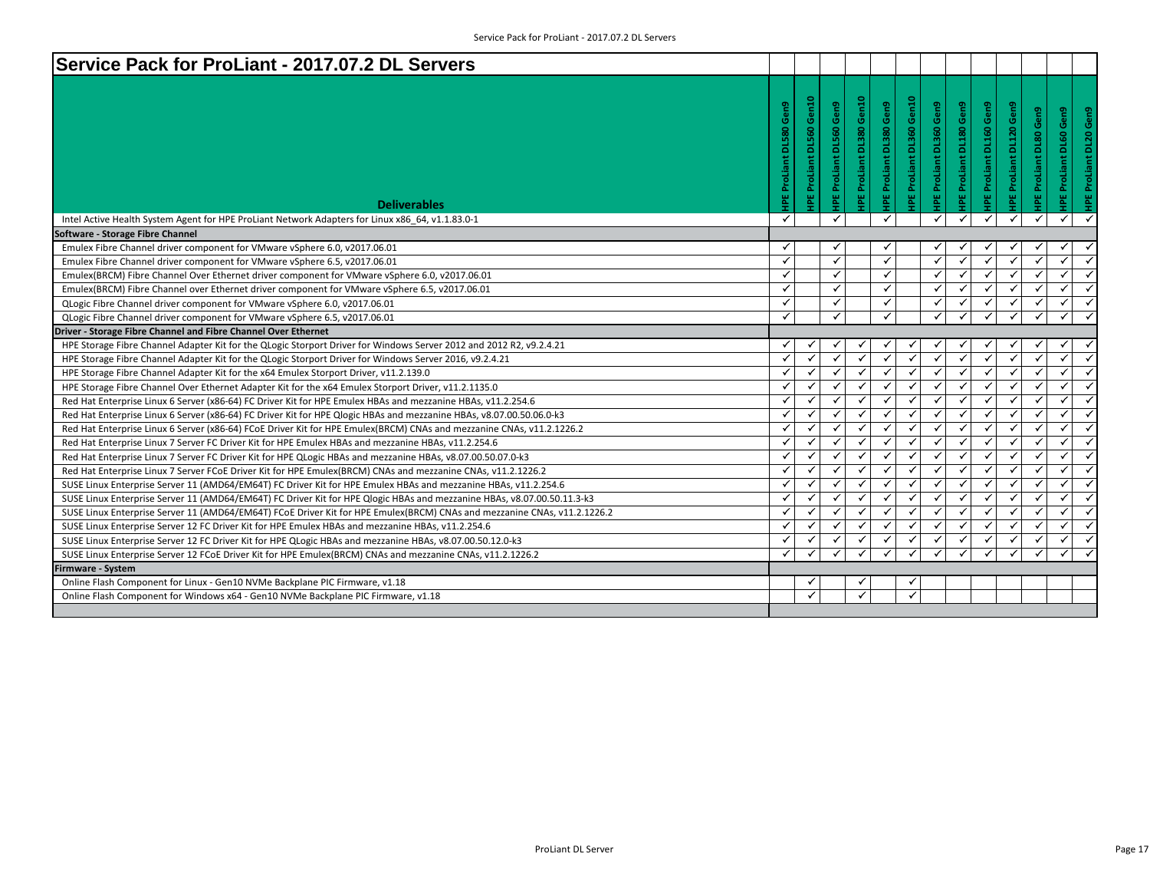| Service Pack for ProLiant - 2017.07.2 DL Servers                                                                         |                                             |                          |                                   |                             |                                |                                          |                                |                         |                         |                                                           |                               |                    |
|--------------------------------------------------------------------------------------------------------------------------|---------------------------------------------|--------------------------|-----------------------------------|-----------------------------|--------------------------------|------------------------------------------|--------------------------------|-------------------------|-------------------------|-----------------------------------------------------------|-------------------------------|--------------------|
| <b>Deliverables</b>                                                                                                      | Gen9<br><b>DL580</b><br><b>HPE ProLiant</b> | IPE ProLiant DL560 Gen10 | Gen9<br><b>HPE ProLiant DL560</b> | Gen10<br>IPE ProLiant DL380 | <b>IPE ProLiant DL380 Gen9</b> | Gen <sub>10</sub><br>ProLiant DL360<br>꾑 | <b>IPE ProLiant DL360 Gen9</b> | IPE ProLiant DL180 Gen9 | IPE ProLiant DL160 Gen9 | <b>IPE ProLiant DL120 Gen9</b><br>ProLiant DL80 Gen9<br>鬘 | <b>HPE ProLiant DL60 Gen9</b> | ProLiant DL20 Gen9 |
| Intel Active Health System Agent for HPE ProLiant Network Adapters for Linux x86 64, v1.1.83.0-1                         | $\checkmark$                                |                          | $\checkmark$                      |                             | ✓                              |                                          | $\checkmark$                   | ✓                       | ✓                       | $\checkmark$<br>$\checkmark$                              | ✓                             |                    |
| Software - Storage Fibre Channel                                                                                         |                                             |                          |                                   |                             |                                |                                          |                                |                         |                         |                                                           |                               |                    |
| Emulex Fibre Channel driver component for VMware vSphere 6.0, v2017.06.01                                                | ✓                                           |                          | ✓                                 |                             | √                              |                                          |                                |                         |                         |                                                           | ✓                             |                    |
| Emulex Fibre Channel driver component for VMware vSphere 6.5, v2017.06.01                                                | $\checkmark$                                |                          | $\checkmark$                      |                             | $\checkmark$                   |                                          | $\checkmark$                   | ✓                       | $\checkmark$            | $\checkmark$<br>$\checkmark$                              | ✓                             |                    |
| Emulex(BRCM) Fibre Channel Over Ethernet driver component for VMware vSphere 6.0, v2017.06.01                            | $\checkmark$                                |                          | $\checkmark$                      |                             | ✓                              |                                          | $\checkmark$                   | ✓                       | ✓                       | $\checkmark$<br>✓                                         | ✓                             |                    |
| Emulex(BRCM) Fibre Channel over Ethernet driver component for VMware vSphere 6.5, v2017.06.01                            | $\checkmark$                                |                          | $\checkmark$                      |                             | ✓                              |                                          | $\checkmark$                   | ✓                       | $\checkmark$            | $\checkmark$<br>$\checkmark$                              | $\checkmark$                  |                    |
| QLogic Fibre Channel driver component for VMware vSphere 6.0, v2017.06.01                                                | $\checkmark$                                |                          | $\checkmark$                      |                             | ✓                              |                                          | ✓                              | ✓                       | $\checkmark$            | $\checkmark$<br>✓                                         | $\checkmark$                  |                    |
| QLogic Fibre Channel driver component for VMware vSphere 6.5, v2017.06.01                                                | $\checkmark$                                |                          | $\checkmark$                      |                             | ✓                              |                                          |                                |                         |                         |                                                           |                               |                    |
| Driver - Storage Fibre Channel and Fibre Channel Over Ethernet                                                           |                                             |                          |                                   |                             |                                |                                          |                                |                         |                         |                                                           |                               |                    |
| HPE Storage Fibre Channel Adapter Kit for the QLogic Storport Driver for Windows Server 2012 and 2012 R2, v9.2.4.21      | ✓                                           |                          |                                   |                             |                                |                                          |                                |                         |                         | ✓                                                         |                               |                    |
| HPE Storage Fibre Channel Adapter Kit for the QLogic Storport Driver for Windows Server 2016, v9.2.4.21                  | $\checkmark$                                | $\checkmark$             | $\checkmark$                      | ✓                           | $\checkmark$                   | $\checkmark$                             | ✓                              | ✓                       | $\checkmark$            | $\checkmark$<br>$\checkmark$                              | ✓                             |                    |
| HPE Storage Fibre Channel Adapter Kit for the x64 Emulex Storport Driver, v11.2.139.0                                    | ✓                                           | $\checkmark$             | ✓                                 | $\checkmark$                | $\checkmark$                   | $\checkmark$                             | $\checkmark$                   | $\checkmark$            | $\checkmark$            | $\checkmark$<br>$\checkmark$                              | $\checkmark$                  |                    |
| HPE Storage Fibre Channel Over Ethernet Adapter Kit for the x64 Emulex Storport Driver, v11.2.1135.0                     | $\checkmark$                                | ✓                        | $\checkmark$                      | ✓                           | $\checkmark$                   | $\checkmark$                             | $\checkmark$                   | $\checkmark$            | $\checkmark$            | $\checkmark$<br>✓                                         | $\checkmark$                  |                    |
| Red Hat Enterprise Linux 6 Server (x86-64) FC Driver Kit for HPE Emulex HBAs and mezzanine HBAs, v11.2.254.6             | ✓                                           | $\checkmark$             | $\checkmark$                      | ✓                           | ✓                              | $\checkmark$                             | $\checkmark$                   | ✓                       | $\checkmark$            | $\checkmark$<br>✓                                         | $\checkmark$                  |                    |
| Red Hat Enterprise Linux 6 Server (x86-64) FC Driver Kit for HPE Qlogic HBAs and mezzanine HBAs, v8.07.00.50.06.0-k3     | $\checkmark$                                | $\checkmark$             | $\checkmark$                      |                             | $\checkmark$                   | $\checkmark$                             | $\checkmark$                   | $\checkmark$            | $\checkmark$            | $\checkmark$<br>$\checkmark$                              | ✓                             |                    |
| Red Hat Enterprise Linux 6 Server (x86-64) FCoE Driver Kit for HPE Emulex(BRCM) CNAs and mezzanine CNAs, v11.2.1226.2    | $\checkmark$                                | $\checkmark$             | $\checkmark$                      | $\checkmark$                | $\checkmark$                   | $\checkmark$                             | $\checkmark$                   | $\checkmark$            | $\checkmark$            | $\checkmark$<br>$\checkmark$                              | ✓                             | $\checkmark$       |
| Red Hat Enterprise Linux 7 Server FC Driver Kit for HPE Emulex HBAs and mezzanine HBAs, v11.2.254.6                      | ✓                                           | $\checkmark$             | ✓                                 | ✓                           | $\checkmark$                   | ✓                                        | ✓                              | ✓                       | $\checkmark$            | $\checkmark$<br>✓                                         | ✓                             |                    |
| Red Hat Enterprise Linux 7 Server FC Driver Kit for HPE QLogic HBAs and mezzanine HBAs, v8.07.00.50.07.0-k3              | $\checkmark$                                | $\checkmark$             | $\checkmark$                      | $\checkmark$                | $\checkmark$                   | $\checkmark$                             | ✓                              | $\checkmark$            | $\checkmark$            | $\checkmark$<br>$\checkmark$                              | ✓                             |                    |
| Red Hat Enterprise Linux 7 Server FCoE Driver Kit for HPE Emulex(BRCM) CNAs and mezzanine CNAs, v11.2.1226.2             | $\checkmark$                                | $\checkmark$             | $\checkmark$                      | ✓                           | $\checkmark$                   | $\checkmark$                             | $\checkmark$                   | $\checkmark$            | $\checkmark$            | $\checkmark$<br>✓                                         | $\checkmark$                  |                    |
| SUSE Linux Enterprise Server 11 (AMD64/EM64T) FC Driver Kit for HPE Emulex HBAs and mezzanine HBAs, v11.2.254.6          | $\checkmark$                                | $\checkmark$             | $\checkmark$                      | $\checkmark$                | $\checkmark$                   | $\checkmark$                             | $\checkmark$                   | $\checkmark$            | $\checkmark$            | $\checkmark$<br>$\checkmark$                              | $\checkmark$                  |                    |
| SUSE Linux Enterprise Server 11 (AMD64/EM64T) FC Driver Kit for HPE Qlogic HBAs and mezzanine HBAs, v8.07.00.50.11.3-k3  | ✓                                           | $\checkmark$             | $\checkmark$                      | $\checkmark$                | $\checkmark$                   | $\checkmark$                             | $\checkmark$                   | $\checkmark$            | $\checkmark$            | $\checkmark$<br>$\checkmark$                              | ✓                             |                    |
| SUSE Linux Enterprise Server 11 (AMD64/EM64T) FCoE Driver Kit for HPE Emulex(BRCM) CNAs and mezzanine CNAs, v11.2.1226.2 | $\checkmark$                                | $\checkmark$             | $\checkmark$                      | $\checkmark$                | $\checkmark$                   | $\checkmark$                             | $\checkmark$                   | ✓                       | $\checkmark$            | $\checkmark$<br>✓                                         | ✓                             | ✓                  |
| SUSE Linux Enterprise Server 12 FC Driver Kit for HPE Emulex HBAs and mezzanine HBAs, v11.2.254.6                        | ✓                                           | $\checkmark$             | $\checkmark$                      | $\checkmark$                | $\checkmark$                   | $\checkmark$                             | ✓                              | ✓                       | $\checkmark$            | $\checkmark$                                              | ✓                             |                    |
| SUSE Linux Enterprise Server 12 FC Driver Kit for HPE QLogic HBAs and mezzanine HBAs, v8.07.00.50.12.0-k3                | ✓                                           | $\checkmark$             | $\checkmark$                      | √                           | ✓                              | ✓                                        | $\checkmark$                   | ✓                       | $\checkmark$            | ✓<br>$\checkmark$                                         | $\checkmark$                  |                    |
| SUSE Linux Enterprise Server 12 FCoE Driver Kit for HPE Emulex(BRCM) CNAs and mezzanine CNAs, v11.2.1226.2               | $\checkmark$                                |                          | $\checkmark$                      | ✓                           | $\checkmark$                   | $\checkmark$                             | $\checkmark$                   | ✓                       |                         | $\checkmark$                                              | ✓                             |                    |
| <b>Firmware - System</b>                                                                                                 |                                             |                          |                                   |                             |                                |                                          |                                |                         |                         |                                                           |                               |                    |
| Online Flash Component for Linux - Gen10 NVMe Backplane PIC Firmware, v1.18                                              |                                             | ✓                        |                                   |                             |                                | ✔                                        |                                |                         |                         |                                                           |                               |                    |
| Online Flash Component for Windows x64 - Gen10 NVMe Backplane PIC Firmware, v1.18                                        |                                             | $\checkmark$             |                                   | $\checkmark$                |                                | $\checkmark$                             |                                |                         |                         |                                                           |                               |                    |
|                                                                                                                          |                                             |                          |                                   |                             |                                |                                          |                                |                         |                         |                                                           |                               |                    |
|                                                                                                                          |                                             |                          |                                   |                             |                                |                                          |                                |                         |                         |                                                           |                               |                    |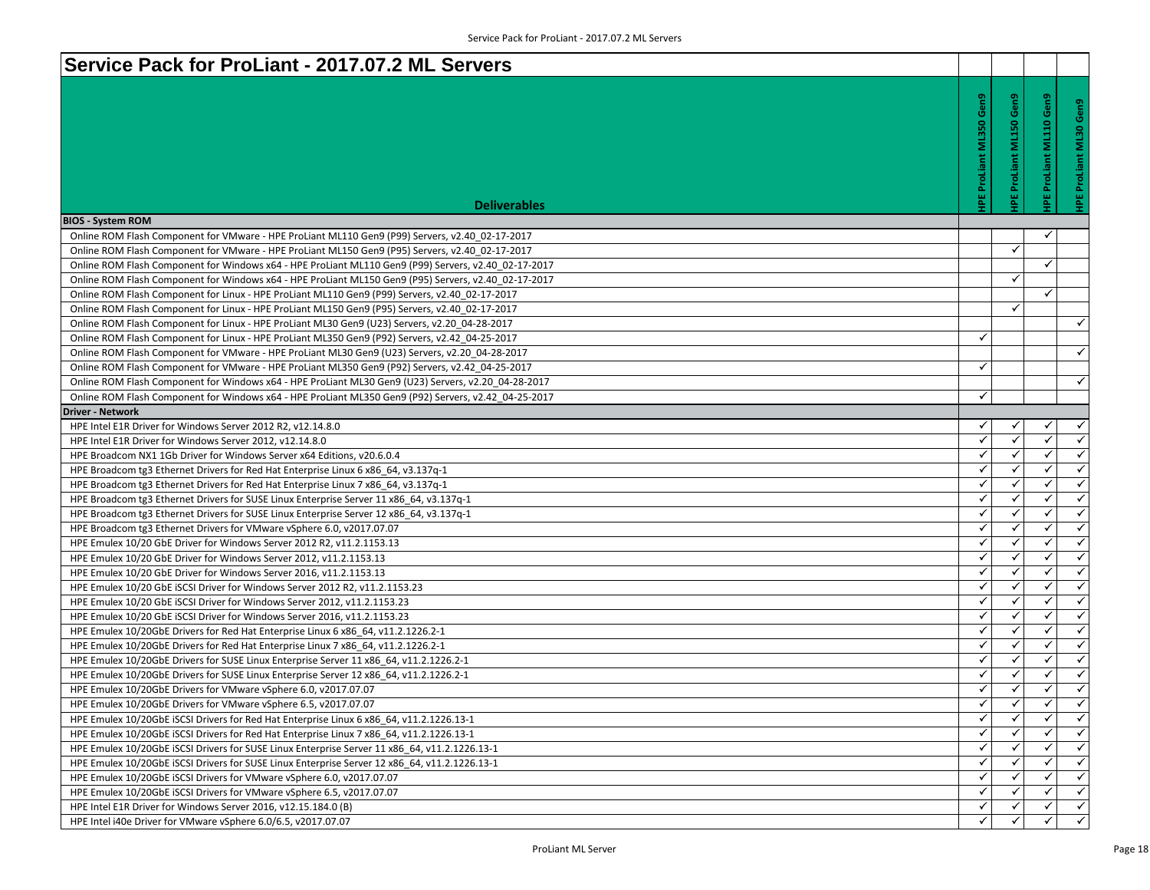| Service Pack for ProLiant - 2017.07.2 ML Servers                                                                                                                                                       |                         |                     |              |              |
|--------------------------------------------------------------------------------------------------------------------------------------------------------------------------------------------------------|-------------------------|---------------------|--------------|--------------|
|                                                                                                                                                                                                        |                         |                     |              |              |
|                                                                                                                                                                                                        | Gen9                    |                     | Gen9         |              |
|                                                                                                                                                                                                        |                         | ProLiant ML150 Gen9 |              | Õ.           |
|                                                                                                                                                                                                        | <b>ML350</b>            |                     | <b>ML110</b> | <b>ML30</b>  |
|                                                                                                                                                                                                        |                         |                     |              |              |
|                                                                                                                                                                                                        | ProLiant                |                     | ProLiant     |              |
|                                                                                                                                                                                                        |                         |                     |              |              |
|                                                                                                                                                                                                        | 몰                       | 삍                   |              |              |
| <b>Deliverables</b>                                                                                                                                                                                    |                         |                     |              |              |
| <b>BIOS - System ROM</b>                                                                                                                                                                               |                         |                     |              |              |
| Online ROM Flash Component for VMware - HPE ProLiant ML110 Gen9 (P99) Servers, v2.40 02-17-2017                                                                                                        |                         |                     |              |              |
| Online ROM Flash Component for VMware - HPE ProLiant ML150 Gen9 (P95) Servers, v2.40 02-17-2017                                                                                                        |                         | ✓                   |              |              |
| Online ROM Flash Component for Windows x64 - HPE ProLiant ML110 Gen9 (P99) Servers, v2.40 02-17-2017                                                                                                   |                         |                     | ✓            |              |
| Online ROM Flash Component for Windows x64 - HPE ProLiant ML150 Gen9 (P95) Servers, v2.40 02-17-2017                                                                                                   |                         | ✓                   |              |              |
| Online ROM Flash Component for Linux - HPE ProLiant ML110 Gen9 (P99) Servers, v2.40 02-17-2017                                                                                                         |                         | $\checkmark$        | ✓            |              |
| Online ROM Flash Component for Linux - HPE ProLiant ML150 Gen9 (P95) Servers, v2.40 02-17-2017                                                                                                         |                         |                     |              | $\checkmark$ |
| Online ROM Flash Component for Linux - HPE ProLiant ML30 Gen9 (U23) Servers, v2.20 04-28-2017                                                                                                          | ✓                       |                     |              |              |
| Online ROM Flash Component for Linux - HPE ProLiant ML350 Gen9 (P92) Servers, v2.42 04-25-2017                                                                                                         |                         |                     |              | $\checkmark$ |
| Online ROM Flash Component for VMware - HPE ProLiant ML30 Gen9 (U23) Servers, v2.20_04-28-2017                                                                                                         | ✓                       |                     |              |              |
| Online ROM Flash Component for VMware - HPE ProLiant ML350 Gen9 (P92) Servers, v2.42_04-25-2017<br>Online ROM Flash Component for Windows x64 - HPE ProLiant ML30 Gen9 (U23) Servers, v2.20 04-28-2017 |                         |                     |              | $\checkmark$ |
| Online ROM Flash Component for Windows x64 - HPE ProLiant ML350 Gen9 (P92) Servers, v2.42 04-25-2017                                                                                                   | ✓                       |                     |              |              |
| <b>Driver - Network</b>                                                                                                                                                                                |                         |                     |              |              |
| HPE Intel E1R Driver for Windows Server 2012 R2, v12.14.8.0                                                                                                                                            | ✓                       | ✓                   | ✓            | $\checkmark$ |
| HPE Intel E1R Driver for Windows Server 2012, v12.14.8.0                                                                                                                                               | $\checkmark$            | ✓                   | $\checkmark$ | $\checkmark$ |
| HPE Broadcom NX1 1Gb Driver for Windows Server x64 Editions, v20.6.0.4                                                                                                                                 | ✓                       | $\checkmark$        | ✓            | $\checkmark$ |
| HPE Broadcom tg3 Ethernet Drivers for Red Hat Enterprise Linux 6 x86_64, v3.137q-1                                                                                                                     | $\checkmark$            | $\checkmark$        | ✓            | $\checkmark$ |
| HPE Broadcom tg3 Ethernet Drivers for Red Hat Enterprise Linux 7 x86_64, v3.137q-1                                                                                                                     | ✓                       | ✓                   | ✓            | ✓            |
| HPE Broadcom tg3 Ethernet Drivers for SUSE Linux Enterprise Server 11 x86_64, v3.137q-1                                                                                                                | ✓                       | $\checkmark$        | ✓            | $\checkmark$ |
| HPE Broadcom tg3 Ethernet Drivers for SUSE Linux Enterprise Server 12 x86_64, v3.137q-1                                                                                                                | ✓                       | ✓                   | ✓            | $\checkmark$ |
| HPE Broadcom tg3 Ethernet Drivers for VMware vSphere 6.0, v2017.07.07                                                                                                                                  | $\checkmark$            | ✓                   | ✓            | $\checkmark$ |
| HPE Emulex 10/20 GbE Driver for Windows Server 2012 R2, v11.2.1153.13                                                                                                                                  | ✓                       | $\checkmark$        | ✓            | $\checkmark$ |
| HPE Emulex 10/20 GbE Driver for Windows Server 2012, v11.2.1153.13                                                                                                                                     | ✓                       | $\checkmark$        | ✓            | $\checkmark$ |
| HPE Emulex 10/20 GbE Driver for Windows Server 2016, v11.2.1153.13                                                                                                                                     | ✓                       | ✓                   | ✓            | $\checkmark$ |
| HPE Emulex 10/20 GbE iSCSI Driver for Windows Server 2012 R2, v11.2.1153.23                                                                                                                            | ✓                       | ✓                   | ✓            | $\checkmark$ |
| HPE Emulex 10/20 GbE ISCSI Driver for Windows Server 2012, v11.2.1153.23                                                                                                                               | ✓                       | ✓                   | ✓            | ✓            |
| HPE Emulex 10/20 GbE ISCSI Driver for Windows Server 2016, v11.2.1153.23                                                                                                                               | ✓                       | ✓                   | ✓            | ✓            |
| HPE Emulex 10/20GbE Drivers for Red Hat Enterprise Linux 6 x86 64, v11.2.1226.2-1                                                                                                                      | $\checkmark$            | ✓                   | $\checkmark$ | $\checkmark$ |
| HPE Emulex 10/20GbE Drivers for Red Hat Enterprise Linux 7 x86 64, v11.2.1226.2-1                                                                                                                      | ✓                       | ✓                   | $\checkmark$ | $\checkmark$ |
| HPE Emulex 10/20GbE Drivers for SUSE Linux Enterprise Server 11 x86 64, v11.2.1226.2-1                                                                                                                 | ✓                       | ✓                   | ✓            | $\checkmark$ |
| HPE Emulex 10/20GbE Drivers for SUSE Linux Enterprise Server 12 x86_64, v11.2.1226.2-1                                                                                                                 | $\checkmark$            | ✓                   | $\checkmark$ | $\checkmark$ |
| HPE Emulex 10/20GbE Drivers for VMware vSphere 6.0, v2017.07.07                                                                                                                                        | $\checkmark$            | ✓                   | $\checkmark$ | $\checkmark$ |
| HPE Emulex 10/20GbE Drivers for VMware vSphere 6.5, v2017.07.07                                                                                                                                        | ✓                       | ✔                   | ✓            | ✓            |
| HPE Emulex 10/20GbE ISCSI Drivers for Red Hat Enterprise Linux 6 x86 64, v11.2.1226.13-1                                                                                                               | $\overline{\checkmark}$ | $\checkmark$        | ✓            | $\checkmark$ |
| HPE Emulex 10/20GbE iSCSI Drivers for Red Hat Enterprise Linux 7 x86 64, v11.2.1226.13-1                                                                                                               | ✓                       |                     | ✓            | ✓            |
| HPE Emulex 10/20GbE iSCSI Drivers for SUSE Linux Enterprise Server 11 x86 64, v11.2.1226.13-1                                                                                                          | ✓                       | ✓                   | ✓            | ✓            |
| HPE Emulex 10/20GbE ISCSI Drivers for SUSE Linux Enterprise Server 12 x86_64, v11.2.1226.13-1                                                                                                          | ✓                       | ✓                   | ✓            | $\checkmark$ |
| HPE Emulex 10/20GbE iSCSI Drivers for VMware vSphere 6.0, v2017.07.07                                                                                                                                  | ✓                       |                     |              | $\checkmark$ |
| HPE Emulex 10/20GbE ISCSI Drivers for VMware vSphere 6.5, v2017.07.07                                                                                                                                  | ✓                       | ✓                   | ✓            | $\checkmark$ |
| HPE Intel E1R Driver for Windows Server 2016, v12.15.184.0 (B)                                                                                                                                         | ✓                       | ✓                   |              | ✓            |
| HPE Intel i40e Driver for VMware vSphere 6.0/6.5, v2017.07.07                                                                                                                                          |                         |                     |              | $\checkmark$ |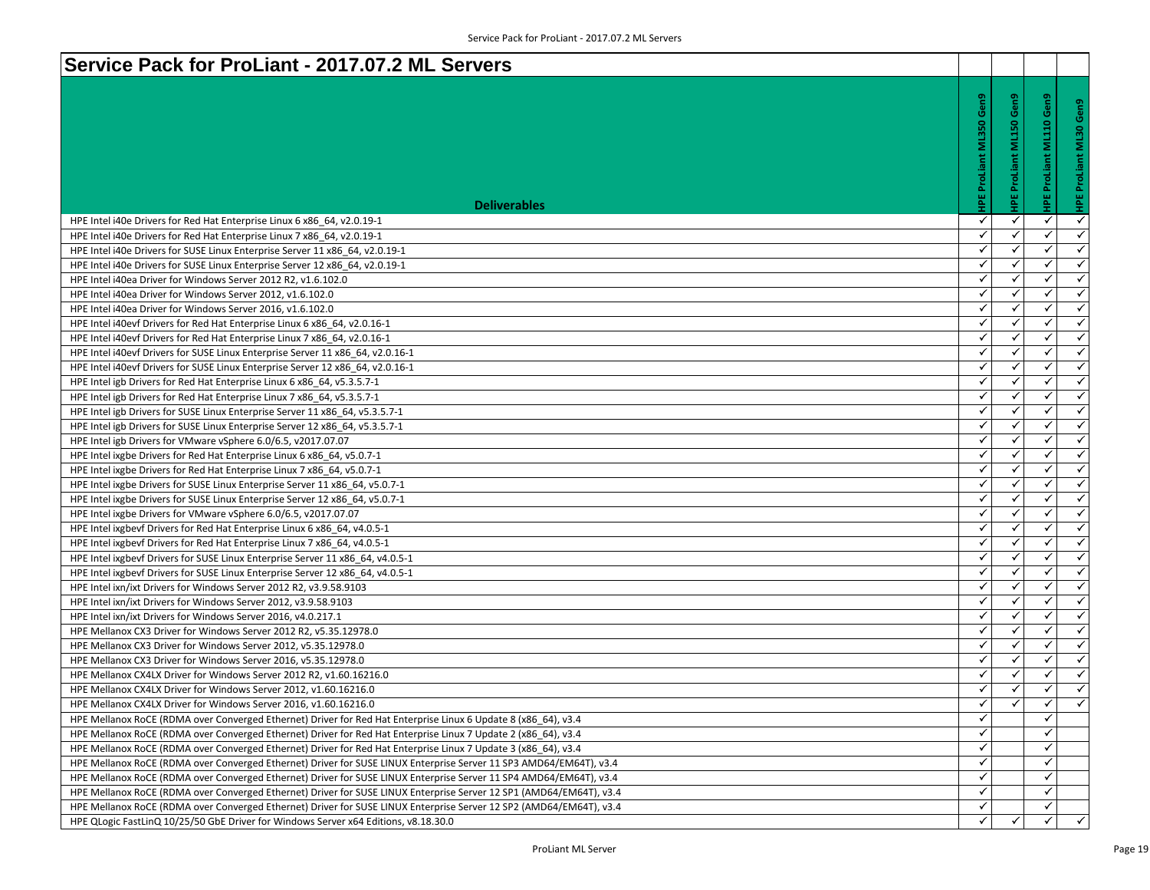| Service Pack for ProLiant - 2017.07.2 ML Servers                                                                                                                 |                                             |                         |                   |                              |
|------------------------------------------------------------------------------------------------------------------------------------------------------------------|---------------------------------------------|-------------------------|-------------------|------------------------------|
|                                                                                                                                                                  | Gen9<br><b>ML350</b><br><b>HPE ProLiant</b> | IPE ProLiant ML150 Gen9 | Gen9<br>e.<br>≣   | Gen9<br>ī<br>roLiant<br>๛    |
| <b>Deliverables</b>                                                                                                                                              |                                             |                         | 뾥                 |                              |
| HPE Intel i40e Drivers for Red Hat Enterprise Linux 6 x86_64, v2.0.19-1                                                                                          | ✓                                           | ✓                       | ✓                 | $\checkmark$                 |
| HPE Intel i40e Drivers for Red Hat Enterprise Linux 7 x86_64, v2.0.19-1                                                                                          | ✓                                           | ✓                       | ✓                 | ✓                            |
| HPE Intel i40e Drivers for SUSE Linux Enterprise Server 11 x86_64, v2.0.19-1                                                                                     | $\checkmark$                                | ✓                       | $\checkmark$      | $\checkmark$                 |
| HPE Intel i40e Drivers for SUSE Linux Enterprise Server 12 x86 64, v2.0.19-1                                                                                     | ✓                                           | ✓                       | ✓                 | $\checkmark$<br>$\checkmark$ |
| HPE Intel i40ea Driver for Windows Server 2012 R2, v1.6.102.0                                                                                                    | ✓<br>$\checkmark$                           | ✓<br>✓                  | ✓<br>$\checkmark$ | $\checkmark$                 |
| HPE Intel i40ea Driver for Windows Server 2012, v1.6.102.0                                                                                                       | $\checkmark$                                | ✓                       | $\checkmark$      | $\checkmark$                 |
| HPE Intel i40ea Driver for Windows Server 2016, v1.6.102.0                                                                                                       | $\checkmark$                                | ✓                       | ✓                 | $\checkmark$                 |
| HPE Intel i40evf Drivers for Red Hat Enterprise Linux 6 x86 64, v2.0.16-1                                                                                        | $\checkmark$                                | ✓                       | ✓                 | $\checkmark$                 |
| HPE Intel i40evf Drivers for Red Hat Enterprise Linux 7 x86 64, v2.0.16-1                                                                                        | ✓                                           | ✓                       | ✓                 | $\checkmark$                 |
| HPE Intel i40evf Drivers for SUSE Linux Enterprise Server 11 x86_64, v2.0.16-1<br>HPE Intel i40evf Drivers for SUSE Linux Enterprise Server 12 x86_64, v2.0.16-1 | $\checkmark$                                | ✓                       | ✓                 | $\checkmark$                 |
| HPE Intel igb Drivers for Red Hat Enterprise Linux 6 x86 64, v5.3.5.7-1                                                                                          | ✓                                           | ✓                       | ✓                 | $\checkmark$                 |
| HPE Intel igb Drivers for Red Hat Enterprise Linux 7 x86_64, v5.3.5.7-1                                                                                          | ✓                                           | ✓                       | ✓                 | $\checkmark$                 |
| HPE Intel igb Drivers for SUSE Linux Enterprise Server 11 x86_64, v5.3.5.7-1                                                                                     | $\checkmark$                                | ✓                       | $\checkmark$      | $\checkmark$                 |
| HPE Intel igb Drivers for SUSE Linux Enterprise Server 12 x86 64, v5.3.5.7-1                                                                                     | ✓                                           | ✓                       | ✓                 | $\checkmark$                 |
| HPE Intel igb Drivers for VMware vSphere 6.0/6.5, v2017.07.07                                                                                                    | ✓                                           | ✓                       | ✓                 | $\checkmark$                 |
| HPE Intel ixgbe Drivers for Red Hat Enterprise Linux 6 x86_64, v5.0.7-1                                                                                          | $\checkmark$                                | $\checkmark$            | $\checkmark$      | $\checkmark$                 |
| HPE Intel ixgbe Drivers for Red Hat Enterprise Linux 7 x86_64, v5.0.7-1                                                                                          | $\checkmark$                                | ✓                       | ✓                 | ✓                            |
| HPE Intel ixgbe Drivers for SUSE Linux Enterprise Server 11 x86 64, v5.0.7-1                                                                                     | ✓                                           | $\checkmark$            | ✓                 | $\checkmark$                 |
| HPE Intel ixgbe Drivers for SUSE Linux Enterprise Server 12 x86_64, v5.0.7-1                                                                                     | $\checkmark$                                | $\checkmark$            | ✓                 | $\checkmark$                 |
| HPE Intel ixgbe Drivers for VMware vSphere 6.0/6.5, v2017.07.07                                                                                                  | ✓                                           | ✓                       | ✓                 | $\checkmark$                 |
| HPE Intel ixgbevf Drivers for Red Hat Enterprise Linux 6 x86_64, v4.0.5-1                                                                                        | ✓                                           | ✓                       | $\checkmark$      | $\checkmark$                 |
| HPE Intel ixgbevf Drivers for Red Hat Enterprise Linux 7 x86 64, v4.0.5-1                                                                                        | $\checkmark$                                | $\checkmark$            | $\checkmark$      | $\checkmark$                 |
| HPE Intel ixgbevf Drivers for SUSE Linux Enterprise Server 11 x86_64, v4.0.5-1                                                                                   | $\checkmark$                                | ✓                       | ✓                 | $\checkmark$                 |
| HPE Intel ixgbevf Drivers for SUSE Linux Enterprise Server 12 x86 64, v4.0.5-1                                                                                   | $\checkmark$                                | ✓                       | ✓                 | $\checkmark$                 |
| HPE Intel ixn/ixt Drivers for Windows Server 2012 R2, v3.9.58.9103                                                                                               | $\checkmark$                                | ✓                       | ✓                 | ✓                            |
| HPE Intel ixn/ixt Drivers for Windows Server 2012, v3.9.58.9103                                                                                                  | ✓                                           | ✓                       | ✓                 | ✓                            |
| HPE Intel ixn/ixt Drivers for Windows Server 2016, v4.0.217.1                                                                                                    | $\checkmark$                                | $\checkmark$            | $\checkmark$      | $\checkmark$                 |
| HPE Mellanox CX3 Driver for Windows Server 2012 R2, v5.35.12978.0                                                                                                | ✓                                           | ✓                       | ✓                 | $\checkmark$                 |
| HPE Mellanox CX3 Driver for Windows Server 2012, v5.35.12978.0                                                                                                   | ✓                                           | $\checkmark$            | ✓                 | $\checkmark$                 |
| HPE Mellanox CX3 Driver for Windows Server 2016, v5.35.12978.0                                                                                                   | ✓                                           | ✓                       | ✓                 | $\checkmark$                 |
| HPE Mellanox CX4LX Driver for Windows Server 2012 R2, v1.60.16216.0                                                                                              | $\checkmark$                                |                         | $\checkmark$      | $\checkmark$                 |
| HPE Mellanox CX4LX Driver for Windows Server 2012, v1.60.16216.0                                                                                                 | $\checkmark$                                | ✓                       | ✓                 | $\checkmark$                 |
| HPE Mellanox CX4LX Driver for Windows Server 2016, v1.60.16216.0                                                                                                 | ✓                                           | ✓                       | $\checkmark$      | ✓                            |
| HPE Mellanox RoCE (RDMA over Converged Ethernet) Driver for Red Hat Enterprise Linux 6 Update 8 (x86 64), v3.4                                                   | $\checkmark$                                |                         | ✓                 |                              |
| HPE Mellanox RoCE (RDMA over Converged Ethernet) Driver for Red Hat Enterprise Linux 7 Update 2 (x86 64), v3.4                                                   | $\checkmark$                                |                         | ✓                 |                              |
| HPE Mellanox RoCE (RDMA over Converged Ethernet) Driver for Red Hat Enterprise Linux 7 Update 3 (x86 64), v3.4                                                   | ✓                                           |                         | ✓                 |                              |
| HPE Mellanox RoCE (RDMA over Converged Ethernet) Driver for SUSE LINUX Enterprise Server 11 SP3 AMD64/EM64T), v3.4                                               | ✓                                           |                         | ✓                 |                              |
| HPE Mellanox RoCE (RDMA over Converged Ethernet) Driver for SUSE LINUX Enterprise Server 11 SP4 AMD64/EM64T), v3.4                                               | $\checkmark$                                |                         | ✓                 |                              |
| HPE Mellanox RoCE (RDMA over Converged Ethernet) Driver for SUSE LINUX Enterprise Server 12 SP1 (AMD64/EM64T), v3.4                                              | ✓                                           |                         | ✓                 |                              |
| HPE Mellanox RoCE (RDMA over Converged Ethernet) Driver for SUSE LINUX Enterprise Server 12 SP2 (AMD64/EM64T), v3.4                                              | ✓                                           |                         | ✓                 |                              |
| HPE QLogic FastLinQ 10/25/50 GbE Driver for Windows Server x64 Editions, v8.18.30.0                                                                              | $\checkmark$                                | $\checkmark$            | $\checkmark$      | $\checkmark$                 |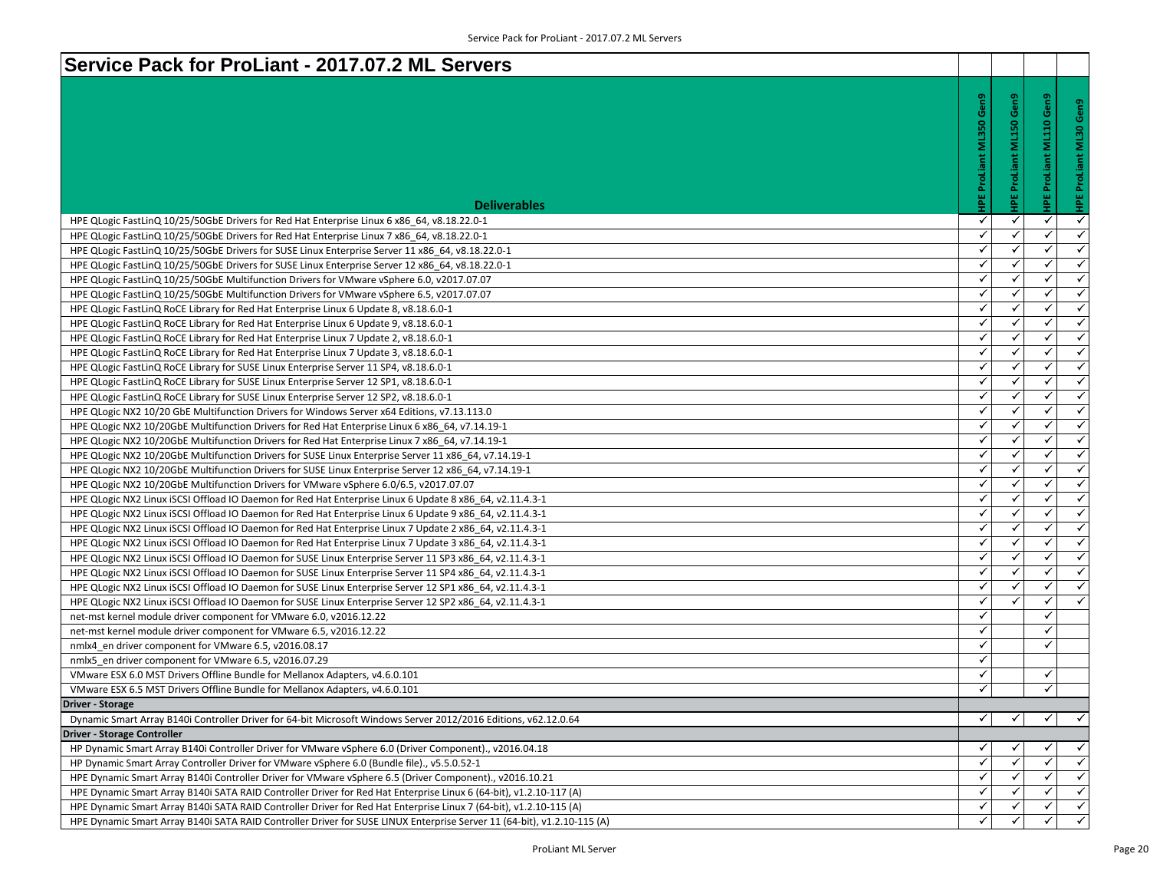| Service Pack for ProLiant - 2017.07.2 ML Servers                                                                        |                     |                                |              |                      |
|-------------------------------------------------------------------------------------------------------------------------|---------------------|--------------------------------|--------------|----------------------|
|                                                                                                                         |                     |                                |              |                      |
|                                                                                                                         | Gen9                | <b>HPE ProLiant ML150 Gen9</b> | Gen9         |                      |
|                                                                                                                         |                     |                                | a.           |                      |
|                                                                                                                         | <b>ML350</b>        |                                |              |                      |
|                                                                                                                         |                     |                                | ≣            |                      |
|                                                                                                                         |                     |                                |              |                      |
|                                                                                                                         | <b>HPE ProLiant</b> |                                |              |                      |
|                                                                                                                         |                     |                                |              |                      |
| <b>Deliverables</b>                                                                                                     |                     |                                | 쀭            |                      |
| HPE QLogic FastLinQ 10/25/50GbE Drivers for Red Hat Enterprise Linux 6 x86_64, v8.18.22.0-1                             | ✓                   | ✓                              | ✓            | $\checkmark$         |
| HPE QLogic FastLinQ 10/25/50GbE Drivers for Red Hat Enterprise Linux 7 x86_64, v8.18.22.0-1                             | ✓                   | ✓                              | ✓            | ✓                    |
| HPE QLogic FastLinQ 10/25/50GbE Drivers for SUSE Linux Enterprise Server 11 x86_64, v8.18.22.0-1                        | $\checkmark$        | $\checkmark$                   | ✓            | $\checkmark$         |
| HPE QLogic FastLinQ 10/25/50GbE Drivers for SUSE Linux Enterprise Server 12 x86_64, v8.18.22.0-1                        | ✓                   | ✓                              | ✓            | $\checkmark$         |
| HPE QLogic FastLinQ 10/25/50GbE Multifunction Drivers for VMware vSphere 6.0, v2017.07.07                               | ✓                   | ✓                              | ✓            | $\checkmark$         |
| HPE QLogic FastLinQ 10/25/50GbE Multifunction Drivers for VMware vSphere 6.5, v2017.07.07                               | ✓                   | ✓                              | ✓            | $\checkmark$         |
| HPE QLogic FastLinQ RoCE Library for Red Hat Enterprise Linux 6 Update 8, v8.18.6.0-1                                   | ✓                   | $\checkmark$                   | $\checkmark$ | $\checkmark$         |
| HPE QLogic FastLinQ RoCE Library for Red Hat Enterprise Linux 6 Update 9, v8.18.6.0-1                                   | $\checkmark$        | $\checkmark$                   | ✓            | $\checkmark$         |
| HPE QLogic FastLinQ RoCE Library for Red Hat Enterprise Linux 7 Update 2, v8.18.6.0-1                                   | $\checkmark$        | ✓                              | ✓            | $\checkmark$         |
| HPE QLogic FastLinQ RoCE Library for Red Hat Enterprise Linux 7 Update 3, v8.18.6.0-1                                   | ✓                   | ✓                              | ✓            | $\checkmark$         |
| HPE QLogic FastLinQ RoCE Library for SUSE Linux Enterprise Server 11 SP4, v8.18.6.0-1                                   | ✓                   | $\checkmark$                   | ✓            | $\checkmark$         |
| HPE QLogic FastLinQ RoCE Library for SUSE Linux Enterprise Server 12 SP1, v8.18.6.0-1                                   | ✓                   | ✓                              | ✓            | $\checkmark$         |
| HPE QLogic FastLinQ RoCE Library for SUSE Linux Enterprise Server 12 SP2, v8.18.6.0-1                                   | ✓                   | ✓                              | ✓            | $\checkmark$         |
| HPE QLogic NX2 10/20 GbE Multifunction Drivers for Windows Server x64 Editions, v7.13.113.0                             | ✓                   | $\checkmark$                   | ✓            | $\checkmark$         |
| HPE QLogic NX2 10/20GbE Multifunction Drivers for Red Hat Enterprise Linux 6 x86 64, v7.14.19-1                         | $\checkmark$        | ✓                              | ✓            | $\checkmark$         |
| HPE QLogic NX2 10/20GbE Multifunction Drivers for Red Hat Enterprise Linux 7 x86 64, v7.14.19-1                         | $\checkmark$        | ✓                              | ✓            | $\checkmark$         |
| HPE QLogic NX2 10/20GbE Multifunction Drivers for SUSE Linux Enterprise Server 11 x86_64, v7.14.19-1                    | $\checkmark$        | $\checkmark$                   | ✓            | $\checkmark$         |
| HPE QLogic NX2 10/20GbE Multifunction Drivers for SUSE Linux Enterprise Server 12 x86_64, v7.14.19-1                    | ✓                   | ✓                              | ✓            | $\checkmark$         |
| HPE QLogic NX2 10/20GbE Multifunction Drivers for VMware vSphere 6.0/6.5, v2017.07.07                                   | ✓                   | $\checkmark$                   | ✓            | $\checkmark$         |
| HPE QLogic NX2 Linux iSCSI Offload IO Daemon for Red Hat Enterprise Linux 6 Update 8 x86_64, v2.11.4.3-1                | ✓                   | ✓                              | ✓            | $\checkmark$         |
| HPE QLogic NX2 Linux iSCSI Offload IO Daemon for Red Hat Enterprise Linux 6 Update 9 x86_64, v2.11.4.3-1                | ✓                   | ✓                              | ✓            | $\checkmark$         |
| HPE QLogic NX2 Linux iSCSI Offload IO Daemon for Red Hat Enterprise Linux 7 Update 2 x86_64, v2.11.4.3-1                | ✓                   | ✓                              | ✓            | $\checkmark$         |
| HPE QLogic NX2 Linux iSCSI Offload IO Daemon for Red Hat Enterprise Linux 7 Update 3 x86_64, v2.11.4.3-1                | $\checkmark$        | $\checkmark$                   | $\checkmark$ | $\checkmark$         |
| HPE QLogic NX2 Linux iSCSI Offload IO Daemon for SUSE Linux Enterprise Server 11 SP3 x86_64, v2.11.4.3-1                | $\checkmark$        | ✓                              | ✓            | $\checkmark$         |
| HPE QLogic NX2 Linux iSCSI Offload IO Daemon for SUSE Linux Enterprise Server 11 SP4 x86 64, v2.11.4.3-1                | $\checkmark$        | $\checkmark$                   | ✓            | $\checkmark$         |
| HPE QLogic NX2 Linux iSCSI Offload IO Daemon for SUSE Linux Enterprise Server 12 SP1 x86_64, v2.11.4.3-1                | $\checkmark$        | ✓                              | ✓            | ✓                    |
| HPE QLogic NX2 Linux iSCSI Offload IO Daemon for SUSE Linux Enterprise Server 12 SP2 x86_64, v2.11.4.3-1                | ✓                   | ✓                              | ✓            | ✓                    |
| net-mst kernel module driver component for VM ware 6.0, v2016.12.22                                                     | $\checkmark$        |                                | $\checkmark$ |                      |
| net-mst kernel module driver component for VMware 6.5, v2016.12.22                                                      | ✓                   |                                | ✓            |                      |
| nmlx4 en driver component for VMware 6.5, v2016.08.17                                                                   | ✓                   |                                | ✓            |                      |
| nmlx5 en driver component for VMware 6.5, v2016.07.29                                                                   | ✓                   |                                |              |                      |
| VMware ESX 6.0 MST Drivers Offline Bundle for Mellanox Adapters, v4.6.0.101                                             | ✓                   |                                | ✓            |                      |
| VMware ESX 6.5 MST Drivers Offline Bundle for Mellanox Adapters, v4.6.0.101                                             | $\checkmark$        |                                | ✓            |                      |
| <b>Driver - Storage</b>                                                                                                 |                     |                                |              |                      |
| Dynamic Smart Array B140i Controller Driver for 64-bit Microsoft Windows Server 2012/2016 Editions, v62.12.0.64         | ✓                   | ✓                              |              | $\checkmark$         |
| <b>Driver - Storage Controller</b>                                                                                      |                     |                                |              |                      |
| HP Dynamic Smart Array B140i Controller Driver for VMware vSphere 6.0 (Driver Component)., v2016.04.18                  | ✓                   | ✓                              |              | $\checkmark$         |
| HP Dynamic Smart Array Controller Driver for VMware vSphere 6.0 (Bundle file)., v5.5.0.52-1                             | ✓                   | $\checkmark$                   |              | $\checkmark$         |
| HPE Dynamic Smart Array B140i Controller Driver for VMware vSphere 6.5 (Driver Component)., v2016.10.21                 | ✓                   | ✓                              | ✓            | $\checkmark$         |
| HPE Dynamic Smart Array B140i SATA RAID Controller Driver for Red Hat Enterprise Linux 6 (64-bit), v1.2.10-117 (A)      | ✓                   | ✓                              | ✓            | $\checkmark$         |
| HPE Dynamic Smart Array B140i SATA RAID Controller Driver for Red Hat Enterprise Linux 7 (64-bit), v1.2.10-115 (A)      | ✓                   |                                |              | $\checkmark$         |
| HPE Dynamic Smart Array B140i SATA RAID Controller Driver for SUSE LINUX Enterprise Server 11 (64-bit), v1.2.10-115 (A) | $\checkmark$        |                                | ✓            | $\blacktriangledown$ |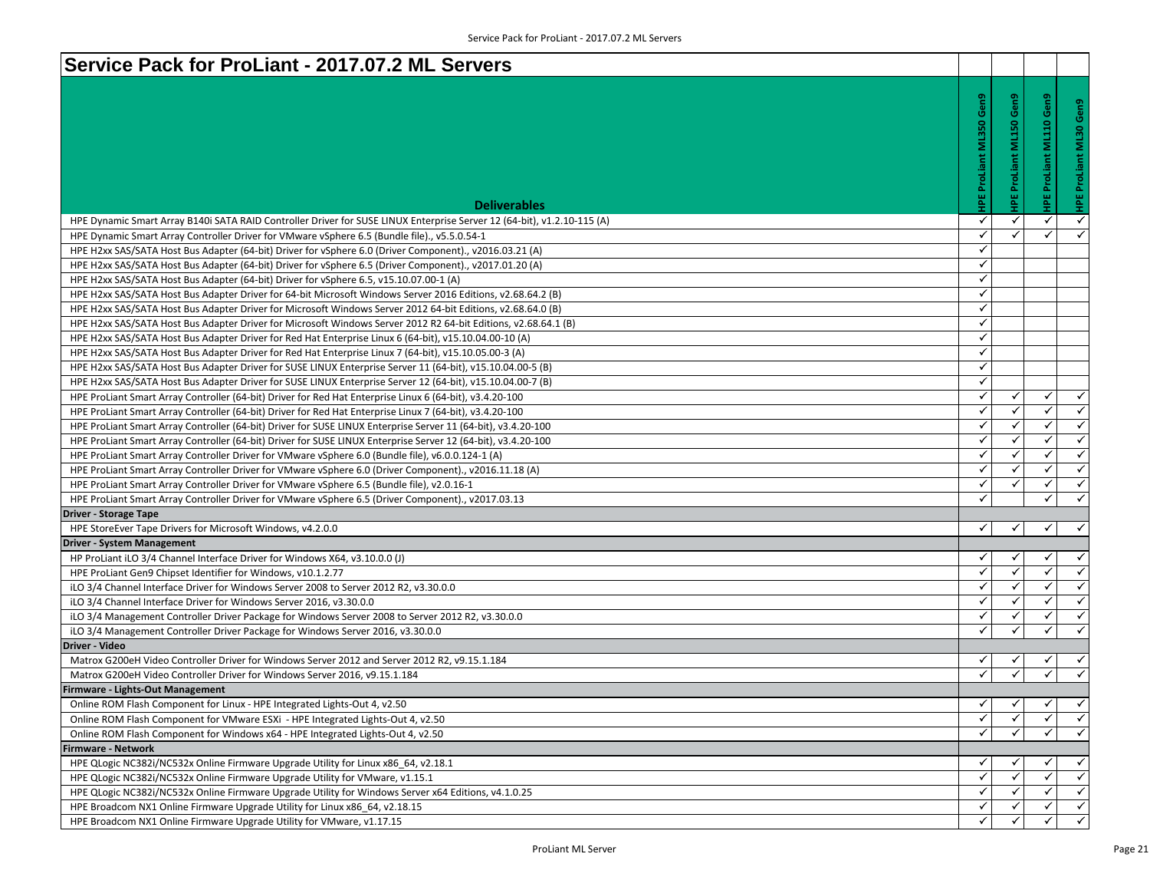| Service Pack for ProLiant - 2017.07.2 ML Servers                                                                        |                           |                         |              |                          |
|-------------------------------------------------------------------------------------------------------------------------|---------------------------|-------------------------|--------------|--------------------------|
|                                                                                                                         |                           |                         |              |                          |
|                                                                                                                         | Gen9                      | IPE ProLiant ML150 Gen9 | ്            | Gen9                     |
|                                                                                                                         | <b>HPE ProLiant ML350</b> |                         | ្ព           |                          |
|                                                                                                                         |                           |                         | E<br>N       | <b>HPE ProLiant ML30</b> |
|                                                                                                                         |                           |                         |              |                          |
|                                                                                                                         |                           |                         |              |                          |
|                                                                                                                         |                           |                         |              |                          |
| <b>Deliverables</b>                                                                                                     |                           |                         |              |                          |
| HPE Dynamic Smart Array B140i SATA RAID Controller Driver for SUSE LINUX Enterprise Server 12 (64-bit), v1.2.10-115 (A) | ✓                         | $\checkmark$            | ✓            | $\checkmark$             |
| HPE Dynamic Smart Array Controller Driver for VMware vSphere 6.5 (Bundle file)., v5.5.0.54-1                            | ✓                         | ✓                       | ✓            | $\checkmark$             |
| HPE H2xx SAS/SATA Host Bus Adapter (64-bit) Driver for vSphere 6.0 (Driver Component)., v2016.03.21 (A)                 | ✓                         |                         |              |                          |
| HPE H2xx SAS/SATA Host Bus Adapter (64-bit) Driver for vSphere 6.5 (Driver Component)., v2017.01.20 (A)                 | ✓                         |                         |              |                          |
| HPE H2xx SAS/SATA Host Bus Adapter (64-bit) Driver for vSphere 6.5, v15.10.07.00-1 (A)                                  | ✓                         |                         |              |                          |
| HPE H2xx SAS/SATA Host Bus Adapter Driver for 64-bit Microsoft Windows Server 2016 Editions, v2.68.64.2 (B)             | $\checkmark$              |                         |              |                          |
| HPE H2xx SAS/SATA Host Bus Adapter Driver for Microsoft Windows Server 2012 64-bit Editions, v2.68.64.0 (B)             | ✓                         |                         |              |                          |
| HPE H2xx SAS/SATA Host Bus Adapter Driver for Microsoft Windows Server 2012 R2 64-bit Editions, v2.68.64.1 (B)          | ✓                         |                         |              |                          |
| HPE H2xx SAS/SATA Host Bus Adapter Driver for Red Hat Enterprise Linux 6 (64-bit), v15.10.04.00-10 (A)                  | ✓                         |                         |              |                          |
| HPE H2xx SAS/SATA Host Bus Adapter Driver for Red Hat Enterprise Linux 7 (64-bit), v15.10.05.00-3 (A)                   | $\checkmark$              |                         |              |                          |
| HPE H2xx SAS/SATA Host Bus Adapter Driver for SUSE LINUX Enterprise Server 11 (64-bit), v15.10.04.00-5 (B)              | ✓                         |                         |              |                          |
| HPE H2xx SAS/SATA Host Bus Adapter Driver for SUSE LINUX Enterprise Server 12 (64-bit), v15.10.04.00-7 (B)              | ✓                         |                         |              |                          |
| HPE ProLiant Smart Array Controller (64-bit) Driver for Red Hat Enterprise Linux 6 (64-bit), v3.4.20-100                | ✓                         | ✓                       | ✓            | $\checkmark$             |
| HPE ProLiant Smart Array Controller (64-bit) Driver for Red Hat Enterprise Linux 7 (64-bit), v3.4.20-100                | ✓                         | $\checkmark$            | $\checkmark$ | $\checkmark$             |
| HPE ProLiant Smart Array Controller (64-bit) Driver for SUSE LINUX Enterprise Server 11 (64-bit), v3.4.20-100           | ✓                         | ✓                       | ✓            | $\checkmark$             |
| HPE ProLiant Smart Array Controller (64-bit) Driver for SUSE LINUX Enterprise Server 12 (64-bit), v3.4.20-100           | ✓                         | ✓                       | ✓            | $\checkmark$             |
| HPE ProLiant Smart Array Controller Driver for VMware vSphere 6.0 (Bundle file), v6.0.0.124-1 (A)                       | ✓                         | $\checkmark$            | $\checkmark$ | $\checkmark$             |
| HPE ProLiant Smart Array Controller Driver for VMware vSphere 6.0 (Driver Component)., v2016.11.18 (A)                  | ✓                         | ✓                       | ✓            | $\checkmark$             |
| HPE ProLiant Smart Array Controller Driver for VMware vSphere 6.5 (Bundle file), v2.0.16-1                              | ✓                         | ✓                       | ✓            | $\overline{\checkmark}$  |
| HPE ProLiant Smart Array Controller Driver for VMware vSphere 6.5 (Driver Component)., v2017.03.13                      | ✓                         |                         | ✓            | $\checkmark$             |
| <b>Driver - Storage Tape</b>                                                                                            |                           |                         |              |                          |
| HPE StoreEver Tape Drivers for Microsoft Windows, v4.2.0.0                                                              | ✓                         | ✓                       | ✓            | $\checkmark$             |
| <b>Driver - System Management</b>                                                                                       |                           |                         |              |                          |
| HP ProLiant iLO 3/4 Channel Interface Driver for Windows X64, v3.10.0.0 (J)                                             | ✓                         | ✓                       |              | $\checkmark$             |
| HPE ProLiant Gen9 Chipset Identifier for Windows, v10.1.2.77                                                            | $\checkmark$              | $\checkmark$            | $\checkmark$ | $\blacktriangle$         |
| iLO 3/4 Channel Interface Driver for Windows Server 2008 to Server 2012 R2, v3.30.0.0                                   | $\checkmark$              | ✓                       | ✓            | $\checkmark$             |
| iLO 3/4 Channel Interface Driver for Windows Server 2016, v3.30.0.0                                                     | ✓                         | $\checkmark$            | ✓            | $\checkmark$             |
| iLO 3/4 Management Controller Driver Package for Windows Server 2008 to Server 2012 R2, v3.30.0.0                       | ✓                         | ✓                       | ✓            | $\checkmark$             |
| iLO 3/4 Management Controller Driver Package for Windows Server 2016, v3.30.0.0                                         | ✓                         |                         | ✓            | $\checkmark$             |
| Driver - Video                                                                                                          |                           |                         |              |                          |
| Matrox G200eH Video Controller Driver for Windows Server 2012 and Server 2012 R2, v9.15.1.184                           |                           |                         |              | ✓                        |
| Matrox G200eH Video Controller Driver for Windows Server 2016, v9.15.1.184                                              |                           |                         |              | $\checkmark$             |
| Firmware - Lights-Out Management                                                                                        |                           |                         |              |                          |
| Online ROM Flash Component for Linux - HPE Integrated Lights-Out 4, v2.50                                               | ✓                         | ✓                       |              | ✓                        |
| Online ROM Flash Component for VMware ESXi - HPE Integrated Lights-Out 4, v2.50                                         | $\checkmark$              | ✓                       |              | $\checkmark$             |
| Online ROM Flash Component for Windows x64 - HPE Integrated Lights-Out 4, v2.50                                         | $\checkmark$              | $\checkmark$            | ✓            | $\blacktriangledown$     |
| <b>Firmware - Network</b>                                                                                               |                           |                         |              |                          |
| HPE QLogic NC382i/NC532x Online Firmware Upgrade Utility for Linux x86 64, v2.18.1                                      | ✔                         | ✓                       |              | $\checkmark$             |
| HPE QLogic NC382i/NC532x Online Firmware Upgrade Utility for VMware, v1.15.1                                            | $\checkmark$              | ✓                       |              | $\checkmark$             |
| HPE QLogic NC382i/NC532x Online Firmware Upgrade Utility for Windows Server x64 Editions, v4.1.0.25                     | ✓                         | ✓                       |              | $\checkmark$             |
| HPE Broadcom NX1 Online Firmware Upgrade Utility for Linux x86 64, v2.18.15                                             | ✓                         | ✓                       |              | $\checkmark$             |
| HPE Broadcom NX1 Online Firmware Upgrade Utility for VMware, v1.17.15                                                   | ✓                         | $\checkmark$            |              | $\blacktriangledown$     |
|                                                                                                                         |                           |                         |              |                          |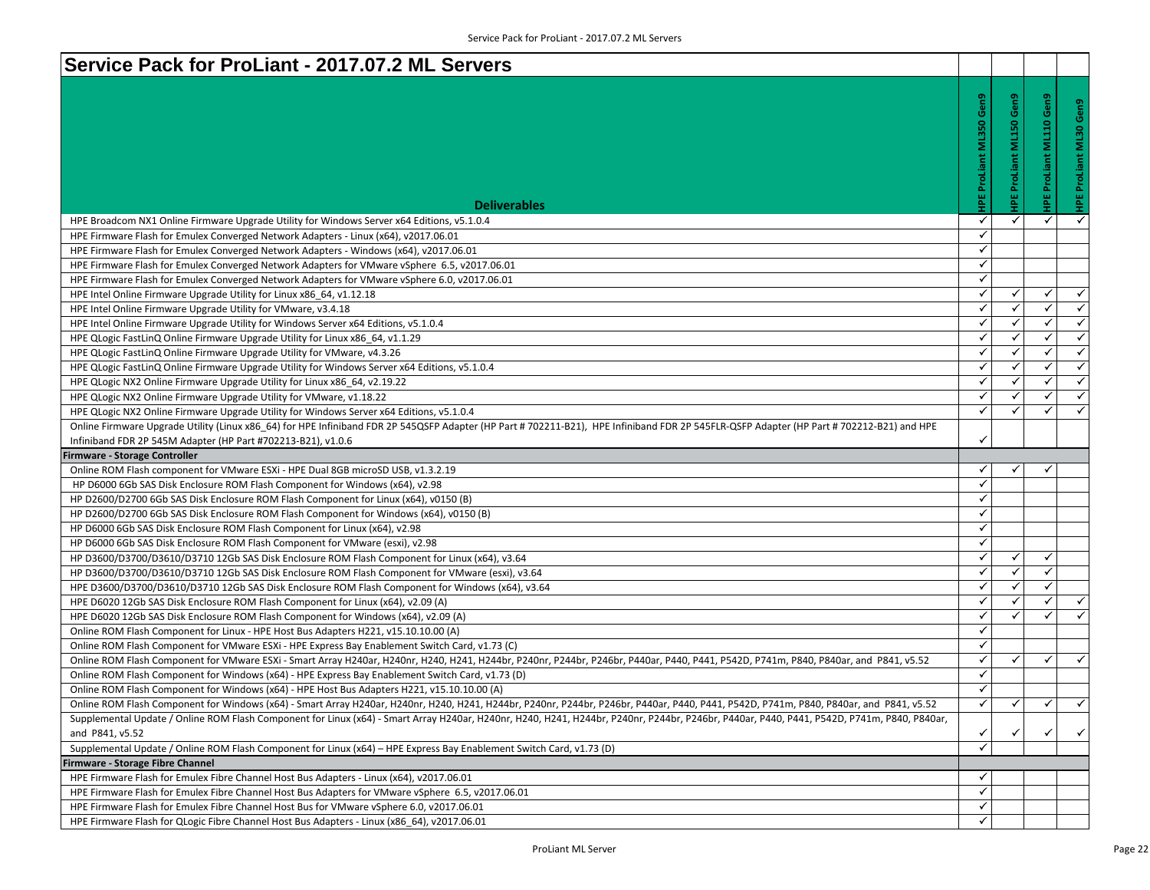| Service Pack for ProLiant - 2017.07.2 ML Servers                                                                                                                                           |                              |                |              |                         |
|--------------------------------------------------------------------------------------------------------------------------------------------------------------------------------------------|------------------------------|----------------|--------------|-------------------------|
|                                                                                                                                                                                            |                              |                |              |                         |
|                                                                                                                                                                                            | Gen9                         | Gen9           | Gen9         | HPE ProLiant ML30 Gen9  |
|                                                                                                                                                                                            | <b>ML350</b>                 |                |              |                         |
|                                                                                                                                                                                            |                              | ProLiant ML150 | <b>ML110</b> |                         |
|                                                                                                                                                                                            |                              |                |              |                         |
|                                                                                                                                                                                            |                              |                | ProLiant     |                         |
|                                                                                                                                                                                            |                              |                |              |                         |
| <b>Deliverables</b>                                                                                                                                                                        | <b>HPE ProLiant</b>          | 꾑              |              |                         |
|                                                                                                                                                                                            | $\checkmark$                 | $\checkmark$   | ✓            | $\checkmark$            |
| HPE Broadcom NX1 Online Firmware Upgrade Utility for Windows Server x64 Editions, v5.1.0.4                                                                                                 | $\checkmark$                 |                |              |                         |
| HPE Firmware Flash for Emulex Converged Network Adapters - Linux (x64), v2017.06.01                                                                                                        | $\checkmark$                 |                |              |                         |
| HPE Firmware Flash for Emulex Converged Network Adapters - Windows (x64), v2017.06.01<br>HPE Firmware Flash for Emulex Converged Network Adapters for VMware vSphere 6.5, v2017.06.01      | $\checkmark$                 |                |              |                         |
|                                                                                                                                                                                            | ✓                            |                |              |                         |
| HPE Firmware Flash for Emulex Converged Network Adapters for VMware vSphere 6.0, v2017.06.01<br>HPE Intel Online Firmware Upgrade Utility for Linux x86_64, v1.12.18                       | ✓                            | ✓              | ✓            | $\checkmark$            |
| HPE Intel Online Firmware Upgrade Utility for VMware, v3.4.18                                                                                                                              | $\checkmark$                 | ✓              | $\checkmark$ | $\checkmark$            |
| HPE Intel Online Firmware Upgrade Utility for Windows Server x64 Editions, v5.1.0.4                                                                                                        | ✓                            | ✓              | $\checkmark$ | $\checkmark$            |
| HPE QLogic FastLinQ Online Firmware Upgrade Utility for Linux x86_64, v1.1.29                                                                                                              | $\checkmark$                 | $\checkmark$   | $\checkmark$ | $\checkmark$            |
| HPE QLogic FastLinQ Online Firmware Upgrade Utility for VMware, v4.3.26                                                                                                                    | ✓                            | ✓              | ✓            | $\checkmark$            |
| HPE QLogic FastLinQ Online Firmware Upgrade Utility for Windows Server x64 Editions, v5.1.0.4                                                                                              | ✓                            | ✓              | ✓            | $\checkmark$            |
| HPE QLogic NX2 Online Firmware Upgrade Utility for Linux x86 64, v2.19.22                                                                                                                  | ✓                            | ✓              | ✓            | $\checkmark$            |
| HPE QLogic NX2 Online Firmware Upgrade Utility for VMware, v1.18.22                                                                                                                        | ✓                            |                | $\checkmark$ | $\blacktriangleleft$    |
| HPE QLogic NX2 Online Firmware Upgrade Utility for Windows Server x64 Editions, v5.1.0.4                                                                                                   | $\checkmark$                 | ✓              | $\checkmark$ | $\checkmark$            |
| Online Firmware Upgrade Utility (Linux x86_64) for HPE Infiniband FDR 2P 545QSFP Adapter (HP Part # 702211-B21), HPE Infiniband FDR 2P 545FLR-QSFP Adapter (HP Part # 702212-B21) and HPE  |                              |                |              |                         |
|                                                                                                                                                                                            |                              |                |              |                         |
|                                                                                                                                                                                            | ✓                            |                |              |                         |
| Infiniband FDR 2P 545M Adapter (HP Part #702213-B21), v1.0.6<br>Firmware - Storage Controller                                                                                              |                              |                |              |                         |
| Online ROM Flash component for VMware ESXi - HPE Dual 8GB microSD USB, v1.3.2.19                                                                                                           | ✓                            | ✓              | ✓            |                         |
| HP D6000 6Gb SAS Disk Enclosure ROM Flash Component for Windows (x64), v2.98                                                                                                               | $\checkmark$                 |                |              |                         |
| HP D2600/D2700 6Gb SAS Disk Enclosure ROM Flash Component for Linux (x64), v0150 (B)                                                                                                       | $\checkmark$                 |                |              |                         |
| HP D2600/D2700 6Gb SAS Disk Enclosure ROM Flash Component for Windows (x64), v0150 (B)                                                                                                     | ✓                            |                |              |                         |
| HP D6000 6Gb SAS Disk Enclosure ROM Flash Component for Linux (x64), v2.98                                                                                                                 | ✓                            |                |              |                         |
| HP D6000 6Gb SAS Disk Enclosure ROM Flash Component for VMware (esxi), v2.98                                                                                                               | $\checkmark$                 |                |              |                         |
| HP D3600/D3700/D3610/D3710 12Gb SAS Disk Enclosure ROM Flash Component for Linux (x64), v3.64                                                                                              | ✓                            | ✓              | ✓            |                         |
| HP D3600/D3700/D3610/D3710 12Gb SAS Disk Enclosure ROM Flash Component for VMware (esxi), v3.64                                                                                            | ✓                            | ✓              | $\checkmark$ |                         |
| HPE D3600/D3700/D3610/D3710 12Gb SAS Disk Enclosure ROM Flash Component for Windows (x64), v3.64                                                                                           | $\checkmark$                 | ✓              | $\checkmark$ |                         |
| HPE D6020 12Gb SAS Disk Enclosure ROM Flash Component for Linux (x64), v2.09 (A)                                                                                                           | ✓                            | ✓              | ✓            | ✓                       |
| HPE D6020 12Gb SAS Disk Enclosure ROM Flash Component for Windows (x64), v2.09 (A)                                                                                                         | $\checkmark$                 | ✓              | ✓            | $\overline{\checkmark}$ |
| Online ROM Flash Component for Linux - HPE Host Bus Adapters H221, v15.10.10.00 (A)                                                                                                        | $\checkmark$                 |                |              |                         |
| Online ROM Flash Component for VMware ESXi - HPE Express Bay Enablement Switch Card, v1.73 (C)                                                                                             | ✓                            |                |              |                         |
| Online ROM Flash Component for VMware ESXi - Smart Array H240ar, H240nr, H240, H241, H244br, P240nr, P244br, P246br, P440ar, P440, P441, P542D, P741m, P840, P840ar, and P841, v5.52       | ✓                            | ✓              | ✓            | $\checkmark$            |
| Online ROM Flash Component for Windows (x64) - HPE Express Bay Enablement Switch Card, v1.73 (D)                                                                                           | $\checkmark$                 |                |              |                         |
| Online ROM Flash Component for Windows (x64) - HPE Host Bus Adapters H221, v15.10.10.00 (A)                                                                                                | ✓                            |                |              |                         |
| Online ROM Flash Component for Windows (x64) - Smart Array H240ar, H240nr, H240, H241, H244br, P240nr, P244br, P246br, P440ar, P440, P441, P542D, P741m, P840, P840ar, and P841, v5.52     | ✓                            | v              |              | ✔                       |
| Supplemental Update / Online ROM Flash Component for Linux (x64) - Smart Array H240ar, H240nr, H240, H241, H244br, P240nr, P244br, P246br, P440ar, P440, P441, P542D, P741m, P840, P840ar, |                              |                |              |                         |
| and P841, v5.52                                                                                                                                                                            | ✓                            | ✓              |              |                         |
| Supplemental Update / Online ROM Flash Component for Linux (x64) - HPE Express Bay Enablement Switch Card, v1.73 (D)                                                                       | $\checkmark$                 |                |              |                         |
| Firmware - Storage Fibre Channel                                                                                                                                                           |                              |                |              |                         |
| HPE Firmware Flash for Emulex Fibre Channel Host Bus Adapters - Linux (x64), v2017.06.01                                                                                                   | ✓                            |                |              |                         |
| HPE Firmware Flash for Emulex Fibre Channel Host Bus Adapters for VMware vSphere 6.5, v2017.06.01                                                                                          | $\checkmark$                 |                |              |                         |
| HPE Firmware Flash for Emulex Fibre Channel Host Bus for VMware vSphere 6.0, v2017.06.01<br>HPE Firmware Flash for QLogic Fibre Channel Host Bus Adapters - Linux (x86 64), v2017.06.01    | $\checkmark$<br>$\checkmark$ |                |              | $\checkmark$            |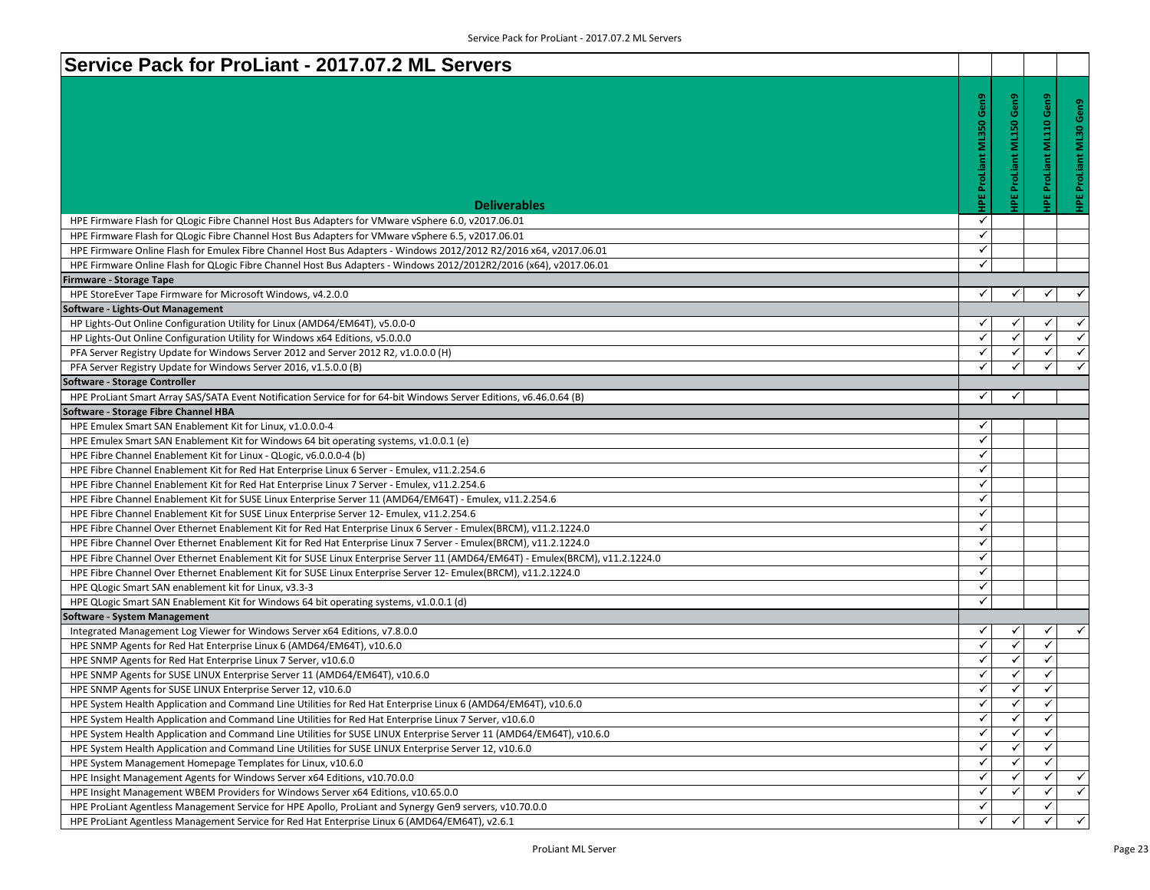| HPE ProLiant ML350 Gen9<br>IPE ProLiant ML150 Gen9<br>Gen9<br>မိ<br>ProLiant ML110<br>ツ<br><b>Deliverables</b><br>✓<br>HPE Firmware Flash for QLogic Fibre Channel Host Bus Adapters for VMware vSphere 6.0, v2017.06.01<br>✓<br>HPE Firmware Flash for QLogic Fibre Channel Host Bus Adapters for VMware vSphere 6.5, v2017.06.01<br>✓<br>HPE Firmware Online Flash for Emulex Fibre Channel Host Bus Adapters - Windows 2012/2012 R2/2016 x64, v2017.06.01<br>$\checkmark$<br>HPE Firmware Online Flash for QLogic Fibre Channel Host Bus Adapters - Windows 2012/2012R2/2016 (x64), v2017.06.01<br><b>Firmware - Storage Tape</b><br>$\checkmark$<br>✓<br>HPE StoreEver Tape Firmware for Microsoft Windows, v4.2.0.0<br>✓<br>✓<br>Software - Lights-Out Management<br>✓<br>HP Lights-Out Online Configuration Utility for Linux (AMD64/EM64T), v5.0.0-0<br>✓<br>$\overline{\mathscr{C}}$<br>$\checkmark$<br>$\checkmark$<br>✓<br>HP Lights-Out Online Configuration Utility for Windows x64 Editions, v5.0.0.0<br>$\checkmark$<br>$\checkmark$<br>✓<br>PFA Server Registry Update for Windows Server 2012 and Server 2012 R2, v1.0.0.0 (H)<br>✓<br>$\checkmark$<br>✓<br>✓<br>✓<br>PFA Server Registry Update for Windows Server 2016, v1.5.0.0 (B)<br><b>Software - Storage Controller</b><br>HPE ProLiant Smart Array SAS/SATA Event Notification Service for for 64-bit Windows Server Editions, v6.46.0.64 (B)<br>✓<br>✓<br>Software - Storage Fibre Channel HBA<br>✓<br>HPE Emulex Smart SAN Enablement Kit for Linux, v1.0.0.0-4<br>$\checkmark$<br>HPE Emulex Smart SAN Enablement Kit for Windows 64 bit operating systems, v1.0.0.1 (e)<br>$\checkmark$<br>HPE Fibre Channel Enablement Kit for Linux - QLogic, v6.0.0.0-4 (b)<br>$\checkmark$<br>HPE Fibre Channel Enablement Kit for Red Hat Enterprise Linux 6 Server - Emulex, v11.2.254.6<br>✓<br>HPE Fibre Channel Enablement Kit for Red Hat Enterprise Linux 7 Server - Emulex, v11.2.254.6<br>✓<br>HPE Fibre Channel Enablement Kit for SUSE Linux Enterprise Server 11 (AMD64/EM64T) - Emulex, v11.2.254.6<br>✓<br>HPE Fibre Channel Enablement Kit for SUSE Linux Enterprise Server 12- Emulex, v11.2.254.6<br>✓<br>HPE Fibre Channel Over Ethernet Enablement Kit for Red Hat Enterprise Linux 6 Server - Emulex(BRCM), v11.2.1224.0<br>✓<br>HPE Fibre Channel Over Ethernet Enablement Kit for Red Hat Enterprise Linux 7 Server - Emulex(BRCM), v11.2.1224.0<br>$\checkmark$<br>HPE Fibre Channel Over Ethernet Enablement Kit for SUSE Linux Enterprise Server 11 (AMD64/EM64T) - Emulex(BRCM), v11.2.1224.0<br>$\checkmark$<br>HPE Fibre Channel Over Ethernet Enablement Kit for SUSE Linux Enterprise Server 12- Emulex(BRCM), v11.2.1224.0<br>$\checkmark$<br>HPE QLogic Smart SAN enablement kit for Linux, v3.3-3<br>✓<br>HPE QLogic Smart SAN Enablement Kit for Windows 64 bit operating systems, v1.0.0.1 (d)<br><b>Software - System Management</b><br>✓<br>Integrated Management Log Viewer for Windows Server x64 Editions, v7.8.0.0<br>✓<br>✓<br>✓<br>✓<br>✓<br>✓<br>HPE SNMP Agents for Red Hat Enterprise Linux 6 (AMD64/EM64T), v10.6.0<br>$\checkmark$<br>$\checkmark$<br>$\checkmark$<br>HPE SNMP Agents for Red Hat Enterprise Linux 7 Server, v10.6.0<br>$\checkmark$<br>$\checkmark$<br>✓<br>HPE SNMP Agents for SUSE LINUX Enterprise Server 11 (AMD64/EM64T), v10.6.0<br>✓<br>✓<br>✓<br>HPE SNMP Agents for SUSE LINUX Enterprise Server 12, v10.6.0<br>✓<br>✓<br>HPE System Health Application and Command Line Utilities for Red Hat Enterprise Linux 6 (AMD64/EM64T), v10.6.0<br>✓<br>$\checkmark$<br>✓<br>✓<br>HPE System Health Application and Command Line Utilities for Red Hat Enterprise Linux 7 Server, v10.6.0<br>✓<br>HPE System Health Application and Command Line Utilities for SUSE LINUX Enterprise Server 11 (AMD64/EM64T), v10.6.0<br>✓<br>✓<br>✓<br>✓<br>HPE System Health Application and Command Line Utilities for SUSE LINUX Enterprise Server 12, v10.6.0<br>✓<br>✓<br>$\checkmark$<br>HPE System Management Homepage Templates for Linux, v10.6.0<br>✓<br>✓<br>$\checkmark$<br>HPE Insight Management Agents for Windows Server x64 Editions, v10.70.0.0<br>✓<br>✓<br>$\checkmark$<br>$\checkmark$<br>✓<br>HPE Insight Management WBEM Providers for Windows Server x64 Editions, v10.65.0.0<br>✓<br>✓<br>HPE ProLiant Agentless Management Service for HPE Apollo, ProLiant and Synergy Gen9 servers, v10.70.0.0<br>$\checkmark$<br>$\checkmark$<br>✓ | Service Pack for ProLiant - 2017.07.2 ML Servers                                               |  |  |
|-------------------------------------------------------------------------------------------------------------------------------------------------------------------------------------------------------------------------------------------------------------------------------------------------------------------------------------------------------------------------------------------------------------------------------------------------------------------------------------------------------------------------------------------------------------------------------------------------------------------------------------------------------------------------------------------------------------------------------------------------------------------------------------------------------------------------------------------------------------------------------------------------------------------------------------------------------------------------------------------------------------------------------------------------------------------------------------------------------------------------------------------------------------------------------------------------------------------------------------------------------------------------------------------------------------------------------------------------------------------------------------------------------------------------------------------------------------------------------------------------------------------------------------------------------------------------------------------------------------------------------------------------------------------------------------------------------------------------------------------------------------------------------------------------------------------------------------------------------------------------------------------------------------------------------------------------------------------------------------------------------------------------------------------------------------------------------------------------------------------------------------------------------------------------------------------------------------------------------------------------------------------------------------------------------------------------------------------------------------------------------------------------------------------------------------------------------------------------------------------------------------------------------------------------------------------------------------------------------------------------------------------------------------------------------------------------------------------------------------------------------------------------------------------------------------------------------------------------------------------------------------------------------------------------------------------------------------------------------------------------------------------------------------------------------------------------------------------------------------------------------------------------------------------------------------------------------------------------------------------------------------------------------------------------------------------------------------------------------------------------------------------------------------------------------------------------------------------------------------------------------------------------------------------------------------------------------------------------------------------------------------------------------------------------------------------------------------------------------------------------------------------------------------------------------------------------------------------------------------------------------------------------------------------------------------------------------------------------------------------------------------------------------------------------------------------------------------------------------------------------------------------------------------------------------------------------------------------------------------------------------------------------------------------------------------------------------------------------------------------------------------------------------------------------------------------------------------------------------------|------------------------------------------------------------------------------------------------|--|--|
|                                                                                                                                                                                                                                                                                                                                                                                                                                                                                                                                                                                                                                                                                                                                                                                                                                                                                                                                                                                                                                                                                                                                                                                                                                                                                                                                                                                                                                                                                                                                                                                                                                                                                                                                                                                                                                                                                                                                                                                                                                                                                                                                                                                                                                                                                                                                                                                                                                                                                                                                                                                                                                                                                                                                                                                                                                                                                                                                                                                                                                                                                                                                                                                                                                                                                                                                                                                                                                                                                                                                                                                                                                                                                                                                                                                                                                                                                                                                                                                                                                                                                                                                                                                                                                                                                                                                                                                                                                                                                     |                                                                                                |  |  |
|                                                                                                                                                                                                                                                                                                                                                                                                                                                                                                                                                                                                                                                                                                                                                                                                                                                                                                                                                                                                                                                                                                                                                                                                                                                                                                                                                                                                                                                                                                                                                                                                                                                                                                                                                                                                                                                                                                                                                                                                                                                                                                                                                                                                                                                                                                                                                                                                                                                                                                                                                                                                                                                                                                                                                                                                                                                                                                                                                                                                                                                                                                                                                                                                                                                                                                                                                                                                                                                                                                                                                                                                                                                                                                                                                                                                                                                                                                                                                                                                                                                                                                                                                                                                                                                                                                                                                                                                                                                                                     |                                                                                                |  |  |
|                                                                                                                                                                                                                                                                                                                                                                                                                                                                                                                                                                                                                                                                                                                                                                                                                                                                                                                                                                                                                                                                                                                                                                                                                                                                                                                                                                                                                                                                                                                                                                                                                                                                                                                                                                                                                                                                                                                                                                                                                                                                                                                                                                                                                                                                                                                                                                                                                                                                                                                                                                                                                                                                                                                                                                                                                                                                                                                                                                                                                                                                                                                                                                                                                                                                                                                                                                                                                                                                                                                                                                                                                                                                                                                                                                                                                                                                                                                                                                                                                                                                                                                                                                                                                                                                                                                                                                                                                                                                                     |                                                                                                |  |  |
|                                                                                                                                                                                                                                                                                                                                                                                                                                                                                                                                                                                                                                                                                                                                                                                                                                                                                                                                                                                                                                                                                                                                                                                                                                                                                                                                                                                                                                                                                                                                                                                                                                                                                                                                                                                                                                                                                                                                                                                                                                                                                                                                                                                                                                                                                                                                                                                                                                                                                                                                                                                                                                                                                                                                                                                                                                                                                                                                                                                                                                                                                                                                                                                                                                                                                                                                                                                                                                                                                                                                                                                                                                                                                                                                                                                                                                                                                                                                                                                                                                                                                                                                                                                                                                                                                                                                                                                                                                                                                     |                                                                                                |  |  |
|                                                                                                                                                                                                                                                                                                                                                                                                                                                                                                                                                                                                                                                                                                                                                                                                                                                                                                                                                                                                                                                                                                                                                                                                                                                                                                                                                                                                                                                                                                                                                                                                                                                                                                                                                                                                                                                                                                                                                                                                                                                                                                                                                                                                                                                                                                                                                                                                                                                                                                                                                                                                                                                                                                                                                                                                                                                                                                                                                                                                                                                                                                                                                                                                                                                                                                                                                                                                                                                                                                                                                                                                                                                                                                                                                                                                                                                                                                                                                                                                                                                                                                                                                                                                                                                                                                                                                                                                                                                                                     |                                                                                                |  |  |
|                                                                                                                                                                                                                                                                                                                                                                                                                                                                                                                                                                                                                                                                                                                                                                                                                                                                                                                                                                                                                                                                                                                                                                                                                                                                                                                                                                                                                                                                                                                                                                                                                                                                                                                                                                                                                                                                                                                                                                                                                                                                                                                                                                                                                                                                                                                                                                                                                                                                                                                                                                                                                                                                                                                                                                                                                                                                                                                                                                                                                                                                                                                                                                                                                                                                                                                                                                                                                                                                                                                                                                                                                                                                                                                                                                                                                                                                                                                                                                                                                                                                                                                                                                                                                                                                                                                                                                                                                                                                                     |                                                                                                |  |  |
|                                                                                                                                                                                                                                                                                                                                                                                                                                                                                                                                                                                                                                                                                                                                                                                                                                                                                                                                                                                                                                                                                                                                                                                                                                                                                                                                                                                                                                                                                                                                                                                                                                                                                                                                                                                                                                                                                                                                                                                                                                                                                                                                                                                                                                                                                                                                                                                                                                                                                                                                                                                                                                                                                                                                                                                                                                                                                                                                                                                                                                                                                                                                                                                                                                                                                                                                                                                                                                                                                                                                                                                                                                                                                                                                                                                                                                                                                                                                                                                                                                                                                                                                                                                                                                                                                                                                                                                                                                                                                     |                                                                                                |  |  |
|                                                                                                                                                                                                                                                                                                                                                                                                                                                                                                                                                                                                                                                                                                                                                                                                                                                                                                                                                                                                                                                                                                                                                                                                                                                                                                                                                                                                                                                                                                                                                                                                                                                                                                                                                                                                                                                                                                                                                                                                                                                                                                                                                                                                                                                                                                                                                                                                                                                                                                                                                                                                                                                                                                                                                                                                                                                                                                                                                                                                                                                                                                                                                                                                                                                                                                                                                                                                                                                                                                                                                                                                                                                                                                                                                                                                                                                                                                                                                                                                                                                                                                                                                                                                                                                                                                                                                                                                                                                                                     |                                                                                                |  |  |
|                                                                                                                                                                                                                                                                                                                                                                                                                                                                                                                                                                                                                                                                                                                                                                                                                                                                                                                                                                                                                                                                                                                                                                                                                                                                                                                                                                                                                                                                                                                                                                                                                                                                                                                                                                                                                                                                                                                                                                                                                                                                                                                                                                                                                                                                                                                                                                                                                                                                                                                                                                                                                                                                                                                                                                                                                                                                                                                                                                                                                                                                                                                                                                                                                                                                                                                                                                                                                                                                                                                                                                                                                                                                                                                                                                                                                                                                                                                                                                                                                                                                                                                                                                                                                                                                                                                                                                                                                                                                                     |                                                                                                |  |  |
|                                                                                                                                                                                                                                                                                                                                                                                                                                                                                                                                                                                                                                                                                                                                                                                                                                                                                                                                                                                                                                                                                                                                                                                                                                                                                                                                                                                                                                                                                                                                                                                                                                                                                                                                                                                                                                                                                                                                                                                                                                                                                                                                                                                                                                                                                                                                                                                                                                                                                                                                                                                                                                                                                                                                                                                                                                                                                                                                                                                                                                                                                                                                                                                                                                                                                                                                                                                                                                                                                                                                                                                                                                                                                                                                                                                                                                                                                                                                                                                                                                                                                                                                                                                                                                                                                                                                                                                                                                                                                     |                                                                                                |  |  |
|                                                                                                                                                                                                                                                                                                                                                                                                                                                                                                                                                                                                                                                                                                                                                                                                                                                                                                                                                                                                                                                                                                                                                                                                                                                                                                                                                                                                                                                                                                                                                                                                                                                                                                                                                                                                                                                                                                                                                                                                                                                                                                                                                                                                                                                                                                                                                                                                                                                                                                                                                                                                                                                                                                                                                                                                                                                                                                                                                                                                                                                                                                                                                                                                                                                                                                                                                                                                                                                                                                                                                                                                                                                                                                                                                                                                                                                                                                                                                                                                                                                                                                                                                                                                                                                                                                                                                                                                                                                                                     |                                                                                                |  |  |
|                                                                                                                                                                                                                                                                                                                                                                                                                                                                                                                                                                                                                                                                                                                                                                                                                                                                                                                                                                                                                                                                                                                                                                                                                                                                                                                                                                                                                                                                                                                                                                                                                                                                                                                                                                                                                                                                                                                                                                                                                                                                                                                                                                                                                                                                                                                                                                                                                                                                                                                                                                                                                                                                                                                                                                                                                                                                                                                                                                                                                                                                                                                                                                                                                                                                                                                                                                                                                                                                                                                                                                                                                                                                                                                                                                                                                                                                                                                                                                                                                                                                                                                                                                                                                                                                                                                                                                                                                                                                                     |                                                                                                |  |  |
|                                                                                                                                                                                                                                                                                                                                                                                                                                                                                                                                                                                                                                                                                                                                                                                                                                                                                                                                                                                                                                                                                                                                                                                                                                                                                                                                                                                                                                                                                                                                                                                                                                                                                                                                                                                                                                                                                                                                                                                                                                                                                                                                                                                                                                                                                                                                                                                                                                                                                                                                                                                                                                                                                                                                                                                                                                                                                                                                                                                                                                                                                                                                                                                                                                                                                                                                                                                                                                                                                                                                                                                                                                                                                                                                                                                                                                                                                                                                                                                                                                                                                                                                                                                                                                                                                                                                                                                                                                                                                     |                                                                                                |  |  |
|                                                                                                                                                                                                                                                                                                                                                                                                                                                                                                                                                                                                                                                                                                                                                                                                                                                                                                                                                                                                                                                                                                                                                                                                                                                                                                                                                                                                                                                                                                                                                                                                                                                                                                                                                                                                                                                                                                                                                                                                                                                                                                                                                                                                                                                                                                                                                                                                                                                                                                                                                                                                                                                                                                                                                                                                                                                                                                                                                                                                                                                                                                                                                                                                                                                                                                                                                                                                                                                                                                                                                                                                                                                                                                                                                                                                                                                                                                                                                                                                                                                                                                                                                                                                                                                                                                                                                                                                                                                                                     |                                                                                                |  |  |
|                                                                                                                                                                                                                                                                                                                                                                                                                                                                                                                                                                                                                                                                                                                                                                                                                                                                                                                                                                                                                                                                                                                                                                                                                                                                                                                                                                                                                                                                                                                                                                                                                                                                                                                                                                                                                                                                                                                                                                                                                                                                                                                                                                                                                                                                                                                                                                                                                                                                                                                                                                                                                                                                                                                                                                                                                                                                                                                                                                                                                                                                                                                                                                                                                                                                                                                                                                                                                                                                                                                                                                                                                                                                                                                                                                                                                                                                                                                                                                                                                                                                                                                                                                                                                                                                                                                                                                                                                                                                                     |                                                                                                |  |  |
|                                                                                                                                                                                                                                                                                                                                                                                                                                                                                                                                                                                                                                                                                                                                                                                                                                                                                                                                                                                                                                                                                                                                                                                                                                                                                                                                                                                                                                                                                                                                                                                                                                                                                                                                                                                                                                                                                                                                                                                                                                                                                                                                                                                                                                                                                                                                                                                                                                                                                                                                                                                                                                                                                                                                                                                                                                                                                                                                                                                                                                                                                                                                                                                                                                                                                                                                                                                                                                                                                                                                                                                                                                                                                                                                                                                                                                                                                                                                                                                                                                                                                                                                                                                                                                                                                                                                                                                                                                                                                     |                                                                                                |  |  |
|                                                                                                                                                                                                                                                                                                                                                                                                                                                                                                                                                                                                                                                                                                                                                                                                                                                                                                                                                                                                                                                                                                                                                                                                                                                                                                                                                                                                                                                                                                                                                                                                                                                                                                                                                                                                                                                                                                                                                                                                                                                                                                                                                                                                                                                                                                                                                                                                                                                                                                                                                                                                                                                                                                                                                                                                                                                                                                                                                                                                                                                                                                                                                                                                                                                                                                                                                                                                                                                                                                                                                                                                                                                                                                                                                                                                                                                                                                                                                                                                                                                                                                                                                                                                                                                                                                                                                                                                                                                                                     |                                                                                                |  |  |
|                                                                                                                                                                                                                                                                                                                                                                                                                                                                                                                                                                                                                                                                                                                                                                                                                                                                                                                                                                                                                                                                                                                                                                                                                                                                                                                                                                                                                                                                                                                                                                                                                                                                                                                                                                                                                                                                                                                                                                                                                                                                                                                                                                                                                                                                                                                                                                                                                                                                                                                                                                                                                                                                                                                                                                                                                                                                                                                                                                                                                                                                                                                                                                                                                                                                                                                                                                                                                                                                                                                                                                                                                                                                                                                                                                                                                                                                                                                                                                                                                                                                                                                                                                                                                                                                                                                                                                                                                                                                                     |                                                                                                |  |  |
|                                                                                                                                                                                                                                                                                                                                                                                                                                                                                                                                                                                                                                                                                                                                                                                                                                                                                                                                                                                                                                                                                                                                                                                                                                                                                                                                                                                                                                                                                                                                                                                                                                                                                                                                                                                                                                                                                                                                                                                                                                                                                                                                                                                                                                                                                                                                                                                                                                                                                                                                                                                                                                                                                                                                                                                                                                                                                                                                                                                                                                                                                                                                                                                                                                                                                                                                                                                                                                                                                                                                                                                                                                                                                                                                                                                                                                                                                                                                                                                                                                                                                                                                                                                                                                                                                                                                                                                                                                                                                     |                                                                                                |  |  |
|                                                                                                                                                                                                                                                                                                                                                                                                                                                                                                                                                                                                                                                                                                                                                                                                                                                                                                                                                                                                                                                                                                                                                                                                                                                                                                                                                                                                                                                                                                                                                                                                                                                                                                                                                                                                                                                                                                                                                                                                                                                                                                                                                                                                                                                                                                                                                                                                                                                                                                                                                                                                                                                                                                                                                                                                                                                                                                                                                                                                                                                                                                                                                                                                                                                                                                                                                                                                                                                                                                                                                                                                                                                                                                                                                                                                                                                                                                                                                                                                                                                                                                                                                                                                                                                                                                                                                                                                                                                                                     |                                                                                                |  |  |
|                                                                                                                                                                                                                                                                                                                                                                                                                                                                                                                                                                                                                                                                                                                                                                                                                                                                                                                                                                                                                                                                                                                                                                                                                                                                                                                                                                                                                                                                                                                                                                                                                                                                                                                                                                                                                                                                                                                                                                                                                                                                                                                                                                                                                                                                                                                                                                                                                                                                                                                                                                                                                                                                                                                                                                                                                                                                                                                                                                                                                                                                                                                                                                                                                                                                                                                                                                                                                                                                                                                                                                                                                                                                                                                                                                                                                                                                                                                                                                                                                                                                                                                                                                                                                                                                                                                                                                                                                                                                                     |                                                                                                |  |  |
|                                                                                                                                                                                                                                                                                                                                                                                                                                                                                                                                                                                                                                                                                                                                                                                                                                                                                                                                                                                                                                                                                                                                                                                                                                                                                                                                                                                                                                                                                                                                                                                                                                                                                                                                                                                                                                                                                                                                                                                                                                                                                                                                                                                                                                                                                                                                                                                                                                                                                                                                                                                                                                                                                                                                                                                                                                                                                                                                                                                                                                                                                                                                                                                                                                                                                                                                                                                                                                                                                                                                                                                                                                                                                                                                                                                                                                                                                                                                                                                                                                                                                                                                                                                                                                                                                                                                                                                                                                                                                     |                                                                                                |  |  |
|                                                                                                                                                                                                                                                                                                                                                                                                                                                                                                                                                                                                                                                                                                                                                                                                                                                                                                                                                                                                                                                                                                                                                                                                                                                                                                                                                                                                                                                                                                                                                                                                                                                                                                                                                                                                                                                                                                                                                                                                                                                                                                                                                                                                                                                                                                                                                                                                                                                                                                                                                                                                                                                                                                                                                                                                                                                                                                                                                                                                                                                                                                                                                                                                                                                                                                                                                                                                                                                                                                                                                                                                                                                                                                                                                                                                                                                                                                                                                                                                                                                                                                                                                                                                                                                                                                                                                                                                                                                                                     |                                                                                                |  |  |
|                                                                                                                                                                                                                                                                                                                                                                                                                                                                                                                                                                                                                                                                                                                                                                                                                                                                                                                                                                                                                                                                                                                                                                                                                                                                                                                                                                                                                                                                                                                                                                                                                                                                                                                                                                                                                                                                                                                                                                                                                                                                                                                                                                                                                                                                                                                                                                                                                                                                                                                                                                                                                                                                                                                                                                                                                                                                                                                                                                                                                                                                                                                                                                                                                                                                                                                                                                                                                                                                                                                                                                                                                                                                                                                                                                                                                                                                                                                                                                                                                                                                                                                                                                                                                                                                                                                                                                                                                                                                                     |                                                                                                |  |  |
|                                                                                                                                                                                                                                                                                                                                                                                                                                                                                                                                                                                                                                                                                                                                                                                                                                                                                                                                                                                                                                                                                                                                                                                                                                                                                                                                                                                                                                                                                                                                                                                                                                                                                                                                                                                                                                                                                                                                                                                                                                                                                                                                                                                                                                                                                                                                                                                                                                                                                                                                                                                                                                                                                                                                                                                                                                                                                                                                                                                                                                                                                                                                                                                                                                                                                                                                                                                                                                                                                                                                                                                                                                                                                                                                                                                                                                                                                                                                                                                                                                                                                                                                                                                                                                                                                                                                                                                                                                                                                     |                                                                                                |  |  |
|                                                                                                                                                                                                                                                                                                                                                                                                                                                                                                                                                                                                                                                                                                                                                                                                                                                                                                                                                                                                                                                                                                                                                                                                                                                                                                                                                                                                                                                                                                                                                                                                                                                                                                                                                                                                                                                                                                                                                                                                                                                                                                                                                                                                                                                                                                                                                                                                                                                                                                                                                                                                                                                                                                                                                                                                                                                                                                                                                                                                                                                                                                                                                                                                                                                                                                                                                                                                                                                                                                                                                                                                                                                                                                                                                                                                                                                                                                                                                                                                                                                                                                                                                                                                                                                                                                                                                                                                                                                                                     |                                                                                                |  |  |
|                                                                                                                                                                                                                                                                                                                                                                                                                                                                                                                                                                                                                                                                                                                                                                                                                                                                                                                                                                                                                                                                                                                                                                                                                                                                                                                                                                                                                                                                                                                                                                                                                                                                                                                                                                                                                                                                                                                                                                                                                                                                                                                                                                                                                                                                                                                                                                                                                                                                                                                                                                                                                                                                                                                                                                                                                                                                                                                                                                                                                                                                                                                                                                                                                                                                                                                                                                                                                                                                                                                                                                                                                                                                                                                                                                                                                                                                                                                                                                                                                                                                                                                                                                                                                                                                                                                                                                                                                                                                                     |                                                                                                |  |  |
|                                                                                                                                                                                                                                                                                                                                                                                                                                                                                                                                                                                                                                                                                                                                                                                                                                                                                                                                                                                                                                                                                                                                                                                                                                                                                                                                                                                                                                                                                                                                                                                                                                                                                                                                                                                                                                                                                                                                                                                                                                                                                                                                                                                                                                                                                                                                                                                                                                                                                                                                                                                                                                                                                                                                                                                                                                                                                                                                                                                                                                                                                                                                                                                                                                                                                                                                                                                                                                                                                                                                                                                                                                                                                                                                                                                                                                                                                                                                                                                                                                                                                                                                                                                                                                                                                                                                                                                                                                                                                     |                                                                                                |  |  |
|                                                                                                                                                                                                                                                                                                                                                                                                                                                                                                                                                                                                                                                                                                                                                                                                                                                                                                                                                                                                                                                                                                                                                                                                                                                                                                                                                                                                                                                                                                                                                                                                                                                                                                                                                                                                                                                                                                                                                                                                                                                                                                                                                                                                                                                                                                                                                                                                                                                                                                                                                                                                                                                                                                                                                                                                                                                                                                                                                                                                                                                                                                                                                                                                                                                                                                                                                                                                                                                                                                                                                                                                                                                                                                                                                                                                                                                                                                                                                                                                                                                                                                                                                                                                                                                                                                                                                                                                                                                                                     |                                                                                                |  |  |
|                                                                                                                                                                                                                                                                                                                                                                                                                                                                                                                                                                                                                                                                                                                                                                                                                                                                                                                                                                                                                                                                                                                                                                                                                                                                                                                                                                                                                                                                                                                                                                                                                                                                                                                                                                                                                                                                                                                                                                                                                                                                                                                                                                                                                                                                                                                                                                                                                                                                                                                                                                                                                                                                                                                                                                                                                                                                                                                                                                                                                                                                                                                                                                                                                                                                                                                                                                                                                                                                                                                                                                                                                                                                                                                                                                                                                                                                                                                                                                                                                                                                                                                                                                                                                                                                                                                                                                                                                                                                                     |                                                                                                |  |  |
|                                                                                                                                                                                                                                                                                                                                                                                                                                                                                                                                                                                                                                                                                                                                                                                                                                                                                                                                                                                                                                                                                                                                                                                                                                                                                                                                                                                                                                                                                                                                                                                                                                                                                                                                                                                                                                                                                                                                                                                                                                                                                                                                                                                                                                                                                                                                                                                                                                                                                                                                                                                                                                                                                                                                                                                                                                                                                                                                                                                                                                                                                                                                                                                                                                                                                                                                                                                                                                                                                                                                                                                                                                                                                                                                                                                                                                                                                                                                                                                                                                                                                                                                                                                                                                                                                                                                                                                                                                                                                     |                                                                                                |  |  |
|                                                                                                                                                                                                                                                                                                                                                                                                                                                                                                                                                                                                                                                                                                                                                                                                                                                                                                                                                                                                                                                                                                                                                                                                                                                                                                                                                                                                                                                                                                                                                                                                                                                                                                                                                                                                                                                                                                                                                                                                                                                                                                                                                                                                                                                                                                                                                                                                                                                                                                                                                                                                                                                                                                                                                                                                                                                                                                                                                                                                                                                                                                                                                                                                                                                                                                                                                                                                                                                                                                                                                                                                                                                                                                                                                                                                                                                                                                                                                                                                                                                                                                                                                                                                                                                                                                                                                                                                                                                                                     |                                                                                                |  |  |
|                                                                                                                                                                                                                                                                                                                                                                                                                                                                                                                                                                                                                                                                                                                                                                                                                                                                                                                                                                                                                                                                                                                                                                                                                                                                                                                                                                                                                                                                                                                                                                                                                                                                                                                                                                                                                                                                                                                                                                                                                                                                                                                                                                                                                                                                                                                                                                                                                                                                                                                                                                                                                                                                                                                                                                                                                                                                                                                                                                                                                                                                                                                                                                                                                                                                                                                                                                                                                                                                                                                                                                                                                                                                                                                                                                                                                                                                                                                                                                                                                                                                                                                                                                                                                                                                                                                                                                                                                                                                                     |                                                                                                |  |  |
|                                                                                                                                                                                                                                                                                                                                                                                                                                                                                                                                                                                                                                                                                                                                                                                                                                                                                                                                                                                                                                                                                                                                                                                                                                                                                                                                                                                                                                                                                                                                                                                                                                                                                                                                                                                                                                                                                                                                                                                                                                                                                                                                                                                                                                                                                                                                                                                                                                                                                                                                                                                                                                                                                                                                                                                                                                                                                                                                                                                                                                                                                                                                                                                                                                                                                                                                                                                                                                                                                                                                                                                                                                                                                                                                                                                                                                                                                                                                                                                                                                                                                                                                                                                                                                                                                                                                                                                                                                                                                     |                                                                                                |  |  |
|                                                                                                                                                                                                                                                                                                                                                                                                                                                                                                                                                                                                                                                                                                                                                                                                                                                                                                                                                                                                                                                                                                                                                                                                                                                                                                                                                                                                                                                                                                                                                                                                                                                                                                                                                                                                                                                                                                                                                                                                                                                                                                                                                                                                                                                                                                                                                                                                                                                                                                                                                                                                                                                                                                                                                                                                                                                                                                                                                                                                                                                                                                                                                                                                                                                                                                                                                                                                                                                                                                                                                                                                                                                                                                                                                                                                                                                                                                                                                                                                                                                                                                                                                                                                                                                                                                                                                                                                                                                                                     |                                                                                                |  |  |
|                                                                                                                                                                                                                                                                                                                                                                                                                                                                                                                                                                                                                                                                                                                                                                                                                                                                                                                                                                                                                                                                                                                                                                                                                                                                                                                                                                                                                                                                                                                                                                                                                                                                                                                                                                                                                                                                                                                                                                                                                                                                                                                                                                                                                                                                                                                                                                                                                                                                                                                                                                                                                                                                                                                                                                                                                                                                                                                                                                                                                                                                                                                                                                                                                                                                                                                                                                                                                                                                                                                                                                                                                                                                                                                                                                                                                                                                                                                                                                                                                                                                                                                                                                                                                                                                                                                                                                                                                                                                                     |                                                                                                |  |  |
|                                                                                                                                                                                                                                                                                                                                                                                                                                                                                                                                                                                                                                                                                                                                                                                                                                                                                                                                                                                                                                                                                                                                                                                                                                                                                                                                                                                                                                                                                                                                                                                                                                                                                                                                                                                                                                                                                                                                                                                                                                                                                                                                                                                                                                                                                                                                                                                                                                                                                                                                                                                                                                                                                                                                                                                                                                                                                                                                                                                                                                                                                                                                                                                                                                                                                                                                                                                                                                                                                                                                                                                                                                                                                                                                                                                                                                                                                                                                                                                                                                                                                                                                                                                                                                                                                                                                                                                                                                                                                     |                                                                                                |  |  |
|                                                                                                                                                                                                                                                                                                                                                                                                                                                                                                                                                                                                                                                                                                                                                                                                                                                                                                                                                                                                                                                                                                                                                                                                                                                                                                                                                                                                                                                                                                                                                                                                                                                                                                                                                                                                                                                                                                                                                                                                                                                                                                                                                                                                                                                                                                                                                                                                                                                                                                                                                                                                                                                                                                                                                                                                                                                                                                                                                                                                                                                                                                                                                                                                                                                                                                                                                                                                                                                                                                                                                                                                                                                                                                                                                                                                                                                                                                                                                                                                                                                                                                                                                                                                                                                                                                                                                                                                                                                                                     |                                                                                                |  |  |
|                                                                                                                                                                                                                                                                                                                                                                                                                                                                                                                                                                                                                                                                                                                                                                                                                                                                                                                                                                                                                                                                                                                                                                                                                                                                                                                                                                                                                                                                                                                                                                                                                                                                                                                                                                                                                                                                                                                                                                                                                                                                                                                                                                                                                                                                                                                                                                                                                                                                                                                                                                                                                                                                                                                                                                                                                                                                                                                                                                                                                                                                                                                                                                                                                                                                                                                                                                                                                                                                                                                                                                                                                                                                                                                                                                                                                                                                                                                                                                                                                                                                                                                                                                                                                                                                                                                                                                                                                                                                                     |                                                                                                |  |  |
|                                                                                                                                                                                                                                                                                                                                                                                                                                                                                                                                                                                                                                                                                                                                                                                                                                                                                                                                                                                                                                                                                                                                                                                                                                                                                                                                                                                                                                                                                                                                                                                                                                                                                                                                                                                                                                                                                                                                                                                                                                                                                                                                                                                                                                                                                                                                                                                                                                                                                                                                                                                                                                                                                                                                                                                                                                                                                                                                                                                                                                                                                                                                                                                                                                                                                                                                                                                                                                                                                                                                                                                                                                                                                                                                                                                                                                                                                                                                                                                                                                                                                                                                                                                                                                                                                                                                                                                                                                                                                     |                                                                                                |  |  |
|                                                                                                                                                                                                                                                                                                                                                                                                                                                                                                                                                                                                                                                                                                                                                                                                                                                                                                                                                                                                                                                                                                                                                                                                                                                                                                                                                                                                                                                                                                                                                                                                                                                                                                                                                                                                                                                                                                                                                                                                                                                                                                                                                                                                                                                                                                                                                                                                                                                                                                                                                                                                                                                                                                                                                                                                                                                                                                                                                                                                                                                                                                                                                                                                                                                                                                                                                                                                                                                                                                                                                                                                                                                                                                                                                                                                                                                                                                                                                                                                                                                                                                                                                                                                                                                                                                                                                                                                                                                                                     |                                                                                                |  |  |
|                                                                                                                                                                                                                                                                                                                                                                                                                                                                                                                                                                                                                                                                                                                                                                                                                                                                                                                                                                                                                                                                                                                                                                                                                                                                                                                                                                                                                                                                                                                                                                                                                                                                                                                                                                                                                                                                                                                                                                                                                                                                                                                                                                                                                                                                                                                                                                                                                                                                                                                                                                                                                                                                                                                                                                                                                                                                                                                                                                                                                                                                                                                                                                                                                                                                                                                                                                                                                                                                                                                                                                                                                                                                                                                                                                                                                                                                                                                                                                                                                                                                                                                                                                                                                                                                                                                                                                                                                                                                                     |                                                                                                |  |  |
|                                                                                                                                                                                                                                                                                                                                                                                                                                                                                                                                                                                                                                                                                                                                                                                                                                                                                                                                                                                                                                                                                                                                                                                                                                                                                                                                                                                                                                                                                                                                                                                                                                                                                                                                                                                                                                                                                                                                                                                                                                                                                                                                                                                                                                                                                                                                                                                                                                                                                                                                                                                                                                                                                                                                                                                                                                                                                                                                                                                                                                                                                                                                                                                                                                                                                                                                                                                                                                                                                                                                                                                                                                                                                                                                                                                                                                                                                                                                                                                                                                                                                                                                                                                                                                                                                                                                                                                                                                                                                     | HPE ProLiant Agentless Management Service for Red Hat Enterprise Linux 6 (AMD64/EM64T), v2.6.1 |  |  |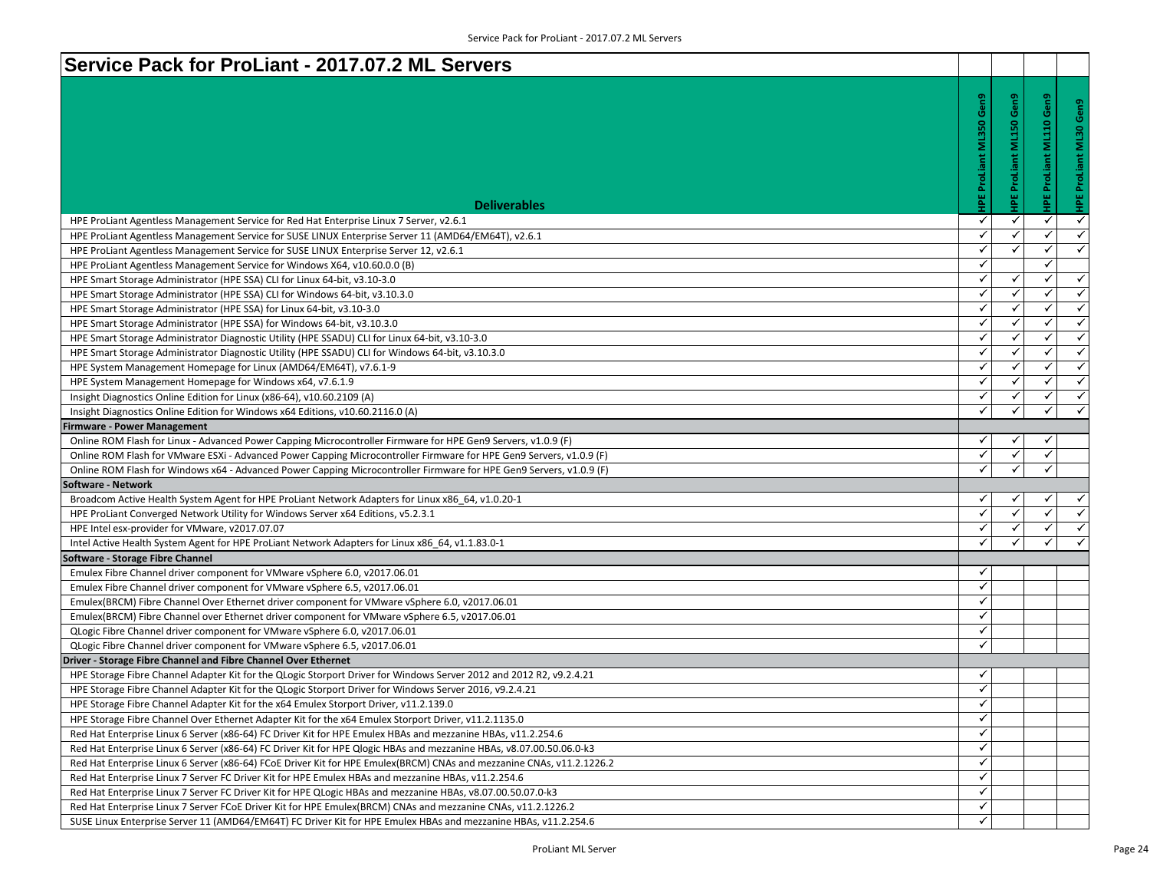| HPE ProLiant ML350 Gen9<br>Gen9<br>Gen9<br>ඊ<br><b>IPE ProLiant ML150</b><br>0<br><b>ML30</b><br><b>HPE ProLiant</b><br><b>Deliverables</b><br>✓<br>✓<br>✓<br>HPE ProLiant Agentless Management Service for Red Hat Enterprise Linux 7 Server, v2.6.1<br>$\checkmark$<br>✓<br>✓<br>✓<br>HPE ProLiant Agentless Management Service for SUSE LINUX Enterprise Server 11 (AMD64/EM64T), v2.6.1<br>✓<br>✓<br>✓<br>HPE ProLiant Agentless Management Service for SUSE LINUX Enterprise Server 12, v2.6.1<br>✓<br>✓<br>HPE ProLiant Agentless Management Service for Windows X64, v10.60.0.0 (B)<br>✓<br>✓<br>✓<br>HPE Smart Storage Administrator (HPE SSA) CLI for Linux 64-bit, v3.10-3.0<br>✓<br>✓<br>$\checkmark$<br>HPE Smart Storage Administrator (HPE SSA) CLI for Windows 64-bit, v3.10.3.0<br>✓<br>✓<br>✓<br>HPE Smart Storage Administrator (HPE SSA) for Linux 64-bit, v3.10-3.0<br>✓<br>$\checkmark$<br>$\checkmark$<br>HPE Smart Storage Administrator (HPE SSA) for Windows 64-bit, v3.10.3.0<br>✓<br>✓<br>✓<br>HPE Smart Storage Administrator Diagnostic Utility (HPE SSADU) CLI for Linux 64-bit, v3.10-3.0<br>✓<br>✓<br>HPE Smart Storage Administrator Diagnostic Utility (HPE SSADU) CLI for Windows 64-bit, v3.10.3.0<br>✓<br>✓<br>✓<br>✓<br>HPE System Management Homepage for Linux (AMD64/EM64T), v7.6.1-9<br>✓<br>✓<br>✓<br>HPE System Management Homepage for Windows x64, v7.6.1.9<br>✓<br>✓<br>✓<br>Insight Diagnostics Online Edition for Linux (x86-64), v10.60.2109 (A)<br>✓<br>$\checkmark$<br>$\checkmark$<br>Insight Diagnostics Online Edition for Windows x64 Editions, v10.60.2116.0 (A)<br><b>Firmware - Power Management</b><br>✓<br>✓<br>✓<br>Online ROM Flash for Linux - Advanced Power Capping Microcontroller Firmware for HPE Gen9 Servers, v1.0.9 (F)<br>✓<br>$\checkmark$<br>✓<br>Online ROM Flash for VMware ESXi - Advanced Power Capping Microcontroller Firmware for HPE Gen9 Servers, v1.0.9 (F)<br>✓<br>✓<br>✓<br>Online ROM Flash for Windows x64 - Advanced Power Capping Microcontroller Firmware for HPE Gen9 Servers, v1.0.9 (F)<br>Broadcom Active Health System Agent for HPE ProLiant Network Adapters for Linux x86_64, v1.0.20-1<br>✓<br>✓<br>✓<br>✓<br>✓<br>✓<br>HPE ProLiant Converged Network Utility for Windows Server x64 Editions, v5.2.3.1<br>✓<br>✓<br>✓<br>HPE Intel esx-provider for VMware, v2017.07.07<br>✓<br>✓<br>$\checkmark$<br>Intel Active Health System Agent for HPE ProLiant Network Adapters for Linux x86 64, v1.1.83.0-1<br>✓<br>Emulex Fibre Channel driver component for VMware vSphere 6.0, v2017.06.01<br>✓<br>Emulex Fibre Channel driver component for VMware vSphere 6.5, v2017.06.01<br>✓<br>Emulex(BRCM) Fibre Channel Over Ethernet driver component for VMware vSphere 6.0, v2017.06.01<br>✓<br>Emulex(BRCM) Fibre Channel over Ethernet driver component for VMware vSphere 6.5, v2017.06.01<br>✓<br>QLogic Fibre Channel driver component for VMware vSphere 6.0, v2017.06.01<br>✓<br>QLogic Fibre Channel driver component for VMware vSphere 6.5, v2017.06.01<br>HPE Storage Fibre Channel Adapter Kit for the QLogic Storport Driver for Windows Server 2012 and 2012 R2, v9.2.4.21<br>✓<br>✓<br>HPE Storage Fibre Channel Adapter Kit for the QLogic Storport Driver for Windows Server 2016, v9.2.4.21<br>HPE Storage Fibre Channel Adapter Kit for the x64 Emulex Storport Driver, v11.2.139.0<br>✓<br>$\checkmark$<br>HPE Storage Fibre Channel Over Ethernet Adapter Kit for the x64 Emulex Storport Driver, v11.2.1135.0<br>✓<br>Red Hat Enterprise Linux 6 Server (x86-64) FC Driver Kit for HPE Emulex HBAs and mezzanine HBAs, v11.2.254.6<br>✓<br>Red Hat Enterprise Linux 6 Server (x86-64) FC Driver Kit for HPE Qlogic HBAs and mezzanine HBAs, v8.07.00.50.06.0-k3<br>✓<br>Red Hat Enterprise Linux 6 Server (x86-64) FCoE Driver Kit for HPE Emulex(BRCM) CNAs and mezzanine CNAs, v11.2.1226.2<br>✓<br>Red Hat Enterprise Linux 7 Server FC Driver Kit for HPE Emulex HBAs and mezzanine HBAs, v11.2.254.6<br>✓<br>Red Hat Enterprise Linux 7 Server FC Driver Kit for HPE QLogic HBAs and mezzanine HBAs, v8.07.00.50.07.0-k3<br>✓<br>Red Hat Enterprise Linux 7 Server FCoE Driver Kit for HPE Emulex(BRCM) CNAs and mezzanine CNAs, v11.2.1226.2<br>✓<br>SUSE Linux Enterprise Server 11 (AMD64/EM64T) FC Driver Kit for HPE Emulex HBAs and mezzanine HBAs, v11.2.254.6 | Service Pack for ProLiant - 2017.07.2 ML Servers               |  |              |
|-------------------------------------------------------------------------------------------------------------------------------------------------------------------------------------------------------------------------------------------------------------------------------------------------------------------------------------------------------------------------------------------------------------------------------------------------------------------------------------------------------------------------------------------------------------------------------------------------------------------------------------------------------------------------------------------------------------------------------------------------------------------------------------------------------------------------------------------------------------------------------------------------------------------------------------------------------------------------------------------------------------------------------------------------------------------------------------------------------------------------------------------------------------------------------------------------------------------------------------------------------------------------------------------------------------------------------------------------------------------------------------------------------------------------------------------------------------------------------------------------------------------------------------------------------------------------------------------------------------------------------------------------------------------------------------------------------------------------------------------------------------------------------------------------------------------------------------------------------------------------------------------------------------------------------------------------------------------------------------------------------------------------------------------------------------------------------------------------------------------------------------------------------------------------------------------------------------------------------------------------------------------------------------------------------------------------------------------------------------------------------------------------------------------------------------------------------------------------------------------------------------------------------------------------------------------------------------------------------------------------------------------------------------------------------------------------------------------------------------------------------------------------------------------------------------------------------------------------------------------------------------------------------------------------------------------------------------------------------------------------------------------------------------------------------------------------------------------------------------------------------------------------------------------------------------------------------------------------------------------------------------------------------------------------------------------------------------------------------------------------------------------------------------------------------------------------------------------------------------------------------------------------------------------------------------------------------------------------------------------------------------------------------------------------------------------------------------------------------------------------------------------------------------------------------------------------------------------------------------------------------------------------------------------------------------------------------------------------------------------------------------------------------------------------------------------------------------------------------------------------------------------------------------------------------------------------------------------------------------------------------------------------------------------------------------------------------------------------------------------------------------------------|----------------------------------------------------------------|--|--------------|
|                                                                                                                                                                                                                                                                                                                                                                                                                                                                                                                                                                                                                                                                                                                                                                                                                                                                                                                                                                                                                                                                                                                                                                                                                                                                                                                                                                                                                                                                                                                                                                                                                                                                                                                                                                                                                                                                                                                                                                                                                                                                                                                                                                                                                                                                                                                                                                                                                                                                                                                                                                                                                                                                                                                                                                                                                                                                                                                                                                                                                                                                                                                                                                                                                                                                                                                                                                                                                                                                                                                                                                                                                                                                                                                                                                                                                                                                                                                                                                                                                                                                                                                                                                                                                                                                                                                                                                                                 |                                                                |  |              |
| $\checkmark$<br>$\checkmark$<br>$\checkmark$<br>$\checkmark$<br>$\checkmark$<br>$\checkmark$<br>$\checkmark$<br>$\checkmark$<br>$\checkmark$<br>$\checkmark$<br>$\checkmark$<br>✓<br>$\checkmark$<br>$\checkmark$<br>$\checkmark$                                                                                                                                                                                                                                                                                                                                                                                                                                                                                                                                                                                                                                                                                                                                                                                                                                                                                                                                                                                                                                                                                                                                                                                                                                                                                                                                                                                                                                                                                                                                                                                                                                                                                                                                                                                                                                                                                                                                                                                                                                                                                                                                                                                                                                                                                                                                                                                                                                                                                                                                                                                                                                                                                                                                                                                                                                                                                                                                                                                                                                                                                                                                                                                                                                                                                                                                                                                                                                                                                                                                                                                                                                                                                                                                                                                                                                                                                                                                                                                                                                                                                                                                                               |                                                                |  | $\checkmark$ |
|                                                                                                                                                                                                                                                                                                                                                                                                                                                                                                                                                                                                                                                                                                                                                                                                                                                                                                                                                                                                                                                                                                                                                                                                                                                                                                                                                                                                                                                                                                                                                                                                                                                                                                                                                                                                                                                                                                                                                                                                                                                                                                                                                                                                                                                                                                                                                                                                                                                                                                                                                                                                                                                                                                                                                                                                                                                                                                                                                                                                                                                                                                                                                                                                                                                                                                                                                                                                                                                                                                                                                                                                                                                                                                                                                                                                                                                                                                                                                                                                                                                                                                                                                                                                                                                                                                                                                                                                 |                                                                |  |              |
|                                                                                                                                                                                                                                                                                                                                                                                                                                                                                                                                                                                                                                                                                                                                                                                                                                                                                                                                                                                                                                                                                                                                                                                                                                                                                                                                                                                                                                                                                                                                                                                                                                                                                                                                                                                                                                                                                                                                                                                                                                                                                                                                                                                                                                                                                                                                                                                                                                                                                                                                                                                                                                                                                                                                                                                                                                                                                                                                                                                                                                                                                                                                                                                                                                                                                                                                                                                                                                                                                                                                                                                                                                                                                                                                                                                                                                                                                                                                                                                                                                                                                                                                                                                                                                                                                                                                                                                                 |                                                                |  |              |
|                                                                                                                                                                                                                                                                                                                                                                                                                                                                                                                                                                                                                                                                                                                                                                                                                                                                                                                                                                                                                                                                                                                                                                                                                                                                                                                                                                                                                                                                                                                                                                                                                                                                                                                                                                                                                                                                                                                                                                                                                                                                                                                                                                                                                                                                                                                                                                                                                                                                                                                                                                                                                                                                                                                                                                                                                                                                                                                                                                                                                                                                                                                                                                                                                                                                                                                                                                                                                                                                                                                                                                                                                                                                                                                                                                                                                                                                                                                                                                                                                                                                                                                                                                                                                                                                                                                                                                                                 |                                                                |  |              |
|                                                                                                                                                                                                                                                                                                                                                                                                                                                                                                                                                                                                                                                                                                                                                                                                                                                                                                                                                                                                                                                                                                                                                                                                                                                                                                                                                                                                                                                                                                                                                                                                                                                                                                                                                                                                                                                                                                                                                                                                                                                                                                                                                                                                                                                                                                                                                                                                                                                                                                                                                                                                                                                                                                                                                                                                                                                                                                                                                                                                                                                                                                                                                                                                                                                                                                                                                                                                                                                                                                                                                                                                                                                                                                                                                                                                                                                                                                                                                                                                                                                                                                                                                                                                                                                                                                                                                                                                 |                                                                |  |              |
|                                                                                                                                                                                                                                                                                                                                                                                                                                                                                                                                                                                                                                                                                                                                                                                                                                                                                                                                                                                                                                                                                                                                                                                                                                                                                                                                                                                                                                                                                                                                                                                                                                                                                                                                                                                                                                                                                                                                                                                                                                                                                                                                                                                                                                                                                                                                                                                                                                                                                                                                                                                                                                                                                                                                                                                                                                                                                                                                                                                                                                                                                                                                                                                                                                                                                                                                                                                                                                                                                                                                                                                                                                                                                                                                                                                                                                                                                                                                                                                                                                                                                                                                                                                                                                                                                                                                                                                                 |                                                                |  |              |
|                                                                                                                                                                                                                                                                                                                                                                                                                                                                                                                                                                                                                                                                                                                                                                                                                                                                                                                                                                                                                                                                                                                                                                                                                                                                                                                                                                                                                                                                                                                                                                                                                                                                                                                                                                                                                                                                                                                                                                                                                                                                                                                                                                                                                                                                                                                                                                                                                                                                                                                                                                                                                                                                                                                                                                                                                                                                                                                                                                                                                                                                                                                                                                                                                                                                                                                                                                                                                                                                                                                                                                                                                                                                                                                                                                                                                                                                                                                                                                                                                                                                                                                                                                                                                                                                                                                                                                                                 |                                                                |  |              |
|                                                                                                                                                                                                                                                                                                                                                                                                                                                                                                                                                                                                                                                                                                                                                                                                                                                                                                                                                                                                                                                                                                                                                                                                                                                                                                                                                                                                                                                                                                                                                                                                                                                                                                                                                                                                                                                                                                                                                                                                                                                                                                                                                                                                                                                                                                                                                                                                                                                                                                                                                                                                                                                                                                                                                                                                                                                                                                                                                                                                                                                                                                                                                                                                                                                                                                                                                                                                                                                                                                                                                                                                                                                                                                                                                                                                                                                                                                                                                                                                                                                                                                                                                                                                                                                                                                                                                                                                 |                                                                |  |              |
|                                                                                                                                                                                                                                                                                                                                                                                                                                                                                                                                                                                                                                                                                                                                                                                                                                                                                                                                                                                                                                                                                                                                                                                                                                                                                                                                                                                                                                                                                                                                                                                                                                                                                                                                                                                                                                                                                                                                                                                                                                                                                                                                                                                                                                                                                                                                                                                                                                                                                                                                                                                                                                                                                                                                                                                                                                                                                                                                                                                                                                                                                                                                                                                                                                                                                                                                                                                                                                                                                                                                                                                                                                                                                                                                                                                                                                                                                                                                                                                                                                                                                                                                                                                                                                                                                                                                                                                                 |                                                                |  |              |
|                                                                                                                                                                                                                                                                                                                                                                                                                                                                                                                                                                                                                                                                                                                                                                                                                                                                                                                                                                                                                                                                                                                                                                                                                                                                                                                                                                                                                                                                                                                                                                                                                                                                                                                                                                                                                                                                                                                                                                                                                                                                                                                                                                                                                                                                                                                                                                                                                                                                                                                                                                                                                                                                                                                                                                                                                                                                                                                                                                                                                                                                                                                                                                                                                                                                                                                                                                                                                                                                                                                                                                                                                                                                                                                                                                                                                                                                                                                                                                                                                                                                                                                                                                                                                                                                                                                                                                                                 |                                                                |  |              |
|                                                                                                                                                                                                                                                                                                                                                                                                                                                                                                                                                                                                                                                                                                                                                                                                                                                                                                                                                                                                                                                                                                                                                                                                                                                                                                                                                                                                                                                                                                                                                                                                                                                                                                                                                                                                                                                                                                                                                                                                                                                                                                                                                                                                                                                                                                                                                                                                                                                                                                                                                                                                                                                                                                                                                                                                                                                                                                                                                                                                                                                                                                                                                                                                                                                                                                                                                                                                                                                                                                                                                                                                                                                                                                                                                                                                                                                                                                                                                                                                                                                                                                                                                                                                                                                                                                                                                                                                 |                                                                |  |              |
|                                                                                                                                                                                                                                                                                                                                                                                                                                                                                                                                                                                                                                                                                                                                                                                                                                                                                                                                                                                                                                                                                                                                                                                                                                                                                                                                                                                                                                                                                                                                                                                                                                                                                                                                                                                                                                                                                                                                                                                                                                                                                                                                                                                                                                                                                                                                                                                                                                                                                                                                                                                                                                                                                                                                                                                                                                                                                                                                                                                                                                                                                                                                                                                                                                                                                                                                                                                                                                                                                                                                                                                                                                                                                                                                                                                                                                                                                                                                                                                                                                                                                                                                                                                                                                                                                                                                                                                                 |                                                                |  |              |
|                                                                                                                                                                                                                                                                                                                                                                                                                                                                                                                                                                                                                                                                                                                                                                                                                                                                                                                                                                                                                                                                                                                                                                                                                                                                                                                                                                                                                                                                                                                                                                                                                                                                                                                                                                                                                                                                                                                                                                                                                                                                                                                                                                                                                                                                                                                                                                                                                                                                                                                                                                                                                                                                                                                                                                                                                                                                                                                                                                                                                                                                                                                                                                                                                                                                                                                                                                                                                                                                                                                                                                                                                                                                                                                                                                                                                                                                                                                                                                                                                                                                                                                                                                                                                                                                                                                                                                                                 |                                                                |  |              |
|                                                                                                                                                                                                                                                                                                                                                                                                                                                                                                                                                                                                                                                                                                                                                                                                                                                                                                                                                                                                                                                                                                                                                                                                                                                                                                                                                                                                                                                                                                                                                                                                                                                                                                                                                                                                                                                                                                                                                                                                                                                                                                                                                                                                                                                                                                                                                                                                                                                                                                                                                                                                                                                                                                                                                                                                                                                                                                                                                                                                                                                                                                                                                                                                                                                                                                                                                                                                                                                                                                                                                                                                                                                                                                                                                                                                                                                                                                                                                                                                                                                                                                                                                                                                                                                                                                                                                                                                 |                                                                |  |              |
|                                                                                                                                                                                                                                                                                                                                                                                                                                                                                                                                                                                                                                                                                                                                                                                                                                                                                                                                                                                                                                                                                                                                                                                                                                                                                                                                                                                                                                                                                                                                                                                                                                                                                                                                                                                                                                                                                                                                                                                                                                                                                                                                                                                                                                                                                                                                                                                                                                                                                                                                                                                                                                                                                                                                                                                                                                                                                                                                                                                                                                                                                                                                                                                                                                                                                                                                                                                                                                                                                                                                                                                                                                                                                                                                                                                                                                                                                                                                                                                                                                                                                                                                                                                                                                                                                                                                                                                                 |                                                                |  |              |
|                                                                                                                                                                                                                                                                                                                                                                                                                                                                                                                                                                                                                                                                                                                                                                                                                                                                                                                                                                                                                                                                                                                                                                                                                                                                                                                                                                                                                                                                                                                                                                                                                                                                                                                                                                                                                                                                                                                                                                                                                                                                                                                                                                                                                                                                                                                                                                                                                                                                                                                                                                                                                                                                                                                                                                                                                                                                                                                                                                                                                                                                                                                                                                                                                                                                                                                                                                                                                                                                                                                                                                                                                                                                                                                                                                                                                                                                                                                                                                                                                                                                                                                                                                                                                                                                                                                                                                                                 |                                                                |  |              |
|                                                                                                                                                                                                                                                                                                                                                                                                                                                                                                                                                                                                                                                                                                                                                                                                                                                                                                                                                                                                                                                                                                                                                                                                                                                                                                                                                                                                                                                                                                                                                                                                                                                                                                                                                                                                                                                                                                                                                                                                                                                                                                                                                                                                                                                                                                                                                                                                                                                                                                                                                                                                                                                                                                                                                                                                                                                                                                                                                                                                                                                                                                                                                                                                                                                                                                                                                                                                                                                                                                                                                                                                                                                                                                                                                                                                                                                                                                                                                                                                                                                                                                                                                                                                                                                                                                                                                                                                 |                                                                |  |              |
|                                                                                                                                                                                                                                                                                                                                                                                                                                                                                                                                                                                                                                                                                                                                                                                                                                                                                                                                                                                                                                                                                                                                                                                                                                                                                                                                                                                                                                                                                                                                                                                                                                                                                                                                                                                                                                                                                                                                                                                                                                                                                                                                                                                                                                                                                                                                                                                                                                                                                                                                                                                                                                                                                                                                                                                                                                                                                                                                                                                                                                                                                                                                                                                                                                                                                                                                                                                                                                                                                                                                                                                                                                                                                                                                                                                                                                                                                                                                                                                                                                                                                                                                                                                                                                                                                                                                                                                                 | Software - Network                                             |  |              |
|                                                                                                                                                                                                                                                                                                                                                                                                                                                                                                                                                                                                                                                                                                                                                                                                                                                                                                                                                                                                                                                                                                                                                                                                                                                                                                                                                                                                                                                                                                                                                                                                                                                                                                                                                                                                                                                                                                                                                                                                                                                                                                                                                                                                                                                                                                                                                                                                                                                                                                                                                                                                                                                                                                                                                                                                                                                                                                                                                                                                                                                                                                                                                                                                                                                                                                                                                                                                                                                                                                                                                                                                                                                                                                                                                                                                                                                                                                                                                                                                                                                                                                                                                                                                                                                                                                                                                                                                 |                                                                |  |              |
|                                                                                                                                                                                                                                                                                                                                                                                                                                                                                                                                                                                                                                                                                                                                                                                                                                                                                                                                                                                                                                                                                                                                                                                                                                                                                                                                                                                                                                                                                                                                                                                                                                                                                                                                                                                                                                                                                                                                                                                                                                                                                                                                                                                                                                                                                                                                                                                                                                                                                                                                                                                                                                                                                                                                                                                                                                                                                                                                                                                                                                                                                                                                                                                                                                                                                                                                                                                                                                                                                                                                                                                                                                                                                                                                                                                                                                                                                                                                                                                                                                                                                                                                                                                                                                                                                                                                                                                                 |                                                                |  |              |
|                                                                                                                                                                                                                                                                                                                                                                                                                                                                                                                                                                                                                                                                                                                                                                                                                                                                                                                                                                                                                                                                                                                                                                                                                                                                                                                                                                                                                                                                                                                                                                                                                                                                                                                                                                                                                                                                                                                                                                                                                                                                                                                                                                                                                                                                                                                                                                                                                                                                                                                                                                                                                                                                                                                                                                                                                                                                                                                                                                                                                                                                                                                                                                                                                                                                                                                                                                                                                                                                                                                                                                                                                                                                                                                                                                                                                                                                                                                                                                                                                                                                                                                                                                                                                                                                                                                                                                                                 |                                                                |  |              |
|                                                                                                                                                                                                                                                                                                                                                                                                                                                                                                                                                                                                                                                                                                                                                                                                                                                                                                                                                                                                                                                                                                                                                                                                                                                                                                                                                                                                                                                                                                                                                                                                                                                                                                                                                                                                                                                                                                                                                                                                                                                                                                                                                                                                                                                                                                                                                                                                                                                                                                                                                                                                                                                                                                                                                                                                                                                                                                                                                                                                                                                                                                                                                                                                                                                                                                                                                                                                                                                                                                                                                                                                                                                                                                                                                                                                                                                                                                                                                                                                                                                                                                                                                                                                                                                                                                                                                                                                 |                                                                |  |              |
|                                                                                                                                                                                                                                                                                                                                                                                                                                                                                                                                                                                                                                                                                                                                                                                                                                                                                                                                                                                                                                                                                                                                                                                                                                                                                                                                                                                                                                                                                                                                                                                                                                                                                                                                                                                                                                                                                                                                                                                                                                                                                                                                                                                                                                                                                                                                                                                                                                                                                                                                                                                                                                                                                                                                                                                                                                                                                                                                                                                                                                                                                                                                                                                                                                                                                                                                                                                                                                                                                                                                                                                                                                                                                                                                                                                                                                                                                                                                                                                                                                                                                                                                                                                                                                                                                                                                                                                                 | Software - Storage Fibre Channel                               |  |              |
|                                                                                                                                                                                                                                                                                                                                                                                                                                                                                                                                                                                                                                                                                                                                                                                                                                                                                                                                                                                                                                                                                                                                                                                                                                                                                                                                                                                                                                                                                                                                                                                                                                                                                                                                                                                                                                                                                                                                                                                                                                                                                                                                                                                                                                                                                                                                                                                                                                                                                                                                                                                                                                                                                                                                                                                                                                                                                                                                                                                                                                                                                                                                                                                                                                                                                                                                                                                                                                                                                                                                                                                                                                                                                                                                                                                                                                                                                                                                                                                                                                                                                                                                                                                                                                                                                                                                                                                                 |                                                                |  |              |
|                                                                                                                                                                                                                                                                                                                                                                                                                                                                                                                                                                                                                                                                                                                                                                                                                                                                                                                                                                                                                                                                                                                                                                                                                                                                                                                                                                                                                                                                                                                                                                                                                                                                                                                                                                                                                                                                                                                                                                                                                                                                                                                                                                                                                                                                                                                                                                                                                                                                                                                                                                                                                                                                                                                                                                                                                                                                                                                                                                                                                                                                                                                                                                                                                                                                                                                                                                                                                                                                                                                                                                                                                                                                                                                                                                                                                                                                                                                                                                                                                                                                                                                                                                                                                                                                                                                                                                                                 |                                                                |  |              |
|                                                                                                                                                                                                                                                                                                                                                                                                                                                                                                                                                                                                                                                                                                                                                                                                                                                                                                                                                                                                                                                                                                                                                                                                                                                                                                                                                                                                                                                                                                                                                                                                                                                                                                                                                                                                                                                                                                                                                                                                                                                                                                                                                                                                                                                                                                                                                                                                                                                                                                                                                                                                                                                                                                                                                                                                                                                                                                                                                                                                                                                                                                                                                                                                                                                                                                                                                                                                                                                                                                                                                                                                                                                                                                                                                                                                                                                                                                                                                                                                                                                                                                                                                                                                                                                                                                                                                                                                 |                                                                |  |              |
|                                                                                                                                                                                                                                                                                                                                                                                                                                                                                                                                                                                                                                                                                                                                                                                                                                                                                                                                                                                                                                                                                                                                                                                                                                                                                                                                                                                                                                                                                                                                                                                                                                                                                                                                                                                                                                                                                                                                                                                                                                                                                                                                                                                                                                                                                                                                                                                                                                                                                                                                                                                                                                                                                                                                                                                                                                                                                                                                                                                                                                                                                                                                                                                                                                                                                                                                                                                                                                                                                                                                                                                                                                                                                                                                                                                                                                                                                                                                                                                                                                                                                                                                                                                                                                                                                                                                                                                                 |                                                                |  |              |
|                                                                                                                                                                                                                                                                                                                                                                                                                                                                                                                                                                                                                                                                                                                                                                                                                                                                                                                                                                                                                                                                                                                                                                                                                                                                                                                                                                                                                                                                                                                                                                                                                                                                                                                                                                                                                                                                                                                                                                                                                                                                                                                                                                                                                                                                                                                                                                                                                                                                                                                                                                                                                                                                                                                                                                                                                                                                                                                                                                                                                                                                                                                                                                                                                                                                                                                                                                                                                                                                                                                                                                                                                                                                                                                                                                                                                                                                                                                                                                                                                                                                                                                                                                                                                                                                                                                                                                                                 |                                                                |  |              |
|                                                                                                                                                                                                                                                                                                                                                                                                                                                                                                                                                                                                                                                                                                                                                                                                                                                                                                                                                                                                                                                                                                                                                                                                                                                                                                                                                                                                                                                                                                                                                                                                                                                                                                                                                                                                                                                                                                                                                                                                                                                                                                                                                                                                                                                                                                                                                                                                                                                                                                                                                                                                                                                                                                                                                                                                                                                                                                                                                                                                                                                                                                                                                                                                                                                                                                                                                                                                                                                                                                                                                                                                                                                                                                                                                                                                                                                                                                                                                                                                                                                                                                                                                                                                                                                                                                                                                                                                 |                                                                |  |              |
|                                                                                                                                                                                                                                                                                                                                                                                                                                                                                                                                                                                                                                                                                                                                                                                                                                                                                                                                                                                                                                                                                                                                                                                                                                                                                                                                                                                                                                                                                                                                                                                                                                                                                                                                                                                                                                                                                                                                                                                                                                                                                                                                                                                                                                                                                                                                                                                                                                                                                                                                                                                                                                                                                                                                                                                                                                                                                                                                                                                                                                                                                                                                                                                                                                                                                                                                                                                                                                                                                                                                                                                                                                                                                                                                                                                                                                                                                                                                                                                                                                                                                                                                                                                                                                                                                                                                                                                                 | Driver - Storage Fibre Channel and Fibre Channel Over Ethernet |  |              |
|                                                                                                                                                                                                                                                                                                                                                                                                                                                                                                                                                                                                                                                                                                                                                                                                                                                                                                                                                                                                                                                                                                                                                                                                                                                                                                                                                                                                                                                                                                                                                                                                                                                                                                                                                                                                                                                                                                                                                                                                                                                                                                                                                                                                                                                                                                                                                                                                                                                                                                                                                                                                                                                                                                                                                                                                                                                                                                                                                                                                                                                                                                                                                                                                                                                                                                                                                                                                                                                                                                                                                                                                                                                                                                                                                                                                                                                                                                                                                                                                                                                                                                                                                                                                                                                                                                                                                                                                 |                                                                |  |              |
|                                                                                                                                                                                                                                                                                                                                                                                                                                                                                                                                                                                                                                                                                                                                                                                                                                                                                                                                                                                                                                                                                                                                                                                                                                                                                                                                                                                                                                                                                                                                                                                                                                                                                                                                                                                                                                                                                                                                                                                                                                                                                                                                                                                                                                                                                                                                                                                                                                                                                                                                                                                                                                                                                                                                                                                                                                                                                                                                                                                                                                                                                                                                                                                                                                                                                                                                                                                                                                                                                                                                                                                                                                                                                                                                                                                                                                                                                                                                                                                                                                                                                                                                                                                                                                                                                                                                                                                                 |                                                                |  |              |
|                                                                                                                                                                                                                                                                                                                                                                                                                                                                                                                                                                                                                                                                                                                                                                                                                                                                                                                                                                                                                                                                                                                                                                                                                                                                                                                                                                                                                                                                                                                                                                                                                                                                                                                                                                                                                                                                                                                                                                                                                                                                                                                                                                                                                                                                                                                                                                                                                                                                                                                                                                                                                                                                                                                                                                                                                                                                                                                                                                                                                                                                                                                                                                                                                                                                                                                                                                                                                                                                                                                                                                                                                                                                                                                                                                                                                                                                                                                                                                                                                                                                                                                                                                                                                                                                                                                                                                                                 |                                                                |  |              |
|                                                                                                                                                                                                                                                                                                                                                                                                                                                                                                                                                                                                                                                                                                                                                                                                                                                                                                                                                                                                                                                                                                                                                                                                                                                                                                                                                                                                                                                                                                                                                                                                                                                                                                                                                                                                                                                                                                                                                                                                                                                                                                                                                                                                                                                                                                                                                                                                                                                                                                                                                                                                                                                                                                                                                                                                                                                                                                                                                                                                                                                                                                                                                                                                                                                                                                                                                                                                                                                                                                                                                                                                                                                                                                                                                                                                                                                                                                                                                                                                                                                                                                                                                                                                                                                                                                                                                                                                 |                                                                |  |              |
|                                                                                                                                                                                                                                                                                                                                                                                                                                                                                                                                                                                                                                                                                                                                                                                                                                                                                                                                                                                                                                                                                                                                                                                                                                                                                                                                                                                                                                                                                                                                                                                                                                                                                                                                                                                                                                                                                                                                                                                                                                                                                                                                                                                                                                                                                                                                                                                                                                                                                                                                                                                                                                                                                                                                                                                                                                                                                                                                                                                                                                                                                                                                                                                                                                                                                                                                                                                                                                                                                                                                                                                                                                                                                                                                                                                                                                                                                                                                                                                                                                                                                                                                                                                                                                                                                                                                                                                                 |                                                                |  |              |
|                                                                                                                                                                                                                                                                                                                                                                                                                                                                                                                                                                                                                                                                                                                                                                                                                                                                                                                                                                                                                                                                                                                                                                                                                                                                                                                                                                                                                                                                                                                                                                                                                                                                                                                                                                                                                                                                                                                                                                                                                                                                                                                                                                                                                                                                                                                                                                                                                                                                                                                                                                                                                                                                                                                                                                                                                                                                                                                                                                                                                                                                                                                                                                                                                                                                                                                                                                                                                                                                                                                                                                                                                                                                                                                                                                                                                                                                                                                                                                                                                                                                                                                                                                                                                                                                                                                                                                                                 |                                                                |  |              |
|                                                                                                                                                                                                                                                                                                                                                                                                                                                                                                                                                                                                                                                                                                                                                                                                                                                                                                                                                                                                                                                                                                                                                                                                                                                                                                                                                                                                                                                                                                                                                                                                                                                                                                                                                                                                                                                                                                                                                                                                                                                                                                                                                                                                                                                                                                                                                                                                                                                                                                                                                                                                                                                                                                                                                                                                                                                                                                                                                                                                                                                                                                                                                                                                                                                                                                                                                                                                                                                                                                                                                                                                                                                                                                                                                                                                                                                                                                                                                                                                                                                                                                                                                                                                                                                                                                                                                                                                 |                                                                |  |              |
|                                                                                                                                                                                                                                                                                                                                                                                                                                                                                                                                                                                                                                                                                                                                                                                                                                                                                                                                                                                                                                                                                                                                                                                                                                                                                                                                                                                                                                                                                                                                                                                                                                                                                                                                                                                                                                                                                                                                                                                                                                                                                                                                                                                                                                                                                                                                                                                                                                                                                                                                                                                                                                                                                                                                                                                                                                                                                                                                                                                                                                                                                                                                                                                                                                                                                                                                                                                                                                                                                                                                                                                                                                                                                                                                                                                                                                                                                                                                                                                                                                                                                                                                                                                                                                                                                                                                                                                                 |                                                                |  |              |
|                                                                                                                                                                                                                                                                                                                                                                                                                                                                                                                                                                                                                                                                                                                                                                                                                                                                                                                                                                                                                                                                                                                                                                                                                                                                                                                                                                                                                                                                                                                                                                                                                                                                                                                                                                                                                                                                                                                                                                                                                                                                                                                                                                                                                                                                                                                                                                                                                                                                                                                                                                                                                                                                                                                                                                                                                                                                                                                                                                                                                                                                                                                                                                                                                                                                                                                                                                                                                                                                                                                                                                                                                                                                                                                                                                                                                                                                                                                                                                                                                                                                                                                                                                                                                                                                                                                                                                                                 |                                                                |  |              |
|                                                                                                                                                                                                                                                                                                                                                                                                                                                                                                                                                                                                                                                                                                                                                                                                                                                                                                                                                                                                                                                                                                                                                                                                                                                                                                                                                                                                                                                                                                                                                                                                                                                                                                                                                                                                                                                                                                                                                                                                                                                                                                                                                                                                                                                                                                                                                                                                                                                                                                                                                                                                                                                                                                                                                                                                                                                                                                                                                                                                                                                                                                                                                                                                                                                                                                                                                                                                                                                                                                                                                                                                                                                                                                                                                                                                                                                                                                                                                                                                                                                                                                                                                                                                                                                                                                                                                                                                 |                                                                |  |              |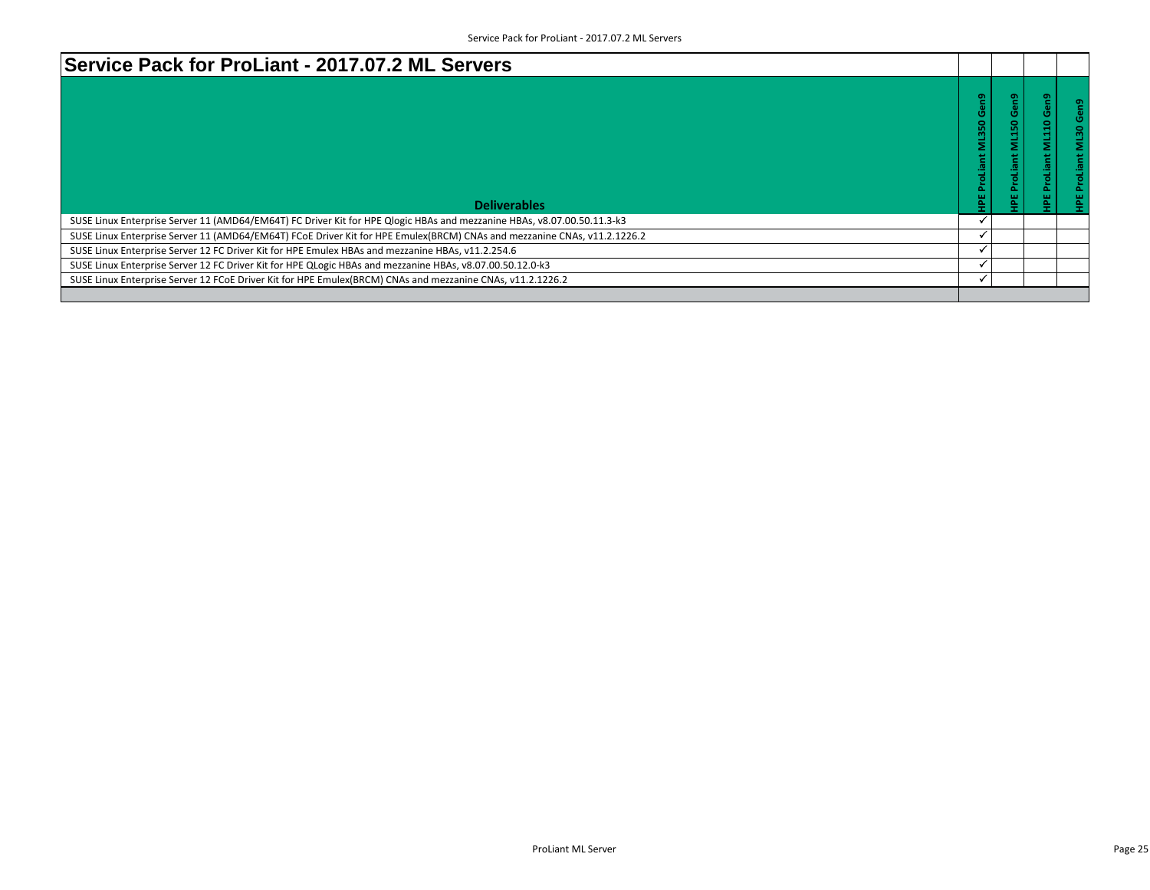| Service Pack for ProLiant - 2017.07.2 ML Servers                                                                         |   |              |  |
|--------------------------------------------------------------------------------------------------------------------------|---|--------------|--|
| <b>Deliverables</b>                                                                                                      | ÷ | െ<br>Ο.<br>0 |  |
| SUSE Linux Enterprise Server 11 (AMD64/EM64T) FC Driver Kit for HPE Qlogic HBAs and mezzanine HBAs, v8.07.00.50.11.3-k3  |   |              |  |
| SUSE Linux Enterprise Server 11 (AMD64/EM64T) FCoE Driver Kit for HPE Emulex(BRCM) CNAs and mezzanine CNAs, v11.2.1226.2 |   |              |  |
| SUSE Linux Enterprise Server 12 FC Driver Kit for HPE Emulex HBAs and mezzanine HBAs, v11.2.254.6                        |   |              |  |
| SUSE Linux Enterprise Server 12 FC Driver Kit for HPE QLogic HBAs and mezzanine HBAs, v8.07.00.50.12.0-k3                |   |              |  |
| SUSE Linux Enterprise Server 12 FCoE Driver Kit for HPE Emulex(BRCM) CNAs and mezzanine CNAs, v11.2.1226.2               |   |              |  |
|                                                                                                                          |   |              |  |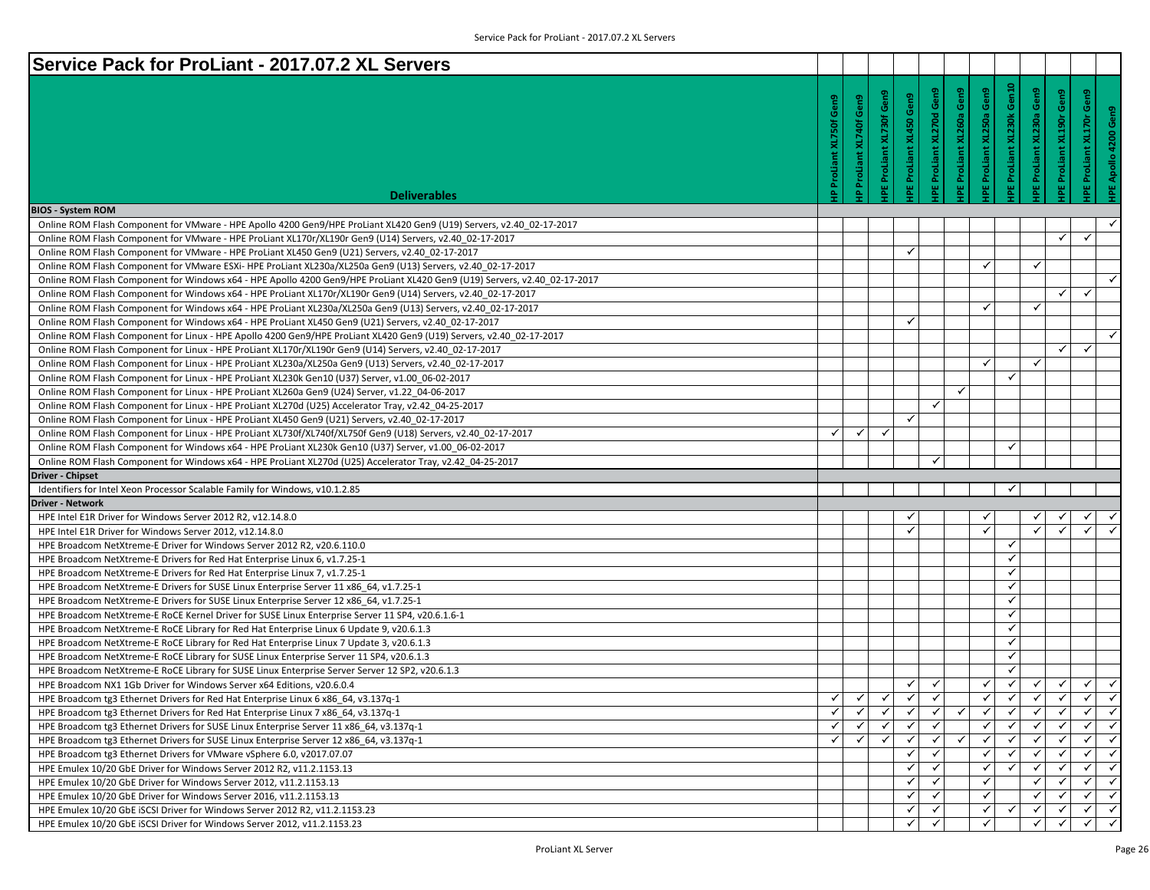| Service Pack for ProLiant - 2017.07.2 XL Servers                                                                                                  |                      |                   |                              |                              |                              |                     |                         |                              |                                                              |                              |                              |
|---------------------------------------------------------------------------------------------------------------------------------------------------|----------------------|-------------------|------------------------------|------------------------------|------------------------------|---------------------|-------------------------|------------------------------|--------------------------------------------------------------|------------------------------|------------------------------|
|                                                                                                                                                   | Gen9                 | Gen9<br>XL740f    | PE ProLiant XL730f Gen9      | Gen9                         | Gen9<br>E ProLiant XL270d    | Gen9                | Gen9<br>ProLiant XL250a | IPE ProLiant XL230k Gen10    | Gen9<br>Gen9<br>XL230a                                       | Gen9                         |                              |
| <b>Deliverables</b><br><b>BIOS - System ROM</b>                                                                                                   | ProLiant XL750f<br>≙ | ProLiant          |                              | <b>IPE ProLiant XL450</b>    |                              | IPE ProLiant XL260a | $\omega$                |                              | IPE ProLiant XL190r<br>EProLiant                             | IPE ProLiant XL170r          | HPE Apollo 4200 Gen9         |
| Online ROM Flash Component for VMware - HPE Apollo 4200 Gen9/HPE ProLiant XL420 Gen9 (U19) Servers, v2.40 02-17-2017                              |                      |                   |                              |                              |                              |                     |                         |                              |                                                              |                              |                              |
| Online ROM Flash Component for VMware - HPE ProLiant XL170r/XL190r Gen9 (U14) Servers, v2.40 02-17-2017                                           |                      |                   |                              |                              |                              |                     |                         |                              | $\checkmark$                                                 | ✓                            |                              |
| Online ROM Flash Component for VMware - HPE ProLiant XL450 Gen9 (U21) Servers, v2.40 02-17-2017                                                   |                      |                   |                              | ✓                            |                              |                     |                         |                              |                                                              |                              |                              |
| Online ROM Flash Component for VMware ESXi- HPE ProLiant XL230a/XL250a Gen9 (U13) Servers, v2.40 02-17-2017                                       |                      |                   |                              |                              |                              |                     | ✓                       |                              | $\checkmark$                                                 |                              |                              |
| Online ROM Flash Component for Windows x64 - HPE Apollo 4200 Gen9/HPE ProLiant XL420 Gen9 (U19) Servers, v2.40 02-17-2017                         |                      |                   |                              |                              |                              |                     |                         |                              |                                                              |                              | $\checkmark$                 |
| Online ROM Flash Component for Windows x64 - HPE ProLiant XL170r/XL190r Gen9 (U14) Servers, v2.40 02-17-2017                                      |                      |                   |                              |                              |                              |                     |                         |                              | ✓                                                            | $\checkmark$                 |                              |
| Online ROM Flash Component for Windows x64 - HPE ProLiant XL230a/XL250a Gen9 (U13) Servers, v2.40 02-17-2017                                      |                      |                   |                              |                              |                              |                     | $\checkmark$            |                              | $\checkmark$                                                 |                              |                              |
| Online ROM Flash Component for Windows x64 - HPE ProLiant XL450 Gen9 (U21) Servers, v2.40 02-17-2017                                              |                      |                   |                              | ✓                            |                              |                     |                         |                              |                                                              |                              |                              |
| Online ROM Flash Component for Linux - HPE Apollo 4200 Gen9/HPE ProLiant XL420 Gen9 (U19) Servers, v2.40 02-17-2017                               |                      |                   |                              |                              |                              |                     |                         |                              |                                                              |                              | $\checkmark$                 |
| Online ROM Flash Component for Linux - HPE ProLiant XL170r/XL190r Gen9 (U14) Servers, v2.40 02-17-2017                                            |                      |                   |                              |                              |                              |                     |                         |                              | $\checkmark$                                                 | $\checkmark$                 |                              |
| Online ROM Flash Component for Linux - HPE ProLiant XL230a/XL250a Gen9 (U13) Servers, v2.40 02-17-2017                                            |                      |                   |                              |                              |                              |                     | ✓                       |                              | $\checkmark$                                                 |                              |                              |
| Online ROM Flash Component for Linux - HPE ProLiant XL230k Gen10 (U37) Server, v1.00 06-02-2017                                                   |                      |                   |                              |                              |                              |                     |                         | $\checkmark$                 |                                                              |                              |                              |
| Online ROM Flash Component for Linux - HPE ProLiant XL260a Gen9 (U24) Server, v1.22 04-06-2017                                                    |                      |                   |                              |                              |                              | ✓                   |                         |                              |                                                              |                              |                              |
| Online ROM Flash Component for Linux - HPE ProLiant XL270d (U25) Accelerator Tray, v2.42 04-25-2017                                               |                      |                   |                              |                              | ✓                            |                     |                         |                              |                                                              |                              |                              |
| Online ROM Flash Component for Linux - HPE ProLiant XL450 Gen9 (U21) Servers, v2.40 02-17-2017                                                    |                      |                   |                              | ✓                            |                              |                     |                         |                              |                                                              |                              |                              |
| Online ROM Flash Component for Linux - HPE ProLiant XL730f/XL740f/XL750f Gen9 (U18) Servers, v2.40 02-17-2017                                     | ✓                    | ✓                 | ✓                            |                              |                              |                     |                         |                              |                                                              |                              |                              |
| Online ROM Flash Component for Windows x64 - HPE ProLiant XL230k Gen10 (U37) Server, v1.00 06-02-2017                                             |                      |                   |                              |                              |                              |                     |                         | ✓                            |                                                              |                              |                              |
| Online ROM Flash Component for Windows x64 - HPE ProLiant XL270d (U25) Accelerator Tray, v2.42 04-25-2017                                         |                      |                   |                              |                              | ✓                            |                     |                         |                              |                                                              |                              |                              |
| Driver - Chipset                                                                                                                                  |                      |                   |                              |                              |                              |                     |                         |                              |                                                              |                              |                              |
| Identifiers for Intel Xeon Processor Scalable Family for Windows, v10.1.2.85                                                                      |                      |                   |                              |                              |                              |                     |                         | ✓                            |                                                              |                              |                              |
| Driver - Network                                                                                                                                  |                      |                   |                              |                              |                              |                     |                         |                              |                                                              |                              |                              |
| HPE Intel E1R Driver for Windows Server 2012 R2, v12.14.8.0                                                                                       |                      |                   |                              | ✔                            |                              |                     |                         |                              |                                                              | ✓                            |                              |
| HPE Intel E1R Driver for Windows Server 2012, v12.14.8.0                                                                                          |                      |                   |                              | $\checkmark$                 |                              |                     | ✓                       |                              | $\checkmark$<br>$\checkmark$                                 | $\checkmark$                 |                              |
| HPE Broadcom NetXtreme-E Driver for Windows Server 2012 R2, v20.6.110.0                                                                           |                      |                   |                              |                              |                              |                     |                         | ✓                            |                                                              |                              |                              |
| HPE Broadcom NetXtreme-E Drivers for Red Hat Enterprise Linux 6, v1.7.25-1                                                                        |                      |                   |                              |                              |                              |                     |                         | ✓                            |                                                              |                              |                              |
| HPE Broadcom NetXtreme-E Drivers for Red Hat Enterprise Linux 7, v1.7.25-1                                                                        |                      |                   |                              |                              |                              |                     |                         | ✓                            |                                                              |                              |                              |
| HPE Broadcom NetXtreme-E Drivers for SUSE Linux Enterprise Server 11 x86 64, v1.7.25-1                                                            |                      |                   |                              |                              |                              |                     |                         | ✓                            |                                                              |                              |                              |
| HPE Broadcom NetXtreme-E Drivers for SUSE Linux Enterprise Server 12 x86 64, v1.7.25-1                                                            |                      |                   |                              |                              |                              |                     |                         | ✓                            |                                                              |                              |                              |
|                                                                                                                                                   |                      |                   |                              |                              |                              |                     |                         | ✓                            |                                                              |                              |                              |
|                                                                                                                                                   |                      |                   |                              |                              |                              |                     |                         | ✓                            |                                                              |                              |                              |
| HPE Broadcom NetXtreme-E RoCE Kernel Driver for SUSE Linux Enterprise Server 11 SP4, v20.6.1.6-1                                                  |                      |                   |                              |                              |                              |                     |                         | ✓                            |                                                              |                              |                              |
| HPE Broadcom NetXtreme-E RoCE Library for Red Hat Enterprise Linux 6 Update 9, v20.6.1.3                                                          |                      |                   |                              |                              |                              |                     |                         | ✓                            |                                                              |                              |                              |
| HPE Broadcom NetXtreme-E RoCE Library for Red Hat Enterprise Linux 7 Update 3, v20.6.1.3                                                          |                      |                   |                              |                              |                              |                     |                         | ✓                            |                                                              |                              |                              |
| HPE Broadcom NetXtreme-E RoCE Library for SUSE Linux Enterprise Server 11 SP4, v20.6.1.3                                                          |                      |                   |                              |                              |                              |                     |                         |                              |                                                              |                              |                              |
| HPE Broadcom NetXtreme-E RoCE Library for SUSE Linux Enterprise Server Server 12 SP2, v20.6.1.3                                                   |                      |                   |                              |                              |                              |                     |                         |                              |                                                              |                              |                              |
| HPE Broadcom NX1 1Gb Driver for Windows Server x64 Editions, v20.6.0.4                                                                            |                      |                   |                              | ✓                            |                              |                     | ✓                       | ✓                            | ✓<br>✓                                                       | ✓<br>$\checkmark$            | $\checkmark$                 |
| HPE Broadcom tg3 Ethernet Drivers for Red Hat Enterprise Linux 6 x86 64, v3.137q-1                                                                | $\checkmark$<br>✓    | $\checkmark$<br>✓ | $\checkmark$<br>$\checkmark$ | $\checkmark$<br>$\checkmark$ | $\checkmark$<br>$\checkmark$ | $\checkmark$        | $\checkmark$<br>✓       | $\checkmark$<br>$\checkmark$ | $\checkmark$<br>$\checkmark$<br>$\checkmark$<br>$\checkmark$ | $\checkmark$                 | $\checkmark$<br>$\checkmark$ |
| HPE Broadcom tg3 Ethernet Drivers for Red Hat Enterprise Linux 7 x86 64, v3.137q-1                                                                | $\checkmark$         |                   | ✓                            | $\checkmark$                 |                              |                     | $\checkmark$            | $\checkmark$                 | $\checkmark$<br>$\checkmark$                                 | ✓                            | $\checkmark$                 |
| HPE Broadcom tg3 Ethernet Drivers for SUSE Linux Enterprise Server 11 x86 64, v3.137q-1                                                           | ✓                    |                   | ✓                            | ✓                            |                              |                     | ✓                       | ✓                            | $\checkmark$<br>$\checkmark$                                 | ✓                            | $\checkmark$                 |
| HPE Broadcom tg3 Ethernet Drivers for SUSE Linux Enterprise Server 12 x86 64, v3.137q-1                                                           |                      |                   |                              | ✓∣                           |                              |                     | ✓                       | ✓                            | ✓<br>✓                                                       | $\checkmark$                 | $\checkmark$                 |
| HPE Broadcom tg3 Ethernet Drivers for VMware vSphere 6.0, v2017.07.07                                                                             |                      |                   |                              | ✓                            |                              |                     |                         | ✓                            | $\checkmark$<br>$\checkmark$                                 | $\checkmark$                 | $\checkmark$                 |
| HPE Emulex 10/20 GbE Driver for Windows Server 2012 R2, v11.2.1153.13                                                                             |                      |                   |                              | ✓                            |                              |                     | ✓                       |                              | ✓<br>✓                                                       |                              | $\checkmark$                 |
| HPE Emulex 10/20 GbE Driver for Windows Server 2012, v11.2.1153.13                                                                                |                      |                   |                              | $\checkmark$                 | $\checkmark$                 |                     |                         |                              | $\checkmark$<br>$\checkmark$                                 | $\checkmark$<br>$\checkmark$ | $\checkmark$                 |
| HPE Emulex 10/20 GbE Driver for Windows Server 2016, v11.2.1153.13<br>HPE Emulex 10/20 GbE iSCSI Driver for Windows Server 2012 R2, v11.2.1153.23 |                      |                   |                              | ✓                            |                              |                     | ✓                       | ✓                            | ✓<br>$\checkmark$                                            | ✓                            | $\checkmark$                 |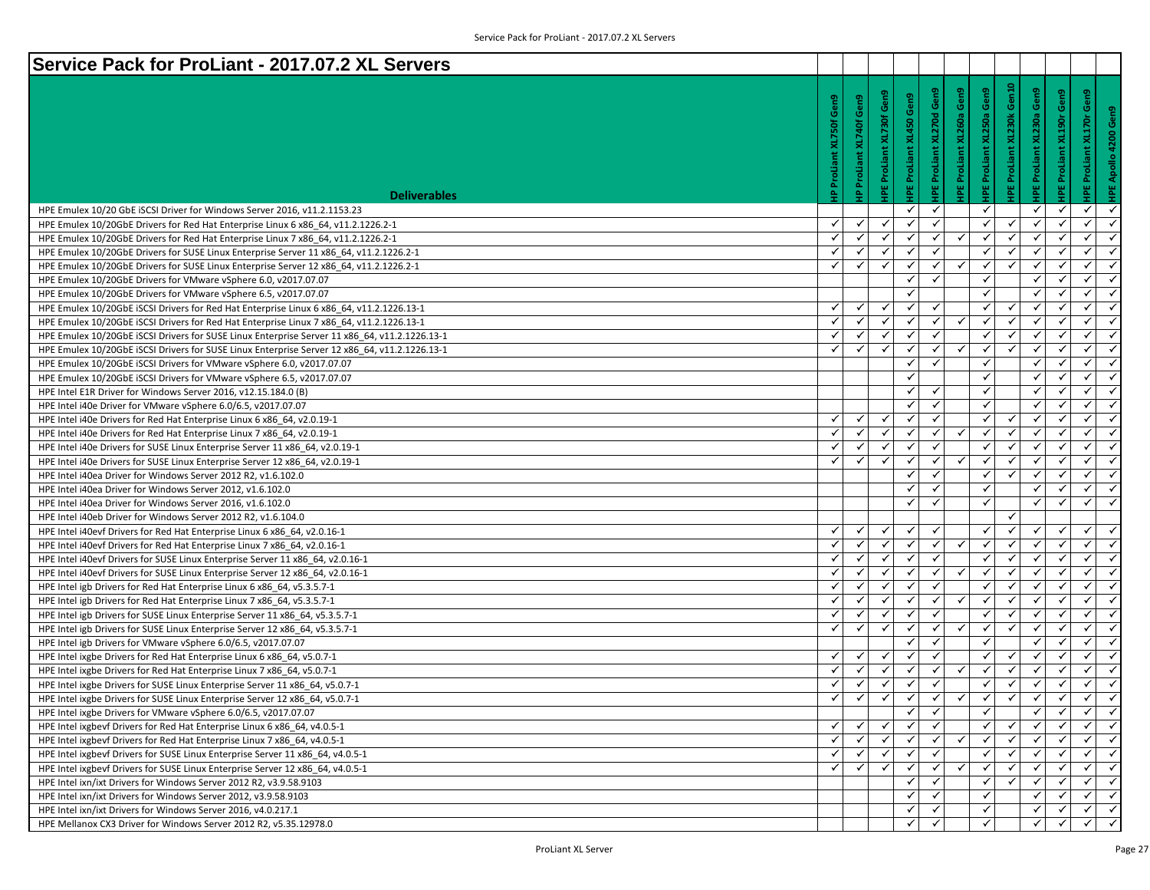| Service Pack for ProLiant - 2017.07.2 XL Servers                                              |               |                                |                     |                           |                              |                          |                              |                     |                            |                     |                                 |
|-----------------------------------------------------------------------------------------------|---------------|--------------------------------|---------------------|---------------------------|------------------------------|--------------------------|------------------------------|---------------------|----------------------------|---------------------|---------------------------------|
|                                                                                               |               |                                |                     |                           |                              |                          |                              |                     |                            |                     |                                 |
|                                                                                               | Gen9          | <b>IP ProLiant XL740f Gen9</b> | Gen9                | Gen9                      | Gen9                         | IPE ProLiant XL260a Gen9 | Gen9                         | Gen10               | Gen9                       | Gen9                | <b>IPE ProLiant XL170r Gen9</b> |
|                                                                                               |               |                                |                     |                           |                              |                          |                              |                     |                            |                     |                                 |
|                                                                                               | <b>XL750f</b> |                                |                     |                           |                              |                          |                              |                     |                            |                     |                                 |
|                                                                                               |               |                                |                     |                           |                              |                          |                              |                     |                            |                     |                                 |
|                                                                                               |               |                                |                     |                           |                              |                          |                              |                     |                            |                     |                                 |
|                                                                                               | ProLiar       |                                |                     |                           |                              |                          |                              |                     |                            |                     |                                 |
|                                                                                               | 우             |                                | IPE ProLiant XL730f | <b>HPE ProLiant XL450</b> | <b>IPE ProLiant XL270d</b>   |                          | <b>IPE ProLiant XL250a</b>   | IPE ProLiant XL230k | <b>IPE ProLiant XL230a</b> | IPE ProLiant XL190r |                                 |
| <b>Deliverables</b>                                                                           |               |                                |                     |                           |                              |                          |                              |                     |                            |                     |                                 |
| HPE Emulex 10/20 GbE ISCSI Driver for Windows Server 2016, v11.2.1153.23                      | ✓             | ✓                              | $\checkmark$        | ✓<br>✓                    | $\checkmark$<br>$\checkmark$ |                          | ✓<br>✓                       | $\checkmark$        | ✓<br>✓                     | ✔                   | ✓<br>$\checkmark$               |
| HPE Emulex 10/20GbE Drivers for Red Hat Enterprise Linux 6 x86 64, v11.2.1226.2-1             | Ÿ             | ✓                              | $\checkmark$        | $\checkmark$              | $\checkmark$                 | ✓                        | $\checkmark$                 |                     | $\checkmark$               | $\checkmark$        | ✓<br>✓<br>$\checkmark$          |
| HPE Emulex 10/20GbE Drivers for Red Hat Enterprise Linux 7 x86 64, v11.2.1226.2-1             |               |                                | $\checkmark$        | $\checkmark$              |                              |                          | $\checkmark$                 | √<br>$\checkmark$   |                            |                     | $\checkmark$<br>$\checkmark$    |
| HPE Emulex 10/20GbE Drivers for SUSE Linux Enterprise Server 11 x86 64, v11.2.1226.2-1        | $\checkmark$  | ✓                              | $\checkmark$        | $\checkmark$              | ✓                            |                          |                              | ✓                   | ✓                          | ✓                   | ✓                               |
| HPE Emulex 10/20GbE Drivers for SUSE Linux Enterprise Server 12 x86_64, v11.2.1226.2-1        | ✓             | ✓                              |                     |                           | ✓                            | $\checkmark$             | ✓                            |                     | ✓                          |                     | $\checkmark$                    |
| HPE Emulex 10/20GbE Drivers for VMware vSphere 6.0, v2017.07.07                               |               |                                |                     | ✓<br>✓                    | $\checkmark$                 |                          | $\checkmark$<br>$\checkmark$ |                     | ✓<br>٧                     | ✓                   | ✓<br>$\checkmark$<br>✓          |
| HPE Emulex 10/20GbE Drivers for VMware vSphere 6.5, v2017.07.07                               |               |                                |                     |                           |                              |                          |                              |                     |                            |                     |                                 |
| HPE Emulex 10/20GbE iSCSI Drivers for Red Hat Enterprise Linux 6 x86 64, v11.2.1226.13-1      | $\checkmark$  | ✓                              | $\checkmark$        | $\checkmark$              | $\checkmark$                 |                          | $\checkmark$                 | ✓                   | $\checkmark$               |                     | ✓<br>$\checkmark$               |
| HPE Emulex 10/20GbE iSCSI Drivers for Red Hat Enterprise Linux 7 x86 64, v11.2.1226.13-1      | $\checkmark$  | ✓                              | $\checkmark$        | $\checkmark$              | $\checkmark$                 | ✓                        | $\checkmark$                 | $\checkmark$        | ✓                          | ✓                   | ✓<br>$\checkmark$               |
| HPE Emulex 10/20GbE iSCSI Drivers for SUSE Linux Enterprise Server 11 x86_64, v11.2.1226.13-1 | ✓             | ✓                              | ✓                   | $\checkmark$              | ✓                            |                          | ✓                            | ✓                   |                            |                     | $\checkmark$<br>$\checkmark$    |
| HPE Emulex 10/20GbE iSCSI Drivers for SUSE Linux Enterprise Server 12 x86 64, v11.2.1226.13-1 | ✓             | ✓                              | ✓                   | ✓                         | ✓                            | ✓                        | ✓                            | ✓                   | ✓                          | ✓                   | ✓<br>$\checkmark$               |
| HPE Emulex 10/20GbE iSCSI Drivers for VMware vSphere 6.0, v2017.07.07                         |               |                                |                     | ✓                         |                              |                          | $\checkmark$                 |                     | ٧                          |                     | ✓<br>$\checkmark$               |
| HPE Emulex 10/20GbE ISCSI Drivers for VMware vSphere 6.5, v2017.07.07                         |               |                                |                     | ✓                         |                              |                          | $\checkmark$                 |                     | $\checkmark$               |                     | ✓<br>$\checkmark$               |
| HPE Intel E1R Driver for Windows Server 2016, v12.15.184.0 (B)                                |               |                                |                     | ✓                         | $\checkmark$                 |                          | $\checkmark$                 |                     | ✓                          |                     | ✓<br>$\checkmark$               |
| HPE Intel i40e Driver for VMware vSphere 6.0/6.5, v2017.07.07                                 |               |                                |                     | $\checkmark$              | ✓                            |                          | $\checkmark$                 |                     | ✓                          |                     | $\checkmark$<br>$\checkmark$    |
| HPE Intel i40e Drivers for Red Hat Enterprise Linux 6 x86 64, v2.0.19-1                       | ✓             | ✓                              | $\checkmark$        | ✓                         | $\checkmark$                 |                          | ✓                            | ✓                   | ✓                          | ✓                   | ✓<br>$\checkmark$               |
| HPE Intel i40e Drivers for Red Hat Enterprise Linux 7 x86 64, v2.0.19-1                       |               |                                | ✔                   | ✓                         | ✓                            | ✓                        | ✓                            | $\checkmark$        | V                          |                     | ✓<br>$\checkmark$               |
| HPE Intel i40e Drivers for SUSE Linux Enterprise Server 11 x86 64, v2.0.19-1                  | $\mathbf{v}$  | ✓                              | ✓                   | ✓                         | $\checkmark$                 |                          | $\checkmark$                 | √                   | $\checkmark$               | $\checkmark$        | ✓<br>$\checkmark$               |
| HPE Intel i40e Drivers for SUSE Linux Enterprise Server 12 x86 64, v2.0.19-1                  | ✓             | ✓                              | $\checkmark$        | $\checkmark$              | ✓                            | ✓                        | $\checkmark$                 | $\checkmark$        | ✓                          | ✓                   | ✓<br>$\checkmark$               |
| HPE Intel i40ea Driver for Windows Server 2012 R2, v1.6.102.0                                 |               |                                |                     | ✓                         | ✓                            |                          | ✓                            | ✓                   |                            |                     | $\checkmark$<br>$\checkmark$    |
| HPE Intel i40ea Driver for Windows Server 2012, v1.6.102.0                                    |               |                                |                     | ✓                         | ✓                            |                          | $\checkmark$                 |                     | ✓                          | ✓                   | ✓<br>$\checkmark$               |
| HPE Intel i40ea Driver for Windows Server 2016, v1.6.102.0                                    |               |                                |                     | ✓                         | ✓                            |                          | $\checkmark$                 |                     | ✓                          |                     | ✓<br>$\checkmark$               |
| HPE Intel i40eb Driver for Windows Server 2012 R2, v1.6.104.0                                 |               |                                |                     |                           |                              |                          |                              | ✓                   |                            |                     |                                 |
| HPE Intel i40evf Drivers for Red Hat Enterprise Linux 6 x86 64, v2.0.16-1                     | ✓             | ✓                              | $\checkmark$        | $\checkmark$              | $\checkmark$                 |                          | $\checkmark$                 | ✓                   | ✓                          | $\checkmark$        | ✓<br>$\checkmark$               |
| HPE Intel i40evf Drivers for Red Hat Enterprise Linux 7 x86 64, v2.0.16-1                     | ✓             | ✓                              | ✓                   | $\checkmark$              | ✓                            | $\checkmark$             | ✓                            | ✓                   |                            |                     | ✓                               |
| HPE Intel i40evf Drivers for SUSE Linux Enterprise Server 11 x86 64, v2.0.16-1                | ✓             | ✓                              | ✓                   | ✓                         | $\checkmark$                 |                          | ✓                            | $\checkmark$        | ✓                          | ✓                   | ✓<br>$\checkmark$               |
| HPE Intel i40evf Drivers for SUSE Linux Enterprise Server 12 x86 64, v2.0.16-1                |               |                                | ✔                   | ✓                         | ✓                            | ✓                        | ✓                            | $\checkmark$        |                            |                     | ✓<br>$\checkmark$               |
| HPE Intel igb Drivers for Red Hat Enterprise Linux 6 x86 64, v5.3.5.7-1                       | $\checkmark$  | ✓                              | $\checkmark$        | ✓                         | ✓                            |                          | $\checkmark$                 | √                   | $\checkmark$               |                     | ✓<br>$\checkmark$               |
| HPE Intel igb Drivers for Red Hat Enterprise Linux 7 x86_64, v5.3.5.7-1                       | $\checkmark$  | ✓                              | $\checkmark$        | $\checkmark$              | $\checkmark$                 | ✓                        | ✓                            | $\checkmark$        | ✓                          | $\checkmark$        | ✓<br>$\checkmark$               |
| HPE Intel igb Drivers for SUSE Linux Enterprise Server 11 x86_64, v5.3.5.7-1                  | ✓             |                                | ✓                   | $\checkmark$              | ✓                            |                          | ✓                            | ✓                   |                            |                     | ✓<br>$\checkmark$               |
| HPE Intel igb Drivers for SUSE Linux Enterprise Server 12 x86 64, v5.3.5.7-1                  | ✓             | ✓                              | $\checkmark$        | ✓                         | ✓                            | $\checkmark$             | ✓                            | ✓                   | ✓                          | ✓                   | ✓<br>$\checkmark$               |
| HPE Intel igb Drivers for VMware vSphere 6.0/6.5, v2017.07.07                                 |               |                                |                     | ✓                         | ✓                            |                          | ✓                            |                     | ✓                          |                     | $\checkmark$<br>✓               |
| HPE Intel ixgbe Drivers for Red Hat Enterprise Linux 6 x86_64, v5.0.7-1                       | √             | ✓                              | ✓                   | ✓                         | ✓                            |                          | $\checkmark$                 | √                   | ✓                          |                     | ✓<br>$\checkmark$               |
| HPE Intel ixgbe Drivers for Red Hat Enterprise Linux 7 x86_64, v5.0.7-1                       | $\checkmark$  | ✓                              | $\checkmark$        | $\checkmark$              | $\checkmark$                 | ✓                        | $\checkmark$                 | $\checkmark$        | ✓                          | $\checkmark$        | $\checkmark$<br>$\checkmark$    |
| HPE Intel ixgbe Drivers for SUSE Linux Enterprise Server 11 x86 64, v5.0.7-1                  | ✓             | ✓                              | ✓                   | $\checkmark$              | ✓                            |                          | ✓                            | $\checkmark$        | ✓                          | ✓                   | ✓<br>$\checkmark$               |
| HPE Intel ixgbe Drivers for SUSE Linux Enterprise Server 12 x86_64, v5.0.7-1                  | $\checkmark$  | $\checkmark$                   | $\checkmark$        | $\checkmark$              | $\checkmark$                 | ✓                        | $\checkmark$                 | $\checkmark$        | $\checkmark$               | $\checkmark$        | $\checkmark$<br>$\checkmark$    |
| HPE Intel ixgbe Drivers for VMware vSphere 6.0/6.5, v2017.07.07                               |               |                                |                     | ✓                         | ✓                            |                          | ✓                            |                     | ✓                          | ✓                   | ✓                               |
| HPE Intel ixgbevf Drivers for Red Hat Enterprise Linux 6 x86 64, v4.0.5-1                     | √             | ✓                              | ✓                   | $\checkmark$              | $\checkmark$                 |                          | $\checkmark$                 |                     |                            |                     | ✓                               |
| HPE Intel ixgbevf Drivers for Red Hat Enterprise Linux 7 x86 64, v4.0.5-1                     | ✓             | $\checkmark$                   | $\checkmark$        | $\checkmark$              | $\checkmark$                 | ✓                        | $\checkmark$                 | $\checkmark$        |                            | $\checkmark$        | $\checkmark$<br>$\checkmark$    |
| HPE Intel ixgbevf Drivers for SUSE Linux Enterprise Server 11 x86 64, v4.0.5-1                | ✓             |                                | ✓                   | $\checkmark$              | ✓                            |                          | ✓                            | ✓                   |                            | ✓                   | ✓<br>$\checkmark$               |
| HPE Intel ixgbevf Drivers for SUSE Linux Enterprise Server 12 x86 64, v4.0.5-1                | ✓             | ✓                              | ✓                   | ✓                         | ✓                            | ✓                        | ✓                            | ✓                   | ✓                          | ✓                   | ✓<br>$\checkmark$               |
| HPE Intel ixn/ixt Drivers for Windows Server 2012 R2, v3.9.58.9103                            |               |                                |                     | ✓                         | ✓                            |                          | ✓                            |                     |                            |                     | ✓<br>$\checkmark$               |
| HPE Intel ixn/ixt Drivers for Windows Server 2012, v3.9.58.9103                               |               |                                |                     | ✓                         | $\checkmark$                 |                          | $\checkmark$                 |                     | Y                          |                     | ✓<br>$\checkmark$               |
| HPE Intel ixn/ixt Drivers for Windows Server 2016, v4.0.217.1                                 |               |                                |                     | ✓                         | ✓                            |                          | ✓                            |                     | ✓                          | ✓                   | ✓<br>$\checkmark$               |
| HPE Mellanox CX3 Driver for Windows Server 2012 R2, v5.35.12978.0                             |               |                                |                     | ✓                         | ✓                            |                          | ✓                            |                     | ✓                          |                     | ✓<br>$\checkmark$               |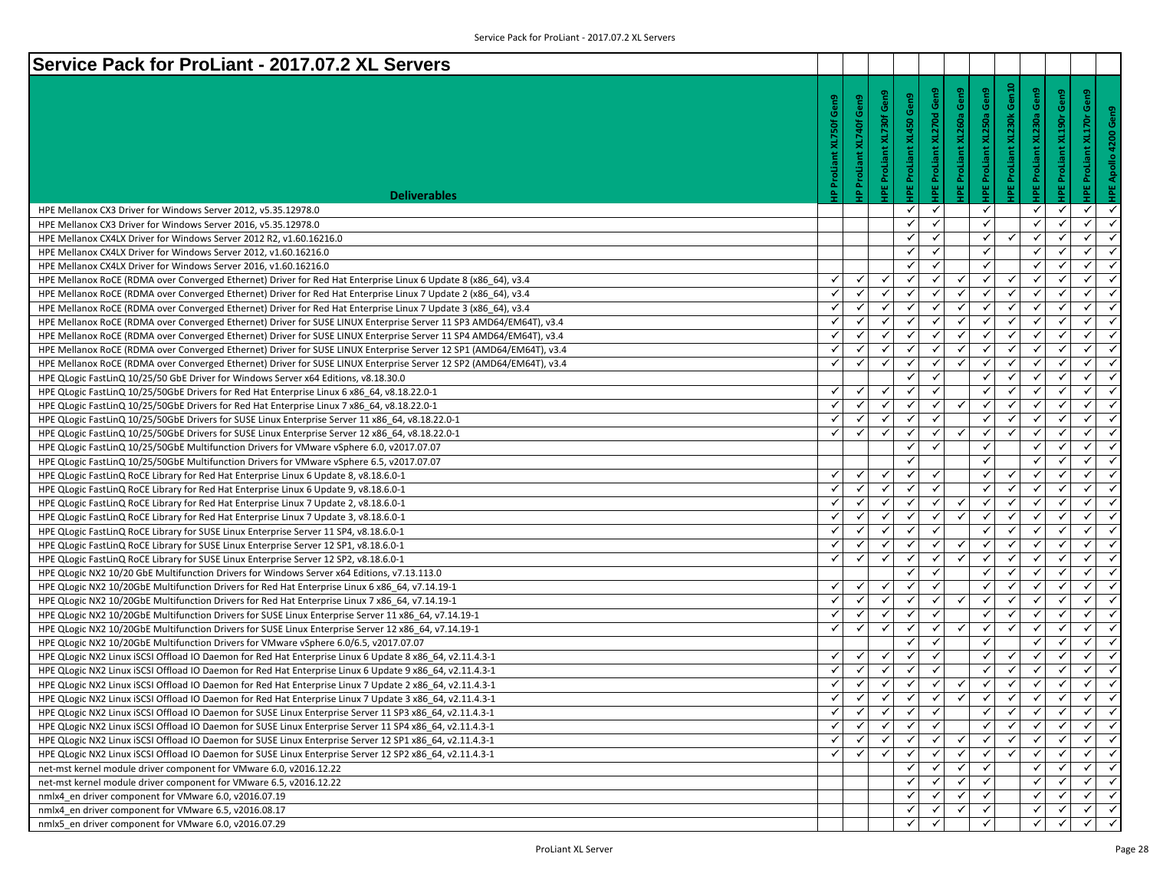| Service Pack for ProLiant - 2017.07.2 XL Servers                                                                    |                    |              |                    |                           |                     |                            |                            |                            |                     |                                  |              |
|---------------------------------------------------------------------------------------------------------------------|--------------------|--------------|--------------------|---------------------------|---------------------|----------------------------|----------------------------|----------------------------|---------------------|----------------------------------|--------------|
|                                                                                                                     |                    |              |                    |                           | Gen9                | Gen9                       | Gen9                       | Gen10                      | Gen9                |                                  |              |
|                                                                                                                     | Gen9               | Gen9         | Gen9               | Gen9                      |                     |                            |                            |                            |                     | HPE ProLiant XL190r Gen9<br>Gen9 |              |
|                                                                                                                     |                    |              | PE ProLiant XL730f |                           | XL270d              | <b>IPE ProLiant XL260a</b> | <b>IPE ProLiant XL250a</b> | <b>IPE ProLiant XL230k</b> | XL230a              | <b>IPE ProLiant XL170r</b>       | Gen9         |
|                                                                                                                     |                    | XL740f       |                    |                           |                     |                            |                            |                            |                     |                                  | 4200         |
|                                                                                                                     | IP ProLiant XL750f |              |                    |                           |                     |                            |                            |                            |                     |                                  |              |
|                                                                                                                     |                    | ProLiant     |                    |                           |                     |                            |                            |                            |                     |                                  | Apollo       |
|                                                                                                                     |                    |              |                    |                           |                     |                            |                            |                            |                     |                                  |              |
| <b>Deliverables</b>                                                                                                 |                    |              |                    | <b>IPE ProLiant XL450</b> | <b>IPE ProLiant</b> |                            |                            |                            | <b>IPE ProLiant</b> |                                  |              |
| HPE Mellanox CX3 Driver for Windows Server 2012, v5.35.12978.0                                                      |                    |              |                    | ✓                         | ✓                   |                            | ✓                          |                            | $\checkmark$        | $\checkmark$<br>✓                | $\checkmark$ |
| HPE Mellanox CX3 Driver for Windows Server 2016, v5.35.12978.0                                                      |                    |              |                    | ✓                         | $\checkmark$        |                            | ✓                          |                            | $\checkmark$        | $\checkmark$<br>✓                | ✓            |
| HPE Mellanox CX4LX Driver for Windows Server 2012 R2, v1.60.16216.0                                                 |                    |              |                    | ✓                         | ✓                   |                            | √                          | ✓                          | $\checkmark$        | ✓<br>✔                           | $\checkmark$ |
| HPE Mellanox CX4LX Driver for Windows Server 2012, v1.60.16216.0                                                    |                    |              |                    | √                         | ✓                   |                            | $\checkmark$               |                            | ✓                   | ✓<br>✓                           | $\checkmark$ |
| HPE Mellanox CX4LX Driver for Windows Server 2016, v1.60.16216.0                                                    |                    |              |                    | ✓                         | $\checkmark$        |                            | ✓                          |                            | ✓                   | $\checkmark$<br>✓                | $\checkmark$ |
| HPE Mellanox RoCE (RDMA over Converged Ethernet) Driver for Red Hat Enterprise Linux 6 Update 8 (x86_64), v3.4      | ✓                  | $\checkmark$ | ✓                  | ✓                         | ✓                   | ✓                          | $\checkmark$               | ✓                          | ✓                   | $\checkmark$<br>✓                | $\checkmark$ |
| HPE Mellanox RoCE (RDMA over Converged Ethernet) Driver for Red Hat Enterprise Linux 7 Update 2 (x86_64), v3.4      | ✓                  |              | ✓                  | ✓                         | ✓                   | ✓                          | ✓                          | ✓                          | $\checkmark$        | $\checkmark$<br>✓                | ✓            |
| HPE Mellanox RoCE (RDMA over Converged Ethernet) Driver for Red Hat Enterprise Linux 7 Update 3 (x86_64), v3.4      | ✓                  | $\checkmark$ | ✓                  | ✓                         | ✓                   | √                          | √                          | ✓                          | $\checkmark$        | ✓<br>✓                           | $\checkmark$ |
| HPE Mellanox RoCE (RDMA over Converged Ethernet) Driver for SUSE LINUX Enterprise Server 11 SP3 AMD64/EM64T), v3.4  | ✓                  |              | $\checkmark$       | ✓                         | $\checkmark$        |                            | $\checkmark$               | $\checkmark$               | $\checkmark$        | $\checkmark$<br>✓                | $\checkmark$ |
| HPE Mellanox RoCE (RDMA over Converged Ethernet) Driver for SUSE LINUX Enterprise Server 11 SP4 AMD64/EM64T), v3.4  | ✓                  | ✓            | $\checkmark$       | $\checkmark$              | ✓                   | ✓                          | $\checkmark$               | $\checkmark$               | $\checkmark$        | $\checkmark$<br>✓                | $\checkmark$ |
| HPE Mellanox RoCE (RDMA over Converged Ethernet) Driver for SUSE LINUX Enterprise Server 12 SP1 (AMD64/EM64T), v3.4 | $\checkmark$       | $\checkmark$ | $\checkmark$       | ✓                         | $\checkmark$        | ✓                          | $\checkmark$               | $\checkmark$               | $\checkmark$        | $\checkmark$<br>✓                | $\checkmark$ |
| HPE Mellanox RoCE (RDMA over Converged Ethernet) Driver for SUSE LINUX Enterprise Server 12 SP2 (AMD64/EM64T), v3.4 | ✓                  | ✓            | ✓                  | ✓                         | ✔                   | ✓                          | ✓                          | ✓                          | ✓                   | ✓<br>✓                           | ✓            |
| HPE QLogic FastLinQ 10/25/50 GbE Driver for Windows Server x64 Editions, v8.18.30.0                                 |                    |              |                    | ✓                         | ✓                   |                            | √                          | ✓                          | $\checkmark$        | ✔<br>✓                           | $\checkmark$ |
| HPE QLogic FastLinQ 10/25/50GbE Drivers for Red Hat Enterprise Linux 6 x86 64, v8.18.22.0-1                         | ✓                  |              | $\checkmark$       | $\checkmark$              | $\checkmark$        |                            | $\checkmark$               | ✓                          | $\checkmark$        | $\checkmark$<br>✓                | $\checkmark$ |
| HPE QLogic FastLinQ 10/25/50GbE Drivers for Red Hat Enterprise Linux 7 x86 64, v8.18.22.0-1                         | ✓                  | ✓            | $\checkmark$       | ✓                         | ✓                   | $\checkmark$               | $\checkmark$               | $\checkmark$               | $\checkmark$        | $\checkmark$<br>✓                | $\checkmark$ |
| HPE QLogic FastLinQ 10/25/50GbE Drivers for SUSE Linux Enterprise Server 11 x86_64, v8.18.22.0-1                    | $\checkmark$       | ✓            | $\checkmark$       | $\checkmark$              | $\checkmark$        |                            | $\checkmark$               | $\checkmark$               | $\checkmark$        | $\checkmark$<br>✓                | $\checkmark$ |
| HPE QLogic FastLinQ 10/25/50GbE Drivers for SUSE Linux Enterprise Server 12 x86_64, v8.18.22.0-1                    | ✓                  | ✓            | ✓                  | ✓                         | $\checkmark$        | ✓                          | ✓                          | $\checkmark$               | ✓                   | ✓<br>✓                           | ✓            |
| HPE QLogic FastLinQ 10/25/50GbE Multifunction Drivers for VMware vSphere 6.0, v2017.07.07                           |                    |              |                    | ✓                         | $\checkmark$        |                            | ✓                          |                            | $\checkmark$        | ✔<br>✓                           | $\checkmark$ |
| HPE QLogic FastLinQ 10/25/50GbE Multifunction Drivers for VMware vSphere 6.5, v2017.07.07                           |                    |              |                    |                           |                     |                            | $\checkmark$               |                            |                     | ✓<br>$\checkmark$                | $\checkmark$ |
| HPE QLogic FastLinQ RoCE Library for Red Hat Enterprise Linux 6 Update 8, v8.18.6.0-1                               | ✓                  | ✓            | $\checkmark$       | ✓                         | ✓                   |                            | ✓                          | $\checkmark$               | ✓                   | ✓<br>✓                           | $\checkmark$ |
| HPE QLogic FastLinQ RoCE Library for Red Hat Enterprise Linux 6 Update 9, v8.18.6.0-1                               | $\checkmark$       | ✓            | $\checkmark$       | $\checkmark$              | $\checkmark$        |                            | $\checkmark$               | $\checkmark$               | $\checkmark$        | $\checkmark$<br>✓                | $\checkmark$ |
| HPE QLogic FastLinQ RoCE Library for Red Hat Enterprise Linux 7 Update 2, v8.18.6.0-1                               | $\checkmark$       |              | ✓                  | ✓                         | ✓                   | ✓                          | ✓                          | ✔                          | ✓                   | ✓<br>✓                           | ✓            |
| HPE QLogic FastLinQ RoCE Library for Red Hat Enterprise Linux 7 Update 3, v8.18.6.0-1                               | ✓                  | $\checkmark$ | ✓                  | ✓                         | ✔                   | ✓                          | $\checkmark$               | ✓                          | $\checkmark$        | ✔<br>✓                           | $\checkmark$ |
| HPE QLogic FastLinQ RoCE Library for SUSE Linux Enterprise Server 11 SP4, v8.18.6.0-1                               | $\checkmark$       |              | $\checkmark$       | $\checkmark$              |                     |                            | ✓                          | ✓                          |                     | ✓<br>✓                           | $\checkmark$ |
| HPE QLogic FastLinQ RoCE Library for SUSE Linux Enterprise Server 12 SP1, v8.18.6.0-1                               | ✓                  | ✓            | $\checkmark$       | ✓                         | ✓                   | $\checkmark$               | $\checkmark$               | $\checkmark$               | $\checkmark$        | ✓<br>$\checkmark$                | $\checkmark$ |
| HPE QLogic FastLinQ RoCE Library for SUSE Linux Enterprise Server 12 SP2, v8.18.6.0-1                               | ✓                  | ✓            | $\checkmark$       | ✓                         | $\checkmark$        | ✓                          | $\checkmark$               | $\checkmark$               | $\checkmark$        | $\checkmark$<br>✓                | $\checkmark$ |
| HPE QLogic NX2 10/20 GbE Multifunction Drivers for Windows Server x64 Editions, v7.13.113.0                         |                    |              |                    | ✓                         | $\checkmark$        |                            | ✓                          | $\checkmark$               | ✓                   | ✓<br>✓                           | $\checkmark$ |
| HPE QLogic NX2 10/20GbE Multifunction Drivers for Red Hat Enterprise Linux 6 x86_64, v7.14.19-1                     | ✓                  | $\checkmark$ | ✓                  | ✓                         | ✓                   |                            | √                          | ✓                          | $\checkmark$        | ✔<br>✓                           | $\checkmark$ |
| HPE QLogic NX2 10/20GbE Multifunction Drivers for Red Hat Enterprise Linux 7 x86_64, v7.14.19-1                     | $\checkmark$       |              | $\checkmark$       | $\checkmark$              | $\checkmark$        |                            | $\checkmark$               | ✓                          |                     | ✓<br>✓                           | $\checkmark$ |
| HPE QLogic NX2 10/20GbE Multifunction Drivers for SUSE Linux Enterprise Server 11 x86_64, v7.14.19-1                | ✓                  | ✓            | $\checkmark$       | ✓                         | $\checkmark$        |                            | $\checkmark$               | $\checkmark$               | $\checkmark$        | $\checkmark$<br>$\checkmark$     | $\checkmark$ |
| HPE QLogic NX2 10/20GbE Multifunction Drivers for SUSE Linux Enterprise Server 12 x86_64, v7.14.19-1                | ✓                  | ✓            | $\checkmark$       | ✓                         | $\checkmark$        | ✓                          | $\checkmark$               | $\checkmark$               | $\checkmark$        | $\checkmark$<br>✓                | $\checkmark$ |
| HPE QLogic NX2 10/20GbE Multifunction Drivers for VMware vSphere 6.0/6.5, v2017.07.07                               |                    |              |                    | ✓                         | $\checkmark$        |                            | ✓                          |                            | ✓                   | ✓<br>✓                           | ✓            |
| HPE QLogic NX2 Linux iSCSI Offload IO Daemon for Red Hat Enterprise Linux 6 Update 8 x86_64, v2.11.4.3-1            | ✓                  | ✓            | ✓                  | ✓                         | ✓                   |                            | √                          | ✓                          | $\checkmark$        | ✓<br>✔                           | $\checkmark$ |
| HPE QLogic NX2 Linux iSCSI Offload IO Daemon for Red Hat Enterprise Linux 6 Update 9 x86 64, v2.11.4.3-1            |                    |              |                    | $\checkmark$              |                     |                            | ✓                          | ✓                          |                     | ✓<br>✓                           | $\checkmark$ |
| HPE QLogic NX2 Linux iSCSI Offload IO Daemon for Red Hat Enterprise Linux 7 Update 2 x86 64, v2.11.4.3-1            | ✓                  | ✓            | ✓                  | $\checkmark$              | ✓                   | ✓                          | $\checkmark$               | $\checkmark$               | $\checkmark$        | $\checkmark$<br>$\checkmark$     | $\checkmark$ |
| HPE QLogic NX2 Linux iSCSI Offload IO Daemon for Red Hat Enterprise Linux 7 Update 3 x86 64, v2.11.4.3-1            | ✓                  | ✓            | $\checkmark$       | ✓                         | $\checkmark$        | $\checkmark$               | $\checkmark$               | $\checkmark$               | $\checkmark$        | $\checkmark$<br>✓                | $\checkmark$ |
| HPE QLogic NX2 Linux iSCSI Offload IO Daemon for SUSE Linux Enterprise Server 11 SP3 x86_64, v2.11.4.3-1            | ✓                  | ✓            | ✓                  | ✓                         | ✓                   |                            | ✓                          | ✓                          | ✓                   | ✓<br>✓                           |              |
| HPE QLogic NX2 Linux iSCSI Offload IO Daemon for SUSE Linux Enterprise Server 11 SP4 x86 64, v2.11.4.3-1            | ✓                  |              |                    | ✓                         |                     |                            | $\checkmark$               | ✓                          | ✓                   | ✓<br>✔                           | $\checkmark$ |
| HPE QLogic NX2 Linux iSCSI Offload IO Daemon for SUSE Linux Enterprise Server 12 SP1 x86_64, v2.11.4.3-1            | ✓                  |              |                    | $\checkmark$              |                     |                            | ✓                          | $\checkmark$               |                     | $\checkmark$<br>✓                | $\checkmark$ |
| HPE QLogic NX2 Linux iSCSI Offload IO Daemon for SUSE Linux Enterprise Server 12 SP2 x86 64, v2.11.4.3-1            | $\checkmark$       | ✓            | $\checkmark$       | ✓                         | $\checkmark$        | $\checkmark$               | $\checkmark$               | $\checkmark$               | $\checkmark$        | $\checkmark$<br>$\checkmark$     | $\checkmark$ |
| net-mst kernel module driver component for VMware 6.0, v2016.12.22                                                  |                    |              |                    | ✓                         |                     |                            | $\checkmark$               |                            | ✓                   | ✓<br>✔                           | $\checkmark$ |
| net-mst kernel module driver component for VMware 6.5, v2016.12.22                                                  |                    |              |                    | ✓                         | ✓                   |                            | ✓                          |                            | $\checkmark$        | $\checkmark$<br>✓                | ✓            |
| nmlx4 en driver component for VMware 6.0, v2016.07.19                                                               |                    |              |                    | ✓                         | ✓                   | √                          | √                          |                            | $\checkmark$        | ✔<br>✓                           | $\checkmark$ |
| nmlx4_en driver component for VMware 6.5, v2016.08.17                                                               |                    |              |                    | ✓                         | ✓                   |                            | $\checkmark$               |                            | ✓                   | ✓<br>✓                           | $\checkmark$ |
| nmlx5 en driver component for VMware 6.0, v2016.07.29                                                               |                    |              |                    | ✓                         | ✓                   |                            | ✓                          |                            | $\checkmark$        | $\checkmark$<br>✓                | $\checkmark$ |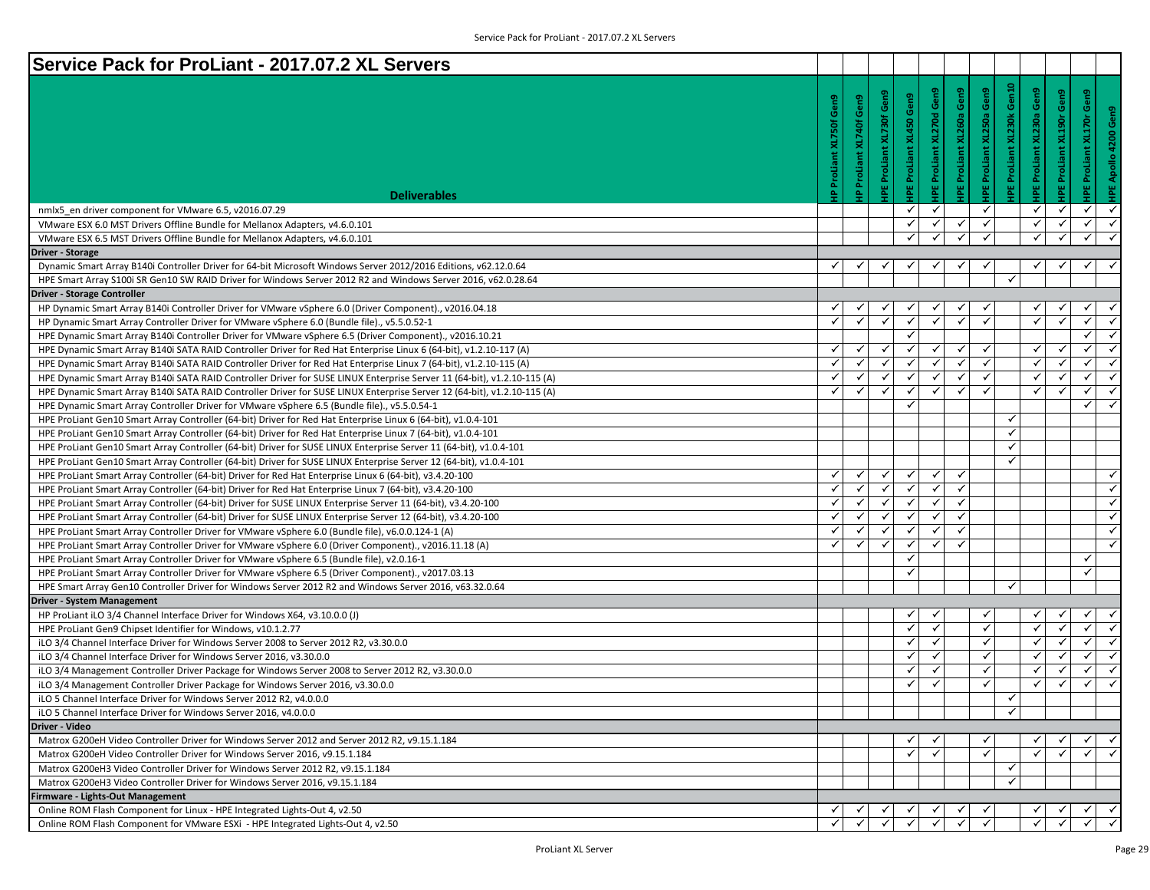| Service Pack for ProLiant - 2017.07.2 XL Servers                                                                        |                 |              |                         |                         |                          |                     |                     |                                   |                                       |                                                    |
|-------------------------------------------------------------------------------------------------------------------------|-----------------|--------------|-------------------------|-------------------------|--------------------------|---------------------|---------------------|-----------------------------------|---------------------------------------|----------------------------------------------------|
|                                                                                                                         |                 |              |                         |                         |                          |                     |                     |                                   |                                       |                                                    |
|                                                                                                                         | Gen9            | Gen9         | PE ProLiant XL730f Gen9 | IPE ProLiant XL450 Gen9 | Gen9                     | Gen9                | Gen9                | IPE ProLiant XL230k Gen10<br>Gen9 | IPE ProLiant XL190r Gen9              | Gen9                                               |
|                                                                                                                         |                 |              |                         |                         | <b>PEProLiant XL270d</b> | IPE ProLiant XL260a | IPE ProLiant XL250a | XL230a                            |                                       | HPE Apollo 4200 Gen9<br><b>IPE ProLiant XL170r</b> |
|                                                                                                                         | ProLiant XL750f | XL740f       |                         |                         |                          |                     |                     |                                   |                                       |                                                    |
|                                                                                                                         |                 |              |                         |                         |                          |                     |                     |                                   |                                       |                                                    |
|                                                                                                                         |                 | ProLiant     |                         |                         |                          |                     |                     | <b>PEProLiant</b>                 |                                       |                                                    |
|                                                                                                                         |                 |              |                         |                         |                          |                     |                     |                                   |                                       |                                                    |
| <b>Deliverables</b>                                                                                                     | 죸               | $\mathbf{a}$ |                         |                         |                          |                     |                     |                                   |                                       |                                                    |
| nmlx5 en driver component for VMware 6.5, v2016.07.29                                                                   |                 |              |                         | ✓                       | $\checkmark$             |                     | $\checkmark$        | $\checkmark$                      | $\checkmark$                          | $\checkmark$<br>✓                                  |
| VMware ESX 6.0 MST Drivers Offline Bundle for Mellanox Adapters, v4.6.0.101                                             |                 |              |                         | ✓                       | $\checkmark$             | ✓                   | $\checkmark$        | ✓                                 | $\checkmark$                          | $\checkmark$<br>$\checkmark$                       |
| VMware ESX 6.5 MST Drivers Offline Bundle for Mellanox Adapters, v4.6.0.101                                             |                 |              |                         | $\checkmark$            | $\checkmark$             | ✓                   | $\checkmark$        | $\checkmark$                      | $\checkmark$                          | $\checkmark$<br>$\checkmark$                       |
| <b>Driver - Storage</b>                                                                                                 |                 |              |                         |                         |                          |                     |                     |                                   |                                       |                                                    |
| Dynamic Smart Array B140i Controller Driver for 64-bit Microsoft Windows Server 2012/2016 Editions, v62.12.0.64         | ✓               |              |                         |                         |                          |                     |                     |                                   |                                       |                                                    |
| HPE Smart Array S100i SR Gen10 SW RAID Driver for Windows Server 2012 R2 and Windows Server 2016, v62.0.28.64           |                 |              |                         |                         |                          |                     |                     | ✓                                 |                                       |                                                    |
| <b>Driver - Storage Controller</b>                                                                                      |                 |              |                         |                         |                          |                     |                     |                                   |                                       |                                                    |
| HP Dynamic Smart Array B140i Controller Driver for VMware vSphere 6.0 (Driver Component)., v2016.04.18                  | ✓               |              |                         |                         |                          |                     |                     |                                   |                                       | ✓                                                  |
| HP Dynamic Smart Array Controller Driver for VMware vSphere 6.0 (Bundle file)., v5.5.0.52-1                             | $\checkmark$    | $\checkmark$ | $\checkmark$            | ✓                       | $\checkmark$             | ✓                   | ✓                   | $\checkmark$                      | $\checkmark$                          | $\checkmark$<br>$\checkmark$                       |
| HPE Dynamic Smart Array B140i Controller Driver for VMware vSphere 6.5 (Driver Component)., v2016.10.21                 |                 |              |                         | $\checkmark$            |                          |                     |                     |                                   |                                       | $\checkmark$<br>$\checkmark$                       |
| HPE Dynamic Smart Array B140i SATA RAID Controller Driver for Red Hat Enterprise Linux 6 (64-bit), v1.2.10-117 (A)      | ✓               | $\checkmark$ | $\checkmark$            | $\checkmark$            | √                        | ✓                   | ✓                   | $\checkmark$                      | $\checkmark$                          | $\checkmark$<br>$\checkmark$                       |
| HPE Dynamic Smart Array B140i SATA RAID Controller Driver for Red Hat Enterprise Linux 7 (64-bit), v1.2.10-115 (A)      | ✓               | $\checkmark$ | $\checkmark$            | $\checkmark$            | $\checkmark$             |                     | ✓                   | ✓                                 | $\checkmark$                          | $\checkmark$<br>$\checkmark$                       |
| HPE Dynamic Smart Array B140i SATA RAID Controller Driver for SUSE LINUX Enterprise Server 11 (64-bit), v1.2.10-115 (A) | $\checkmark$    | $\checkmark$ | $\checkmark$            | $\checkmark$            | $\checkmark$             | ✓                   | $\checkmark$        | $\checkmark$                      | $\checkmark$                          | $\checkmark$<br>✓                                  |
| HPE Dynamic Smart Array B140i SATA RAID Controller Driver for SUSE LINUX Enterprise Server 12 (64-bit), v1.2.10-115 (A) | ✓               | ✓            | ✓                       | ✓                       | $\checkmark$             | ✓                   | ✓                   | $\checkmark$                      | ✓                                     | ✓<br>$\checkmark$                                  |
| HPE Dynamic Smart Array Controller Driver for VMware vSphere 6.5 (Bundle file)., v5.5.0.54-1                            |                 |              |                         | $\checkmark$            |                          |                     |                     |                                   |                                       | $\checkmark$<br>$\checkmark$                       |
| HPE ProLiant Gen10 Smart Array Controller (64-bit) Driver for Red Hat Enterprise Linux 6 (64-bit), v1.0.4-101           |                 |              |                         |                         |                          |                     |                     | ✓                                 |                                       |                                                    |
| HPE ProLiant Gen10 Smart Array Controller (64-bit) Driver for Red Hat Enterprise Linux 7 (64-bit), v1.0.4-101           |                 |              |                         |                         |                          |                     |                     | ✓                                 |                                       |                                                    |
| HPE ProLiant Gen10 Smart Array Controller (64-bit) Driver for SUSE LINUX Enterprise Server 11 (64-bit), v1.0.4-101      |                 |              |                         |                         |                          |                     |                     | ✓                                 |                                       |                                                    |
| HPE ProLiant Gen10 Smart Array Controller (64-bit) Driver for SUSE LINUX Enterprise Server 12 (64-bit), v1.0.4-101      |                 |              |                         |                         |                          |                     |                     | ✓                                 |                                       |                                                    |
| HPE ProLiant Smart Array Controller (64-bit) Driver for Red Hat Enterprise Linux 6 (64-bit), v3.4.20-100                | ✓               | ✓            | ✓                       | ✓                       | ✓                        | ✓                   |                     |                                   |                                       | ✓                                                  |
| HPE ProLiant Smart Array Controller (64-bit) Driver for Red Hat Enterprise Linux 7 (64-bit), v3.4.20-100                | ✓               |              | $\checkmark$            | ✓                       | $\checkmark$             | ✓                   |                     |                                   |                                       | $\checkmark$                                       |
| HPE ProLiant Smart Array Controller (64-bit) Driver for SUSE LINUX Enterprise Server 11 (64-bit), v3.4.20-100           | ✓               | ✓            | $\checkmark$            | ✓                       | ✓                        | ✓                   |                     |                                   |                                       | $\checkmark$                                       |
| HPE ProLiant Smart Array Controller (64-bit) Driver for SUSE LINUX Enterprise Server 12 (64-bit), v3.4.20-100           | $\checkmark$    | $\checkmark$ | $\checkmark$            | $\checkmark$            | $\checkmark$             | $\checkmark$        |                     |                                   |                                       | $\checkmark$                                       |
| HPE ProLiant Smart Array Controller Driver for VMware vSphere 6.0 (Bundle file), v6.0.0.124-1 (A)                       | ✓               | ✓            | ✓                       | ✓                       | $\checkmark$             | ✓                   |                     |                                   |                                       | $\checkmark$                                       |
| HPE ProLiant Smart Array Controller Driver for VMware vSphere 6.0 (Driver Component)., v2016.11.18 (A)                  | $\checkmark$    | ✓            | ✓                       | $\checkmark$            | $\checkmark$             |                     |                     |                                   |                                       | ✓                                                  |
| HPE ProLiant Smart Array Controller Driver for VMware vSphere 6.5 (Bundle file), v2.0.16-1                              |                 |              |                         | ✓                       |                          |                     |                     |                                   |                                       | $\checkmark$                                       |
| HPE ProLiant Smart Array Controller Driver for VMware vSphere 6.5 (Driver Component)., v2017.03.13                      |                 |              |                         | ✓                       |                          |                     |                     |                                   |                                       | $\checkmark$                                       |
| HPE Smart Array Gen10 Controller Driver for Windows Server 2012 R2 and Windows Server 2016, v63.32.0.64                 |                 |              |                         |                         |                          |                     |                     | ✓                                 |                                       |                                                    |
| <b>Driver - System Management</b>                                                                                       |                 |              |                         |                         |                          |                     |                     |                                   |                                       |                                                    |
| HP ProLiant iLO 3/4 Channel Interface Driver for Windows X64, v3.10.0.0 (J)                                             |                 |              |                         | ✓                       |                          |                     |                     |                                   |                                       | ✓                                                  |
| HPE ProLiant Gen9 Chipset Identifier for Windows, v10.1.2.77                                                            |                 |              |                         | ✓                       |                          |                     | $\checkmark$        |                                   | ✓                                     | ✓<br>$\checkmark$                                  |
| iLO 3/4 Channel Interface Driver for Windows Server 2008 to Server 2012 R2, v3.30.0.0                                   |                 |              |                         | $\checkmark$            | ✓                        |                     | ✓                   | ✓                                 | $\checkmark$                          | $\checkmark$<br>$\checkmark$                       |
| iLO 3/4 Channel Interface Driver for Windows Server 2016, v3.30.0.0                                                     |                 |              |                         | $\checkmark$            | $\checkmark$             |                     |                     | $\checkmark$                      | $\checkmark$                          | $\checkmark$<br>✓                                  |
| iLO 3/4 Management Controller Driver Package for Windows Server 2008 to Server 2012 R2, v3.30.0.0                       |                 |              |                         | ✓                       | ✓                        |                     | $\checkmark$        | $\checkmark$                      | $\checkmark$                          | ✓<br>$\checkmark$                                  |
| iLO 3/4 Management Controller Driver Package for Windows Server 2016, v3.30.0.0                                         |                 |              |                         | ✓                       | ✓                        |                     | ✓                   | ✔                                 | ✓                                     | $\checkmark$<br>$\checkmark$                       |
| iLO 5 Channel Interface Driver for Windows Server 2012 R2, v4.0.0.0                                                     |                 |              |                         |                         |                          |                     |                     | ✓                                 |                                       |                                                    |
| iLO 5 Channel Interface Driver for Windows Server 2016, v4.0.0.0                                                        |                 |              |                         |                         |                          |                     |                     | $\checkmark$                      |                                       |                                                    |
| Driver - Video                                                                                                          |                 |              |                         |                         |                          |                     |                     |                                   |                                       |                                                    |
| Matrox G200eH Video Controller Driver for Windows Server 2012 and Server 2012 R2, v9.15.1.184                           |                 |              |                         | ✓                       |                          |                     |                     |                                   |                                       | ✓                                                  |
| Matrox G200eH Video Controller Driver for Windows Server 2016, v9.15.1.184                                              |                 |              |                         | $\checkmark$            | $\checkmark$             |                     | $\checkmark$        | ✓                                 |                                       | $\bar{\mathbf{v}}$<br>$\checkmark$                 |
| Matrox G200eH3 Video Controller Driver for Windows Server 2012 R2, v9.15.1.184                                          |                 |              |                         |                         |                          |                     |                     | ✓                                 |                                       |                                                    |
| Matrox G200eH3 Video Controller Driver for Windows Server 2016, v9.15.1.184                                             |                 |              |                         |                         |                          |                     |                     | ✓                                 |                                       |                                                    |
| irmware - Lights-Out Management                                                                                         |                 |              |                         |                         |                          |                     |                     |                                   |                                       |                                                    |
| Online ROM Flash Component for Linux - HPE Integrated Lights-Out 4, v2.50                                               |                 |              |                         |                         |                          |                     |                     |                                   | $\frac{ \mathcal{A} }{ \mathcal{A} }$ | $\frac{\checkmark}{\checkmark}$                    |
| Online ROM Flash Component for VMware ESXi - HPE Integrated Lights-Out 4, v2.50                                         |                 |              |                         |                         |                          |                     |                     |                                   |                                       |                                                    |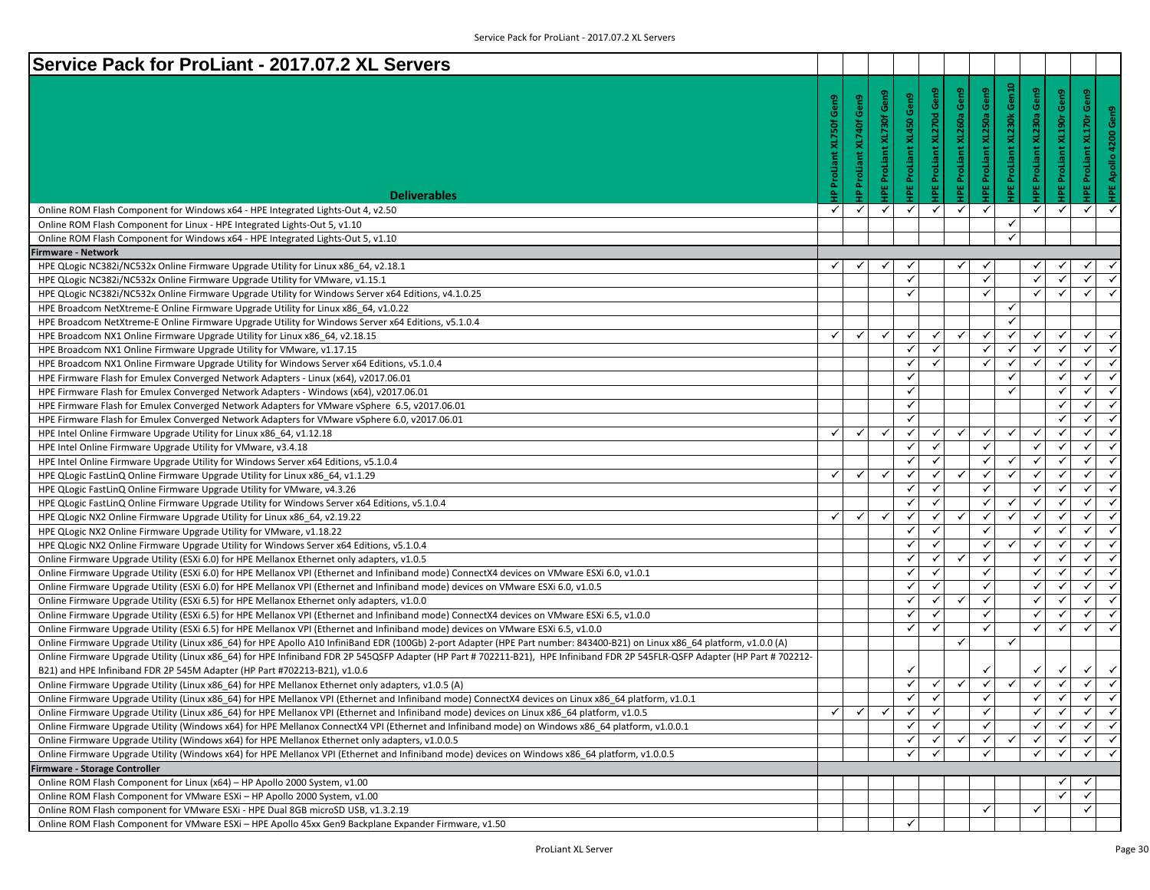| Service Pack for ProLiant - 2017.07.2 XL Servers                                                                                                                                                                                                    |              |                 |                 |                           |                     |                                 |                              |                           |                              |                              |                                   |
|-----------------------------------------------------------------------------------------------------------------------------------------------------------------------------------------------------------------------------------------------------|--------------|-----------------|-----------------|---------------------------|---------------------|---------------------------------|------------------------------|---------------------------|------------------------------|------------------------------|-----------------------------------|
|                                                                                                                                                                                                                                                     |              |                 |                 |                           |                     |                                 |                              |                           |                              |                              |                                   |
|                                                                                                                                                                                                                                                     | Gen9         | Gen9            | Gen9            | Gen9                      | Gen9                | <b>IPE ProLiant XL260a Gen9</b> | Gen9                         | IPE ProLiant XL230k Gen10 | Gen9                         | Gen9                         | Gen9                              |
|                                                                                                                                                                                                                                                     |              |                 |                 |                           |                     |                                 |                              |                           |                              |                              | Gen9                              |
|                                                                                                                                                                                                                                                     | ۴ō۴          | ProLiant XL740f | ProLiant XL730f | <b>IPE ProLiant XL450</b> | <b>XL270d</b>       |                                 | <b>IPE ProLiant XL250a</b>   |                           | IPE ProLiant XL230a          | XL190r                       | <b>IPE ProLiant XL170r</b>        |
|                                                                                                                                                                                                                                                     |              |                 |                 |                           |                     |                                 |                              |                           |                              |                              | 4200                              |
|                                                                                                                                                                                                                                                     |              |                 |                 |                           |                     |                                 |                              |                           |                              |                              |                                   |
|                                                                                                                                                                                                                                                     |              |                 |                 |                           |                     |                                 |                              |                           |                              |                              | Apollo                            |
| <b>Deliverables</b>                                                                                                                                                                                                                                 |              | ≙               |                 |                           | <b>HPE ProLiant</b> |                                 |                              |                           |                              | <b>IPE ProLiant</b>          |                                   |
| Online ROM Flash Component for Windows x64 - HPE Integrated Lights-Out 4, v2.50                                                                                                                                                                     | ✓            | ✓               | ✓               | ✓                         | ✓                   | ✓                               | ✓                            |                           | ✓                            | ✓                            | ✓                                 |
| Online ROM Flash Component for Linux - HPE Integrated Lights-Out 5, v1.10                                                                                                                                                                           |              |                 |                 |                           |                     |                                 |                              | $\checkmark$              |                              |                              |                                   |
| Online ROM Flash Component for Windows x64 - HPE Integrated Lights-Out 5, v1.10                                                                                                                                                                     |              |                 |                 |                           |                     |                                 |                              | $\checkmark$              |                              |                              |                                   |
| <b>Firmware - Network</b>                                                                                                                                                                                                                           |              |                 |                 |                           |                     |                                 |                              |                           |                              |                              |                                   |
| HPE QLogic NC382i/NC532x Online Firmware Upgrade Utility for Linux x86_64, v2.18.1                                                                                                                                                                  | ✓            | ✓               | ✓               | ✓                         |                     | ✓                               | √                            |                           |                              |                              | ✓                                 |
| HPE QLogic NC382i/NC532x Online Firmware Upgrade Utility for VMware, v1.15.1                                                                                                                                                                        |              |                 |                 | ✓                         |                     |                                 | $\checkmark$                 |                           | ✓                            |                              | ✓                                 |
| HPE QLogic NC382i/NC532x Online Firmware Upgrade Utility for Windows Server x64 Editions, v4.1.0.25                                                                                                                                                 |              |                 |                 | $\checkmark$              |                     |                                 | ✓                            |                           | ✓                            |                              | $\checkmark$                      |
| HPE Broadcom NetXtreme-E Online Firmware Upgrade Utility for Linux x86_64, v1.0.22                                                                                                                                                                  |              |                 |                 |                           |                     |                                 |                              | ✓                         |                              |                              |                                   |
| HPE Broadcom NetXtreme-E Online Firmware Upgrade Utility for Windows Server x64 Editions, v5.1.0.4                                                                                                                                                  |              |                 |                 |                           |                     |                                 |                              | $\checkmark$              |                              |                              |                                   |
| HPE Broadcom NX1 Online Firmware Upgrade Utility for Linux x86 64, v2.18.15                                                                                                                                                                         | ✓            | ✓               | $\checkmark$    | ✓                         | $\checkmark$        | $\checkmark$                    | $\checkmark$                 | ✓                         | ✓                            | $\checkmark$                 | $\checkmark$                      |
| HPE Broadcom NX1 Online Firmware Upgrade Utility for VMware, v1.17.15                                                                                                                                                                               |              |                 |                 | ✓                         | $\checkmark$        |                                 | $\checkmark$                 | ✓                         | $\checkmark$                 | $\checkmark$                 | ✓                                 |
| HPE Broadcom NX1 Online Firmware Upgrade Utility for Windows Server x64 Editions, v5.1.0.4                                                                                                                                                          |              |                 |                 | ✓                         | $\checkmark$        |                                 | ✓                            | $\checkmark$              |                              | $\checkmark$                 | $\checkmark$                      |
| HPE Firmware Flash for Emulex Converged Network Adapters - Linux (x64), v2017.06.01                                                                                                                                                                 |              |                 |                 | ✓                         |                     |                                 |                              | ✓                         |                              | $\checkmark$                 | $\checkmark$                      |
| HPE Firmware Flash for Emulex Converged Network Adapters - Windows (x64), v2017.06.01                                                                                                                                                               |              |                 |                 | ✓                         |                     |                                 |                              | $\checkmark$              |                              | ✓                            | $\checkmark$                      |
| HPE Firmware Flash for Emulex Converged Network Adapters for VMware vSphere 6.5, v2017.06.01                                                                                                                                                        |              |                 |                 | ✓                         |                     |                                 |                              |                           |                              | ✓                            | ✓                                 |
| HPE Firmware Flash for Emulex Converged Network Adapters for VMware vSphere 6.0, v2017.06.01                                                                                                                                                        |              |                 |                 | $\checkmark$              |                     |                                 |                              |                           |                              | $\checkmark$                 | ✓                                 |
| HPE Intel Online Firmware Upgrade Utility for Linux x86 64, v1.12.18                                                                                                                                                                                | ✓            | ✓               | $\checkmark$    | ✓                         | $\checkmark$        | $\checkmark$                    | $\checkmark$                 | $\checkmark$              | √                            | ✓                            | $\checkmark$                      |
| HPE Intel Online Firmware Upgrade Utility for VMware, v3.4.18                                                                                                                                                                                       |              |                 |                 | $\checkmark$              | $\checkmark$        |                                 | $\checkmark$                 |                           | ✓                            | $\checkmark$                 | ✓                                 |
| HPE Intel Online Firmware Upgrade Utility for Windows Server x64 Editions, v5.1.0.4                                                                                                                                                                 |              |                 |                 | ✓                         | $\checkmark$        |                                 | ✓                            | ✓                         | ✓                            | $\checkmark$                 | $\checkmark$                      |
| HPE QLogic FastLinQ Online Firmware Upgrade Utility for Linux x86_64, v1.1.29                                                                                                                                                                       | ✓            | ✓               | $\checkmark$    | ✓                         | $\checkmark$        | $\checkmark$                    | $\checkmark$                 | ✓                         | ✓                            | $\checkmark$                 | $\checkmark$                      |
| HPE QLogic FastLinQ Online Firmware Upgrade Utility for VMware, v4.3.26                                                                                                                                                                             |              |                 |                 | ✓                         | $\checkmark$        |                                 | ✓                            |                           | ✓                            | ✓                            | ✓                                 |
| HPE QLogic FastLinQ Online Firmware Upgrade Utility for Windows Server x64 Editions, v5.1.0.4                                                                                                                                                       |              |                 |                 | $\checkmark$              | $\checkmark$        |                                 | $\checkmark$                 | $\checkmark$              | $\checkmark$                 |                              | $\checkmark$                      |
| HPE QLogic NX2 Online Firmware Upgrade Utility for Linux x86_64, v2.19.22                                                                                                                                                                           | ✓            | ✓               | $\checkmark$    | $\checkmark$              | $\checkmark$        | $\checkmark$                    | $\checkmark$                 | $\checkmark$              | $\checkmark$                 | $\checkmark$                 | ✓                                 |
| HPE QLogic NX2 Online Firmware Upgrade Utility for VMware, v1.18.22                                                                                                                                                                                 |              |                 |                 | ✓                         | $\checkmark$        |                                 | $\checkmark$                 |                           | ✓                            | $\checkmark$                 | $\checkmark$                      |
| HPE QLogic NX2 Online Firmware Upgrade Utility for Windows Server x64 Editions, v5.1.0.4                                                                                                                                                            |              |                 |                 | ✓                         | $\checkmark$        |                                 | $\checkmark$                 | ✓                         | ✓                            | $\checkmark$                 | $\checkmark$                      |
| Online Firmware Upgrade Utility (ESXi 6.0) for HPE Mellanox Ethernet only adapters, v1.0.5                                                                                                                                                          |              |                 |                 | ✓                         | $\checkmark$        | ✓                               | ✓                            |                           | ✓                            | ✓                            | ✓                                 |
| Online Firmware Upgrade Utility (ESXi 6.0) for HPE Mellanox VPI (Ethernet and Infiniband mode) ConnectX4 devices on VMware ESXi 6.0, v1.0.1                                                                                                         |              |                 |                 | ✓                         | $\checkmark$        |                                 | $\checkmark$                 |                           | √                            |                              | $\checkmark$                      |
| Online Firmware Upgrade Utility (ESXi 6.0) for HPE Mellanox VPI (Ethernet and Infiniband mode) devices on VMware ESXi 6.0, v1.0.5                                                                                                                   |              |                 |                 | $\checkmark$              | $\checkmark$        |                                 | $\checkmark$                 |                           | ✓                            | $\checkmark$                 | ✓                                 |
| Online Firmware Upgrade Utility (ESXi 6.5) for HPE Mellanox Ethernet only adapters, v1.0.0                                                                                                                                                          |              |                 |                 | ✓                         | $\checkmark$        | $\checkmark$                    | $\checkmark$                 |                           | ✓                            | $\checkmark$                 | $\checkmark$                      |
| Online Firmware Upgrade Utility (ESXi 6.5) for HPE Mellanox VPI (Ethernet and Infiniband mode) ConnectX4 devices on VMware ESXi 6.5, v1.0.0                                                                                                         |              |                 |                 | ✓                         | $\checkmark$        |                                 | $\checkmark$                 |                           | ✓                            | ✓                            | ✓                                 |
| Online Firmware Upgrade Utility (ESXi 6.5) for HPE Mellanox VPI (Ethernet and Infiniband mode) devices on VMware ESXi 6.5, v1.0.0                                                                                                                   |              |                 |                 | ✓                         | $\checkmark$        |                                 | $\checkmark$                 |                           | ✓                            | ✓                            | ✓                                 |
| Online Firmware Upgrade Utility (Linux x86_64) for HPE Apollo A10 InfiniBand EDR (100Gb) 2-port Adapter (HPE Part number: 843400-B21) on Linux x86_64 platform, v1.0.0 (A)                                                                          |              |                 |                 |                           |                     | ✓                               |                              | $\checkmark$              |                              |                              |                                   |
| Online Firmware Upgrade Utility (Linux x86_64) for HPE Infiniband FDR 2P 545QSFP Adapter (HP Part # 702211-B21), HPE Infiniband FDR 2P 545FLR-QSFP Adapter (HP Part # 702212-                                                                       |              |                 |                 |                           |                     |                                 |                              |                           |                              |                              |                                   |
| B21) and HPE Infiniband FDR 2P 545M Adapter (HP Part #702213-B21), v1.0.6                                                                                                                                                                           |              |                 |                 | ✓                         |                     |                                 |                              | $\checkmark$              |                              |                              | $\checkmark$<br>$\checkmark$      |
| Online Firmware Upgrade Utility (Linux x86_64) for HPE Mellanox Ethernet only adapters, v1.0.5 (A)                                                                                                                                                  |              |                 |                 | ✓<br>$\checkmark$         | ✓<br>$\checkmark$   | $\checkmark$                    | $\checkmark$<br>$\checkmark$ |                           | $\checkmark$<br>$\checkmark$ | $\checkmark$<br>$\checkmark$ | ✓<br>$\checkmark$<br>$\checkmark$ |
| Online Firmware Upgrade Utility (Linux x86_64) for HPE Mellanox VPI (Ethernet and Infiniband mode) ConnectX4 devices on Linux x86_64 platform, v1.0.1                                                                                               | $\checkmark$ | $\checkmark$    | $\checkmark$    | ✓                         | ✓                   |                                 | √                            |                           | ✓                            | $\checkmark$                 | ✓                                 |
| Online Firmware Upgrade Utility (Linux x86_64) for HPE Mellanox VPI (Ethernet and Infiniband mode) devices on Linux x86_64 platform, v1.0.5                                                                                                         |              |                 |                 | $\checkmark$              | $\checkmark$        |                                 | $\checkmark$                 |                           | ✓                            |                              | ✓                                 |
| Online Firmware Upgrade Utility (Windows x64) for HPE Mellanox ConnectX4 VPI (Ethernet and Infiniband mode) on Windows x86 64 platform, v1.0.0.1<br>Online Firmware Upgrade Utility (Windows x64) for HPE Mellanox Ethernet only adapters, v1.0.0.5 |              |                 |                 | $\checkmark$              | $\checkmark$        | $\checkmark$                    | $\checkmark$                 | ✓                         | ✓                            | $\checkmark$                 | $\checkmark$                      |
| Online Firmware Upgrade Utility (Windows x64) for HPE Mellanox VPI (Ethernet and Infiniband mode) devices on Windows x86 64 platform, v1.0.0.5                                                                                                      |              |                 |                 | $\checkmark$              | $\checkmark$        |                                 | $\checkmark$                 |                           | ✓                            | $\checkmark$                 | $\checkmark$<br>$\checkmark$      |
| Firmware - Storage Controller                                                                                                                                                                                                                       |              |                 |                 |                           |                     |                                 |                              |                           |                              |                              |                                   |
| Online ROM Flash Component for Linux (x64) - HP Apollo 2000 System, v1.00                                                                                                                                                                           |              |                 |                 |                           |                     |                                 |                              |                           |                              |                              | ✓                                 |
| Online ROM Flash Component for VMware ESXi - HP Apollo 2000 System, v1.00                                                                                                                                                                           |              |                 |                 |                           |                     |                                 |                              |                           |                              |                              | $\checkmark$                      |
| Online ROM Flash component for VMware ESXi - HPE Dual 8GB microSD USB, v1.3.2.19                                                                                                                                                                    |              |                 |                 |                           |                     |                                 | ✓                            |                           | ✓                            |                              | ✓                                 |
| Online ROM Flash Component for VMware ESXi - HPE Apollo 45xx Gen9 Backplane Expander Firmware, v1.50                                                                                                                                                |              |                 |                 | ✓                         |                     |                                 |                              |                           |                              |                              |                                   |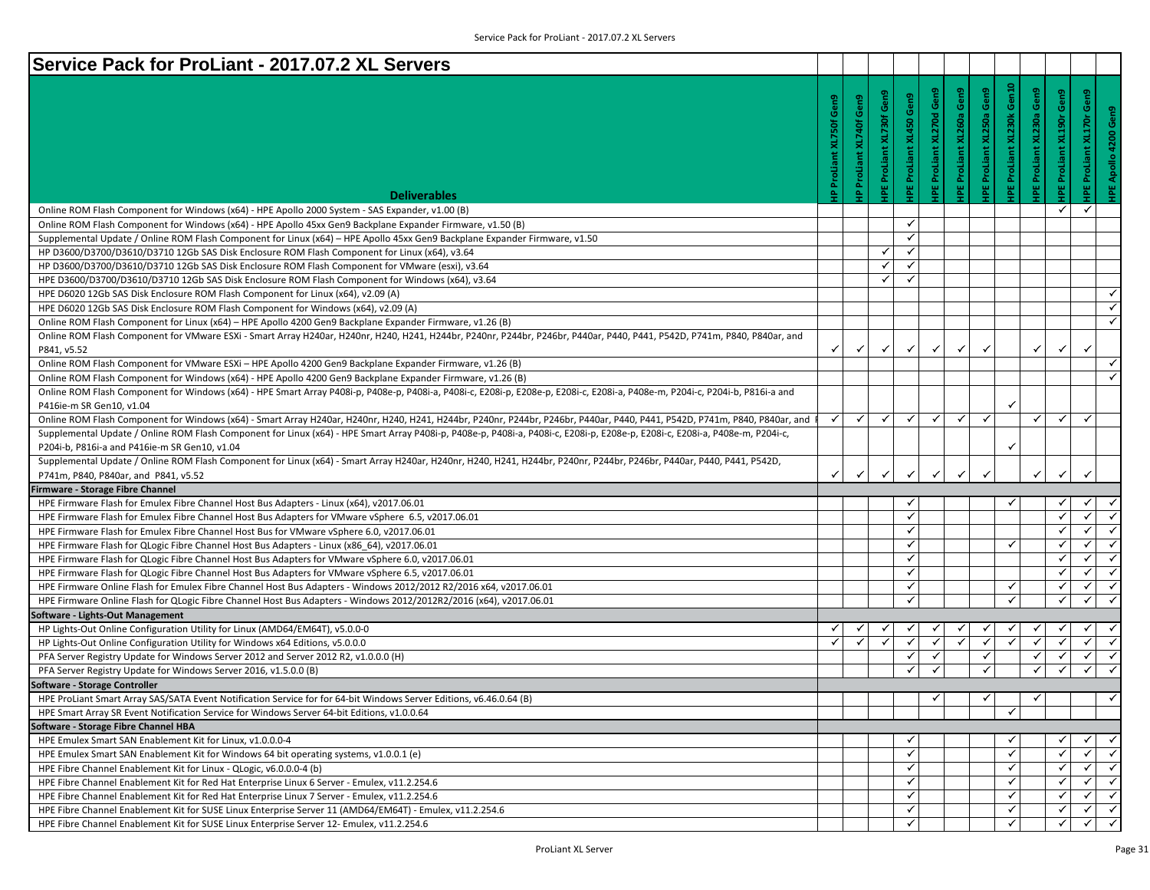| Service Pack for ProLiant - 2017.07.2 XL Servers                                                                                                                                      |                                   |                               |                          |                                   |                                    |                                    |                             |                                     |                                       |                                    |                                                               |
|---------------------------------------------------------------------------------------------------------------------------------------------------------------------------------------|-----------------------------------|-------------------------------|--------------------------|-----------------------------------|------------------------------------|------------------------------------|-----------------------------|-------------------------------------|---------------------------------------|------------------------------------|---------------------------------------------------------------|
| <b>Deliverables</b>                                                                                                                                                                   | Gen9<br><b>IP ProLiant XL750f</b> | Gen9<br>XL740f<br>IP ProLiant | IPE ProLiant XL730f Gen9 | Gen9<br><b>IPE ProLiant XL450</b> | Gen9<br><b>IPE ProLiant XL270d</b> | Gen9<br><b>IPE ProLiant XL260a</b> | Gen9<br>IPE ProLiant XL250a | Gen10<br><b>IPE ProLiant XL230k</b> | Gen9<br>XL230a<br><b>IPE ProLiant</b> | Gen9<br><b>HPE ProLiant XL190r</b> | Gen9<br>Gen9<br><b>HPE ProLiant XL170r</b><br>HPE Apollo 4200 |
| Online ROM Flash Component for Windows (x64) - HPE Apollo 2000 System - SAS Expander, v1.00 (B)                                                                                       |                                   |                               |                          |                                   |                                    |                                    |                             |                                     |                                       | ✓                                  | ✓                                                             |
| Online ROM Flash Component for Windows (x64) - HPE Apollo 45xx Gen9 Backplane Expander Firmware, v1.50 (B)                                                                            |                                   |                               |                          | ✓                                 |                                    |                                    |                             |                                     |                                       |                                    |                                                               |
| Supplemental Update / Online ROM Flash Component for Linux (x64) - HPE Apollo 45xx Gen9 Backplane Expander Firmware, v1.50                                                            |                                   |                               |                          | ✓                                 |                                    |                                    |                             |                                     |                                       |                                    |                                                               |
| HP D3600/D3700/D3610/D3710 12Gb SAS Disk Enclosure ROM Flash Component for Linux (x64), v3.64                                                                                         |                                   |                               | ✓                        | ✓                                 |                                    |                                    |                             |                                     |                                       |                                    |                                                               |
| HP D3600/D3700/D3610/D3710 12Gb SAS Disk Enclosure ROM Flash Component for VMware (esxi), v3.64                                                                                       |                                   |                               | ✓                        | ✓                                 |                                    |                                    |                             |                                     |                                       |                                    |                                                               |
| HPE D3600/D3700/D3610/D3710 12Gb SAS Disk Enclosure ROM Flash Component for Windows (x64), v3.64                                                                                      |                                   |                               | ✓                        | ✓                                 |                                    |                                    |                             |                                     |                                       |                                    |                                                               |
| HPE D6020 12Gb SAS Disk Enclosure ROM Flash Component for Linux (x64), v2.09 (A)                                                                                                      |                                   |                               |                          |                                   |                                    |                                    |                             |                                     |                                       |                                    |                                                               |
| HPE D6020 12Gb SAS Disk Enclosure ROM Flash Component for Windows (x64), v2.09 (A)                                                                                                    |                                   |                               |                          |                                   |                                    |                                    |                             |                                     |                                       |                                    | $\checkmark$                                                  |
| Online ROM Flash Component for Linux (x64) – HPE Apollo 4200 Gen9 Backplane Expander Firmware, v1.26 (B)                                                                              |                                   |                               |                          |                                   |                                    |                                    |                             |                                     |                                       |                                    | $\checkmark$                                                  |
| Online ROM Flash Component for VMware ESXi - Smart Array H240ar, H240nr, H240, H241, H244br, P2440r, P244br, P246br, P440ar, P440, P441, P542D, P741m, P840, P840ar, and              |                                   |                               |                          |                                   |                                    |                                    |                             |                                     |                                       |                                    |                                                               |
| P841, v5.52                                                                                                                                                                           | ✓                                 | $\checkmark$                  | ✓                        | ✓                                 |                                    | ✓                                  |                             |                                     |                                       | ✓                                  | $\checkmark$                                                  |
| Online ROM Flash Component for VMware ESXi - HPE Apollo 4200 Gen9 Backplane Expander Firmware, v1.26 (B)                                                                              |                                   |                               |                          |                                   |                                    |                                    |                             |                                     |                                       |                                    | ✓                                                             |
| Online ROM Flash Component for Windows (x64) - HPE Apollo 4200 Gen9 Backplane Expander Firmware, v1.26 (B)                                                                            |                                   |                               |                          |                                   |                                    |                                    |                             |                                     |                                       |                                    |                                                               |
| Online ROM Flash Component for Windows (x64) - HPE Smart Array P408i-p, P408e-p, P408i-a, P408i-c, E208i-c, E208i-e, E208i-c, E208i-a, P408e-m, P204i-c, P204i-b, P816i-a and         |                                   |                               |                          |                                   |                                    |                                    |                             |                                     |                                       |                                    |                                                               |
| P416ie-m SR Gen10, v1.04                                                                                                                                                              |                                   |                               |                          |                                   |                                    |                                    |                             | ✓                                   |                                       |                                    |                                                               |
| Online ROM Flash Component for Windows (x64) - Smart Array H240ar, H240nr, H240, H241, H244br, P240nr, P244br, P246br, P440ar, P440, P441, P542D, P741m, P840, P840ar, and I          | ✓                                 | $\checkmark$                  | ✓                        | $\checkmark$                      | $\checkmark$                       | ✓                                  | $\checkmark$                |                                     | $\checkmark$                          | $\checkmark$                       | ✓                                                             |
| Supplemental Update / Online ROM Flash Component for Linux (x64) - HPE Smart Array P408i-p, P408e-p, P408i-a, P408i-c, E208i-c, E208i-c, E208i-c, E208i-c, F208i-c, P408e-m, P204i-c, |                                   |                               |                          |                                   |                                    |                                    |                             |                                     |                                       |                                    |                                                               |
| P204i-b, P816i-a and P416ie-m SR Gen10, v1.04                                                                                                                                         |                                   |                               |                          |                                   |                                    |                                    |                             | ✓                                   |                                       |                                    |                                                               |
| Supplemental Update / Online ROM Flash Component for Linux (x64) - Smart Array H240ar, H240nr, H240, H241, H244br, P244br, P244br, P246br, P440ar, P440, P441, P542D,                 |                                   |                               |                          |                                   |                                    |                                    |                             |                                     |                                       |                                    |                                                               |
| P741m, P840, P840ar, and P841, v5.52                                                                                                                                                  | ✓                                 |                               | ✓                        | $\checkmark$                      | ✓                                  |                                    |                             |                                     |                                       | ✓                                  | $\checkmark$                                                  |
| Firmware - Storage Fibre Channel                                                                                                                                                      |                                   |                               |                          |                                   |                                    |                                    |                             |                                     |                                       |                                    |                                                               |
| HPE Firmware Flash for Emulex Fibre Channel Host Bus Adapters - Linux (x64), v2017.06.01                                                                                              |                                   |                               |                          | ✓                                 |                                    |                                    |                             | ✓                                   |                                       | ✓                                  | ✓                                                             |
| HPE Firmware Flash for Emulex Fibre Channel Host Bus Adapters for VMware vSphere 6.5, v2017.06.01                                                                                     |                                   |                               |                          | ✓                                 |                                    |                                    |                             |                                     |                                       | ✓                                  | $\checkmark$<br>$\checkmark$                                  |
| HPE Firmware Flash for Emulex Fibre Channel Host Bus for VMware vSphere 6.0, v2017.06.01                                                                                              |                                   |                               |                          | ✓                                 |                                    |                                    |                             |                                     |                                       | ✓                                  | $\checkmark$<br>$\checkmark$                                  |
| HPE Firmware Flash for QLogic Fibre Channel Host Bus Adapters - Linux (x86_64), v2017.06.01                                                                                           |                                   |                               |                          | ✓                                 |                                    |                                    |                             | ✓                                   |                                       | ✓                                  | ✓<br>✓                                                        |
| HPE Firmware Flash for QLogic Fibre Channel Host Bus Adapters for VMware vSphere 6.0, v2017.06.01                                                                                     |                                   |                               |                          | ✓                                 |                                    |                                    |                             |                                     |                                       | ✔                                  | ✓<br>$\checkmark$                                             |
| HPE Firmware Flash for QLogic Fibre Channel Host Bus Adapters for VMware vSphere 6.5, v2017.06.01                                                                                     |                                   |                               |                          | ✓                                 |                                    |                                    |                             |                                     |                                       | ✓                                  | ✓<br>✓                                                        |
| HPE Firmware Online Flash for Emulex Fibre Channel Host Bus Adapters - Windows 2012/2012 R2/2016 x64, v2017.06.01                                                                     |                                   |                               |                          | ✓                                 |                                    |                                    |                             | ✓                                   |                                       | $\checkmark$                       | ✓<br>$\checkmark$                                             |
| HPE Firmware Online Flash for QLogic Fibre Channel Host Bus Adapters - Windows 2012/2012R2/2016 (x64), v2017.06.01                                                                    |                                   |                               |                          | ✓                                 |                                    |                                    |                             | $\checkmark$                        |                                       | $\checkmark$                       | $\checkmark$<br>$\checkmark$                                  |
| Software - Lights-Out Management                                                                                                                                                      |                                   |                               |                          |                                   |                                    |                                    |                             |                                     |                                       |                                    |                                                               |
| HP Lights-Out Online Configuration Utility for Linux (AMD64/EM64T), v5.0.0-0                                                                                                          | ✔                                 |                               |                          |                                   |                                    |                                    |                             |                                     |                                       |                                    | ✓<br>$\checkmark$                                             |
| HP Lights-Out Online Configuration Utility for Windows x64 Editions, v5.0.0.0                                                                                                         | $\checkmark$                      |                               | $\checkmark$             | ✓                                 |                                    | ✓                                  | ✓                           | $\checkmark$                        | $\checkmark$                          | $\checkmark$                       | ✓<br>✓                                                        |
| PFA Server Registry Update for Windows Server 2012 and Server 2012 R2, v1.0.0.0 (H)                                                                                                   |                                   |                               |                          | ✓                                 | ✓                                  |                                    | ✓                           |                                     | ✓                                     | ✔                                  | ✓<br>$\checkmark$                                             |
| PFA Server Registry Update for Windows Server 2016, v1.5.0.0 (B)                                                                                                                      |                                   |                               |                          | $\checkmark$                      | ✓                                  |                                    | $\checkmark$                |                                     | $\checkmark$                          | $\checkmark$                       | $\checkmark$<br>$\checkmark$                                  |
| Software - Storage Controller                                                                                                                                                         |                                   |                               |                          |                                   |                                    |                                    |                             |                                     |                                       |                                    |                                                               |
| HPE ProLiant Smart Array SAS/SATA Event Notification Service for for 64-bit Windows Server Editions, v6.46.0.64 (B)                                                                   |                                   |                               |                          |                                   | $\checkmark$                       |                                    | ✓                           |                                     | $\checkmark$                          |                                    | $\checkmark$                                                  |
| HPE Smart Array SR Event Notification Service for Windows Server 64-bit Editions, v1.0.0.64                                                                                           |                                   |                               |                          |                                   |                                    |                                    |                             | ✓                                   |                                       |                                    |                                                               |
| Software - Storage Fibre Channel HBA                                                                                                                                                  |                                   |                               |                          |                                   |                                    |                                    |                             |                                     |                                       |                                    |                                                               |
| HPE Emulex Smart SAN Enablement Kit for Linux, v1.0.0.0-4                                                                                                                             |                                   |                               |                          | ✓                                 |                                    |                                    |                             | ✓                                   |                                       | ✓                                  | ✓                                                             |
| HPE Emulex Smart SAN Enablement Kit for Windows 64 bit operating systems, v1.0.0.1 (e)                                                                                                |                                   |                               |                          | ✓                                 |                                    |                                    |                             | ✓                                   |                                       | $\checkmark$                       | ✓<br>✓                                                        |
| HPE Fibre Channel Enablement Kit for Linux - QLogic, v6.0.0.0-4 (b)                                                                                                                   |                                   |                               |                          | ✓                                 |                                    |                                    |                             | ✓                                   |                                       | $\checkmark$                       | ✓<br>$\checkmark$                                             |
| HPE Fibre Channel Enablement Kit for Red Hat Enterprise Linux 6 Server - Emulex, v11.2.254.6                                                                                          |                                   |                               |                          | ✓                                 |                                    |                                    |                             | ✓                                   |                                       | ✓                                  | ✓∣<br>✓                                                       |
|                                                                                                                                                                                       |                                   |                               |                          |                                   |                                    |                                    |                             | ✓                                   |                                       | ✓                                  | ✓<br>$\checkmark$                                             |
| HPE Fibre Channel Enablement Kit for Red Hat Enterprise Linux 7 Server - Emulex, v11.2.254.6                                                                                          |                                   |                               |                          | ✓                                 |                                    |                                    |                             |                                     |                                       |                                    |                                                               |
| HPE Fibre Channel Enablement Kit for SUSE Linux Enterprise Server 11 (AMD64/EM64T) - Emulex, v11.2.254.6                                                                              |                                   |                               |                          | $\checkmark$                      |                                    |                                    |                             | $\checkmark$                        |                                       | $\checkmark$                       | ✓<br>$\checkmark$                                             |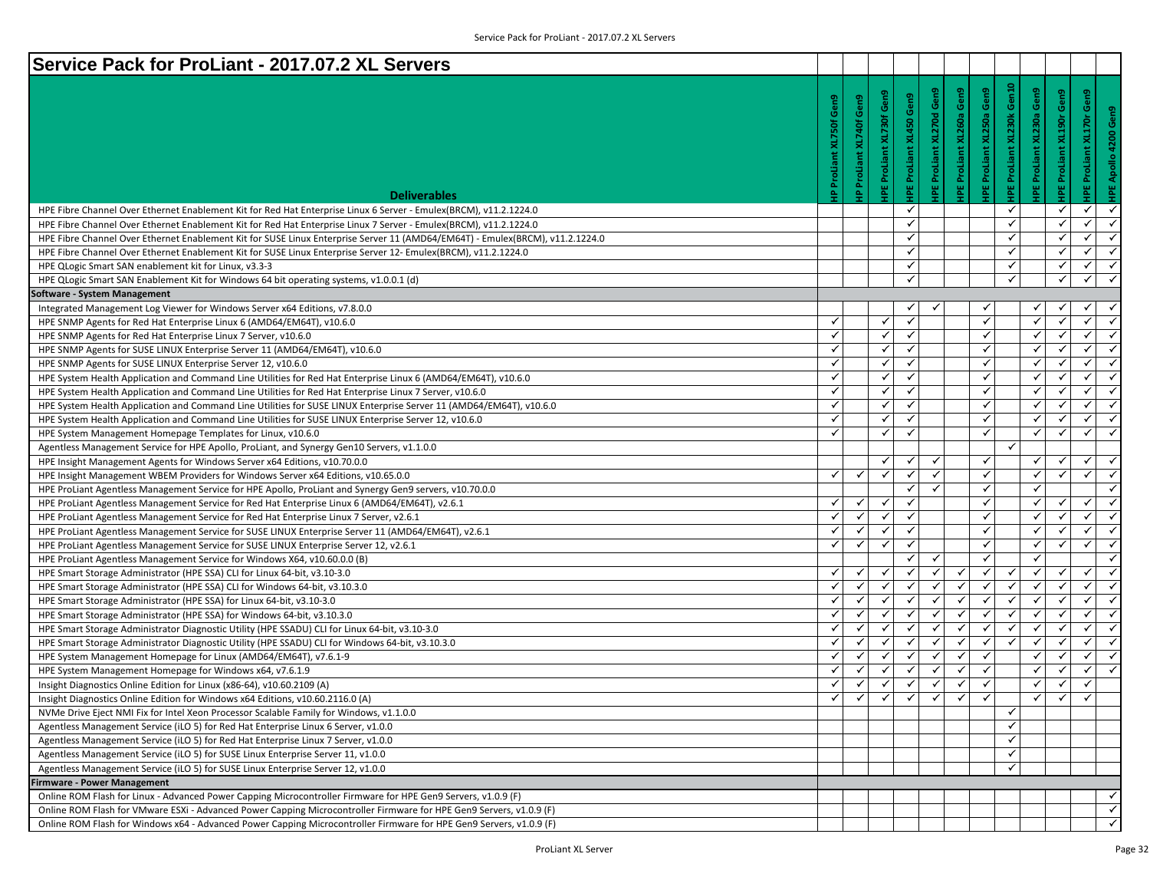| Service Pack for ProLiant - 2017.07.2 XL Servers                                                                                                                                                                                     |                           |                    |                                 |                                |                            |                     |                     |                                  |                     |                            |                                         |
|--------------------------------------------------------------------------------------------------------------------------------------------------------------------------------------------------------------------------------------|---------------------------|--------------------|---------------------------------|--------------------------------|----------------------------|---------------------|---------------------|----------------------------------|---------------------|----------------------------|-----------------------------------------|
|                                                                                                                                                                                                                                      |                           |                    |                                 |                                |                            |                     |                     | <b>IPE ProLiant XL230k Gen10</b> |                     |                            |                                         |
|                                                                                                                                                                                                                                      | Gen9                      | Gen9               | <b>IPE ProLiant XL730f Gen9</b> | <b>IPE ProLiant XL450 Gen9</b> | Gen9                       | Gen9                | Gen9                |                                  | Gen9                | Gen9                       | Gen9                                    |
|                                                                                                                                                                                                                                      |                           |                    |                                 |                                | <b>IPE ProLiant XL270d</b> |                     |                     |                                  | XL230a              |                            | Gen9                                    |
|                                                                                                                                                                                                                                      | <b>IP ProLiant XL750f</b> | XL740f             |                                 |                                |                            | IPE ProLiant XL260a | IPE ProLiant XL250a |                                  |                     | <b>IPE ProLiant XL190r</b> | <b>IPE ProLiant XL170r</b>              |
|                                                                                                                                                                                                                                      |                           |                    |                                 |                                |                            |                     |                     |                                  |                     |                            | HPE Apollo 4200                         |
|                                                                                                                                                                                                                                      |                           |                    |                                 |                                |                            |                     |                     |                                  |                     |                            |                                         |
|                                                                                                                                                                                                                                      |                           | <b>IP ProLiant</b> |                                 |                                |                            |                     |                     |                                  | <b>IPE ProLiant</b> |                            |                                         |
| <b>Deliverables</b>                                                                                                                                                                                                                  |                           |                    |                                 |                                |                            |                     |                     |                                  |                     |                            |                                         |
| HPE Fibre Channel Over Ethernet Enablement Kit for Red Hat Enterprise Linux 6 Server - Emulex(BRCM), v11.2.1224.0                                                                                                                    |                           |                    |                                 | $\checkmark$                   |                            |                     |                     | ✓                                |                     | ✓                          | ✓<br>$\checkmark$                       |
| HPE Fibre Channel Over Ethernet Enablement Kit for Red Hat Enterprise Linux 7 Server - Emulex(BRCM), v11.2.1224.0                                                                                                                    |                           |                    |                                 | ✓                              |                            |                     |                     | ✓                                |                     | ✓                          | $\checkmark$<br>✓                       |
| HPE Fibre Channel Over Ethernet Enablement Kit for SUSE Linux Enterprise Server 11 (AMD64/EM64T) - Emulex(BRCM), v11.2.1224.0                                                                                                        |                           |                    |                                 | $\checkmark$                   |                            |                     |                     | ✓                                |                     | $\checkmark$               | $\checkmark$<br>$\checkmark$            |
| HPE Fibre Channel Over Ethernet Enablement Kit for SUSE Linux Enterprise Server 12- Emulex(BRCM), v11.2.1224.0                                                                                                                       |                           |                    |                                 | ✓                              |                            |                     |                     | ✓                                |                     | ✓                          | $\checkmark$<br>$\checkmark$            |
| HPE QLogic Smart SAN enablement kit for Linux, v3.3-3                                                                                                                                                                                |                           |                    |                                 | ✓                              |                            |                     |                     | ✓                                |                     | ✓                          | $\checkmark$<br>$\checkmark$            |
| HPE QLogic Smart SAN Enablement Kit for Windows 64 bit operating systems, v1.0.0.1 (d)                                                                                                                                               |                           |                    |                                 | $\checkmark$                   |                            |                     |                     | ✓                                |                     | ✓                          | $\checkmark$<br>✓                       |
|                                                                                                                                                                                                                                      |                           |                    |                                 |                                |                            |                     |                     |                                  |                     |                            |                                         |
| Software - System Management                                                                                                                                                                                                         |                           |                    |                                 | ✓                              |                            |                     |                     |                                  |                     | ✓                          | $\checkmark$<br>✓                       |
| Integrated Management Log Viewer for Windows Server x64 Editions, v7.8.0.0<br>HPE SNMP Agents for Red Hat Enterprise Linux 6 (AMD64/EM64T), v10.6.0                                                                                  | ✓                         |                    | $\checkmark$                    | $\checkmark$                   |                            |                     | ✓                   |                                  | ✓                   | ✓                          | $\checkmark$<br>$\checkmark$            |
| HPE SNMP Agents for Red Hat Enterprise Linux 7 Server, v10.6.0                                                                                                                                                                       | ✓                         |                    | ✓                               | $\checkmark$                   |                            |                     | $\checkmark$        |                                  | ✓                   | ✓                          | $\checkmark$<br>✓                       |
| HPE SNMP Agents for SUSE LINUX Enterprise Server 11 (AMD64/EM64T), v10.6.0                                                                                                                                                           | ✓                         |                    | ✓                               | $\checkmark$                   |                            |                     | $\checkmark$        |                                  | √                   | √                          | $\checkmark$<br>$\checkmark$            |
| HPE SNMP Agents for SUSE LINUX Enterprise Server 12, v10.6.0                                                                                                                                                                         | ✓                         |                    | ✓                               | $\checkmark$                   |                            |                     | $\checkmark$        |                                  |                     | ✓                          | $\checkmark$<br>✓                       |
| HPE System Health Application and Command Line Utilities for Red Hat Enterprise Linux 6 (AMD64/EM64T), v10.6.0                                                                                                                       | ✓                         |                    | ✓                               | $\checkmark$                   |                            |                     | $\checkmark$        |                                  | $\checkmark$        | ✓                          | $\checkmark$<br>✓                       |
| HPE System Health Application and Command Line Utilities for Red Hat Enterprise Linux 7 Server, v10.6.0                                                                                                                              | $\checkmark$              |                    | ✓                               | $\checkmark$                   |                            |                     | ✓                   |                                  | √                   | ✓                          | $\checkmark$<br>$\checkmark$            |
| HPE System Health Application and Command Line Utilities for SUSE LINUX Enterprise Server 11 (AMD64/EM64T), v10.6.0                                                                                                                  | ✓                         |                    | ✓                               | ✓                              |                            |                     | √                   |                                  | ✓                   | ✓                          | $\checkmark$<br>✓                       |
|                                                                                                                                                                                                                                      | ✓                         |                    | ✓                               | $\checkmark$                   |                            |                     | ✓                   |                                  | √                   | √                          | $\checkmark$<br>$\checkmark$            |
| HPE System Health Application and Command Line Utilities for SUSE LINUX Enterprise Server 12, v10.6.0<br>HPE System Management Homepage Templates for Linux, v10.6.0                                                                 | ✓                         |                    | ✔                               | ✓                              |                            |                     | ✓                   |                                  |                     | ✓                          | $\checkmark$<br>✓                       |
|                                                                                                                                                                                                                                      |                           |                    |                                 |                                |                            |                     |                     | ✓                                |                     |                            |                                         |
| Agentless Management Service for HPE Apollo, ProLiant, and Synergy Gen10 Servers, v1.1.0.0                                                                                                                                           |                           |                    | ✓                               | $\checkmark$                   | $\checkmark$               |                     | $\checkmark$        |                                  | ✓                   | $\checkmark$               | $\checkmark$<br>$\checkmark$            |
| HPE Insight Management Agents for Windows Server x64 Editions, v10.70.0.0                                                                                                                                                            | ✓                         | $\checkmark$       | $\checkmark$                    | ✓                              | ✓                          |                     | $\checkmark$        |                                  | ✓                   | ✓                          | $\checkmark$<br>$\checkmark$            |
| HPE Insight Management WBEM Providers for Windows Server x64 Editions, v10.65.0.0                                                                                                                                                    |                           |                    |                                 | $\checkmark$                   | $\checkmark$               |                     | $\checkmark$        |                                  | ✓                   |                            | $\checkmark$                            |
| HPE ProLiant Agentless Management Service for HPE Apollo, ProLiant and Synergy Gen9 servers, v10.70.0.0                                                                                                                              | ✓                         |                    | ✓                               | ✓                              |                            |                     | $\checkmark$        |                                  |                     | ✓                          | $\checkmark$<br>✓                       |
| HPE ProLiant Agentless Management Service for Red Hat Enterprise Linux 6 (AMD64/EM64T), v2.6.1                                                                                                                                       | ✓                         | $\checkmark$       | $\checkmark$                    | $\checkmark$                   |                            |                     | $\checkmark$        |                                  | $\checkmark$        | $\checkmark$               | $\checkmark$<br>$\checkmark$            |
| HPE ProLiant Agentless Management Service for Red Hat Enterprise Linux 7 Server, v2.6.1                                                                                                                                              | $\checkmark$              | ✓                  | $\checkmark$                    | $\checkmark$                   |                            |                     | ✓                   |                                  | $\checkmark$        | ✓                          | $\checkmark$<br>✓                       |
| HPE ProLiant Agentless Management Service for SUSE LINUX Enterprise Server 11 (AMD64/EM64T), v2.6.1                                                                                                                                  | ✓                         | $\checkmark$       | $\checkmark$                    | $\checkmark$                   |                            |                     | $\checkmark$        |                                  | ✓                   | ✓                          | $\checkmark$<br>$\checkmark$            |
| HPE ProLiant Agentless Management Service for SUSE LINUX Enterprise Server 12, v2.6.1                                                                                                                                                |                           |                    |                                 | ✓                              | ✓                          |                     | $\checkmark$        |                                  | ✓                   |                            | $\checkmark$                            |
| HPE ProLiant Agentless Management Service for Windows X64, v10.60.0.0 (B)                                                                                                                                                            | ✓                         |                    | ✓                               | ✓                              | ✓                          | $\checkmark$        | ✓                   | ✓                                |                     | ✓                          | $\checkmark$<br>✓                       |
| HPE Smart Storage Administrator (HPE SSA) CLI for Linux 64-bit, v3.10-3.0                                                                                                                                                            | ✓                         | $\checkmark$       | $\checkmark$                    | $\checkmark$                   | $\checkmark$               | $\checkmark$        | $\checkmark$        | ✓                                | $\checkmark$        | $\checkmark$               | $\checkmark$<br>✓                       |
| HPE Smart Storage Administrator (HPE SSA) CLI for Windows 64-bit, v3.10.3.0                                                                                                                                                          | $\checkmark$              | ✓                  | $\checkmark$                    | ✓                              | $\checkmark$               | ✓                   | $\checkmark$        | ✓                                | ✓                   | ✔                          | $\checkmark$<br>$\checkmark$            |
| HPE Smart Storage Administrator (HPE SSA) for Linux 64-bit, v3.10-3.0                                                                                                                                                                | ✓                         | ✓                  | ✓                               | ✓                              | $\checkmark$               | ✓                   | $\checkmark$        | ✓                                | ✓                   | ✓                          | $\checkmark$<br>$\checkmark$            |
| HPE Smart Storage Administrator (HPE SSA) for Windows 64-bit, v3.10.3.0                                                                                                                                                              | ✓                         | $\checkmark$       | $\checkmark$                    | $\checkmark$                   | $\checkmark$               | ✓                   | ✓                   | ✓                                | ✓                   | $\checkmark$               | ✓<br>$\checkmark$                       |
| HPE Smart Storage Administrator Diagnostic Utility (HPE SSADU) CLI for Linux 64-bit, v3.10-3.0                                                                                                                                       | ✓                         | ✓                  | ✔                               | ✓                              | ✓                          | ✓                   | ✓                   | ✓                                | ✓                   | ✓                          | $\checkmark$<br>✓                       |
| HPE Smart Storage Administrator Diagnostic Utility (HPE SSADU) CLI for Windows 64-bit, v3.10.3.0                                                                                                                                     | ✓                         | $\checkmark$       | $\checkmark$                    | ✓                              | $\checkmark$               | ✓                   | $\checkmark$        |                                  | Y                   | ✓                          | $\checkmark$<br>$\checkmark$            |
| HPE System Management Homepage for Linux (AMD64/EM64T), v7.6.1-9<br>HPE System Management Homepage for Windows x64, v7.6.1.9                                                                                                         | ✓                         | ✓                  | ✓                               | ✓                              | $\checkmark$               | ✓                   | $\checkmark$        |                                  | ✓                   | $\checkmark$               | $\overline{\checkmark}$<br>$\checkmark$ |
| Insight Diagnostics Online Edition for Linux (x86-64), v10.60.2109 (A)                                                                                                                                                               | ✓                         | ✓                  | ✓                               | ✓                              | ✓                          | ✓                   | ✓                   |                                  | ✓                   | ✓                          | $\checkmark$                            |
|                                                                                                                                                                                                                                      | $\checkmark$              | $\checkmark$       | $\checkmark$                    | ✓                              | $\checkmark$               | ✓                   | $\checkmark$        |                                  | $\checkmark$        | $\checkmark$               | $\checkmark$                            |
| Insight Diagnostics Online Edition for Windows x64 Editions, v10.60.2116.0 (A)<br>NVMe Drive Eject NMI Fix for Intel Xeon Processor Scalable Family for Windows, v1.1.0.0                                                            |                           |                    |                                 |                                |                            |                     |                     | ✓                                |                     |                            |                                         |
| Agentless Management Service (iLO 5) for Red Hat Enterprise Linux 6 Server, v1.0.0                                                                                                                                                   |                           |                    |                                 |                                |                            |                     |                     | ✓                                |                     |                            |                                         |
| Agentless Management Service (iLO 5) for Red Hat Enterprise Linux 7 Server, v1.0.0                                                                                                                                                   |                           |                    |                                 |                                |                            |                     |                     | ✓                                |                     |                            |                                         |
| Agentless Management Service (iLO 5) for SUSE Linux Enterprise Server 11, v1.0.0                                                                                                                                                     |                           |                    |                                 |                                |                            |                     |                     | ✓                                |                     |                            |                                         |
|                                                                                                                                                                                                                                      |                           |                    |                                 |                                |                            |                     |                     | ✓                                |                     |                            |                                         |
| Agentless Management Service (iLO 5) for SUSE Linux Enterprise Server 12, v1.0.0                                                                                                                                                     |                           |                    |                                 |                                |                            |                     |                     |                                  |                     |                            |                                         |
| <b>Firmware - Power Management</b>                                                                                                                                                                                                   |                           |                    |                                 |                                |                            |                     |                     |                                  |                     |                            | ✓                                       |
| Online ROM Flash for Linux - Advanced Power Capping Microcontroller Firmware for HPE Gen9 Servers, v1.0.9 (F)<br>Online ROM Flash for VMware ESXi - Advanced Power Capping Microcontroller Firmware for HPE Gen9 Servers, v1.0.9 (F) |                           |                    |                                 |                                |                            |                     |                     |                                  |                     |                            | $\checkmark$                            |
|                                                                                                                                                                                                                                      |                           |                    |                                 |                                |                            |                     |                     |                                  |                     |                            | $\checkmark$                            |
| Online ROM Flash for Windows x64 - Advanced Power Capping Microcontroller Firmware for HPE Gen9 Servers, v1.0.9 (F)                                                                                                                  |                           |                    |                                 |                                |                            |                     |                     |                                  |                     |                            |                                         |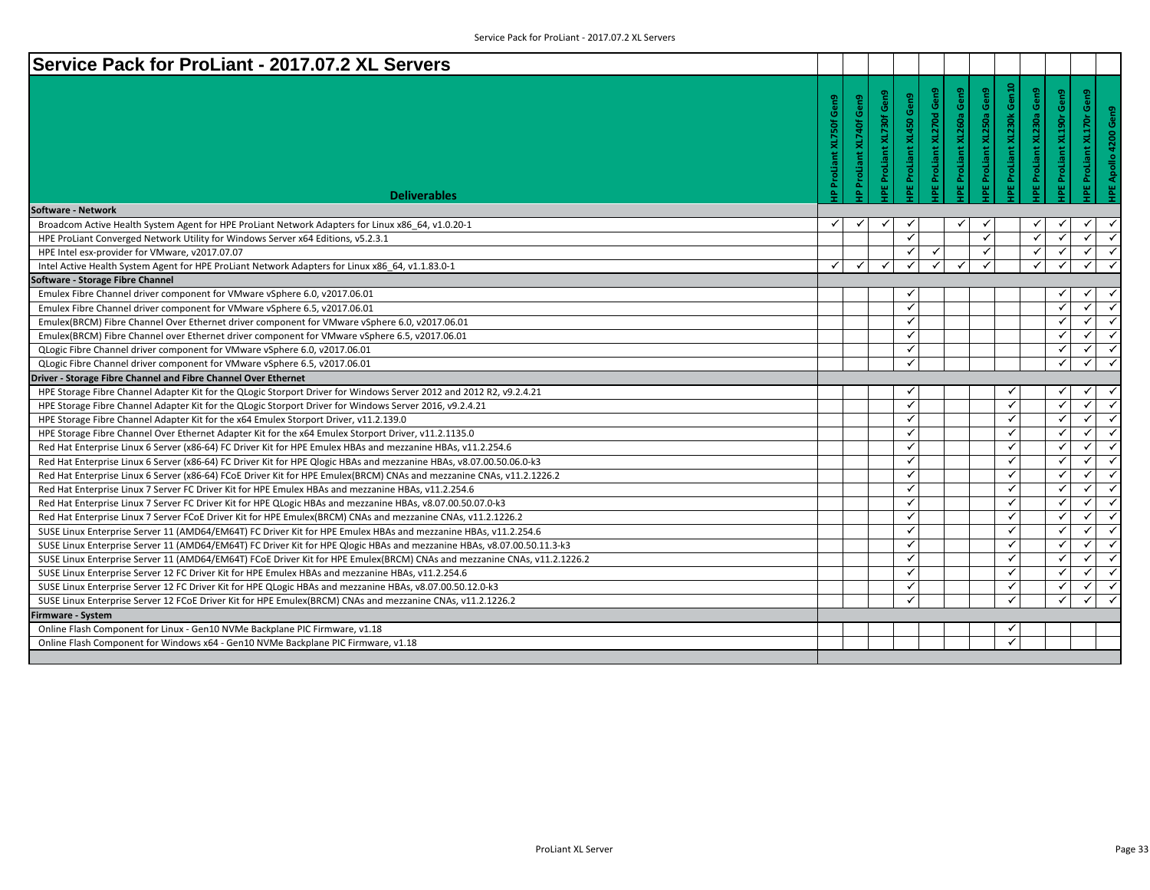| Service Pack for ProLiant - 2017.07.2 XL Servers                                                                         |                                   |                         |                         |                                                       |                                 |                         |                           |                         |                         |                                                  |
|--------------------------------------------------------------------------------------------------------------------------|-----------------------------------|-------------------------|-------------------------|-------------------------------------------------------|---------------------------------|-------------------------|---------------------------|-------------------------|-------------------------|--------------------------------------------------|
|                                                                                                                          | Gen9<br><b>IP ProLiant XL750f</b> | Gen9<br>ProLiant XL740f | PE ProLiant XL730f Gen9 | ProLiant XL270d Gen9<br><b>PE ProLiant XL450 Gen9</b> | <b>IPE ProLiant XL260a Gen9</b> | PE ProLiant XL250a Gen9 | IPE ProLiant XL230k Gen10 | Gen9<br>ProLiant XL230a | PE ProLiant XL190r Gen9 | IPE ProLiant XL170r Gen9<br>HPE Apollo 4200 Gen9 |
|                                                                                                                          |                                   | $\triangle$             |                         |                                                       |                                 |                         |                           | 뷥                       |                         |                                                  |
| <b>Deliverables</b>                                                                                                      |                                   |                         |                         |                                                       |                                 |                         |                           |                         |                         |                                                  |
| Software - Network<br>Broadcom Active Health System Agent for HPE ProLiant Network Adapters for Linux x86 64, v1.0.20-1  | $\checkmark$                      |                         |                         |                                                       |                                 |                         |                           |                         |                         |                                                  |
| HPE ProLiant Converged Network Utility for Windows Server x64 Editions, v5.2.3.1                                         |                                   |                         | $\checkmark$            |                                                       |                                 | $\checkmark$            |                           | $\checkmark$            |                         | ✓                                                |
| HPE Intel esx-provider for VMware, v2017.07.07                                                                           |                                   |                         | ✓                       |                                                       |                                 | ✓                       |                           | $\checkmark$            | $\checkmark$            | ✓<br>$\checkmark$                                |
| Intel Active Health System Agent for HPE ProLiant Network Adapters for Linux x86 64, v1.1.83.0-1                         | $\checkmark$                      | ✓                       | $\checkmark$            | $\checkmark$<br>✓                                     | √                               |                         |                           | $\checkmark$            | $\checkmark$            | $\checkmark$                                     |
| Software - Storage Fibre Channel                                                                                         |                                   |                         |                         |                                                       |                                 |                         |                           |                         |                         |                                                  |
| Emulex Fibre Channel driver component for VMware vSphere 6.0, v2017.06.01                                                |                                   |                         | ✓                       |                                                       |                                 |                         |                           |                         | ✓                       | ✓                                                |
| Emulex Fibre Channel driver component for VMware vSphere 6.5, v2017.06.01                                                |                                   |                         | $\checkmark$            |                                                       |                                 |                         |                           |                         | $\checkmark$            | $\checkmark$<br>✓                                |
| Emulex(BRCM) Fibre Channel Over Ethernet driver component for VMware vSphere 6.0, v2017.06.01                            |                                   |                         | ✓                       |                                                       |                                 |                         |                           |                         | $\checkmark$            | $\checkmark$<br>✓                                |
| Emulex(BRCM) Fibre Channel over Ethernet driver component for VMware vSphere 6.5, v2017.06.01                            |                                   |                         | $\checkmark$            |                                                       |                                 |                         |                           |                         | $\checkmark$            | ✓<br>✓                                           |
| QLogic Fibre Channel driver component for VMware vSphere 6.0, v2017.06.01                                                |                                   |                         |                         | $\checkmark$                                          |                                 |                         |                           |                         | $\checkmark$            | $\checkmark$<br>✓                                |
| QLogic Fibre Channel driver component for VMware vSphere 6.5, v2017.06.01                                                |                                   |                         |                         | ✓                                                     |                                 |                         |                           |                         | $\checkmark$            | ✓<br>✓                                           |
| Driver - Storage Fibre Channel and Fibre Channel Over Ethernet                                                           |                                   |                         |                         |                                                       |                                 |                         |                           |                         |                         |                                                  |
| HPE Storage Fibre Channel Adapter Kit for the QLogic Storport Driver for Windows Server 2012 and 2012 R2, v9.2.4.21      |                                   |                         | ✓                       |                                                       |                                 |                         |                           |                         | ✓                       | ✓<br>✓                                           |
| HPE Storage Fibre Channel Adapter Kit for the QLogic Storport Driver for Windows Server 2016, v9.2.4.21                  |                                   |                         | ✓                       |                                                       |                                 |                         | ✓                         |                         | $\checkmark$            | ✓<br>✓                                           |
| HPE Storage Fibre Channel Adapter Kit for the x64 Emulex Storport Driver, v11.2.139.0                                    |                                   |                         | $\checkmark$            |                                                       |                                 |                         | ✓                         |                         | $\checkmark$            | ✓<br>$\checkmark$                                |
| HPE Storage Fibre Channel Over Ethernet Adapter Kit for the x64 Emulex Storport Driver, v11.2.1135.0                     |                                   |                         | ✓                       |                                                       |                                 |                         | ✓                         |                         | ✓                       | ✓<br>✓                                           |
| Red Hat Enterprise Linux 6 Server (x86-64) FC Driver Kit for HPE Emulex HBAs and mezzanine HBAs, v11.2.254.6             |                                   |                         | $\checkmark$            |                                                       |                                 |                         | ✓                         |                         | $\checkmark$            | $\checkmark$<br>$\checkmark$                     |
| Red Hat Enterprise Linux 6 Server (x86-64) FC Driver Kit for HPE Qlogic HBAs and mezzanine HBAs, v8.07.00.50.06.0-k3     |                                   |                         | ✓                       |                                                       |                                 |                         | ✓                         |                         | $\checkmark$            | ✓<br>✓                                           |
| Red Hat Enterprise Linux 6 Server (x86-64) FCoE Driver Kit for HPE Emulex(BRCM) CNAs and mezzanine CNAs, v11.2.1226.2    |                                   |                         | $\checkmark$            |                                                       |                                 |                         | ✓                         |                         | $\checkmark$            | ✓<br>$\checkmark$                                |
| Red Hat Enterprise Linux 7 Server FC Driver Kit for HPE Emulex HBAs and mezzanine HBAs, v11.2.254.6                      |                                   |                         |                         | $\checkmark$                                          |                                 |                         | ✓                         |                         | $\checkmark$            | $\checkmark$<br>✓                                |
| Red Hat Enterprise Linux 7 Server FC Driver Kit for HPE QLogic HBAs and mezzanine HBAs, v8.07.00.50.07.0-k3              |                                   |                         | ✓                       |                                                       |                                 |                         | ✓                         |                         | ✓                       | ✓<br>✓                                           |
| Red Hat Enterprise Linux 7 Server FCoE Driver Kit for HPE Emulex(BRCM) CNAs and mezzanine CNAs, v11.2.1226.2             |                                   |                         | $\checkmark$            |                                                       |                                 |                         | $\checkmark$              |                         | $\checkmark$            | $\checkmark$<br>$\checkmark$                     |
| SUSE Linux Enterprise Server 11 (AMD64/EM64T) FC Driver Kit for HPE Emulex HBAs and mezzanine HBAs, v11.2.254.6          |                                   |                         | ✓                       |                                                       |                                 |                         | ✓                         |                         | $\checkmark$            | $\checkmark$<br>$\checkmark$                     |
| SUSE Linux Enterprise Server 11 (AMD64/EM64T) FC Driver Kit for HPE Qlogic HBAs and mezzanine HBAs, v8.07.00.50.11.3-k3  |                                   |                         | ✓                       |                                                       |                                 |                         | ✓                         |                         | ✓                       | $\checkmark$<br>$\checkmark$                     |
| SUSE Linux Enterprise Server 11 (AMD64/EM64T) FCoE Driver Kit for HPE Emulex(BRCM) CNAs and mezzanine CNAs, v11.2.1226.2 |                                   |                         | $\checkmark$            |                                                       |                                 |                         | ✓                         |                         | $\checkmark$            | ✓<br>$\checkmark$                                |
| SUSE Linux Enterprise Server 12 FC Driver Kit for HPE Emulex HBAs and mezzanine HBAs, v11.2.254.6                        |                                   |                         | ✓                       |                                                       |                                 |                         | ✓                         |                         | ✓                       | ✓<br>✓                                           |
| SUSE Linux Enterprise Server 12 FC Driver Kit for HPE QLogic HBAs and mezzanine HBAs, v8.07.00.50.12.0-k3                |                                   |                         | $\checkmark$            |                                                       |                                 |                         | ✓                         |                         | ✓                       | $\checkmark$<br>✓                                |
| SUSE Linux Enterprise Server 12 FCoE Driver Kit for HPE Emulex(BRCM) CNAs and mezzanine CNAs, v11.2.1226.2               |                                   |                         | ✓                       |                                                       |                                 |                         | ✓                         |                         | $\checkmark$            | ✓<br>$\checkmark$                                |
| Firmware - System                                                                                                        |                                   |                         |                         |                                                       |                                 |                         |                           |                         |                         |                                                  |
| Online Flash Component for Linux - Gen10 NVMe Backplane PIC Firmware, v1.18                                              |                                   |                         |                         |                                                       |                                 |                         |                           |                         |                         |                                                  |
| Online Flash Component for Windows x64 - Gen10 NVMe Backplane PIC Firmware, v1.18                                        |                                   |                         |                         |                                                       |                                 |                         | ✓                         |                         |                         |                                                  |
|                                                                                                                          |                                   |                         |                         |                                                       |                                 |                         |                           |                         |                         |                                                  |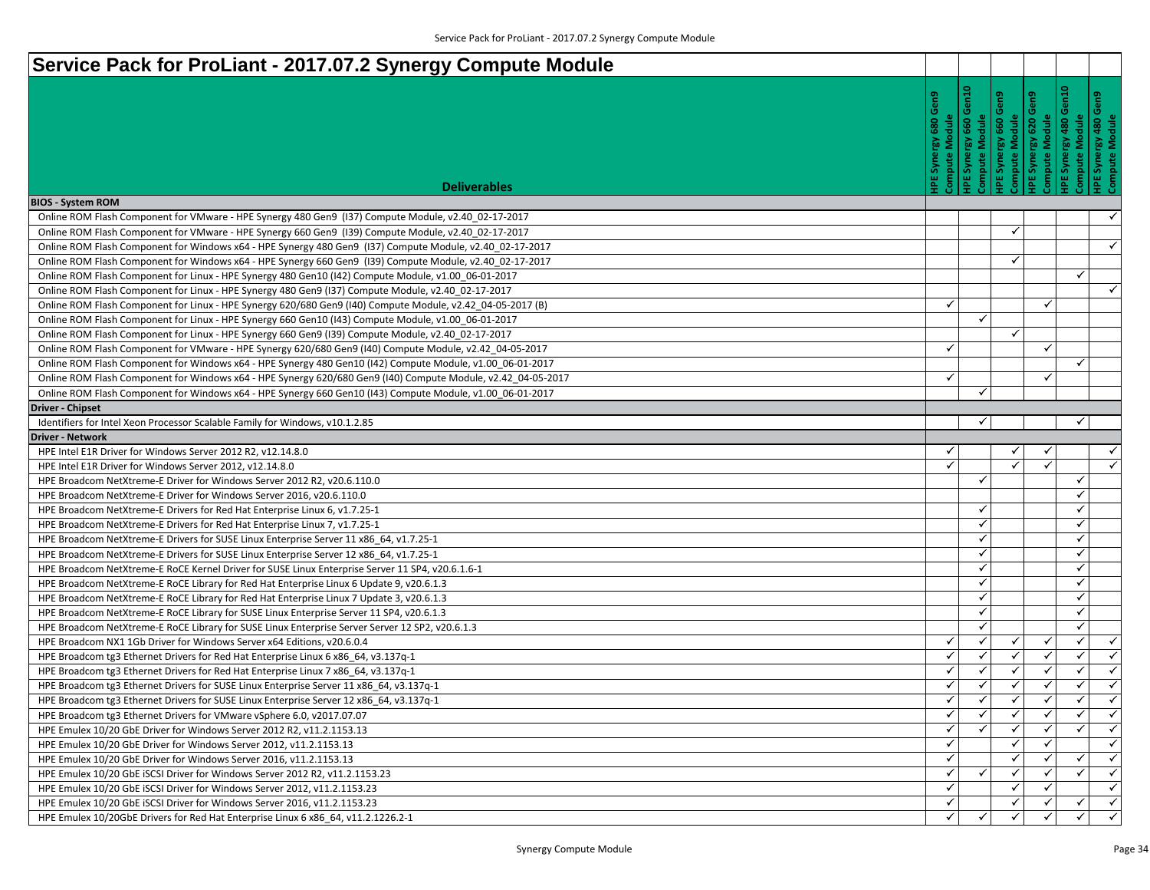| Service Pack for ProLiant - 2017.07.2 Synergy Compute Module                                                                                                                       |              |                  |                                        |                     |                                                                           |
|------------------------------------------------------------------------------------------------------------------------------------------------------------------------------------|--------------|------------------|----------------------------------------|---------------------|---------------------------------------------------------------------------|
| <b>Deliverables</b>                                                                                                                                                                | 맏            | å<br>660<br>Syne | စ္န<br>ompute Module<br>660<br>Synergy | 윋<br>620<br>Synergy | Module<br>Synergy 480 C<br>npute Module<br>480<br>Synergy<br>ompute       |
| <b>BIOS - System ROM</b>                                                                                                                                                           |              |                  |                                        |                     |                                                                           |
| Online ROM Flash Component for VMware - HPE Synergy 480 Gen9 (I37) Compute Module, v2.40_02-17-2017                                                                                |              |                  |                                        |                     | $\checkmark$                                                              |
| Online ROM Flash Component for VMware - HPE Synergy 660 Gen9 (139) Compute Module, v2.40_02-17-2017                                                                                |              |                  | ✓                                      |                     |                                                                           |
| Online ROM Flash Component for Windows x64 - HPE Synergy 480 Gen9 (137) Compute Module, v2.40_02-17-2017                                                                           |              |                  |                                        |                     | $\checkmark$                                                              |
| Online ROM Flash Component for Windows x64 - HPE Synergy 660 Gen9 (139) Compute Module, v2.40_02-17-2017                                                                           |              |                  | ✓                                      |                     |                                                                           |
| Online ROM Flash Component for Linux - HPE Synergy 480 Gen10 (142) Compute Module, v1.00_06-01-2017                                                                                |              |                  |                                        |                     | $\checkmark$                                                              |
| Online ROM Flash Component for Linux - HPE Synergy 480 Gen9 (137) Compute Module, v2.40_02-17-2017                                                                                 |              |                  |                                        |                     | $\checkmark$                                                              |
| Online ROM Flash Component for Linux - HPE Synergy 620/680 Gen9 (I40) Compute Module, v2.42_04-05-2017 (B)                                                                         | ✓            |                  |                                        | $\checkmark$        |                                                                           |
| Online ROM Flash Component for Linux - HPE Synergy 660 Gen10 (143) Compute Module, v1.00_06-01-2017                                                                                |              | $\checkmark$     |                                        |                     |                                                                           |
| Online ROM Flash Component for Linux - HPE Synergy 660 Gen9 (139) Compute Module, v2.40_02-17-2017                                                                                 |              |                  | ✓                                      |                     |                                                                           |
| Online ROM Flash Component for VMware - HPE Synergy 620/680 Gen9 (I40) Compute Module, v2.42 04-05-2017                                                                            | ✓            |                  |                                        | $\checkmark$        |                                                                           |
| Online ROM Flash Component for Windows x64 - HPE Synergy 480 Gen10 (I42) Compute Module, v1.00_06-01-2017                                                                          |              |                  |                                        |                     | ✓                                                                         |
| Online ROM Flash Component for Windows x64 - HPE Synergy 620/680 Gen9 (I40) Compute Module, v2.42_04-05-2017                                                                       | ✓            |                  |                                        | ✓                   |                                                                           |
| Online ROM Flash Component for Windows x64 - HPE Synergy 660 Gen10 (I43) Compute Module, v1.00_06-01-2017                                                                          |              | $\checkmark$     |                                        |                     |                                                                           |
| <b>Driver - Chipset</b>                                                                                                                                                            |              |                  |                                        |                     |                                                                           |
| Identifiers for Intel Xeon Processor Scalable Family for Windows, v10.1.2.85                                                                                                       |              | ✓                |                                        |                     | ✓                                                                         |
| <b>Driver - Network</b>                                                                                                                                                            |              |                  |                                        |                     |                                                                           |
|                                                                                                                                                                                    |              |                  |                                        |                     |                                                                           |
|                                                                                                                                                                                    | ✓            |                  | ✓                                      |                     | $\checkmark$                                                              |
| HPE Intel E1R Driver for Windows Server 2012 R2, v12.14.8.0                                                                                                                        | ✓            |                  | ✓                                      | ✓                   | $\checkmark$                                                              |
| HPE Intel E1R Driver for Windows Server 2012, v12.14.8.0                                                                                                                           |              | $\checkmark$     |                                        |                     | $\checkmark$                                                              |
| HPE Broadcom NetXtreme-E Driver for Windows Server 2012 R2, v20.6.110.0                                                                                                            |              |                  |                                        |                     | ✓                                                                         |
| HPE Broadcom NetXtreme-E Driver for Windows Server 2016, v20.6.110.0                                                                                                               |              | ✓                |                                        |                     | ✓                                                                         |
| HPE Broadcom NetXtreme-E Drivers for Red Hat Enterprise Linux 6, v1.7.25-1                                                                                                         |              | $\checkmark$     |                                        |                     | $\checkmark$                                                              |
| HPE Broadcom NetXtreme-E Drivers for Red Hat Enterprise Linux 7, v1.7.25-1                                                                                                         |              | √                |                                        |                     | $\checkmark$                                                              |
| HPE Broadcom NetXtreme-E Drivers for SUSE Linux Enterprise Server 11 x86 64, v1.7.25-1                                                                                             |              |                  |                                        |                     | $\checkmark$                                                              |
| HPE Broadcom NetXtreme-E Drivers for SUSE Linux Enterprise Server 12 x86 64, v1.7.25-1                                                                                             |              | ✓                |                                        |                     | $\checkmark$                                                              |
| HPE Broadcom NetXtreme-E RoCE Kernel Driver for SUSE Linux Enterprise Server 11 SP4, v20.6.1.6-1                                                                                   |              | ✓                |                                        |                     | ✓                                                                         |
| HPE Broadcom NetXtreme-E RoCE Library for Red Hat Enterprise Linux 6 Update 9, v20.6.1.3                                                                                           |              | √                |                                        |                     | ✓                                                                         |
| HPE Broadcom NetXtreme-E RoCE Library for Red Hat Enterprise Linux 7 Update 3, v20.6.1.3                                                                                           |              | ✓                |                                        |                     | $\checkmark$                                                              |
| HPE Broadcom NetXtreme-E RoCE Library for SUSE Linux Enterprise Server 11 SP4, v20.6.1.3                                                                                           |              | ✓                |                                        |                     | $\checkmark$                                                              |
| HPE Broadcom NetXtreme-E RoCE Library for SUSE Linux Enterprise Server Server 12 SP2, v20.6.1.3                                                                                    | ✓            | ✓                | $\checkmark$                           | ✓                   | $\checkmark$<br>$\checkmark$                                              |
| HPE Broadcom NX1 1Gb Driver for Windows Server x64 Editions, v20.6.0.4<br>HPE Broadcom tg3 Ethernet Drivers for Red Hat Enterprise Linux 6 x86 64, v3.137q-1                       | ✓            | ✓                | ✓                                      | ✓                   | $\checkmark$<br>$\checkmark$                                              |
|                                                                                                                                                                                    | ✓            |                  | ✓                                      |                     | ✓<br>$\checkmark$                                                         |
| HPE Broadcom tg3 Ethernet Drivers for Red Hat Enterprise Linux 7 x86 64, v3.137q-1                                                                                                 | $\checkmark$ | $\checkmark$     | $\checkmark$                           | $\checkmark$        | $\checkmark$<br>$\checkmark$                                              |
| HPE Broadcom tg3 Ethernet Drivers for SUSE Linux Enterprise Server 11 x86_64, v3.137q-1<br>HPE Broadcom tg3 Ethernet Drivers for SUSE Linux Enterprise Server 12 x86_64, v3.137q-1 |              |                  | ✓                                      | ✓                   | $\checkmark$<br>$\checkmark$                                              |
| HPE Broadcom tg3 Ethernet Drivers for VMware vSphere 6.0, v2017.07.07                                                                                                              | ✓            | ✓                | ✓                                      |                     | ✓                                                                         |
| HPE Emulex 10/20 GbE Driver for Windows Server 2012 R2, v11.2.1153.13                                                                                                              | ✓            |                  |                                        |                     | ✓                                                                         |
| HPE Emulex 10/20 GbE Driver for Windows Server 2012, v11.2.1153.13                                                                                                                 | ✓            |                  |                                        |                     |                                                                           |
| HPE Emulex 10/20 GbE Driver for Windows Server 2016, v11.2.1153.13                                                                                                                 | ✓            |                  | ✓                                      |                     | $\checkmark$<br>$\blacktriangleleft$<br>$\checkmark$<br>$\checkmark$<br>✓ |
| HPE Emulex 10/20 GbE ISCSI Driver for Windows Server 2012 R2, v11.2.1153.23                                                                                                        | ✓            |                  | ✓                                      |                     | $\checkmark$<br>✓                                                         |
| HPE Emulex 10/20 GbE iSCSI Driver for Windows Server 2012, v11.2.1153.23                                                                                                           | ✓            |                  |                                        |                     | $\checkmark$                                                              |
| HPE Emulex 10/20 GbE ISCSI Driver for Windows Server 2016, v11.2.1153.23                                                                                                           | ✓            |                  | ✓                                      |                     | $\checkmark$<br>✓                                                         |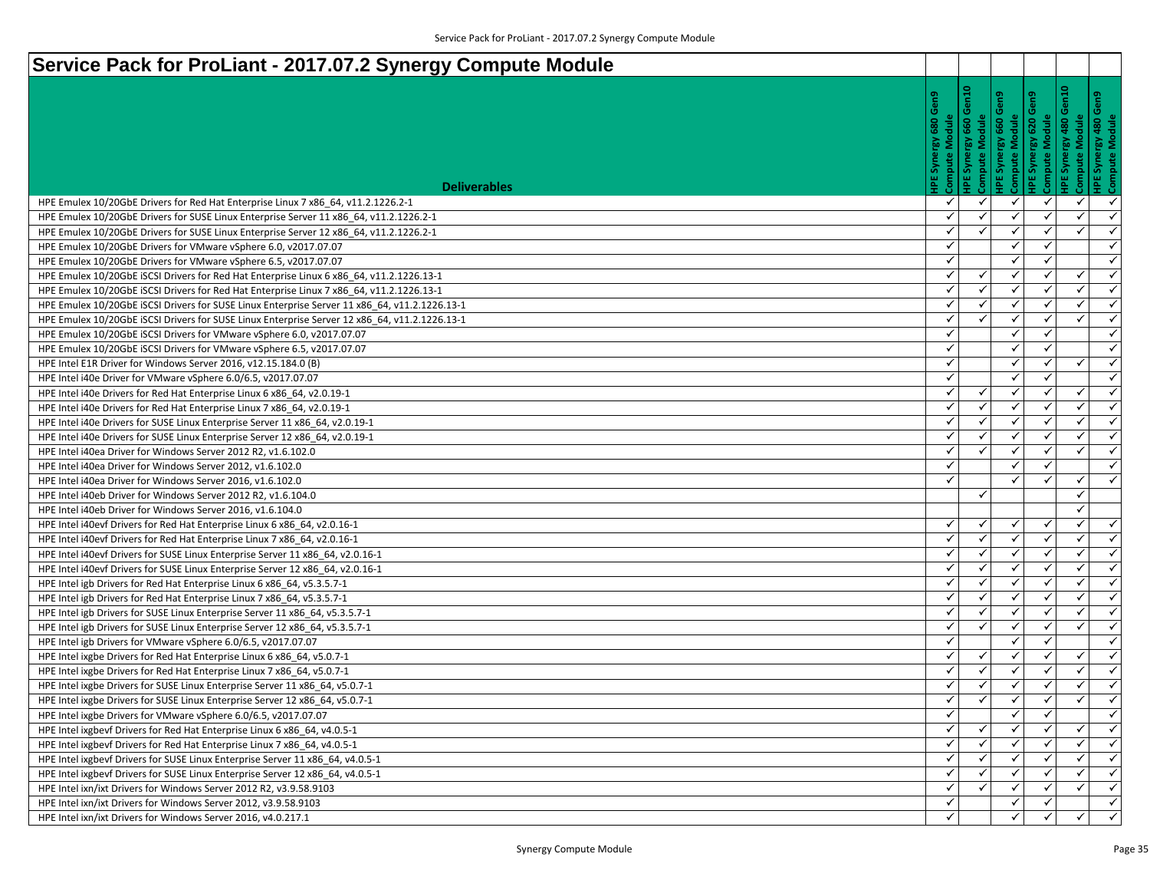| Service Pack for ProLiant - 2017.07.2 Synergy Compute Module                                  |              |                                                    |                                                         |                                |                                               |                           |
|-----------------------------------------------------------------------------------------------|--------------|----------------------------------------------------|---------------------------------------------------------|--------------------------------|-----------------------------------------------|---------------------------|
| <b>Deliverables</b>                                                                           | 읻<br>Compute | $\frac{1}{2}$<br>glubs<br>660<br>ί®,<br>Synei<br>쀻 | 맏<br><b>Compute Module</b><br>660<br><b>IPE Synergy</b> | 엳<br>620<br><b>IPE Synergy</b> | 음<br>Module<br>480<br>Synergy<br>Compute<br>뵘 | rgy 480 d<br>Module<br>්ර |
| HPE Emulex 10/20GbE Drivers for Red Hat Enterprise Linux 7 x86_64, v11.2.1226.2-1             | ✓            | ✓                                                  | ✓                                                       | ✓                              | $\checkmark$                                  | $\checkmark$              |
| HPE Emulex 10/20GbE Drivers for SUSE Linux Enterprise Server 11 x86 64, v11.2.1226.2-1        | ✓            | ✓                                                  | ✓                                                       | ✓                              | ✓                                             | $\checkmark$              |
| HPE Emulex 10/20GbE Drivers for SUSE Linux Enterprise Server 12 x86 64, v11.2.1226.2-1        | ✓            |                                                    | ✓                                                       | $\checkmark$                   | $\checkmark$                                  | $\checkmark$              |
| HPE Emulex 10/20GbE Drivers for VMware vSphere 6.0, v2017.07.07                               | $\checkmark$ |                                                    | ✓                                                       | ✓                              |                                               | $\checkmark$              |
| HPE Emulex 10/20GbE Drivers for VMware vSphere 6.5, v2017.07.07                               | ✓            |                                                    | ✓                                                       | $\checkmark$                   |                                               | $\checkmark$              |
| HPE Emulex 10/20GbE iSCSI Drivers for Red Hat Enterprise Linux 6 x86 64, v11.2.1226.13-1      | ✓            | $\checkmark$                                       | $\checkmark$                                            | ✓                              | $\checkmark$                                  | $\checkmark$              |
| HPE Emulex 10/20GbE iSCSI Drivers for Red Hat Enterprise Linux 7 x86 64, v11.2.1226.13-1      | ✓            | ✓                                                  | ✓                                                       | $\checkmark$                   | $\checkmark$                                  | $\checkmark$              |
| HPE Emulex 10/20GbE ISCSI Drivers for SUSE Linux Enterprise Server 11 x86_64, v11.2.1226.13-1 | ✓            | ✓                                                  | ✓                                                       | ✓                              | ✓                                             | $\checkmark$              |
| HPE Emulex 10/20GbE ISCSI Drivers for SUSE Linux Enterprise Server 12 x86 64, v11.2.1226.13-1 | $\checkmark$ | $\checkmark$                                       | ✓                                                       | $\checkmark$                   | $\checkmark$                                  | $\checkmark$              |
| HPE Emulex 10/20GbE ISCSI Drivers for VMware vSphere 6.0, v2017.07.07                         | ✓            |                                                    | ✓                                                       | $\checkmark$                   |                                               | $\checkmark$              |
| HPE Emulex 10/20GbE ISCSI Drivers for VMware vSphere 6.5, v2017.07.07                         | ✓            |                                                    | ✓                                                       | ✓                              |                                               | $\checkmark$              |
| HPE Intel E1R Driver for Windows Server 2016, v12.15.184.0 (B)                                | ✓            |                                                    | ✓                                                       | $\checkmark$                   | ✓                                             | $\checkmark$              |
| HPE Intel i40e Driver for VMware vSphere 6.0/6.5, v2017.07.07                                 | ✓            |                                                    | ✓                                                       | $\checkmark$                   |                                               | $\checkmark$              |
| HPE Intel i40e Drivers for Red Hat Enterprise Linux 6 x86 64, v2.0.19-1                       | ✓            | ✓                                                  | ✓                                                       | ✓                              | ✓                                             | $\checkmark$              |
| HPE Intel i40e Drivers for Red Hat Enterprise Linux 7 x86 64, v2.0.19-1                       | ✓            | $\checkmark$                                       | ✓                                                       | $\checkmark$                   | $\checkmark$                                  | $\checkmark$              |
| HPE Intel i40e Drivers for SUSE Linux Enterprise Server 11 x86 64, v2.0.19-1                  | ✓            | ✓                                                  | ✓                                                       | ✓                              | $\checkmark$                                  | $\checkmark$              |
| HPE Intel i40e Drivers for SUSE Linux Enterprise Server 12 x86 64, v2.0.19-1                  | ✓            | ✓                                                  | ✓                                                       | ✓                              | $\checkmark$                                  | $\checkmark$              |
| HPE Intel i40ea Driver for Windows Server 2012 R2, v1.6.102.0                                 | ✓            |                                                    | ✓                                                       | ✓                              | $\checkmark$                                  | $\checkmark$              |
| HPE Intel i40ea Driver for Windows Server 2012, v1.6.102.0                                    | ✓            |                                                    | ✓                                                       | $\checkmark$                   |                                               | $\checkmark$              |
| HPE Intel i40ea Driver for Windows Server 2016, v1.6.102.0                                    | $\checkmark$ |                                                    | ✓                                                       | $\checkmark$                   | $\checkmark$                                  | $\checkmark$              |
| HPE Intel i40eb Driver for Windows Server 2012 R2, v1.6.104.0                                 |              | $\checkmark$                                       |                                                         |                                | ✓                                             |                           |
| HPE Intel i40eb Driver for Windows Server 2016, v1.6.104.0                                    |              |                                                    |                                                         |                                | $\checkmark$                                  |                           |
| HPE Intel i40evf Drivers for Red Hat Enterprise Linux 6 x86 64, v2.0.16-1                     | ✓            | $\checkmark$                                       | ✓                                                       | ✓                              | $\checkmark$                                  | $\checkmark$              |
| HPE Intel i40evf Drivers for Red Hat Enterprise Linux 7 x86 64, v2.0.16-1                     | ✓            | $\checkmark$                                       | ✓                                                       | ✓                              | $\checkmark$                                  | $\checkmark$              |
| HPE Intel i40evf Drivers for SUSE Linux Enterprise Server 11 x86 64, v2.0.16-1                | ✓            |                                                    | ✓                                                       |                                | $\checkmark$                                  | $\checkmark$              |
| HPE Intel i40evf Drivers for SUSE Linux Enterprise Server 12 x86 64, v2.0.16-1                | ✓            | $\checkmark$                                       | $\checkmark$                                            | $\checkmark$                   | $\checkmark$                                  | $\checkmark$              |
| HPE Intel igb Drivers for Red Hat Enterprise Linux 6 x86_64, v5.3.5.7-1                       | ✓            | ✓                                                  | ✓                                                       | ✓                              | ✓                                             | $\checkmark$              |
| HPE Intel igb Drivers for Red Hat Enterprise Linux 7 x86_64, v5.3.5.7-1                       | ✓            |                                                    | ✓                                                       | ✓                              | $\checkmark$                                  | $\checkmark$              |
| HPE Intel igb Drivers for SUSE Linux Enterprise Server 11 x86_64, v5.3.5.7-1                  | ✓            | $\checkmark$                                       | ✓                                                       | $\checkmark$                   | $\checkmark$                                  | $\checkmark$              |
| HPE Intel igb Drivers for SUSE Linux Enterprise Server 12 x86_64, v5.3.5.7-1                  | ✓            | $\checkmark$                                       | ✓                                                       | ✓                              | ✓                                             | $\checkmark$              |
| HPE Intel igb Drivers for VMware vSphere 6.0/6.5, v2017.07.07                                 | $\checkmark$ |                                                    | $\checkmark$                                            | $\checkmark$                   |                                               | $\checkmark$              |
| HPE Intel ixgbe Drivers for Red Hat Enterprise Linux 6 x86_64, v5.0.7-1                       | ✓            | $\checkmark$                                       | $\checkmark$                                            | $\checkmark$                   | $\checkmark$                                  | $\checkmark$              |
| HPE Intel ixgbe Drivers for Red Hat Enterprise Linux 7 x86_64, v5.0.7-1                       | ✓            | ✓                                                  | $\checkmark$                                            | ✓                              | ✓                                             | $\checkmark$              |
| HPE Intel ixgbe Drivers for SUSE Linux Enterprise Server 11 x86_64, v5.0.7-1                  | $\checkmark$ | $\checkmark$                                       | ✓                                                       | $\checkmark$                   | $\checkmark$                                  | $\blacktriangleleft$      |
| HPE Intel ixgbe Drivers for SUSE Linux Enterprise Server 12 x86_64, v5.0.7-1                  |              |                                                    | ✓                                                       | $\checkmark$                   | $\checkmark$                                  | $\checkmark$              |
| HPE Intel ixgbe Drivers for VMware vSphere 6.0/6.5, v2017.07.07                               | ✓            |                                                    | $\checkmark$                                            |                                |                                               | $\checkmark$              |
| HPE Intel ixgbevf Drivers for Red Hat Enterprise Linux 6 x86 64, v4.0.5-1                     | $\checkmark$ |                                                    | ✓                                                       |                                | ✓                                             | $\blacktriangleleft$      |
| HPE Intel ixgbevf Drivers for Red Hat Enterprise Linux 7 x86 64, v4.0.5-1                     | $\checkmark$ |                                                    |                                                         |                                | ✓                                             | $\checkmark$              |
| HPE Intel ixgbevf Drivers for SUSE Linux Enterprise Server 11 x86_64, v4.0.5-1                | $\checkmark$ | ✓                                                  | ✓                                                       |                                | ✓                                             | $\checkmark$              |
| HPE Intel ixgbevf Drivers for SUSE Linux Enterprise Server 12 x86_64, v4.0.5-1                | $\checkmark$ | $\checkmark$                                       | $\checkmark$                                            | ✓                              | ✓                                             | $\checkmark$              |
| HPE Intel ixn/ixt Drivers for Windows Server 2012 R2, v3.9.58.9103                            | ✓            |                                                    |                                                         |                                | ✓                                             | $\checkmark$              |
| HPE Intel ixn/ixt Drivers for Windows Server 2012, v3.9.58.9103                               | ✓            |                                                    | ✓                                                       | ✓                              |                                               | $\checkmark$              |
| HPE Intel ixn/ixt Drivers for Windows Server 2016, v4.0.217.1                                 | ✓            |                                                    |                                                         | ✓                              | ✓                                             | $\checkmark$              |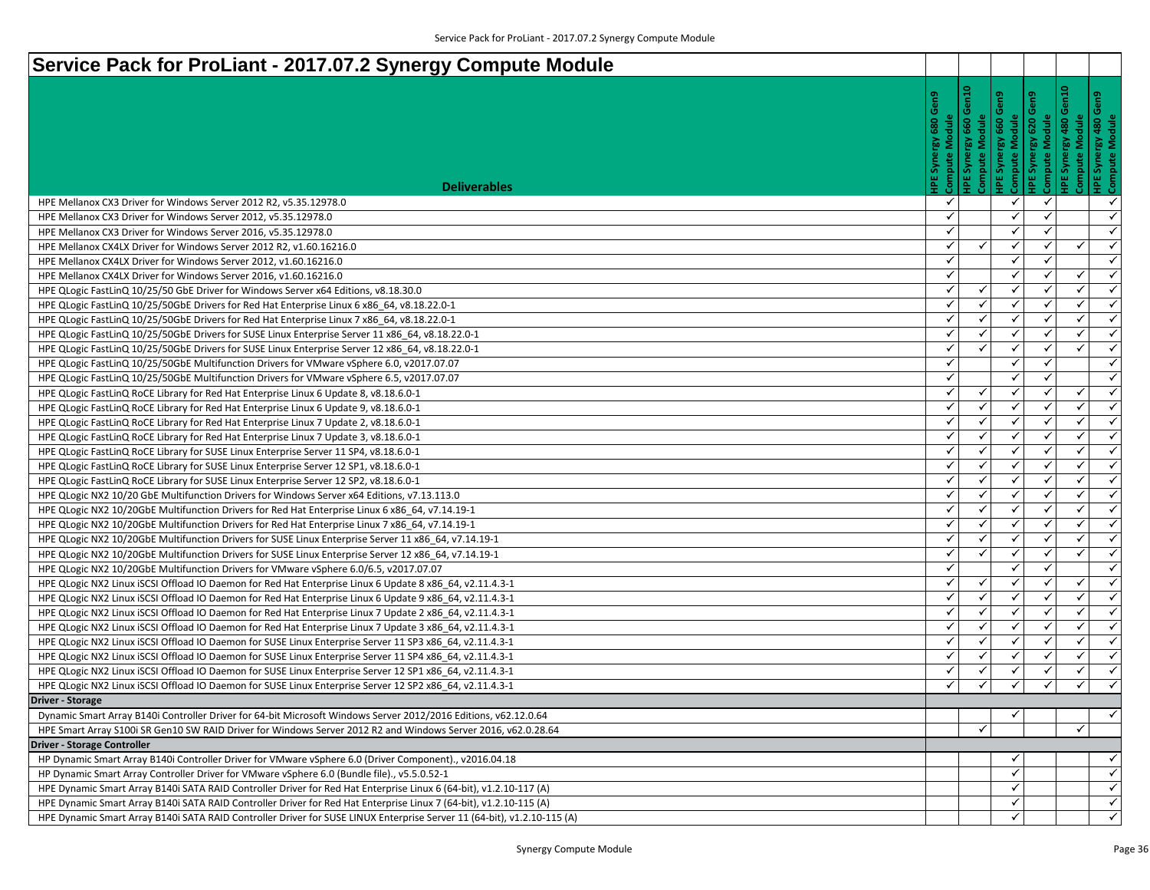| Service Pack for ProLiant - 2017.07.2 Synergy Compute Module                                                            |                                   |                                                      |                                                  |                                         |                                               |                                        |
|-------------------------------------------------------------------------------------------------------------------------|-----------------------------------|------------------------------------------------------|--------------------------------------------------|-----------------------------------------|-----------------------------------------------|----------------------------------------|
| <b>Deliverables</b>                                                                                                     | Gen9<br>Module<br>Compute<br>క్గ్ | $\frac{8}{10}$<br>Module<br>660<br>ί®,<br>Synei<br>쀻 | 읻<br>Compute Module<br>660<br><b>IPE Synergy</b> | ဥ<br>glubs<br>620<br><b>IPE Synergy</b> | 읍<br>Module<br>480<br>Synergy<br>Compute<br>뾥 | : Synergy 480 G<br>npute Module<br>န္ပ |
| HPE Mellanox CX3 Driver for Windows Server 2012 R2, v5.35.12978.0                                                       | ✓                                 |                                                      | ✓                                                | $\checkmark$                            |                                               | ✓                                      |
| HPE Mellanox CX3 Driver for Windows Server 2012, v5.35.12978.0                                                          | ✓                                 |                                                      | ✓                                                | ✓                                       |                                               | $\checkmark$                           |
| HPE Mellanox CX3 Driver for Windows Server 2016, v5.35.12978.0                                                          | ✓                                 |                                                      | ✓                                                | $\checkmark$                            |                                               | $\checkmark$                           |
| HPE Mellanox CX4LX Driver for Windows Server 2012 R2, v1.60.16216.0                                                     | ✓                                 | $\checkmark$                                         | ✓                                                | ✓                                       | $\checkmark$                                  | $\checkmark$                           |
| HPE Mellanox CX4LX Driver for Windows Server 2012, v1.60.16216.0                                                        | ✓                                 |                                                      | ✓                                                | $\checkmark$                            |                                               | $\checkmark$                           |
| HPE Mellanox CX4LX Driver for Windows Server 2016, v1.60.16216.0                                                        | $\checkmark$                      |                                                      | $\checkmark$                                     | $\checkmark$                            | $\checkmark$                                  | $\checkmark$                           |
| HPE QLogic FastLinQ 10/25/50 GbE Driver for Windows Server x64 Editions, v8.18.30.0                                     | ✓                                 | ✓                                                    | ✓                                                | $\checkmark$                            | $\checkmark$                                  | $\checkmark$                           |
| HPE QLogic FastLinQ 10/25/50GbE Drivers for Red Hat Enterprise Linux 6 x86_64, v8.18.22.0-1                             | ✓                                 | ✓                                                    | ✓                                                | $\checkmark$                            | $\checkmark$                                  | $\checkmark$                           |
| HPE QLogic FastLinQ 10/25/50GbE Drivers for Red Hat Enterprise Linux 7 x86 64, v8.18.22.0-1                             | $\checkmark$                      | ✓                                                    | $\checkmark$                                     | $\checkmark$                            | $\checkmark$                                  | $\checkmark$                           |
| HPE QLogic FastLinQ 10/25/50GbE Drivers for SUSE Linux Enterprise Server 11 x86 64, v8.18.22.0-1                        | ✓                                 | ✓                                                    | ✓                                                | ✓                                       | $\checkmark$                                  | $\checkmark$                           |
| HPE QLogic FastLinQ 10/25/50GbE Drivers for SUSE Linux Enterprise Server 12 x86 64, v8.18.22.0-1                        | ✓                                 | $\checkmark$                                         | $\checkmark$                                     | $\checkmark$                            | $\checkmark$                                  | $\checkmark$                           |
| HPE QLogic FastLinQ 10/25/50GbE Multifunction Drivers for VMware vSphere 6.0, v2017.07.07                               | $\checkmark$                      |                                                      | ✓                                                | $\checkmark$                            |                                               | $\checkmark$                           |
| HPE QLogic FastLinQ 10/25/50GbE Multifunction Drivers for VMware vSphere 6.5, v2017.07.07                               | ✓                                 |                                                      | ✓                                                | $\checkmark$                            |                                               | $\checkmark$                           |
| HPE QLogic FastLinQ RoCE Library for Red Hat Enterprise Linux 6 Update 8, v8.18.6.0-1                                   | ✓                                 | $\checkmark$                                         | ✓                                                | ✓                                       | ✓                                             | $\checkmark$                           |
| HPE QLogic FastLinQ RoCE Library for Red Hat Enterprise Linux 6 Update 9, v8.18.6.0-1                                   | ✓                                 | $\checkmark$                                         | $\checkmark$                                     | $\checkmark$                            | $\checkmark$                                  | $\checkmark$                           |
| HPE QLogic FastLinQ RoCE Library for Red Hat Enterprise Linux 7 Update 2, v8.18.6.0-1                                   | ✓                                 | ✓                                                    | ✓                                                | ✓                                       | $\checkmark$                                  | $\checkmark$                           |
| HPE QLogic FastLinQ RoCE Library for Red Hat Enterprise Linux 7 Update 3, v8.18.6.0-1                                   | ✓                                 | $\checkmark$                                         | ✓                                                | ✓                                       | $\checkmark$                                  | $\checkmark$                           |
| HPE QLogic FastLinQ RoCE Library for SUSE Linux Enterprise Server 11 SP4, v8.18.6.0-1                                   | ✓                                 | $\checkmark$                                         | $\checkmark$                                     | $\checkmark$                            | $\checkmark$                                  | $\checkmark$                           |
| HPE QLogic FastLinQ RoCE Library for SUSE Linux Enterprise Server 12 SP1, v8.18.6.0-1                                   | ✓                                 |                                                      | ✓                                                | $\checkmark$                            | $\checkmark$                                  | $\checkmark$                           |
| HPE QLogic FastLinQ RoCE Library for SUSE Linux Enterprise Server 12 SP2, v8.18.6.0-1                                   | ✓                                 | $\checkmark$                                         | $\checkmark$                                     | $\checkmark$                            | $\checkmark$                                  | $\checkmark$                           |
| HPE QLogic NX2 10/20 GbE Multifunction Drivers for Windows Server x64 Editions, v7.13.113.0                             | ✓                                 | $\checkmark$                                         | ✓                                                | ✓                                       | ✓                                             | $\checkmark$                           |
| HPE QLogic NX2 10/20GbE Multifunction Drivers for Red Hat Enterprise Linux 6 x86_64, v7.14.19-1                         | ✓                                 |                                                      | ✓                                                |                                         | ✓                                             | $\checkmark$                           |
| HPE QLogic NX2 10/20GbE Multifunction Drivers for Red Hat Enterprise Linux 7 x86_64, v7.14.19-1                         | $\checkmark$                      | $\checkmark$                                         | ✓                                                | $\checkmark$                            | $\checkmark$                                  | $\checkmark$                           |
| HPE QLogic NX2 10/20GbE Multifunction Drivers for SUSE Linux Enterprise Server 11 x86 64, v7.14.19-1                    | ✓                                 | $\checkmark$                                         | $\checkmark$                                     | ✓                                       | $\checkmark$                                  | $\checkmark$                           |
| HPE QLogic NX2 10/20GbE Multifunction Drivers for SUSE Linux Enterprise Server 12 x86_64, v7.14.19-1                    | ✓                                 |                                                      | ✓                                                |                                         | $\checkmark$                                  | $\checkmark$                           |
| HPE QLogic NX2 10/20GbE Multifunction Drivers for VMware vSphere 6.0/6.5, v2017.07.07                                   | ✓                                 |                                                      | $\checkmark$                                     | $\checkmark$                            |                                               | $\checkmark$                           |
| HPE QLogic NX2 Linux iSCSI Offload IO Daemon for Red Hat Enterprise Linux 6 Update 8 x86_64, v2.11.4.3-1                | ✓                                 | ✓                                                    | ✓                                                | ✓                                       | ✓                                             | $\checkmark$                           |
| HPE QLogic NX2 Linux iSCSI Offload IO Daemon for Red Hat Enterprise Linux 6 Update 9 x86_64, v2.11.4.3-1                | ✓                                 | $\checkmark$                                         | ✓                                                | ✓                                       | $\checkmark$                                  | $\checkmark$                           |
| HPE QLogic NX2 Linux iSCSI Offload IO Daemon for Red Hat Enterprise Linux 7 Update 2 x86 64, v2.11.4.3-1                | ✓                                 | $\checkmark$                                         | ✓                                                | $\checkmark$                            | $\checkmark$                                  | $\checkmark$                           |
| HPE QLogic NX2 Linux iSCSI Offload IO Daemon for Red Hat Enterprise Linux 7 Update 3 x86_64, v2.11.4.3-1                | ✓                                 | $\checkmark$                                         | ✓                                                | ✓                                       | ✓                                             | $\checkmark$                           |
| HPE QLogic NX2 Linux iSCSI Offload IO Daemon for SUSE Linux Enterprise Server 11 SP3 x86_64, v2.11.4.3-1                | $\checkmark$                      | $\checkmark$                                         | $\checkmark$                                     | $\checkmark$                            | $\checkmark$                                  | $\checkmark$                           |
| HPE QLogic NX2 Linux iSCSI Offload IO Daemon for SUSE Linux Enterprise Server 11 SP4 x86_64, v2.11.4.3-1                | ✓                                 | $\checkmark$                                         | ✓                                                | $\checkmark$                            | $\checkmark$                                  | $\checkmark$                           |
| HPE QLogic NX2 Linux iSCSI Offload IO Daemon for SUSE Linux Enterprise Server 12 SP1 x86_64, v2.11.4.3-1                | ✓                                 | ✓                                                    | ✓                                                |                                         | ✓                                             | $\checkmark$                           |
| HPE QLogic NX2 Linux iSCSI Offload IO Daemon for SUSE Linux Enterprise Server 12 SP2 x86_64, v2.11.4.3-1                | ✓                                 |                                                      | ✓                                                | ✓                                       | $\checkmark$                                  | $\checkmark$                           |
| <b>Driver - Storage</b>                                                                                                 |                                   |                                                      |                                                  |                                         |                                               |                                        |
| Dynamic Smart Array B140i Controller Driver for 64-bit Microsoft Windows Server 2012/2016 Editions, v62.12.0.64         |                                   |                                                      | $\checkmark$                                     |                                         |                                               | $\checkmark$                           |
| HPE Smart Array S100i SR Gen10 SW RAID Driver for Windows Server 2012 R2 and Windows Server 2016, v62.0.28.64           |                                   | $\checkmark$                                         |                                                  |                                         | $\checkmark$                                  |                                        |
| <b>Driver - Storage Controller</b>                                                                                      |                                   |                                                      |                                                  |                                         |                                               |                                        |
| HP Dynamic Smart Array B140i Controller Driver for VMware vSphere 6.0 (Driver Component)., v2016.04.18                  |                                   |                                                      | ✓                                                |                                         |                                               | $\checkmark$                           |
| HP Dynamic Smart Array Controller Driver for VMware vSphere 6.0 (Bundle file)., v5.5.0.52-1                             |                                   |                                                      | $\checkmark$                                     |                                         |                                               | $\checkmark$                           |
| HPE Dynamic Smart Array B140i SATA RAID Controller Driver for Red Hat Enterprise Linux 6 (64-bit), v1.2.10-117 (A)      |                                   |                                                      | ✓                                                |                                         |                                               | $\checkmark$                           |
| HPE Dynamic Smart Array B140i SATA RAID Controller Driver for Red Hat Enterprise Linux 7 (64-bit), v1.2.10-115 (A)      |                                   |                                                      | ✓                                                |                                         |                                               | $\checkmark$                           |
| HPE Dynamic Smart Array B140i SATA RAID Controller Driver for SUSE LINUX Enterprise Server 11 (64-bit), v1.2.10-115 (A) |                                   |                                                      | ✓                                                |                                         |                                               | $\checkmark$                           |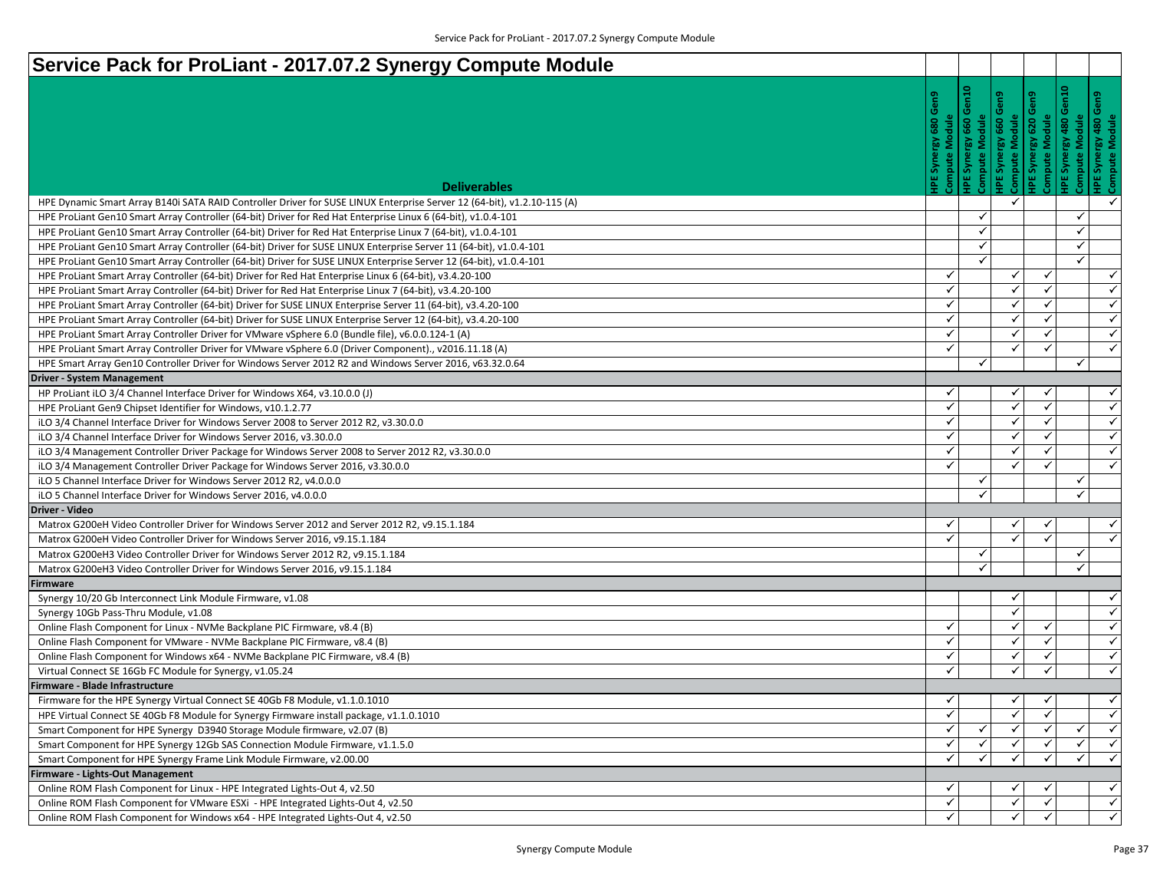| Service Pack for ProLiant - 2017.07.2 Synergy Compute Module                                                                                                             |                   |                                            |                                            |                                |                                                                                |                                              |
|--------------------------------------------------------------------------------------------------------------------------------------------------------------------------|-------------------|--------------------------------------------|--------------------------------------------|--------------------------------|--------------------------------------------------------------------------------|----------------------------------------------|
| <b>Deliverables</b>                                                                                                                                                      | 읻<br>Compute      | $\frac{1}{2}$<br>dule<br>660<br>Synei<br>쀻 | 읻.<br>Compute Module<br>660<br>IPE Synergy | 엳<br>620<br><b>IPE Synergy</b> | Module<br>rgy 480 d<br>Module<br>480<br>Synergy<br>Compute<br>Synei<br>뾥<br>ΨĚ |                                              |
| HPE Dynamic Smart Array B140i SATA RAID Controller Driver for SUSE LINUX Enterprise Server 12 (64-bit), v1.2.10-115 (A)                                                  |                   |                                            | ✓                                          |                                |                                                                                | $\checkmark$                                 |
| HPE ProLiant Gen10 Smart Array Controller (64-bit) Driver for Red Hat Enterprise Linux 6 (64-bit), v1.0.4-101                                                            |                   | ✓                                          |                                            |                                | ✓                                                                              |                                              |
| HPE ProLiant Gen10 Smart Array Controller (64-bit) Driver for Red Hat Enterprise Linux 7 (64-bit), v1.0.4-101                                                            |                   | $\checkmark$                               |                                            |                                | ✓                                                                              |                                              |
| HPE ProLiant Gen10 Smart Array Controller (64-bit) Driver for SUSE LINUX Enterprise Server 11 (64-bit), v1.0.4-101                                                       |                   | ✓                                          |                                            |                                | $\checkmark$                                                                   |                                              |
| HPE ProLiant Gen10 Smart Array Controller (64-bit) Driver for SUSE LINUX Enterprise Server 12 (64-bit), v1.0.4-101                                                       |                   | ✓                                          |                                            |                                | $\checkmark$                                                                   |                                              |
| HPE ProLiant Smart Array Controller (64-bit) Driver for Red Hat Enterprise Linux 6 (64-bit), v3.4.20-100                                                                 | ✓                 |                                            | ✓                                          | $\checkmark$                   |                                                                                | $\checkmark$                                 |
| HPE ProLiant Smart Array Controller (64-bit) Driver for Red Hat Enterprise Linux 7 (64-bit), v3.4.20-100                                                                 | $\checkmark$      |                                            | ✓                                          | ✓                              |                                                                                | $\checkmark$                                 |
| HPE ProLiant Smart Array Controller (64-bit) Driver for SUSE LINUX Enterprise Server 11 (64-bit), v3.4.20-100                                                            | ✓                 |                                            | ✓                                          | $\checkmark$                   |                                                                                | $\checkmark$                                 |
| HPE ProLiant Smart Array Controller (64-bit) Driver for SUSE LINUX Enterprise Server 12 (64-bit), v3.4.20-100                                                            | ✓                 |                                            | ✓                                          | $\checkmark$                   |                                                                                | $\checkmark$                                 |
| HPE ProLiant Smart Array Controller Driver for VMware vSphere 6.0 (Bundle file), v6.0.0.124-1 (A)                                                                        | ✓                 |                                            | ✓                                          | ✓                              |                                                                                | $\checkmark$                                 |
| HPE ProLiant Smart Array Controller Driver for VMware vSphere 6.0 (Driver Component)., v2016.11.18 (A)                                                                   | ✓                 |                                            | ✓                                          | $\checkmark$                   |                                                                                | $\checkmark$                                 |
| HPE Smart Array Gen10 Controller Driver for Windows Server 2012 R2 and Windows Server 2016, v63.32.0.64                                                                  |                   | $\checkmark$                               |                                            |                                | $\checkmark$                                                                   |                                              |
| <b>Driver - System Management</b>                                                                                                                                        |                   |                                            |                                            |                                |                                                                                |                                              |
| HP ProLiant iLO 3/4 Channel Interface Driver for Windows X64, v3.10.0.0 (J)                                                                                              | ✓<br>$\checkmark$ |                                            | ✓<br>$\checkmark$                          | ✓<br>$\checkmark$              |                                                                                | $\checkmark$<br>$\checkmark$                 |
| HPE ProLiant Gen9 Chipset Identifier for Windows, v10.1.2.77                                                                                                             | ✓                 |                                            | ✓                                          | ✓                              |                                                                                | $\checkmark$                                 |
| iLO 3/4 Channel Interface Driver for Windows Server 2008 to Server 2012 R2, v3.30.0.0                                                                                    | ✓                 |                                            | ✓                                          | ✓                              |                                                                                | $\checkmark$                                 |
| iLO 3/4 Channel Interface Driver for Windows Server 2016, v3.30.0.0<br>iLO 3/4 Management Controller Driver Package for Windows Server 2008 to Server 2012 R2, v3.30.0.0 | ✓                 |                                            | ✓                                          | ✓                              |                                                                                | $\checkmark$                                 |
| iLO 3/4 Management Controller Driver Package for Windows Server 2016, v3.30.0.0                                                                                          | ✓                 |                                            | ✓                                          | $\checkmark$                   |                                                                                | $\checkmark$                                 |
| iLO 5 Channel Interface Driver for Windows Server 2012 R2, v4.0.0.0                                                                                                      |                   | $\checkmark$                               |                                            |                                | $\checkmark$                                                                   |                                              |
| iLO 5 Channel Interface Driver for Windows Server 2016, v4.0.0.0                                                                                                         |                   | ✓                                          |                                            |                                | ✓                                                                              |                                              |
| Driver - Video                                                                                                                                                           |                   |                                            |                                            |                                |                                                                                |                                              |
| Matrox G200eH Video Controller Driver for Windows Server 2012 and Server 2012 R2, v9.15.1.184                                                                            | ✓                 |                                            | ✓                                          | ✓                              |                                                                                | ✓                                            |
| Matrox G200eH Video Controller Driver for Windows Server 2016, v9.15.1.184                                                                                               | ✓                 |                                            | ✓                                          | $\checkmark$                   |                                                                                | $\checkmark$                                 |
| Matrox G200eH3 Video Controller Driver for Windows Server 2012 R2, v9.15.1.184                                                                                           |                   | ✓                                          |                                            |                                | $\checkmark$                                                                   |                                              |
| Matrox G200eH3 Video Controller Driver for Windows Server 2016, v9.15.1.184                                                                                              |                   | ✓                                          |                                            |                                | $\checkmark$                                                                   |                                              |
| Firmware                                                                                                                                                                 |                   |                                            |                                            |                                |                                                                                |                                              |
| Synergy 10/20 Gb Interconnect Link Module Firmware, v1.08                                                                                                                |                   |                                            | $\checkmark$                               |                                |                                                                                | ✓                                            |
| Synergy 10Gb Pass-Thru Module, v1.08                                                                                                                                     |                   |                                            | $\checkmark$                               |                                |                                                                                | $\checkmark$                                 |
| Online Flash Component for Linux - NVMe Backplane PIC Firmware, v8.4 (B)                                                                                                 | ✓                 |                                            | ✓                                          | $\checkmark$                   |                                                                                | $\checkmark$                                 |
| Online Flash Component for VMware - NVMe Backplane PIC Firmware, v8.4 (B)                                                                                                | $\checkmark$      |                                            | $\checkmark$                               | ✓                              |                                                                                | $\checkmark$                                 |
| Online Flash Component for Windows x64 - NVMe Backplane PIC Firmware, v8.4 (B)                                                                                           | ✓                 |                                            | ✓                                          | ✓                              |                                                                                | $\checkmark$                                 |
| Virtual Connect SE 16Gb FC Module for Synergy, v1.05.24                                                                                                                  | ✓                 |                                            | ✓                                          | ✓                              |                                                                                | $\checkmark$                                 |
| Firmware - Blade Infrastructure                                                                                                                                          |                   |                                            |                                            |                                |                                                                                |                                              |
| Firmware for the HPE Synergy Virtual Connect SE 40Gb F8 Module, v1.1.0.1010                                                                                              | ✓∣                |                                            | ✓∣                                         | $\checkmark$                   |                                                                                | $\checkmark$                                 |
| HPE Virtual Connect SE 40Gb F8 Module for Synergy Firmware install package, v1.1.0.1010                                                                                  | $\checkmark$      |                                            | $\checkmark$                               |                                |                                                                                | $\checkmark$                                 |
| Smart Component for HPE Synergy D3940 Storage Module firmware, v2.07 (B)                                                                                                 | $\checkmark$      |                                            | ✓                                          |                                | ✓                                                                              | $\blacktriangleleft$                         |
| Smart Component for HPE Synergy 12Gb SAS Connection Module Firmware, v1.1.5.0                                                                                            | ✓                 | ✓                                          | ✓                                          |                                | ✓                                                                              | $\blacktriangleleft$<br>$\blacktriangleleft$ |
| Smart Component for HPE Synergy Frame Link Module Firmware, v2.00.00                                                                                                     | ✓                 | $\checkmark$                               | $\checkmark$                               | ✓                              | $\checkmark$                                                                   |                                              |
| Firmware - Lights-Out Management                                                                                                                                         | ✓                 |                                            | ✓                                          |                                |                                                                                | $\checkmark$                                 |
| Online ROM Flash Component for Linux - HPE Integrated Lights-Out 4, v2.50<br>Online ROM Flash Component for VMware ESXi - HPE Integrated Lights-Out 4, v2.50             | ✓                 |                                            | ✓                                          | ✓                              |                                                                                | $\checkmark$                                 |
|                                                                                                                                                                          | ✓                 |                                            | ✓                                          | ✓                              |                                                                                | $\checkmark$                                 |
| Online ROM Flash Component for Windows x64 - HPE Integrated Lights-Out 4, v2.50                                                                                          |                   |                                            |                                            |                                |                                                                                |                                              |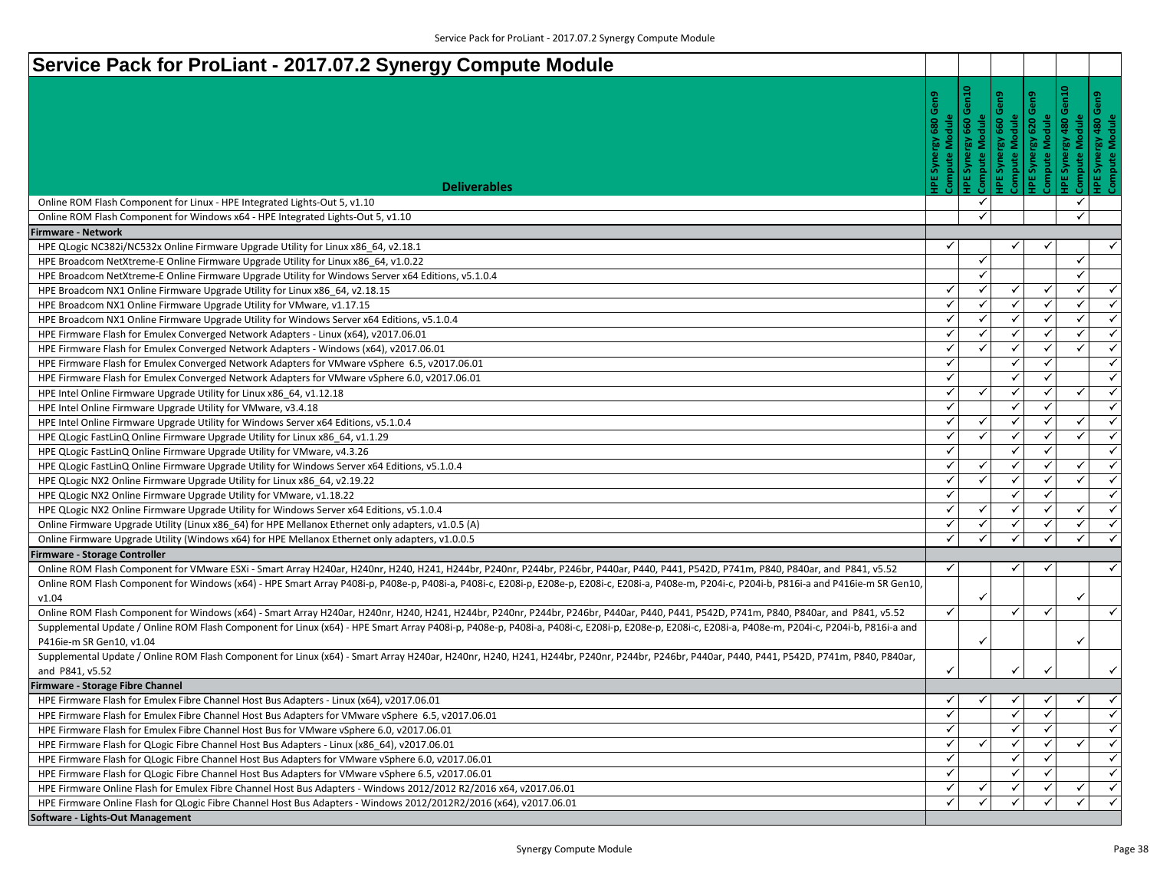| Service Pack for ProLiant - 2017.07.2 Synergy Compute Module                                                                                                                                                        |                       |                   |                       |              |                   |                     |
|---------------------------------------------------------------------------------------------------------------------------------------------------------------------------------------------------------------------|-----------------------|-------------------|-----------------------|--------------|-------------------|---------------------|
|                                                                                                                                                                                                                     | Gen9                  | $\frac{1}{2}$     |                       |              |                   |                     |
|                                                                                                                                                                                                                     |                       |                   |                       |              |                   |                     |
|                                                                                                                                                                                                                     | <b>Compute Module</b> | 660               | Compute Module<br>660 | odule<br>620 |                   | rgy 480 (<br>Module |
|                                                                                                                                                                                                                     | Synergy               |                   | <b>IPE Synergy</b>    |              |                   |                     |
|                                                                                                                                                                                                                     |                       | Syner             |                       | IPE Syne     | 툵                 | <b>HPE Syne</b>     |
|                                                                                                                                                                                                                     |                       | 삍                 |                       |              | Comput            |                     |
| <b>Deliverables</b>                                                                                                                                                                                                 |                       |                   |                       |              |                   |                     |
| Online ROM Flash Component for Linux - HPE Integrated Lights-Out 5, v1.10                                                                                                                                           |                       | $\checkmark$<br>✓ |                       |              | ✓<br>$\checkmark$ |                     |
| Online ROM Flash Component for Windows x64 - HPE Integrated Lights-Out 5, v1.10<br><b>Firmware - Network</b>                                                                                                        |                       |                   |                       |              |                   |                     |
| HPE QLogic NC382i/NC532x Online Firmware Upgrade Utility for Linux x86_64, v2.18.1                                                                                                                                  | ✓                     |                   | $\checkmark$          | ✓            |                   | ✓                   |
| HPE Broadcom NetXtreme-E Online Firmware Upgrade Utility for Linux x86 64, v1.0.22                                                                                                                                  |                       | $\checkmark$      |                       |              | ✓                 |                     |
| HPE Broadcom NetXtreme-E Online Firmware Upgrade Utility for Windows Server x64 Editions, v5.1.0.4                                                                                                                  |                       | $\checkmark$      |                       |              | $\checkmark$      |                     |
| HPE Broadcom NX1 Online Firmware Upgrade Utility for Linux x86_64, v2.18.15                                                                                                                                         | ✓                     | $\checkmark$      | ✓                     | $\checkmark$ | ✓                 | $\checkmark$        |
| HPE Broadcom NX1 Online Firmware Upgrade Utility for VMware, v1.17.15                                                                                                                                               | ✓                     | ✓                 | $\checkmark$          | $\checkmark$ | $\checkmark$      | $\checkmark$        |
| HPE Broadcom NX1 Online Firmware Upgrade Utility for Windows Server x64 Editions, v5.1.0.4                                                                                                                          | ✓                     | ✓                 | ✓                     |              | $\checkmark$      | $\checkmark$        |
| HPE Firmware Flash for Emulex Converged Network Adapters - Linux (x64), v2017.06.01                                                                                                                                 | ✓                     | $\checkmark$      | $\checkmark$          | $\checkmark$ | $\checkmark$      | $\checkmark$        |
| HPE Firmware Flash for Emulex Converged Network Adapters - Windows (x64), v2017.06.01                                                                                                                               | ✓                     | $\checkmark$      | $\checkmark$          | ✓            | ✓                 | $\checkmark$        |
| HPE Firmware Flash for Emulex Converged Network Adapters for VMware vSphere 6.5, v2017.06.01                                                                                                                        | ✓                     |                   | ✓                     | ✓            |                   | $\checkmark$        |
| HPE Firmware Flash for Emulex Converged Network Adapters for VMware vSphere 6.0, v2017.06.01                                                                                                                        | ✓                     |                   | $\checkmark$          | $\checkmark$ |                   | $\checkmark$        |
| HPE Intel Online Firmware Upgrade Utility for Linux x86_64, v1.12.18                                                                                                                                                | ✓                     | $\checkmark$      | $\checkmark$          | $\checkmark$ | ✓                 | $\checkmark$        |
| HPE Intel Online Firmware Upgrade Utility for VMware, v3.4.18                                                                                                                                                       | ✓                     |                   | $\checkmark$          | $\checkmark$ |                   | $\checkmark$        |
| HPE Intel Online Firmware Upgrade Utility for Windows Server x64 Editions, v5.1.0.4                                                                                                                                 | ✓                     | $\checkmark$      | $\checkmark$          | $\checkmark$ | ✓                 | $\checkmark$        |
| HPE QLogic FastLinQ Online Firmware Upgrade Utility for Linux x86_64, v1.1.29                                                                                                                                       | ✓                     | ✓                 | $\checkmark$          | $\checkmark$ | $\checkmark$      | $\checkmark$        |
| HPE QLogic FastLinQ Online Firmware Upgrade Utility for VMware, v4.3.26                                                                                                                                             | ✓                     |                   | $\checkmark$          | $\checkmark$ |                   | $\checkmark$        |
| HPE QLogic FastLinQ Online Firmware Upgrade Utility for Windows Server x64 Editions, v5.1.0.4                                                                                                                       | ✓                     | ✓                 | $\checkmark$          | $\checkmark$ | $\checkmark$      | $\checkmark$        |
| HPE QLogic NX2 Online Firmware Upgrade Utility for Linux x86_64, v2.19.22                                                                                                                                           | ✓                     | ✓                 | $\checkmark$          | $\checkmark$ | ✓                 | ✓                   |
| HPE QLogic NX2 Online Firmware Upgrade Utility for VMware, v1.18.22                                                                                                                                                 | $\checkmark$          |                   | $\checkmark$          | $\checkmark$ |                   | $\checkmark$        |
| HPE QLogic NX2 Online Firmware Upgrade Utility for Windows Server x64 Editions, v5.1.0.4                                                                                                                            | ✓                     | ✓                 | ✓                     |              | ✓                 | $\checkmark$        |
| Online Firmware Upgrade Utility (Linux x86_64) for HPE Mellanox Ethernet only adapters, v1.0.5 (A)                                                                                                                  | ✓                     | $\checkmark$      | ✓                     | $\checkmark$ | ✓                 | $\checkmark$        |
| Online Firmware Upgrade Utility (Windows x64) for HPE Mellanox Ethernet only adapters, v1.0.0.5                                                                                                                     | $\checkmark$          | $\checkmark$      | ✓                     | $\checkmark$ | $\checkmark$      | $\checkmark$        |
| Firmware - Storage Controller                                                                                                                                                                                       |                       |                   |                       |              |                   |                     |
| Online ROM Flash Component for VMware ESXi - Smart Array H240ar, H240nr, H240, H241, H244br, P240nr, P244br, P246br, P440ar, P440, P441, P542D, P741m, P840, P840ar, and P841, v5.52                                | ✓                     |                   | $\checkmark$          | ✓            |                   | ✓                   |
| Online ROM Flash Component for Windows (x64) - HPE Smart Array P408i-p, P408e-p, P408i-a, P408i-c, E208i-c, E208i-p, E208i-c, E208i-a, P408e-m, P204i-c, P204i-c, P204i-b, P816i-a and P416ie-m SR Gen10,<br>v1.04  |                       |                   |                       |              |                   |                     |
| Online ROM Flash Component for Windows (x64) - Smart Array H240ar, H240nr, H240, H241, H244br, P240nr, P244br, P246br, P440ar, P440, P441, P542D, P741m, P840, P840ar, and P841, v5.52                              | $\checkmark$          |                   | $\checkmark$          | $\checkmark$ |                   | $\checkmark$        |
| Supplemental Update / Online ROM Flash Component for Linux (x64) - HPE Smart Array P408i-p, P408e-p, P408i-a, P408i-c, E208i-p, E208i-p, E208i-c, E208i-a, P408e-m, P204i-c, P204i-c, P204i-c, P204i-b, P816i-a and |                       |                   |                       |              |                   |                     |
| P416ie-m SR Gen10, v1.04                                                                                                                                                                                            |                       |                   |                       |              |                   |                     |
| Supplemental Update / Online ROM Flash Component for Linux (x64) - Smart Array H240ar, H240nr, H240, H241, H244br, P240nr, P244br, P246br, P440ar, P440, P441, P542D, P741m, P840, P840ar,                          |                       |                   |                       |              |                   |                     |
| and P841, v5.52                                                                                                                                                                                                     |                       |                   |                       |              |                   | $\checkmark$        |
| Firmware - Storage Fibre Channel                                                                                                                                                                                    |                       |                   |                       |              |                   |                     |
| HPE Firmware Flash for Emulex Fibre Channel Host Bus Adapters - Linux (x64), v2017.06.01                                                                                                                            | ✓∥                    | $\checkmark$      | $\checkmark$          | $\checkmark$ | $\checkmark$      | $\checkmark$        |
| HPE Firmware Flash for Emulex Fibre Channel Host Bus Adapters for VMware vSphere 6.5, v2017.06.01                                                                                                                   | ✓                     |                   | $\checkmark$          | $\checkmark$ |                   | $\checkmark$        |
| HPE Firmware Flash for Emulex Fibre Channel Host Bus for VMware vSphere 6.0, v2017.06.01                                                                                                                            | $\checkmark$          |                   | $\checkmark$          |              |                   | $\checkmark$        |
| HPE Firmware Flash for QLogic Fibre Channel Host Bus Adapters - Linux (x86 64), v2017.06.01                                                                                                                         | ✓                     | $\checkmark$      | $\checkmark$          | $\checkmark$ | $\checkmark$      | $\checkmark$        |
| HPE Firmware Flash for QLogic Fibre Channel Host Bus Adapters for VMware vSphere 6.0, v2017.06.01                                                                                                                   | ✓                     |                   | ✓                     | $\checkmark$ |                   | $\checkmark$        |
| HPE Firmware Flash for QLogic Fibre Channel Host Bus Adapters for VMware vSphere 6.5, v2017.06.01                                                                                                                   | $\checkmark$          |                   | ✓                     |              |                   | $\checkmark$        |
| HPE Firmware Online Flash for Emulex Fibre Channel Host Bus Adapters - Windows 2012/2012 R2/2016 x64, v2017.06.01                                                                                                   | ✓                     | ✓                 | $\checkmark$          | $\checkmark$ | $\checkmark$      | $\checkmark$        |
| HPE Firmware Online Flash for QLogic Fibre Channel Host Bus Adapters - Windows 2012/2012R2/2016 (x64), v2017.06.01                                                                                                  | ✓                     | ✓                 | ✓                     |              | ✓                 | $\checkmark$        |
| Software - Lights-Out Management                                                                                                                                                                                    |                       |                   |                       |              |                   |                     |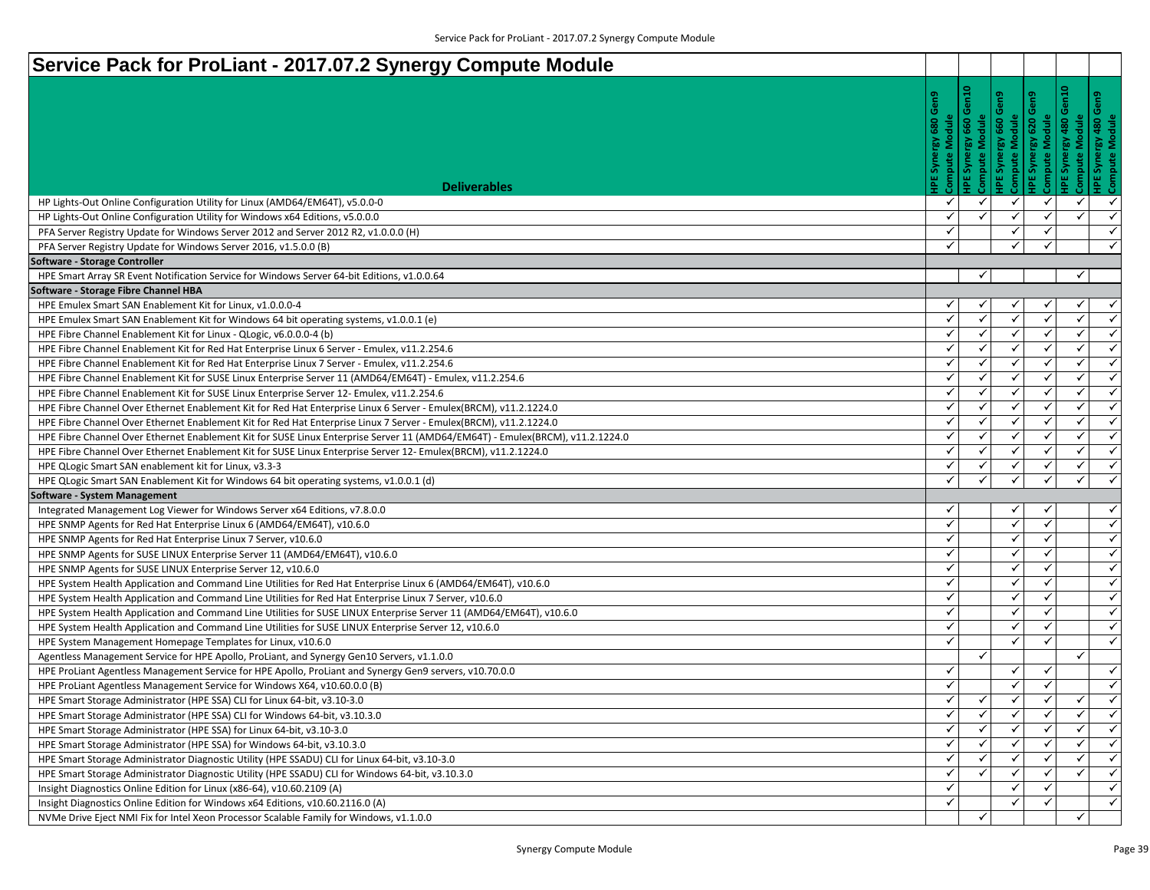| Service Pack for ProLiant - 2017.07.2 Synergy Compute Module                                                                  |              |              |               |              |              |                              |
|-------------------------------------------------------------------------------------------------------------------------------|--------------|--------------|---------------|--------------|--------------|------------------------------|
|                                                                                                                               |              |              |               |              |              |                              |
|                                                                                                                               | Gen9         |              |               |              |              |                              |
|                                                                                                                               |              |              |               |              |              |                              |
|                                                                                                                               |              |              | Module<br>660 | 620          | 480          |                              |
|                                                                                                                               |              |              | IPE Synergy   |              |              |                              |
|                                                                                                                               |              |              |               |              | Š            |                              |
|                                                                                                                               |              |              | Compute       |              |              |                              |
| <b>Deliverables</b>                                                                                                           |              |              | √             |              |              |                              |
| HP Lights-Out Online Configuration Utility for Linux (AMD64/EM64T), v5.0.0-0                                                  | ✓<br>✓       |              |               |              | ✓<br>✓       | $\checkmark$<br>$\checkmark$ |
| HP Lights-Out Online Configuration Utility for Windows x64 Editions, v5.0.0.0                                                 | ✓            |              |               |              |              | $\checkmark$                 |
| PFA Server Registry Update for Windows Server 2012 and Server 2012 R2, v1.0.0.0 (H)                                           | $\checkmark$ |              |               |              |              | ✓                            |
| PFA Server Registry Update for Windows Server 2016, v1.5.0.0 (B)                                                              |              |              |               |              |              |                              |
| Software - Storage Controller<br>HPE Smart Array SR Event Notification Service for Windows Server 64-bit Editions, v1.0.0.64  |              | ✓            |               |              | ✓            |                              |
| Software - Storage Fibre Channel HBA                                                                                          |              |              |               |              |              |                              |
| HPE Emulex Smart SAN Enablement Kit for Linux, v1.0.0.0-4                                                                     | ✓            | √            | ✓             |              | ✓            | $\checkmark$                 |
| HPE Emulex Smart SAN Enablement Kit for Windows 64 bit operating systems, v1.0.0.1 (e)                                        | ✓            |              | ✓             |              | ✓            | $\checkmark$                 |
| HPE Fibre Channel Enablement Kit for Linux - QLogic, v6.0.0.0-4 (b)                                                           | ✓            | ✓            | ✓             | $\checkmark$ | $\checkmark$ | $\checkmark$                 |
| HPE Fibre Channel Enablement Kit for Red Hat Enterprise Linux 6 Server - Emulex, v11.2.254.6                                  | ✓            | ✓            | ✓             |              | ✓            | $\checkmark$                 |
| HPE Fibre Channel Enablement Kit for Red Hat Enterprise Linux 7 Server - Emulex, v11.2.254.6                                  | ✓            |              |               |              | ✓            | $\checkmark$                 |
| HPE Fibre Channel Enablement Kit for SUSE Linux Enterprise Server 11 (AMD64/EM64T) - Emulex, v11.2.254.6                      | $\checkmark$ |              | ✓             | ✓            | ✓            | $\checkmark$                 |
| HPE Fibre Channel Enablement Kit for SUSE Linux Enterprise Server 12- Emulex, v11.2.254.6                                     | ✓            | $\checkmark$ | ✓             | ✓            | ✓            | $\checkmark$                 |
| HPE Fibre Channel Over Ethernet Enablement Kit for Red Hat Enterprise Linux 6 Server - Emulex(BRCM), v11.2.1224.0             | $\checkmark$ |              |               |              | ✓            | $\checkmark$                 |
| HPE Fibre Channel Over Ethernet Enablement Kit for Red Hat Enterprise Linux 7 Server - Emulex(BRCM), v11.2.1224.0             | $\checkmark$ | $\checkmark$ | ✓             |              | ✓            | $\checkmark$                 |
| HPE Fibre Channel Over Ethernet Enablement Kit for SUSE Linux Enterprise Server 11 (AMD64/EM64T) - Emulex(BRCM), v11.2.1224.0 | ✓            |              | ✓             |              | ✓            | $\checkmark$                 |
| HPE Fibre Channel Over Ethernet Enablement Kit for SUSE Linux Enterprise Server 12- Emulex(BRCM), v11.2.1224.0                | $\checkmark$ |              |               |              | $\checkmark$ | $\checkmark$                 |
| HPE QLogic Smart SAN enablement kit for Linux, v3.3-3                                                                         | ✓            | $\checkmark$ | ✓             |              | ✓            | $\checkmark$                 |
| HPE QLogic Smart SAN Enablement Kit for Windows 64 bit operating systems, v1.0.0.1 (d)                                        | ✓            |              | ✓             |              | ✓            | $\checkmark$                 |
| Software - System Management                                                                                                  |              |              |               |              |              |                              |
| Integrated Management Log Viewer for Windows Server x64 Editions, v7.8.0.0                                                    | ✓            |              | √             |              |              | $\checkmark$                 |
| HPE SNMP Agents for Red Hat Enterprise Linux 6 (AMD64/EM64T), v10.6.0                                                         | $\checkmark$ |              | ✓             |              |              | $\checkmark$                 |
| HPE SNMP Agents for Red Hat Enterprise Linux 7 Server, v10.6.0                                                                | $\checkmark$ |              | ✓             |              |              | $\checkmark$                 |
| HPE SNMP Agents for SUSE LINUX Enterprise Server 11 (AMD64/EM64T), v10.6.0                                                    | $\checkmark$ |              | ✓             |              |              | $\checkmark$                 |
| HPE SNMP Agents for SUSE LINUX Enterprise Server 12, v10.6.0                                                                  | ✓            |              | ✓             | ✓            |              | $\checkmark$                 |
| HPE System Health Application and Command Line Utilities for Red Hat Enterprise Linux 6 (AMD64/EM64T), v10.6.0                | ✓            |              | V             |              |              | $\checkmark$                 |
| HPE System Health Application and Command Line Utilities for Red Hat Enterprise Linux 7 Server, v10.6.0                       | ✓            |              | ✓             |              |              | $\checkmark$                 |
| HPE System Health Application and Command Line Utilities for SUSE LINUX Enterprise Server 11 (AMD64/EM64T), v10.6.0           | $\checkmark$ |              | ✓             |              |              | $\checkmark$                 |
| HPE System Health Application and Command Line Utilities for SUSE LINUX Enterprise Server 12, v10.6.0                         | $\checkmark$ |              | ✓             | ✓            |              | $\checkmark$                 |
| HPE System Management Homepage Templates for Linux, v10.6.0                                                                   | $\checkmark$ |              |               |              |              | $\checkmark$                 |
| Agentless Management Service for HPE Apollo, ProLiant, and Synergy Gen10 Servers, v1.1.0.0                                    |              | $\checkmark$ |               |              | ✓            |                              |
| HPE ProLiant Agentless Management Service for HPE Apollo, ProLiant and Synergy Gen9 servers, v10.70.0.0                       | ✓            |              | ✓             | ✓            |              | $\checkmark$                 |
| HPE ProLiant Agentless Management Service for Windows X64, v10.60.0.0 (B)                                                     | ✓            |              | ✓             |              |              | $\checkmark$                 |
| HPE Smart Storage Administrator (HPE SSA) CLI for Linux 64-bit, v3.10-3.0                                                     | $\checkmark$ | $\checkmark$ | ✓             | ✓            | ✓            | $\checkmark$                 |
| HPE Smart Storage Administrator (HPE SSA) CLI for Windows 64-bit, v3.10.3.0                                                   | ✓            | ✓            | ✓             |              | ✓            | $\checkmark$                 |
| HPE Smart Storage Administrator (HPE SSA) for Linux 64-bit, v3.10-3.0                                                         | ✓            |              |               |              |              | $\checkmark$                 |
| HPE Smart Storage Administrator (HPE SSA) for Windows 64-bit, v3.10.3.0                                                       | $\checkmark$ |              |               |              | ✓            | $\checkmark$                 |
| HPE Smart Storage Administrator Diagnostic Utility (HPE SSADU) CLI for Linux 64-bit, v3.10-3.0                                | $\checkmark$ | ✓            | ✓             |              | ✓            | $\checkmark$                 |
| HPE Smart Storage Administrator Diagnostic Utility (HPE SSADU) CLI for Windows 64-bit, v3.10.3.0                              | $\checkmark$ |              |               |              |              | $\checkmark$                 |
| Insight Diagnostics Online Edition for Linux (x86-64), v10.60.2109 (A)                                                        | $\checkmark$ |              |               |              |              | $\checkmark$                 |
| Insight Diagnostics Online Edition for Windows x64 Editions, v10.60.2116.0 (A)                                                | $\checkmark$ |              | ✓             |              |              | $\checkmark$                 |
| NVMe Drive Eject NMI Fix for Intel Xeon Processor Scalable Family for Windows, v1.1.0.0                                       |              |              |               |              | ✓            |                              |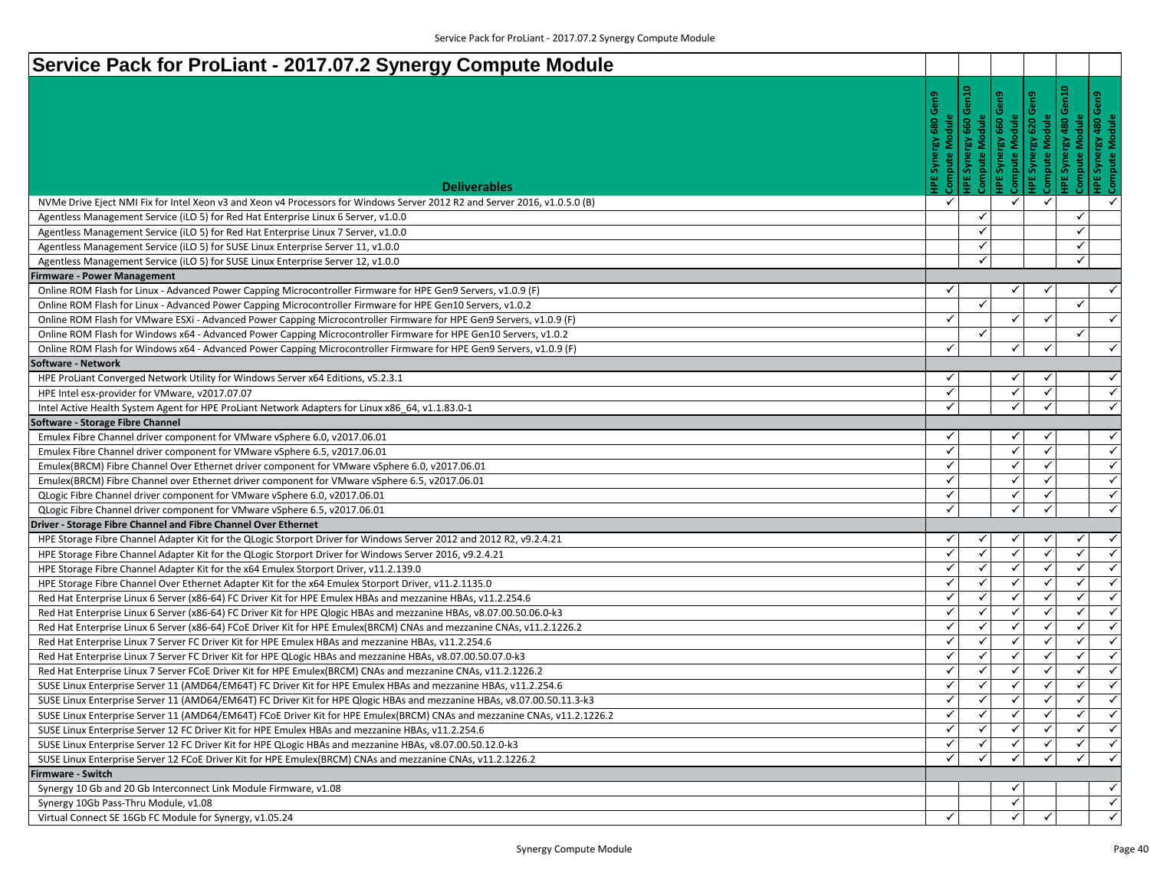| Service Pack for ProLiant - 2017.07.2 Synergy Compute Module                                                               |              |          |                                        |              |                                                   |                         |
|----------------------------------------------------------------------------------------------------------------------------|--------------|----------|----------------------------------------|--------------|---------------------------------------------------|-------------------------|
|                                                                                                                            | ဥ            | š<br>660 | Module<br>660<br>ξý<br>Syne<br>Compute | 620          | Module<br>$rac{80}{480}$<br>စြ<br>Syne<br>Compute | Syne                    |
| <b>Deliverables</b>                                                                                                        |              |          | 뵌                                      |              | 뷥                                                 |                         |
| NVMe Drive Eject NMI Fix for Intel Xeon v3 and Xeon v4 Processors for Windows Server 2012 R2 and Server 2016, v1.0.5.0 (B) | ✓            |          | ✓                                      | $\checkmark$ |                                                   | $\checkmark$            |
| Agentless Management Service (iLO 5) for Red Hat Enterprise Linux 6 Server, v1.0.0                                         |              |          |                                        |              | ✓                                                 |                         |
| Agentless Management Service (iLO 5) for Red Hat Enterprise Linux 7 Server, v1.0.0                                         |              |          |                                        |              | ✓                                                 |                         |
| Agentless Management Service (iLO 5) for SUSE Linux Enterprise Server 11, v1.0.0                                           |              | ✓        |                                        |              | $\checkmark$                                      |                         |
| Agentless Management Service (iLO 5) for SUSE Linux Enterprise Server 12, v1.0.0                                           |              | ✓        |                                        |              | ✓                                                 |                         |
| Firmware - Power Management                                                                                                |              |          |                                        |              |                                                   |                         |
| Online ROM Flash for Linux - Advanced Power Capping Microcontroller Firmware for HPE Gen9 Servers, v1.0.9 (F)              | ✓            |          | ✔                                      |              |                                                   | $\checkmark$            |
| Online ROM Flash for Linux - Advanced Power Capping Microcontroller Firmware for HPE Gen10 Servers, v1.0.2                 |              | ✓        |                                        |              | ✓                                                 |                         |
| Online ROM Flash for VMware ESXi - Advanced Power Capping Microcontroller Firmware for HPE Gen9 Servers, v1.0.9 (F)        | ✓            |          |                                        |              |                                                   | $\checkmark$            |
| Online ROM Flash for Windows x64 - Advanced Power Capping Microcontroller Firmware for HPE Gen10 Servers, v1.0.2           |              | ✓        |                                        |              | $\checkmark$                                      |                         |
| Online ROM Flash for Windows x64 - Advanced Power Capping Microcontroller Firmware for HPE Gen9 Servers, v1.0.9 (F)        | ✓            |          | ✓                                      | ✓            |                                                   | $\checkmark$            |
| Software - Network                                                                                                         |              |          |                                        |              |                                                   |                         |
| HPE ProLiant Converged Network Utility for Windows Server x64 Editions, v5.2.3.1                                           | ✓            |          | √                                      | ✔            |                                                   | $\checkmark$            |
| HPE Intel esx-provider for VMware, v2017.07.07                                                                             | ✓            |          | ✓                                      |              |                                                   | $\checkmark$            |
| Intel Active Health System Agent for HPE ProLiant Network Adapters for Linux x86_64, v1.1.83.0-1                           | ✓            |          |                                        | √            |                                                   | $\checkmark$            |
| Software - Storage Fibre Channel                                                                                           |              |          |                                        |              |                                                   |                         |
| Emulex Fibre Channel driver component for VMware vSphere 6.0, v2017.06.01                                                  | ✓            |          | √                                      |              |                                                   | $\checkmark$            |
| Emulex Fibre Channel driver component for VMware vSphere 6.5, v2017.06.01                                                  | $\checkmark$ |          | ✓                                      | ✓            |                                                   | $\checkmark$            |
| Emulex(BRCM) Fibre Channel Over Ethernet driver component for VMware vSphere 6.0, v2017.06.01                              | $\checkmark$ |          | ✓                                      | ✓            |                                                   | $\checkmark$            |
| Emulex(BRCM) Fibre Channel over Ethernet driver component for VMware vSphere 6.5, v2017.06.01                              | ✓            |          | ✓                                      | √            |                                                   | $\checkmark$            |
| QLogic Fibre Channel driver component for VMware vSphere 6.0, v2017.06.01                                                  | $\checkmark$ |          | √                                      |              |                                                   | ✓                       |
| QLogic Fibre Channel driver component for VMware vSphere 6.5, v2017.06.01                                                  | ✓            |          |                                        | ✓            |                                                   | $\checkmark$            |
| Driver - Storage Fibre Channel and Fibre Channel Over Ethernet                                                             |              |          |                                        |              |                                                   |                         |
| HPE Storage Fibre Channel Adapter Kit for the QLogic Storport Driver for Windows Server 2012 and 2012 R2, v9.2.4.21        | ✓            | ✓        | √                                      |              | ✓                                                 | $\checkmark$            |
| HPE Storage Fibre Channel Adapter Kit for the QLogic Storport Driver for Windows Server 2016, v9.2.4.21                    | ✓            |          | ✓                                      |              | ✓                                                 | $\overline{\mathbf{X}}$ |
| HPE Storage Fibre Channel Adapter Kit for the x64 Emulex Storport Driver, v11.2.139.0                                      | ✓            |          | ✓                                      | $\checkmark$ | $\checkmark$                                      | $\checkmark$            |
| HPE Storage Fibre Channel Over Ethernet Adapter Kit for the x64 Emulex Storport Driver, v11.2.1135.0                       | ✓            |          | ✓                                      |              | ✓                                                 | $\checkmark$            |
| Red Hat Enterprise Linux 6 Server (x86-64) FC Driver Kit for HPE Emulex HBAs and mezzanine HBAs, v11.2.254.6               |              |          |                                        |              | ✓                                                 | $\checkmark$            |
| Red Hat Enterprise Linux 6 Server (x86-64) FC Driver Kit for HPE Qlogic HBAs and mezzanine HBAs, v8.07.00.50.06.0-k3       | ✓            | ✓        | ✓                                      | ✓            | $\checkmark$                                      | $\checkmark$            |
| Red Hat Enterprise Linux 6 Server (x86-64) FCoE Driver Kit for HPE Emulex(BRCM) CNAs and mezzanine CNAs, v11.2.1226.2      | ✓            | ✓        | ✓                                      | ✓            | ✓                                                 | $\checkmark$            |
| Red Hat Enterprise Linux 7 Server FC Driver Kit for HPE Emulex HBAs and mezzanine HBAs, v11.2.254.6                        | ✓            |          |                                        |              | $\checkmark$                                      | $\checkmark$            |
| Red Hat Enterprise Linux 7 Server FC Driver Kit for HPE QLogic HBAs and mezzanine HBAs, v8.07.00.50.07.0-k3                | $\checkmark$ | ✓        | ✓                                      | ✓            | $\checkmark$                                      | $\checkmark$            |
| Red Hat Enterprise Linux 7 Server FCoE Driver Kit for HPE Emulex(BRCM) CNAs and mezzanine CNAs, v11.2.1226.2               | ✓            |          | ✓                                      | ✓            | ✓                                                 | $\checkmark$            |
| SUSE Linux Enterprise Server 11 (AMD64/EM64T) FC Driver Kit for HPE Emulex HBAs and mezzanine HBAs, v11.2.254.6            | ✓            | ✓        | ✓                                      | ✓            | $\checkmark$                                      | $\checkmark$            |
| SUSE Linux Enterprise Server 11 (AMD64/EM64T) FC Driver Kit for HPE Qlogic HBAs and mezzanine HBAs, v8.07.00.50.11.3-k3    |              |          | ✓                                      | ✓            | $\checkmark$                                      | $\checkmark$            |
| SUSE Linux Enterprise Server 11 (AMD64/EM64T) FCoE Driver Kit for HPE Emulex(BRCM) CNAs and mezzanine CNAs, v11.2.1226.2   | ✓            | ✓        | ✓                                      |              | ✓                                                 | $\checkmark$            |
| SUSE Linux Enterprise Server 12 FC Driver Kit for HPE Emulex HBAs and mezzanine HBAs, v11.2.254.6                          |              |          |                                        |              | ✓                                                 | $\prec$                 |
| SUSE Linux Enterprise Server 12 FC Driver Kit for HPE QLogic HBAs and mezzanine HBAs, v8.07.00.50.12.0-k3                  | ✓            |          |                                        |              | ✓                                                 | $\checkmark$            |
| SUSE Linux Enterprise Server 12 FCoE Driver Kit for HPE Emulex(BRCM) CNAs and mezzanine CNAs, v11.2.1226.2                 | ✓            |          | ✓                                      |              | ✓                                                 | $\checkmark$            |
| Firmware - Switch                                                                                                          |              |          |                                        |              |                                                   |                         |
| Synergy 10 Gb and 20 Gb Interconnect Link Module Firmware, v1.08                                                           |              |          | ✓                                      |              |                                                   | ✓                       |
| Synergy 10Gb Pass-Thru Module, v1.08                                                                                       |              |          | ✓                                      |              |                                                   | $\checkmark$            |
| Virtual Connect SE 16Gb FC Module for Synergy, v1.05.24                                                                    | ✓            |          | ✓                                      |              |                                                   | $\checkmark$            |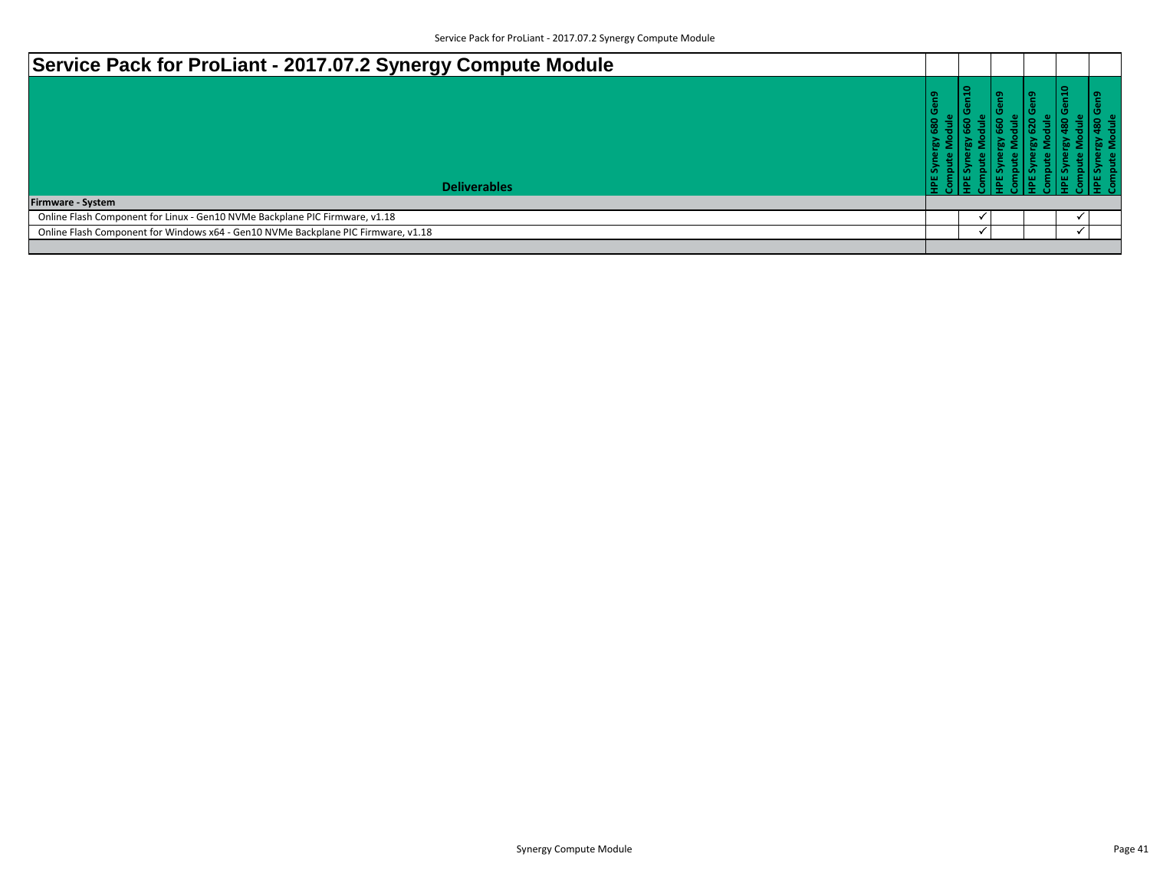| Service Pack for ProLiant - 2017.07.2 Synergy Compute Module                      |                      |     |   |   |  |
|-----------------------------------------------------------------------------------|----------------------|-----|---|---|--|
| <b>Deliverables</b><br><b>Firmware - System</b>                                   | en <sub>9</sub><br>o | n10 | െ | œ |  |
| Online Flash Component for Linux - Gen10 NVMe Backplane PIC Firmware, v1.18       |                      |     |   |   |  |
| Online Flash Component for Windows x64 - Gen10 NVMe Backplane PIC Firmware, v1.18 |                      |     |   |   |  |
|                                                                                   |                      |     |   |   |  |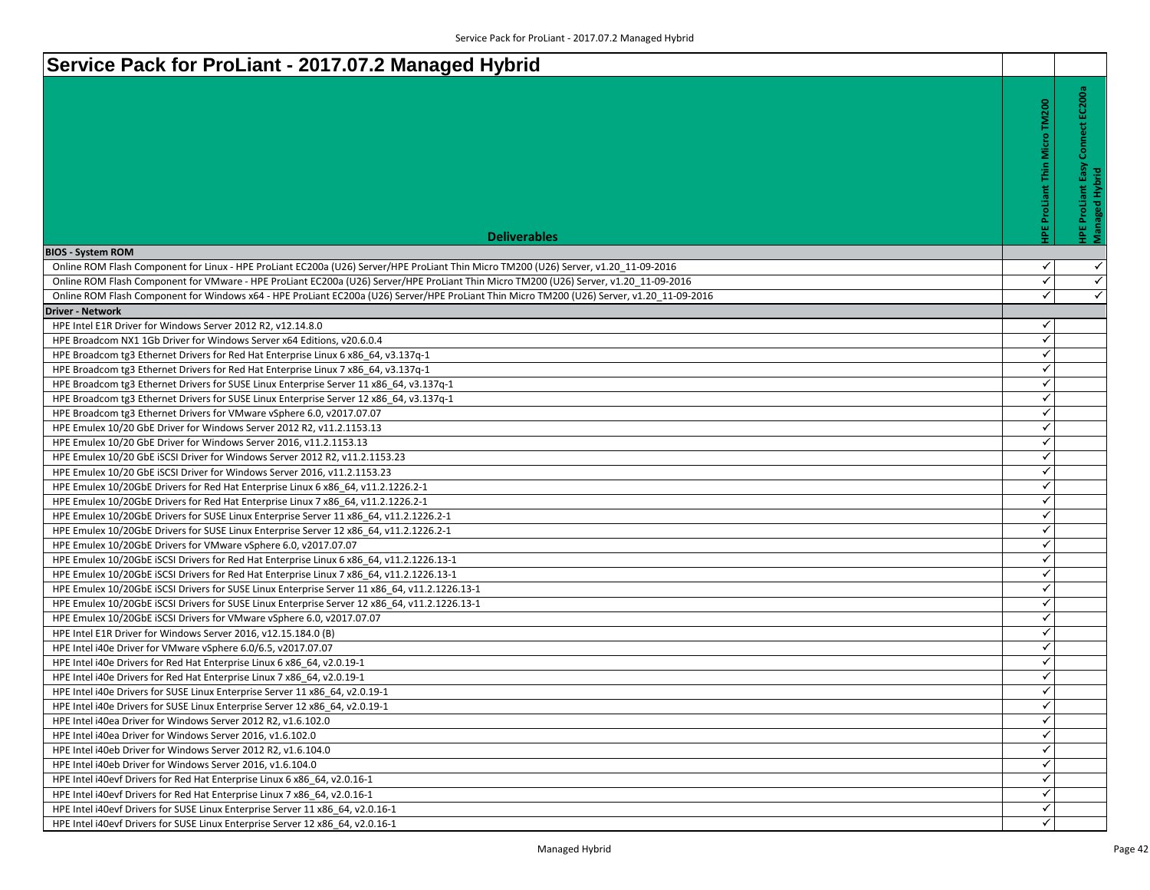| Service Pack for ProLiant - 2017.07.2 Managed Hybrid                                                                                                             |                                      |                                            |
|------------------------------------------------------------------------------------------------------------------------------------------------------------------|--------------------------------------|--------------------------------------------|
|                                                                                                                                                                  |                                      |                                            |
|                                                                                                                                                                  | <b>IPE ProLiant Thin Micro TM200</b> | Connect EC200a                             |
|                                                                                                                                                                  |                                      |                                            |
|                                                                                                                                                                  |                                      |                                            |
|                                                                                                                                                                  |                                      |                                            |
|                                                                                                                                                                  |                                      | Easy                                       |
|                                                                                                                                                                  |                                      |                                            |
|                                                                                                                                                                  |                                      |                                            |
|                                                                                                                                                                  |                                      |                                            |
| <b>Deliverables</b>                                                                                                                                              |                                      | <b>HPE ProLiant Easy</b><br>Managed Hybrid |
| <b>BIOS - System ROM</b>                                                                                                                                         |                                      |                                            |
| Online ROM Flash Component for Linux - HPE ProLiant EC200a (U26) Server/HPE ProLiant Thin Micro TM200 (U26) Server, v1.20 11-09-2016                             | ✓                                    | $\checkmark$                               |
| Online ROM Flash Component for VMware - HPE ProLiant EC200a (U26) Server/HPE ProLiant Thin Micro TM200 (U26) Server, v1.20 11-09-2016                            | $\checkmark$                         | $\checkmark$                               |
| Online ROM Flash Component for Windows x64 - HPE ProLiant EC200a (U26) Server/HPE ProLiant Thin Micro TM200 (U26) Server, v1.20 11-09-2016                       | $\checkmark$                         | $\checkmark$                               |
| <b>Driver - Network</b>                                                                                                                                          |                                      |                                            |
| HPE Intel E1R Driver for Windows Server 2012 R2, v12.14.8.0                                                                                                      | ✓<br>✓                               |                                            |
| HPE Broadcom NX1 1Gb Driver for Windows Server x64 Editions, v20.6.0.4                                                                                           | ✓                                    |                                            |
| HPE Broadcom tg3 Ethernet Drivers for Red Hat Enterprise Linux 6 x86_64, v3.137q-1                                                                               | $\checkmark$                         |                                            |
| HPE Broadcom tg3 Ethernet Drivers for Red Hat Enterprise Linux 7 x86_64, v3.137q-1                                                                               | $\checkmark$                         |                                            |
| HPE Broadcom tg3 Ethernet Drivers for SUSE Linux Enterprise Server 11 x86_64, v3.137q-1                                                                          | ✓                                    |                                            |
| HPE Broadcom tg3 Ethernet Drivers for SUSE Linux Enterprise Server 12 x86 64, v3.137q-1<br>HPE Broadcom tg3 Ethernet Drivers for VMware vSphere 6.0, v2017.07.07 | ✓                                    |                                            |
| HPE Emulex 10/20 GbE Driver for Windows Server 2012 R2, v11.2.1153.13                                                                                            | ✓                                    |                                            |
| HPE Emulex 10/20 GbE Driver for Windows Server 2016, v11.2.1153.13                                                                                               | ✓                                    |                                            |
| HPE Emulex 10/20 GbE iSCSI Driver for Windows Server 2012 R2, v11.2.1153.23                                                                                      | ✓                                    |                                            |
| HPE Emulex 10/20 GbE ISCSI Driver for Windows Server 2016, v11.2.1153.23                                                                                         | $\checkmark$                         |                                            |
| HPE Emulex 10/20GbE Drivers for Red Hat Enterprise Linux 6 x86_64, v11.2.1226.2-1                                                                                | $\checkmark$                         |                                            |
| HPE Emulex 10/20GbE Drivers for Red Hat Enterprise Linux 7 x86 64, v11.2.1226.2-1                                                                                | $\checkmark$                         |                                            |
| HPE Emulex 10/20GbE Drivers for SUSE Linux Enterprise Server 11 x86 64, v11.2.1226.2-1                                                                           | ✓                                    |                                            |
| HPE Emulex 10/20GbE Drivers for SUSE Linux Enterprise Server 12 x86_64, v11.2.1226.2-1                                                                           | ✓                                    |                                            |
| HPE Emulex 10/20GbE Drivers for VMware vSphere 6.0, v2017.07.07                                                                                                  | $\checkmark$                         |                                            |
| HPE Emulex 10/20GbE iSCSI Drivers for Red Hat Enterprise Linux 6 x86 64, v11.2.1226.13-1                                                                         | $\checkmark$                         |                                            |
| HPE Emulex 10/20GbE iSCSI Drivers for Red Hat Enterprise Linux 7 x86 64, v11.2.1226.13-1                                                                         | $\checkmark$                         |                                            |
| HPE Emulex 10/20GbE ISCSI Drivers for SUSE Linux Enterprise Server 11 x86_64, v11.2.1226.13-1                                                                    | ✓                                    |                                            |
| HPE Emulex 10/20GbE ISCSI Drivers for SUSE Linux Enterprise Server 12 x86 64, v11.2.1226.13-1                                                                    | ✓                                    |                                            |
| HPE Emulex 10/20GbE iSCSI Drivers for VMware vSphere 6.0, v2017.07.07                                                                                            | $\checkmark$                         |                                            |
| HPE Intel E1R Driver for Windows Server 2016, v12.15.184.0 (B)                                                                                                   | ✓                                    |                                            |
| HPE Intel i40e Driver for VMware vSphere 6.0/6.5, v2017.07.07                                                                                                    | $\checkmark$                         |                                            |
| HPE Intel i40e Drivers for Red Hat Enterprise Linux 6 x86 64, v2.0.19-1                                                                                          | ✓                                    |                                            |
| HPE Intel i40e Drivers for Red Hat Enterprise Linux 7 x86 64, v2.0.19-1                                                                                          | ✓                                    |                                            |
| HPE Intel i40e Drivers for SUSE Linux Enterprise Server 11 x86 64, v2.0.19-1                                                                                     | $\checkmark$                         |                                            |
| HPE Intel i40e Drivers for SUSE Linux Enterprise Server 12 x86 64, v2.0.19-1                                                                                     | ✓                                    |                                            |
| HPE Intel i40ea Driver for Windows Server 2012 R2, v1.6.102.0                                                                                                    | ✓                                    |                                            |
| HPE Intel i40ea Driver for Windows Server 2016, v1.6.102.0                                                                                                       | $\checkmark$                         |                                            |
| HPE Intel i40eb Driver for Windows Server 2012 R2, v1.6.104.0                                                                                                    | $\checkmark$                         |                                            |
| HPE Intel i40eb Driver for Windows Server 2016, v1.6.104.0                                                                                                       | ✓                                    |                                            |
| HPE Intel i40evf Drivers for Red Hat Enterprise Linux 6 x86 64, v2.0.16-1                                                                                        | ✓                                    |                                            |
| HPE Intel i40evf Drivers for Red Hat Enterprise Linux 7 x86 64, v2.0.16-1                                                                                        | $\checkmark$<br>$\checkmark$         |                                            |
| HPE Intel i40evf Drivers for SUSE Linux Enterprise Server 11 x86 64, v2.0.16-1                                                                                   | ✓                                    |                                            |
| HPE Intel i40evf Drivers for SUSE Linux Enterprise Server 12 x86 64, v2.0.16-1                                                                                   |                                      |                                            |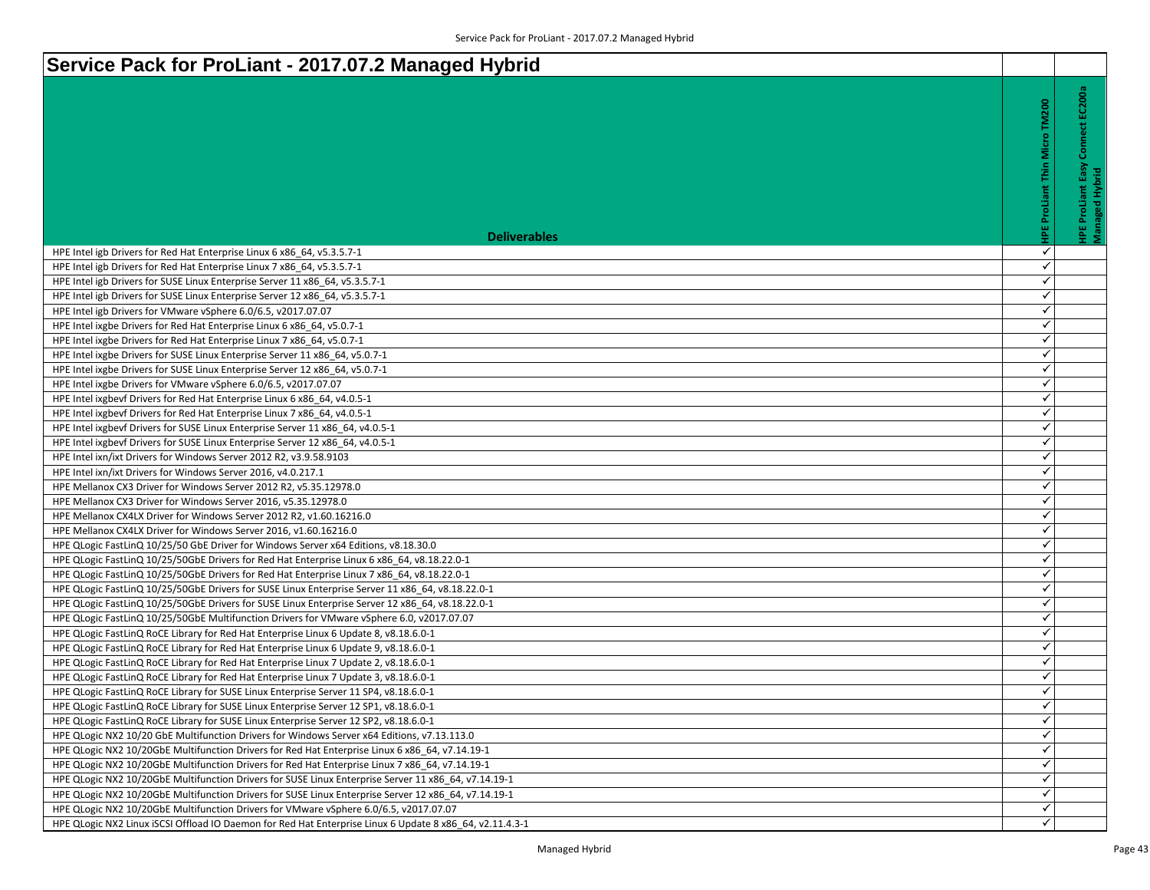| Service Pack for ProLiant - 2017.07.2 Managed Hybrid                                                     |                                      |                                                                      |
|----------------------------------------------------------------------------------------------------------|--------------------------------------|----------------------------------------------------------------------|
|                                                                                                          | <b>HPE ProLiant Thin Micro TM200</b> | Connect EC200a<br>Easy<br><b>HPE ProLiant Easy</b><br>Managed Hybrid |
| <b>Deliverables</b>                                                                                      |                                      |                                                                      |
| HPE Intel igb Drivers for Red Hat Enterprise Linux 6 x86 64, v5.3.5.7-1                                  | ✓                                    |                                                                      |
| HPE Intel igb Drivers for Red Hat Enterprise Linux 7 x86 64, v5.3.5.7-1                                  | $\checkmark$                         |                                                                      |
| HPE Intel igb Drivers for SUSE Linux Enterprise Server 11 x86 64, v5.3.5.7-1                             | $\checkmark$                         |                                                                      |
| HPE Intel igb Drivers for SUSE Linux Enterprise Server 12 x86_64, v5.3.5.7-1                             | ✓                                    |                                                                      |
| HPE Intel igb Drivers for VMware vSphere 6.0/6.5, v2017.07.07                                            | ✓                                    |                                                                      |
| HPE Intel ixgbe Drivers for Red Hat Enterprise Linux 6 x86_64, v5.0.7-1                                  | ✓                                    |                                                                      |
| HPE Intel ixgbe Drivers for Red Hat Enterprise Linux 7 x86_64, v5.0.7-1                                  | $\checkmark$                         |                                                                      |
| HPE Intel ixgbe Drivers for SUSE Linux Enterprise Server 11 x86 64, v5.0.7-1                             | ✓                                    |                                                                      |
| HPE Intel ixgbe Drivers for SUSE Linux Enterprise Server 12 x86_64, v5.0.7-1                             | $\checkmark$                         |                                                                      |
| HPE Intel ixgbe Drivers for VMware vSphere 6.0/6.5, v2017.07.07                                          | $\checkmark$                         |                                                                      |
| HPE Intel ixgbevf Drivers for Red Hat Enterprise Linux 6 x86 64, v4.0.5-1                                | $\checkmark$                         |                                                                      |
| HPE Intel ixgbevf Drivers for Red Hat Enterprise Linux 7 x86 64, v4.0.5-1                                | $\checkmark$                         |                                                                      |
| HPE Intel ixgbevf Drivers for SUSE Linux Enterprise Server 11 x86_64, v4.0.5-1                           | ✓                                    |                                                                      |
| HPE Intel ixgbevf Drivers for SUSE Linux Enterprise Server 12 x86_64, v4.0.5-1                           | ✓                                    |                                                                      |
| HPE Intel ixn/ixt Drivers for Windows Server 2012 R2, v3.9.58.9103                                       | $\checkmark$                         |                                                                      |
| HPE Intel ixn/ixt Drivers for Windows Server 2016, v4.0.217.1                                            | $\checkmark$                         |                                                                      |
| HPE Mellanox CX3 Driver for Windows Server 2012 R2, v5.35.12978.0                                        | ✓                                    |                                                                      |
| HPE Mellanox CX3 Driver for Windows Server 2016, v5.35.12978.0                                           | ✓                                    |                                                                      |
| HPE Mellanox CX4LX Driver for Windows Server 2012 R2, v1.60.16216.0                                      | $\checkmark$                         |                                                                      |
| HPE Mellanox CX4LX Driver for Windows Server 2016, v1.60.16216.0                                         | $\checkmark$                         |                                                                      |
| HPE QLogic FastLinQ 10/25/50 GbE Driver for Windows Server x64 Editions, v8.18.30.0                      | ✓                                    |                                                                      |
| HPE QLogic FastLinQ 10/25/50GbE Drivers for Red Hat Enterprise Linux 6 x86_64, v8.18.22.0-1              | ✓                                    |                                                                      |
| HPE QLogic FastLinQ 10/25/50GbE Drivers for Red Hat Enterprise Linux 7 x86_64, v8.18.22.0-1              | $\checkmark$                         |                                                                      |
| HPE QLogic FastLinQ 10/25/50GbE Drivers for SUSE Linux Enterprise Server 11 x86_64, v8.18.22.0-1         | ✓                                    |                                                                      |
| HPE QLogic FastLinQ 10/25/50GbE Drivers for SUSE Linux Enterprise Server 12 x86_64, v8.18.22.0-1         | $\checkmark$                         |                                                                      |
| HPE QLogic FastLinQ 10/25/50GbE Multifunction Drivers for VMware vSphere 6.0, v2017.07.07                | ✓                                    |                                                                      |
| HPE QLogic FastLinQ RoCE Library for Red Hat Enterprise Linux 6 Update 8, v8.18.6.0-1                    | $\checkmark$                         |                                                                      |
| HPE QLogic FastLinQ RoCE Library for Red Hat Enterprise Linux 6 Update 9, v8.18.6.0-1                    | $\checkmark$                         |                                                                      |
| HPE QLogic FastLinQ RoCE Library for Red Hat Enterprise Linux 7 Update 2, v8.18.6.0-1                    | ✓                                    |                                                                      |
| HPE QLogic FastLinQ RoCE Library for Red Hat Enterprise Linux 7 Update 3, v8.18.6.0-1                    | ✓                                    |                                                                      |
| HPE QLogic FastLinQ RoCE Library for SUSE Linux Enterprise Server 11 SP4, v8.18.6.0-1                    | ✓                                    |                                                                      |
| HPE QLogic FastLinQ RoCE Library for SUSE Linux Enterprise Server 12 SP1, v8.18.6.0-1                    | ✓                                    |                                                                      |
| HPE QLogic FastLinQ RoCE Library for SUSE Linux Enterprise Server 12 SP2, v8.18.6.0-1                    | ✓                                    |                                                                      |
| HPE QLogic NX2 10/20 GbE Multifunction Drivers for Windows Server x64 Editions, v7.13.113.0              | $\checkmark$                         |                                                                      |
| HPE QLogic NX2 10/20GbE Multifunction Drivers for Red Hat Enterprise Linux 6 x86 64, v7.14.19-1          | ✓                                    |                                                                      |
| HPE QLogic NX2 10/20GbE Multifunction Drivers for Red Hat Enterprise Linux 7 x86 64, v7.14.19-1          | ✓                                    |                                                                      |
| HPE QLogic NX2 10/20GbE Multifunction Drivers for SUSE Linux Enterprise Server 11 x86_64, v7.14.19-1     | $\checkmark$                         |                                                                      |
| HPE QLogic NX2 10/20GbE Multifunction Drivers for SUSE Linux Enterprise Server 12 x86_64, v7.14.19-1     | ✓                                    |                                                                      |
| HPE QLogic NX2 10/20GbE Multifunction Drivers for VMware vSphere 6.0/6.5, v2017.07.07                    | ✓                                    |                                                                      |
| HPE QLogic NX2 Linux iSCSI Offload IO Daemon for Red Hat Enterprise Linux 6 Update 8 x86 64, v2.11.4.3-1 | ✓                                    |                                                                      |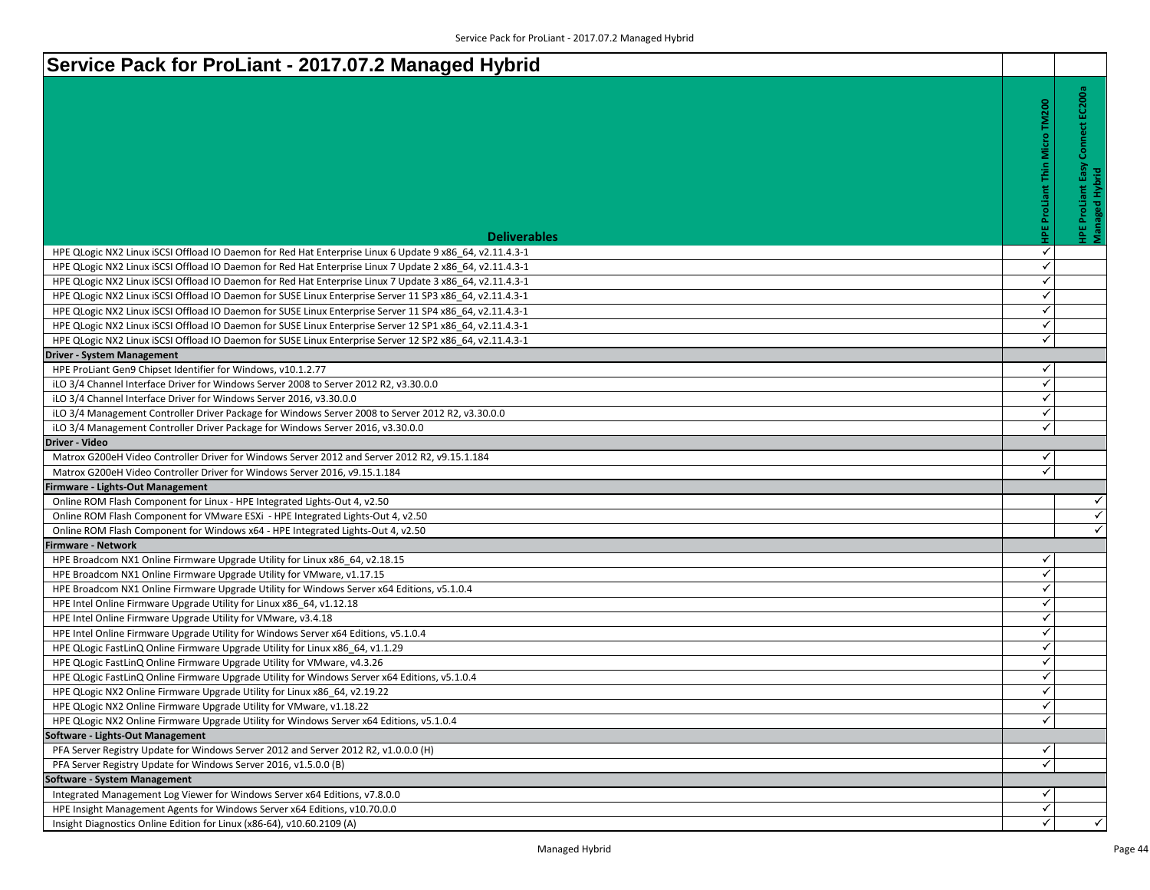| Service Pack for ProLiant - 2017.07.2 Managed Hybrid                                                                                                                        |
|-----------------------------------------------------------------------------------------------------------------------------------------------------------------------------|
| Service Pack for ProLiant - 2017.07.2 Managed Hybrid                                                                                                                        |
|                                                                                                                                                                             |
|                                                                                                                                                                             |
|                                                                                                                                                                             |
|                                                                                                                                                                             |
|                                                                                                                                                                             |
|                                                                                                                                                                             |
|                                                                                                                                                                             |
|                                                                                                                                                                             |
|                                                                                                                                                                             |
| <b>Deliverables</b>                                                                                                                                                         |
| HPE QLogic NX2 Linux iSCSI Offload IO Daemon for Red Hat Enterprise Linux 6 Update 9 x86 64, v2.11.4.3-1                                                                    |
| HPE QLogic NX2 Linux iSCSI Offload IO Daemon for Red Hat Enterprise Linux 7 Update 2 x86 64, v2.11.4.3-1                                                                    |
| HPE QLogic NX2 Linux iSCSI Offload IO Daemon for Red Hat Enterprise Linux 7 Update 3 x86 64, v2.11.4.3-1                                                                    |
| HPE QLogic NX2 Linux iSCSI Offload IO Daemon for SUSE Linux Enterprise Server 11 SP3 x86 64, v2.11.4.3-1                                                                    |
| HPE QLogic NX2 Linux iSCSI Offload IO Daemon for SUSE Linux Enterprise Server 11 SP4 x86_64, v2.11.4.3-1                                                                    |
| HPE QLogic NX2 Linux iSCSI Offload IO Daemon for SUSE Linux Enterprise Server 12 SP1 x86_64, v2.11.4.3-1                                                                    |
| HPE QLogic NX2 Linux iSCSI Offload IO Daemon for SUSE Linux Enterprise Server 12 SP2 x86 64, v2.11.4.3-1                                                                    |
| <b>Driver - System Management</b>                                                                                                                                           |
| HPE ProLiant Gen9 Chipset Identifier for Windows, v10.1.2.77                                                                                                                |
| iLO 3/4 Channel Interface Driver for Windows Server 2008 to Server 2012 R2, v3.30.0.0                                                                                       |
| iLO 3/4 Channel Interface Driver for Windows Server 2016, v3.30.0.0                                                                                                         |
| iLO 3/4 Management Controller Driver Package for Windows Server 2008 to Server 2012 R2, v3.30.0.0                                                                           |
| iLO 3/4 Management Controller Driver Package for Windows Server 2016, v3.30.0.0                                                                                             |
| Driver - Video                                                                                                                                                              |
| Matrox G200eH Video Controller Driver for Windows Server 2012 and Server 2012 R2, v9.15.1.184<br>Matrox G200eH Video Controller Driver for Windows Server 2016, v9.15.1.184 |
| irmware - Lights-Out Management                                                                                                                                             |
| Online ROM Flash Component for Linux - HPE Integrated Lights-Out 4, v2.50                                                                                                   |
| Online ROM Flash Component for VMware ESXi - HPE Integrated Lights-Out 4, v2.50                                                                                             |
| Online ROM Flash Component for Windows x64 - HPE Integrated Lights-Out 4, v2.50                                                                                             |
| <b>Firmware - Network</b>                                                                                                                                                   |
| HPE Broadcom NX1 Online Firmware Upgrade Utility for Linux x86 64, v2.18.15                                                                                                 |
| HPE Broadcom NX1 Online Firmware Upgrade Utility for VMware, v1.17.15                                                                                                       |
| HPE Broadcom NX1 Online Firmware Upgrade Utility for Windows Server x64 Editions, v5.1.0.4                                                                                  |
| HPE Intel Online Firmware Upgrade Utility for Linux x86_64, v1.12.18                                                                                                        |
| HPE Intel Online Firmware Upgrade Utility for VMware, v3.4.18                                                                                                               |
| HPE Intel Online Firmware Upgrade Utility for Windows Server x64 Editions, v5.1.0.4                                                                                         |
| HPE QLogic FastLinQ Online Firmware Upgrade Utility for Linux x86 64, v1.1.29                                                                                               |
| HPE QLogic FastLinQ Online Firmware Upgrade Utility for VMware, v4.3.26                                                                                                     |
| HPE QLogic FastLinQ Online Firmware Upgrade Utility for Windows Server x64 Editions, v5.1.0.4                                                                               |

HPE QLogic NX2 Online Firmware Upgrade Utility for Linux x86\_64, v2.19.22

HPE QLogic NX2 Online Firmware Upgrade Utility for Windows Server x64 Editions, v5.1.0.4

PFA Server Registry Update for Windows Server 2012 and Server 2012 R2, v1.0.0.0 (H)

Integrated Management Log Viewer for Windows Server x64 Editions, v7.8.0.0

HPE Insight Management Agents for Windows Server x64 Editions, v10.70.0.0

HPE QLogic NX2 Online Firmware Upgrade Utility for VMware, v1.18.22

PFA Server Registry Update for Windows Server 2016, v1.5.0.0 (B)

Insight Diagnostics Online Edition for Linux (x86-64), v10.60.2109 (A)

**Software - Lights-Out Management**

**Software - System Management**

 $\blacktriangledown$ 

**HPE ProLiant Thin Micro TM200**

**HPE ProLiant Thin Micro TM200** 

 $\blacktriangledown$ 

 $\overline{\checkmark}$ 

 $\blacktriangledown$ 

 $\overline{\checkmark}$ 

 $\overline{\checkmark}$ 

 $\overline{\checkmark}$ 

 $\checkmark$ 

 $\blacktriangledown$ 

 $\blacktriangledown$ 

 $\blacktriangleleft$ 

 $\checkmark$ 

 $\blacktriangleleft$ 

 $\blacktriangledown$ 

 $\overline{\checkmark}$ 

 $\blacktriangledown$ 

 $\overline{\checkmark}$ 

 $\overline{\checkmark}$ 

 $\blacktriangleleft$ 

 $\checkmark$ 

 $\blacktriangleleft$ 

 $\blacktriangledown$ 

 $\blacktriangleleft$ 

 $\overline{\checkmark}$ 

 $\blacktriangledown$ 

 $\checkmark$ 

 $\blacktriangledown$ 

 $\blacktriangledown$ 

 $\blacktriangledown$ 

 $\overline{\checkmark}$ 

 $\overline{\checkmark}$ 

 $\blacktriangledown$ 

 $\checkmark$ 

 $\overline{\checkmark}$ 

 $\checkmark$ 

**HPE ProLiant Easy Connect EC200a**

**HPE ProLiant Easy Connect EC200a** 

**Managed Hybrid**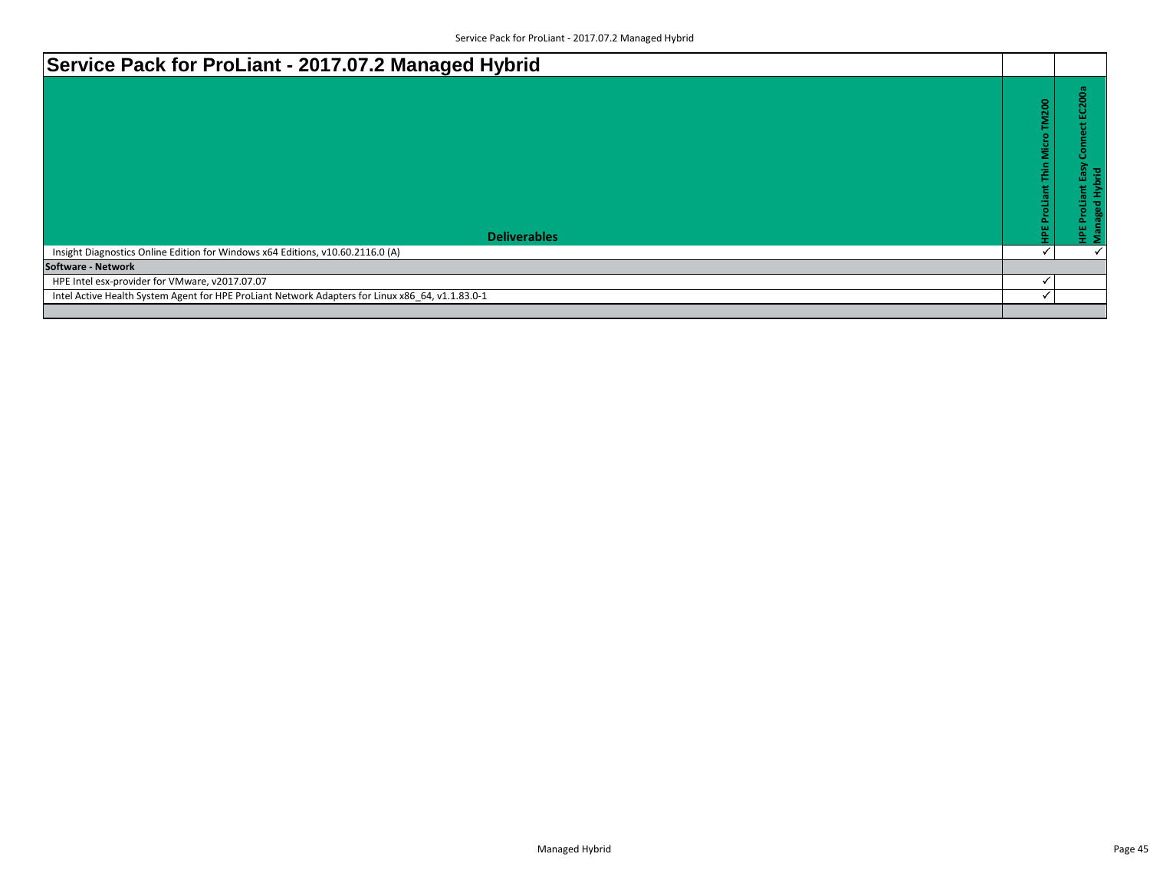| Service Pack for ProLiant - 2017.07.2 Managed Hybrid                                             |                           |                                      |
|--------------------------------------------------------------------------------------------------|---------------------------|--------------------------------------|
|                                                                                                  | ProLiant Thin Micro TM200 | <u>ខិ</u><br>ο<br>ब्र<br>콛<br>ш<br>o |
| <b>Deliverables</b>                                                                              |                           | ۹.<br>Σ                              |
| Insight Diagnostics Online Edition for Windows x64 Editions, v10.60.2116.0 (A)                   |                           |                                      |
| <b>Software - Network</b>                                                                        |                           |                                      |
| HPE Intel esx-provider for VMware, v2017.07.07                                                   |                           |                                      |
| Intel Active Health System Agent for HPE ProLiant Network Adapters for Linux x86 64, v1.1.83.0-1 |                           |                                      |
|                                                                                                  |                           |                                      |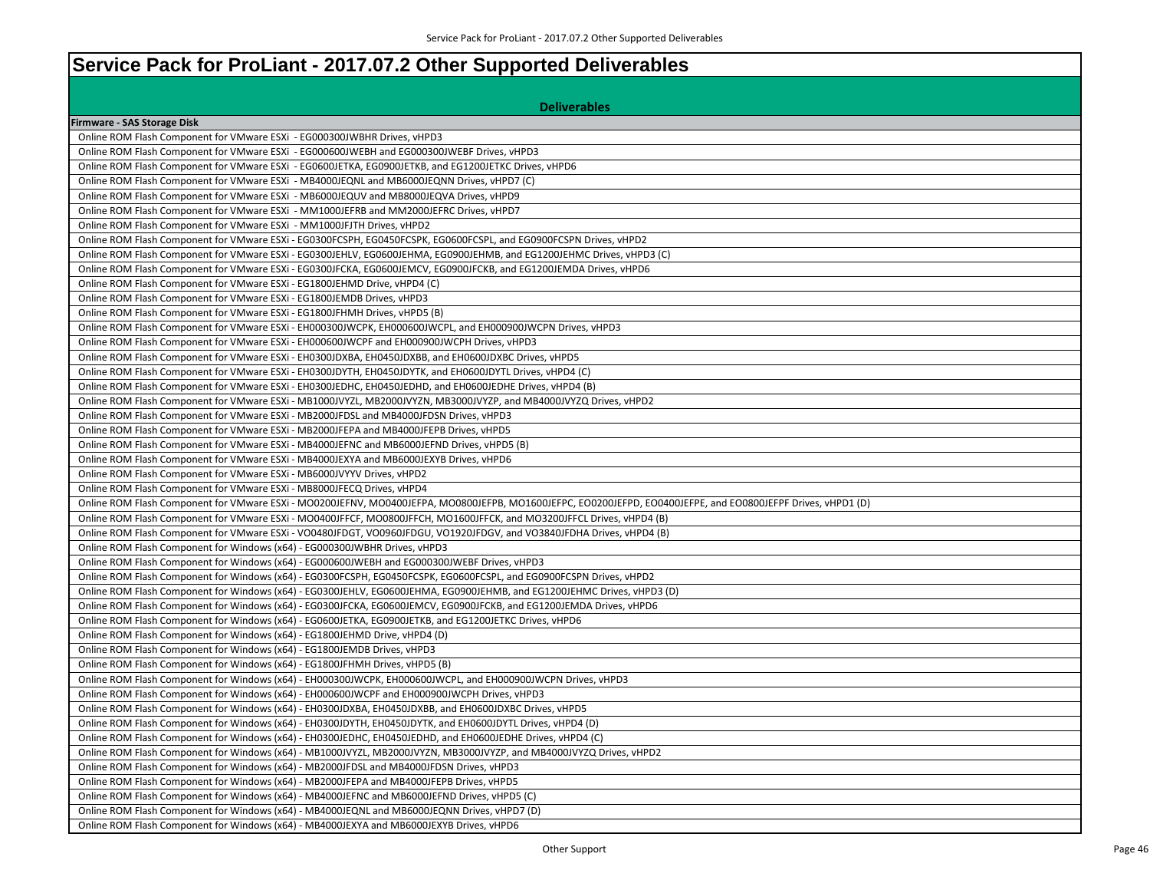## **Service Pack for ProLiant - 2017.07.2 Other Supported Deliverables**

| <b>Deliverables</b>                                                                                                                                          |
|--------------------------------------------------------------------------------------------------------------------------------------------------------------|
| Firmware - SAS Storage Disk                                                                                                                                  |
| Online ROM Flash Component for VMware ESXi - EG000300JWBHR Drives, vHPD3                                                                                     |
| Online ROM Flash Component for VMware ESXi - EG000600JWEBH and EG000300JWEBF Drives, vHPD3                                                                   |
| Online ROM Flash Component for VMware ESXi - EG0600JETKA, EG0900JETKB, and EG1200JETKC Drives, vHPD6                                                         |
| Online ROM Flash Component for VMware ESXi - MB4000JEQNL and MB6000JEQNN Drives, vHPD7 (C)                                                                   |
| Online ROM Flash Component for VMware ESXi - MB6000JEQUV and MB8000JEQVA Drives, vHPD9                                                                       |
| Online ROM Flash Component for VMware ESXi - MM1000JEFRB and MM2000JEFRC Drives, vHPD7                                                                       |
| Online ROM Flash Component for VMware ESXi - MM1000JFJTH Drives, vHPD2                                                                                       |
| Online ROM Flash Component for VMware ESXi - EG0300FCSPH, EG0450FCSPK, EG0600FCSPL, and EG0900FCSPN Drives, vHPD2                                            |
| Online ROM Flash Component for VMware ESXi - EG0300JEHLV, EG0600JEHMA, EG0900JEHMB, and EG1200JEHMC Drives, vHPD3 (C)                                        |
| Online ROM Flash Component for VMware ESXi - EG0300JFCKA, EG0600JEMCV, EG0900JFCKB, and EG1200JEMDA Drives, vHPD6                                            |
| Online ROM Flash Component for VMware ESXi - EG1800JEHMD Drive, vHPD4 (C)                                                                                    |
| Online ROM Flash Component for VMware ESXi - EG1800JEMDB Drives, vHPD3                                                                                       |
| Online ROM Flash Component for VMware ESXi - EG1800JFHMH Drives, vHPD5 (B)                                                                                   |
| Online ROM Flash Component for VMware ESXi - EH000300JWCPK, EH000600JWCPL, and EH000900JWCPN Drives, vHPD3                                                   |
| Online ROM Flash Component for VMware ESXi - EH000600JWCPF and EH000900JWCPH Drives, vHPD3                                                                   |
| Online ROM Flash Component for VMware ESXi - EH0300JDXBA, EH0450JDXBB, and EH0600JDXBC Drives, vHPD5                                                         |
| Online ROM Flash Component for VMware ESXi - EH0300JDYTH, EH0450JDYTK, and EH0600JDYTL Drives, vHPD4 (C)                                                     |
| Online ROM Flash Component for VMware ESXi - EH0300JEDHC, EH0450JEDHD, and EH0600JEDHE Drives, vHPD4 (B)                                                     |
| Online ROM Flash Component for VMware ESXi - MB1000JVYZL, MB2000JVYZN, MB3000JVYZP, and MB4000JVYZQ Drives, vHPD2                                            |
| Online ROM Flash Component for VMware ESXi - MB2000JFDSL and MB4000JFDSN Drives, vHPD3                                                                       |
| Online ROM Flash Component for VMware ESXi - MB2000JFEPA and MB4000JFEPB Drives, vHPD5                                                                       |
| Online ROM Flash Component for VMware ESXi - MB4000JEFNC and MB6000JEFND Drives, vHPD5 (B)                                                                   |
| Online ROM Flash Component for VMware ESXi - MB4000JEXYA and MB6000JEXYB Drives, vHPD6                                                                       |
| Online ROM Flash Component for VMware ESXi - MB6000JVYYV Drives, vHPD2                                                                                       |
| Online ROM Flash Component for VMware ESXi - MB8000JFECQ Drives, vHPD4                                                                                       |
| Online ROM Flash Component for VMware ESXi - MO0200JEFNV, MO0400JEFPA, MO0800JEFPB, MO1600JEFPC, EO0200JEFPD, EO0400JEFPE, and EO0800JEFPF Drives, vHPD1 (D) |
| Online ROM Flash Component for VMware ESXi - MO0400JFFCF, MO0800JFFCH, MO1600JFFCK, and MO3200JFFCL Drives, vHPD4 (B)                                        |
| Online ROM Flash Component for VMware ESXi - VO0480JFDGT, VO0960JFDGU, VO1920JFDGV, and VO3840JFDHA Drives, vHPD4 (B)                                        |
| Online ROM Flash Component for Windows (x64) - EG000300JWBHR Drives, vHPD3                                                                                   |
| Online ROM Flash Component for Windows (x64) - EG000600JWEBH and EG000300JWEBF Drives, vHPD3                                                                 |
| Online ROM Flash Component for Windows (x64) - EG0300FCSPH, EG0450FCSPK, EG0600FCSPL, and EG0900FCSPN Drives, vHPD2                                          |
| Online ROM Flash Component for Windows (x64) - EG0300JEHLV, EG0600JEHMA, EG0900JEHMB, and EG1200JEHMC Drives, vHPD3 (D)                                      |
| Online ROM Flash Component for Windows (x64) - EG0300JFCKA, EG0600JEMCV, EG0900JFCKB, and EG1200JEMDA Drives, vHPD6                                          |
| Online ROM Flash Component for Windows (x64) - EG0600JETKA, EG0900JETKB, and EG1200JETKC Drives, vHPD6                                                       |
| Online ROM Flash Component for Windows (x64) - EG1800JEHMD Drive, vHPD4 (D)                                                                                  |
| Online ROM Flash Component for Windows (x64) - EG1800JEMDB Drives, vHPD3                                                                                     |
| Online ROM Flash Component for Windows (x64) - EG1800JFHMH Drives, vHPD5 (B)                                                                                 |
| Online ROM Flash Component for Windows (x64) - EH000300JWCPK, EH000600JWCPL, and EH000900JWCPN Drives, vHPD3                                                 |
| Online ROM Flash Component for Windows (x64) - EH000600JWCPF and EH000900JWCPH Drives, vHPD3                                                                 |
| Online ROM Flash Component for Windows (x64) - EH0300JDXBA, EH0450JDXBB, and EH0600JDXBC Drives, vHPD5                                                       |
| Online ROM Flash Component for Windows (x64) - EH0300JDYTH, EH0450JDYTK, and EH0600JDYTL Drives, vHPD4 (D)                                                   |
| Online ROM Flash Component for Windows (x64) - EH0300JEDHC, EH0450JEDHD, and EH0600JEDHE Drives, vHPD4 (C)                                                   |
| Online ROM Flash Component for Windows (x64) - MB1000JVYZL, MB2000JVYZN, MB3000JVYZP, and MB4000JVYZQ Drives, vHPD2                                          |
| Online ROM Flash Component for Windows (x64) - MB2000JFDSL and MB4000JFDSN Drives, vHPD3                                                                     |
| Online ROM Flash Component for Windows (x64) - MB2000JFEPA and MB4000JFEPB Drives, vHPD5                                                                     |
| Online ROM Flash Component for Windows (x64) - MB4000JEFNC and MB6000JEFND Drives, vHPD5 (C)                                                                 |
| Online ROM Flash Component for Windows (x64) - MB4000JEQNL and MB6000JEQNN Drives, vHPD7 (D)                                                                 |
| Online ROM Flash Component for Windows (x64) - MB4000JEXYA and MB6000JEXYB Drives, vHPD6                                                                     |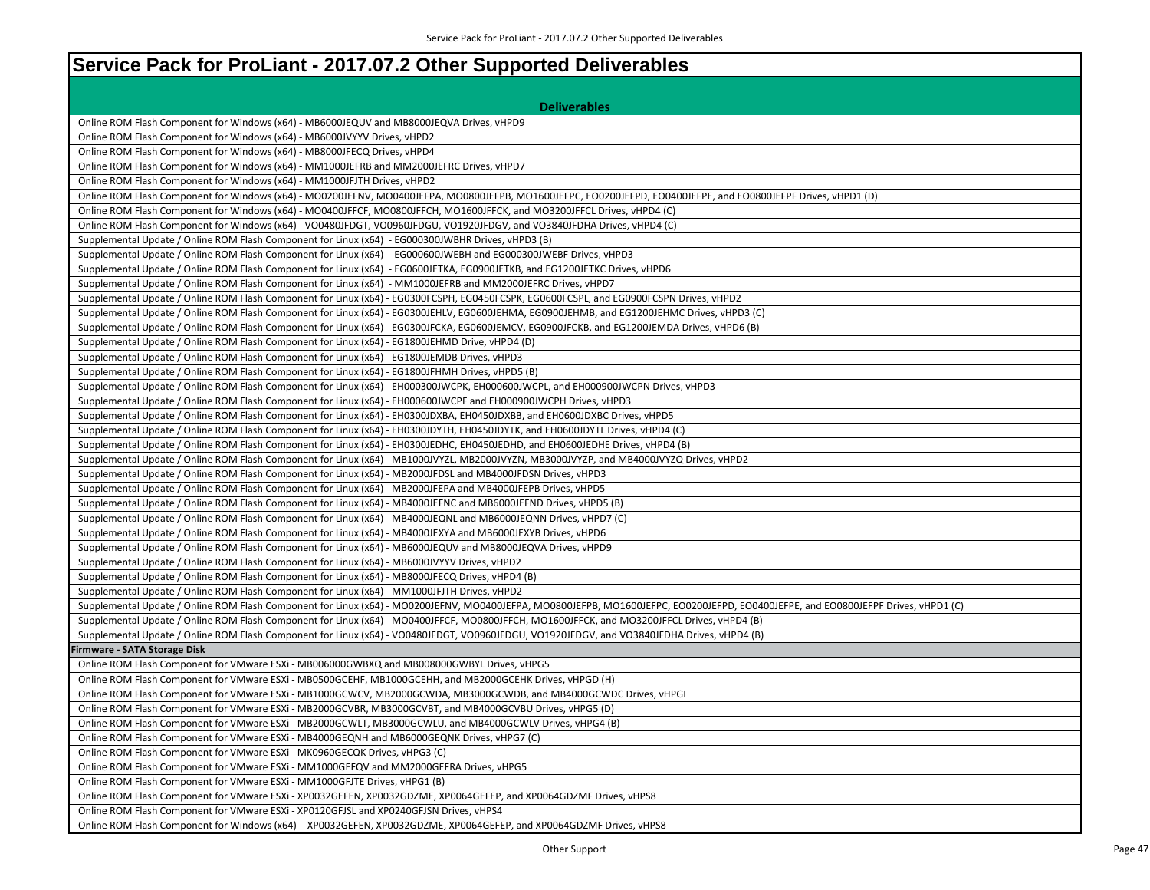## **Service Pack for ProLiant - 2017.07.2 Other Supported Deliverables**

| <b>Deliverables</b>                                                                                                                                                                |
|------------------------------------------------------------------------------------------------------------------------------------------------------------------------------------|
| Online ROM Flash Component for Windows (x64) - MB6000JEQUV and MB8000JEQVA Drives, vHPD9                                                                                           |
| Online ROM Flash Component for Windows (x64) - MB6000JVYYV Drives, vHPD2                                                                                                           |
| Online ROM Flash Component for Windows (x64) - MB8000JFECQ Drives, vHPD4                                                                                                           |
| Online ROM Flash Component for Windows (x64) - MM1000JEFRB and MM2000JEFRC Drives, vHPD7                                                                                           |
| Online ROM Flash Component for Windows (x64) - MM1000JFJTH Drives, vHPD2                                                                                                           |
| Online ROM Flash Component for Windows (x64) - MO0200JEFNV, MO0400JEFPA, MO0800JEFPB, MO1600JEFPC, EO0200JEFPD, EO0400JEFPE, and EO0800JEFPF Drives, vHPD1 (D)                     |
| Online ROM Flash Component for Windows (x64) - MO0400JFFCF, MO0800JFFCH, MO1600JFFCK, and MO3200JFFCL Drives, vHPD4 (C)                                                            |
| Online ROM Flash Component for Windows (x64) - VO0480JFDGT, VO0960JFDGU, VO1920JFDGV, and VO3840JFDHA Drives, vHPD4 (C)                                                            |
| Supplemental Update / Online ROM Flash Component for Linux (x64) - EG000300JWBHR Drives, vHPD3 (B)                                                                                 |
| Supplemental Update / Online ROM Flash Component for Linux (x64) - EG000600JWEBH and EG000300JWEBF Drives, vHPD3                                                                   |
| Supplemental Update / Online ROM Flash Component for Linux (x64) - EG0600JETKA, EG0900JETKB, and EG1200JETKC Drives, vHPD6                                                         |
| Supplemental Update / Online ROM Flash Component for Linux (x64) - MM1000JEFRB and MM2000JEFRC Drives, vHPD7                                                                       |
| Supplemental Update / Online ROM Flash Component for Linux (x64) - EG0300FCSPH, EG0450FCSPK, EG0600FCSPL, and EG0900FCSPN Drives, vHPD2                                            |
| Supplemental Update / Online ROM Flash Component for Linux (x64) - EG0300JEHLV, EG0600JEHMA, EG0900JEHMB, and EG1200JEHMC Drives, vHPD3 (C)                                        |
| Supplemental Update / Online ROM Flash Component for Linux (x64) - EG0300JFCKA, EG0600JEMCV, EG0900JFCKB, and EG1200JEMDA Drives, vHPD6 (B)                                        |
| Supplemental Update / Online ROM Flash Component for Linux (x64) - EG1800JEHMD Drive, vHPD4 (D)                                                                                    |
| Supplemental Update / Online ROM Flash Component for Linux (x64) - EG1800JEMDB Drives, vHPD3                                                                                       |
| Supplemental Update / Online ROM Flash Component for Linux (x64) - EG1800JFHMH Drives, vHPD5 (B)                                                                                   |
| Supplemental Update / Online ROM Flash Component for Linux (x64) - EH000300JWCPK, EH000600JWCPL, and EH000900JWCPN Drives, vHPD3                                                   |
| Supplemental Update / Online ROM Flash Component for Linux (x64) - EH000600JWCPF and EH000900JWCPH Drives, vHPD3                                                                   |
| Supplemental Update / Online ROM Flash Component for Linux (x64) - EH0300JDXBA, EH0450JDXBB, and EH0600JDXBC Drives, vHPD5                                                         |
| Supplemental Update / Online ROM Flash Component for Linux (x64) - EH0300JDYTH, EH0450JDYTK, and EH0600JDYTL Drives, vHPD4 (C)                                                     |
| Supplemental Update / Online ROM Flash Component for Linux (x64) - EH0300JEDHC, EH0450JEDHD, and EH0600JEDHE Drives, vHPD4 (B)                                                     |
| Supplemental Update / Online ROM Flash Component for Linux (x64) - MB1000JVYZL, MB2000JVYZN, MB3000JVYZP, and MB4000JVYZQ Drives, vHPD2                                            |
| Supplemental Update / Online ROM Flash Component for Linux (x64) - MB2000JFDSL and MB4000JFDSN Drives, vHPD3                                                                       |
| Supplemental Update / Online ROM Flash Component for Linux (x64) - MB2000JFEPA and MB4000JFEPB Drives, vHPD5                                                                       |
| Supplemental Update / Online ROM Flash Component for Linux (x64) - MB4000JEFNC and MB6000JEFND Drives, vHPD5 (B)                                                                   |
| Supplemental Update / Online ROM Flash Component for Linux (x64) - MB4000JEQNL and MB6000JEQNN Drives, vHPD7 (C)                                                                   |
| Supplemental Update / Online ROM Flash Component for Linux (x64) - MB4000JEXYA and MB6000JEXYB Drives, vHPD6                                                                       |
| Supplemental Update / Online ROM Flash Component for Linux (x64) - MB6000JEQUV and MB8000JEQVA Drives, vHPD9                                                                       |
| Supplemental Update / Online ROM Flash Component for Linux (x64) - MB6000JVYYV Drives, vHPD2                                                                                       |
| Supplemental Update / Online ROM Flash Component for Linux (x64) - MB8000JFECQ Drives, vHPD4 (B)                                                                                   |
| Supplemental Update / Online ROM Flash Component for Linux (x64) - MM1000JFJTH Drives, vHPD2                                                                                       |
| Supplemental Update / Online ROM Flash Component for Linux (x64) - MO0200JEFNV, MO0400JEFPA, MO0800JEFPB, MO1600JEFPC, EO0200JEFPD, EO0400JEFPE, and EO0800JEFPF Drives, vHPD1 (C) |
| Supplemental Update / Online ROM Flash Component for Linux (x64) - MO0400JFFCF, MO0800JFFCH, MO1600JFFCK, and MO3200JFFCL Drives, vHPD4 (B)                                        |
| Supplemental Update / Online ROM Flash Component for Linux (x64) - VO0480JFDGT, VO0960JFDGU, VO1920JFDGV, and VO3840JFDHA Drives, vHPD4 (B)                                        |
| irmware - SATA Storage Disk                                                                                                                                                        |
| Online ROM Flash Component for VMware ESXi - MB006000GWBXQ and MB008000GWBYL Drives, vHPG5                                                                                         |
| Online ROM Flash Component for VMware ESXi - MB0500GCEHF, MB1000GCEHH, and MB2000GCEHK Drives, vHPGD (H)                                                                           |
| Online ROM Flash Component for VMware ESXi - MB1000GCWCV, MB2000GCWDA, MB3000GCWDB, and MB4000GCWDC Drives, vHPGI                                                                  |
| Online ROM Flash Component for VMware ESXi - MB2000GCVBR, MB3000GCVBT, and MB4000GCVBU Drives, vHPG5 (D)                                                                           |
| Online ROM Flash Component for VMware ESXi - MB2000GCWLT, MB3000GCWLU, and MB4000GCWLV Drives, vHPG4 (B)                                                                           |
| Online ROM Flash Component for VMware ESXi - MB4000GEQNH and MB6000GEQNK Drives, vHPG7 (C)                                                                                         |
| Online ROM Flash Component for VMware ESXi - MK0960GECQK Drives, vHPG3 (C)                                                                                                         |
| Online ROM Flash Component for VMware ESXi - MM1000GEFQV and MM2000GEFRA Drives, vHPG5                                                                                             |
| Online ROM Flash Component for VMware ESXi - MM1000GFJTE Drives, vHPG1 (B)                                                                                                         |
| Online ROM Flash Component for VMware ESXi - XP0032GEFEN, XP0032GDZME, XP0064GEFEP, and XP0064GDZMF Drives, vHPS8                                                                  |
| Online ROM Flash Component for VMware ESXi - XP0120GFJSL and XP0240GFJSN Drives, vHPS4                                                                                             |
| Online ROM Flash Component for Windows (x64) - XP0032GEFEN, XP0032GDZME, XP0064GEFEP, and XP0064GDZMF Drives, vHPS8                                                                |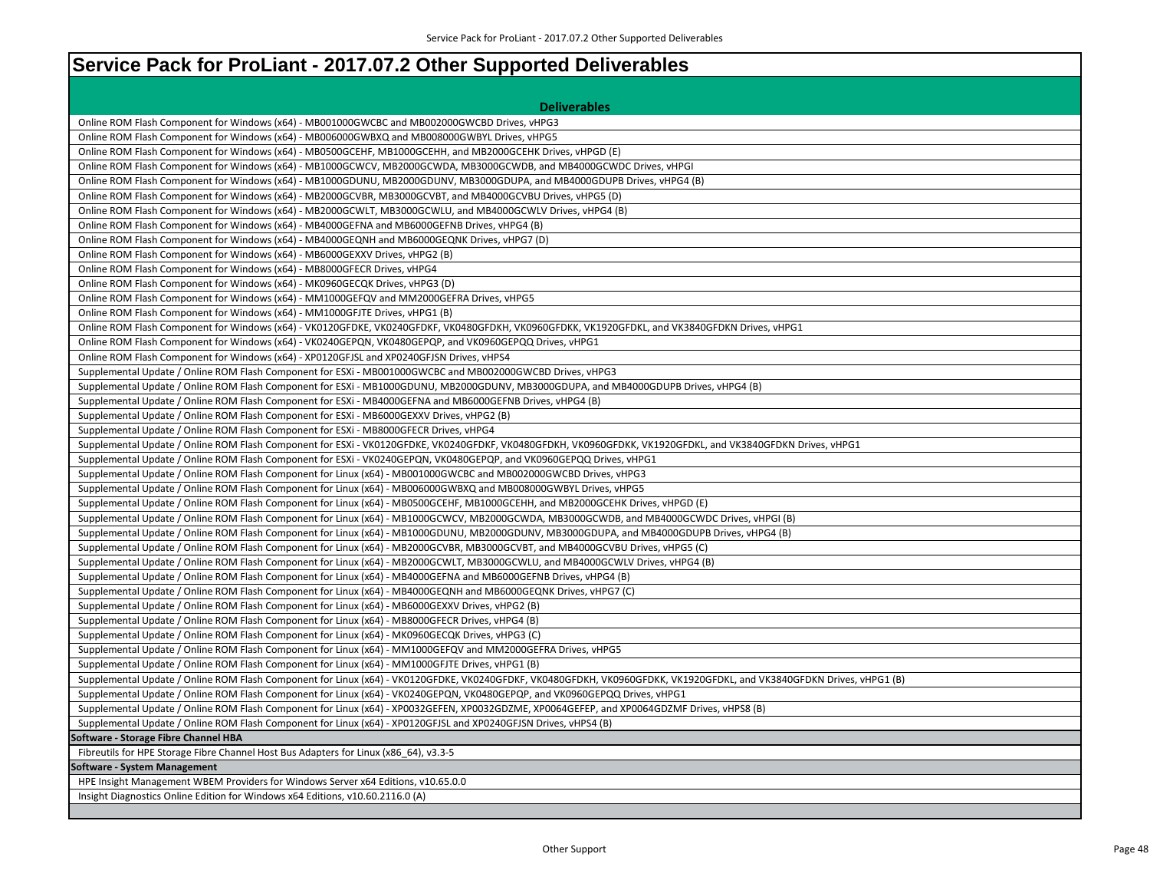## **Service Pack for ProLiant - 2017.07.2 Other Supported Deliverables**

| <b>Deliverables</b>                                                                                                                                                   |
|-----------------------------------------------------------------------------------------------------------------------------------------------------------------------|
| Online ROM Flash Component for Windows (x64) - MB001000GWCBC and MB002000GWCBD Drives, vHPG3                                                                          |
| Online ROM Flash Component for Windows (x64) - MB006000GWBXQ and MB008000GWBYL Drives, vHPG5                                                                          |
| Online ROM Flash Component for Windows (x64) - MB0500GCEHF, MB1000GCEHH, and MB2000GCEHK Drives, vHPGD (E)                                                            |
| Online ROM Flash Component for Windows (x64) - MB1000GCWCV, MB2000GCWDA, MB3000GCWDB, and MB4000GCWDC Drives, vHPGI                                                   |
| Online ROM Flash Component for Windows (x64) - MB1000GDUNU, MB2000GDUNV, MB3000GDUPA, and MB4000GDUPB Drives, vHPG4 (B)                                               |
| Online ROM Flash Component for Windows (x64) - MB2000GCVBR, MB3000GCVBT, and MB4000GCVBU Drives, vHPG5 (D)                                                            |
| Online ROM Flash Component for Windows (x64) - MB2000GCWLT, MB3000GCWLU, and MB4000GCWLV Drives, vHPG4 (B)                                                            |
| Online ROM Flash Component for Windows (x64) - MB4000GEFNA and MB6000GEFNB Drives, vHPG4 (B)                                                                          |
| Online ROM Flash Component for Windows (x64) - MB4000GEQNH and MB6000GEQNK Drives, vHPG7 (D)                                                                          |
| Online ROM Flash Component for Windows (x64) - MB6000GEXXV Drives, vHPG2 (B)                                                                                          |
| Online ROM Flash Component for Windows (x64) - MB8000GFECR Drives, vHPG4                                                                                              |
| Online ROM Flash Component for Windows (x64) - MK0960GECQK Drives, vHPG3 (D)                                                                                          |
| Online ROM Flash Component for Windows (x64) - MM1000GEFQV and MM2000GEFRA Drives, vHPG5                                                                              |
| Online ROM Flash Component for Windows (x64) - MM1000GFJTE Drives, vHPG1 (B)                                                                                          |
| Online ROM Flash Component for Windows (x64) - VK0120GFDKE, VK0240GFDKF, VK0480GFDKH, VK0960GFDKK, VK1920GFDKL, and VK3840GFDKN Drives, vHPG1                         |
| Online ROM Flash Component for Windows (x64) - VK0240GEPQN, VK0480GEPQP, and VK0960GEPQQ Drives, vHPG1                                                                |
| Online ROM Flash Component for Windows (x64) - XP0120GFJSL and XP0240GFJSN Drives, vHPS4                                                                              |
| Supplemental Update / Online ROM Flash Component for ESXi - MB001000GWCBC and MB002000GWCBD Drives, vHPG3                                                             |
| Supplemental Update / Online ROM Flash Component for ESXi - MB1000GDUNU, MB2000GDUNV, MB3000GDUPA, and MB4000GDUPB Drives, vHPG4 (B)                                  |
| Supplemental Update / Online ROM Flash Component for ESXi - MB4000GEFNA and MB6000GEFNB Drives, vHPG4 (B)                                                             |
| Supplemental Update / Online ROM Flash Component for ESXi - MB6000GEXXV Drives, vHPG2 (B)                                                                             |
| Supplemental Update / Online ROM Flash Component for ESXi - MB8000GFECR Drives, vHPG4                                                                                 |
| Supplemental Update / Online ROM Flash Component for ESXi - VK0120GFDKE, VK0240GFDKF, VK0480GFDKH, VK0960GFDKK, VK1920GFDKL, and VK3840GFDKN Drives, vHPG1            |
| Supplemental Update / Online ROM Flash Component for ESXi - VK0240GEPQN, VK0480GEPQP, and VK0960GEPQQ Drives, vHPG1                                                   |
| Supplemental Update / Online ROM Flash Component for Linux (x64) - MB001000GWCBC and MB002000GWCBD Drives, vHPG3                                                      |
| Supplemental Update / Online ROM Flash Component for Linux (x64) - MB006000GWBXQ and MB008000GWBYL Drives, vHPG5                                                      |
| Supplemental Update / Online ROM Flash Component for Linux (x64) - MB0500GCEHF, MB1000GCEHH, and MB2000GCEHK Drives, vHPGD (E)                                        |
| Supplemental Update / Online ROM Flash Component for Linux (x64) - MB1000GCWCV, MB2000GCWDA, MB3000GCWDB, and MB4000GCWDC Drives, vHPGI (B)                           |
| Supplemental Update / Online ROM Flash Component for Linux (x64) - MB1000GDUNU, MB2000GDUNV, MB3000GDUPA, and MB4000GDUPB Drives, vHPG4 (B)                           |
| Supplemental Update / Online ROM Flash Component for Linux (x64) - MB2000GCVBR, MB3000GCVBT, and MB4000GCVBU Drives, vHPG5 (C)                                        |
| Supplemental Update / Online ROM Flash Component for Linux (x64) - MB2000GCWLT, MB3000GCWLU, and MB4000GCWLV Drives, vHPG4 (B)                                        |
| Supplemental Update / Online ROM Flash Component for Linux (x64) - MB4000GEFNA and MB6000GEFNB Drives, vHPG4 (B)                                                      |
| Supplemental Update / Online ROM Flash Component for Linux (x64) - MB4000GEQNH and MB6000GEQNK Drives, vHPG7 (C)                                                      |
| Supplemental Update / Online ROM Flash Component for Linux (x64) - MB6000GEXXV Drives, vHPG2 (B)                                                                      |
| Supplemental Update / Online ROM Flash Component for Linux (x64) - MB8000GFECR Drives, vHPG4 (B)                                                                      |
| Supplemental Update / Online ROM Flash Component for Linux (x64) - MK0960GECQK Drives, vHPG3 (C)                                                                      |
| Supplemental Update / Online ROM Flash Component for Linux (x64) - MM1000GEFQV and MM2000GEFRA Drives, vHPG5                                                          |
| Supplemental Update / Online ROM Flash Component for Linux (x64) - MM1000GFJTE Drives, vHPG1 (B)                                                                      |
| Supplemental Update / Online ROM Flash Component for Linux (x64) - VK0120GFDKE, VK0240GFDKF, VK0480GFDKH, VK0960GFDKK, VK1920GFDKL, and VK3840GFDKN Drives, vHPG1 (B) |
| Supplemental Update / Online ROM Flash Component for Linux (x64) - VK0240GEPQN, VK0480GEPQP, and VK0960GEPQQ Drives, vHPG1                                            |
| Supplemental Update / Online ROM Flash Component for Linux (x64) - XP0032GEFEN, XP0032GDZME, XP0064GEFEP, and XP0064GDZMF Drives, vHPS8 (B)                           |
| Supplemental Update / Online ROM Flash Component for Linux (x64) - XP0120GFJSL and XP0240GFJSN Drives, vHPS4 (B)                                                      |
| Software - Storage Fibre Channel HBA                                                                                                                                  |
| Fibreutils for HPE Storage Fibre Channel Host Bus Adapters for Linux (x86_64), v3.3-5                                                                                 |
| <b>Software - System Management</b>                                                                                                                                   |
| HPE Insight Management WBEM Providers for Windows Server x64 Editions, v10.65.0.0                                                                                     |
| Insight Diagnostics Online Edition for Windows x64 Editions, v10.60.2116.0 (A)                                                                                        |
|                                                                                                                                                                       |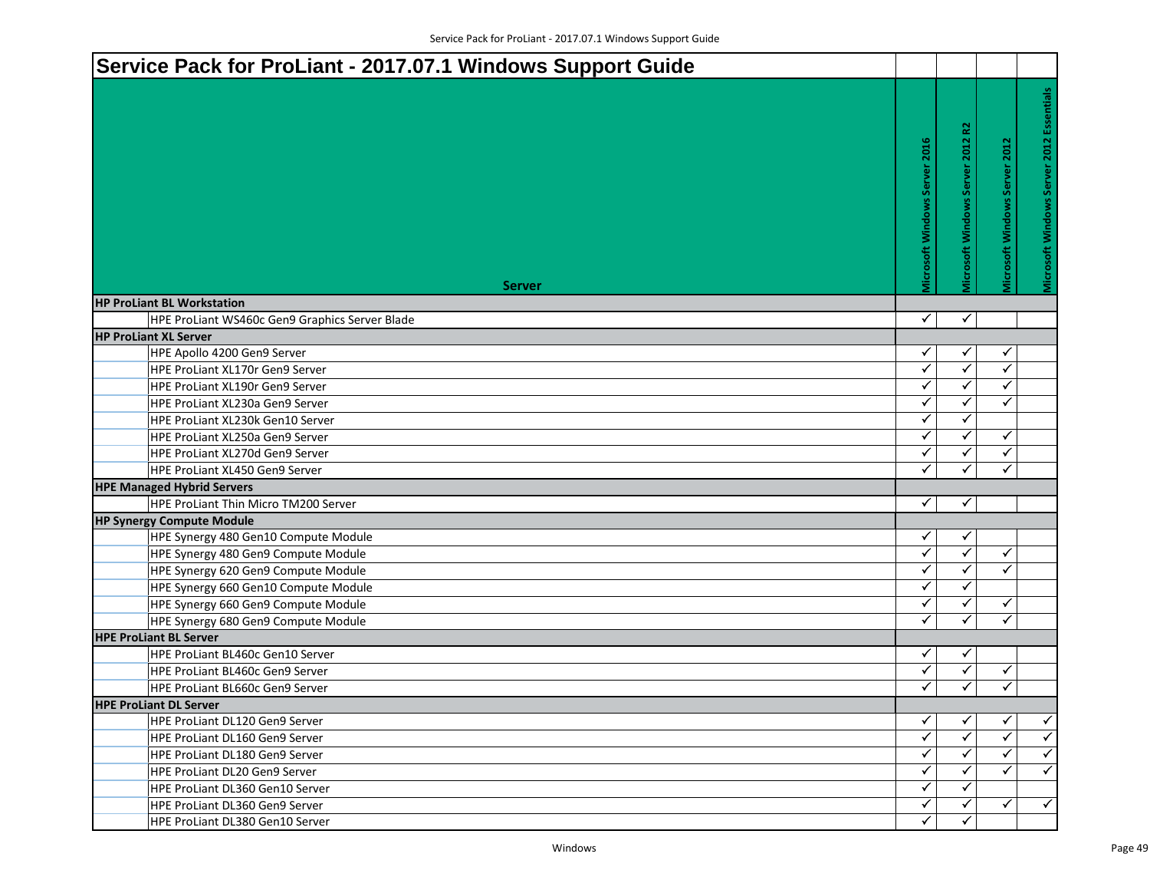| Service Pack for ProLiant - 2017.07.1 Windows Support Guide       |                               |                                  |                               |                                          |
|-------------------------------------------------------------------|-------------------------------|----------------------------------|-------------------------------|------------------------------------------|
|                                                                   |                               |                                  |                               |                                          |
|                                                                   |                               |                                  |                               | Microsoft Windows Server 2012 Essentials |
|                                                                   | Vicrosoft Windows Server 2016 | Vicrosoft Windows Server 2012 R2 | Vicrosoft Windows Server 2012 |                                          |
|                                                                   |                               |                                  |                               |                                          |
|                                                                   |                               |                                  |                               |                                          |
|                                                                   |                               |                                  |                               |                                          |
|                                                                   |                               |                                  |                               |                                          |
|                                                                   |                               |                                  |                               |                                          |
|                                                                   |                               |                                  |                               |                                          |
|                                                                   |                               |                                  |                               |                                          |
| <b>Server</b>                                                     |                               |                                  |                               |                                          |
| <b>HP ProLiant BL Workstation</b>                                 |                               |                                  |                               |                                          |
| HPE ProLiant WS460c Gen9 Graphics Server Blade                    | $\checkmark$                  | $\checkmark$                     |                               |                                          |
| <b>HP ProLiant XL Server</b>                                      |                               |                                  |                               |                                          |
| HPE Apollo 4200 Gen9 Server                                       | ✓                             | ✓                                | ✓                             |                                          |
| HPE ProLiant XL170r Gen9 Server                                   | ✓                             | ✓                                | ✓                             |                                          |
| HPE ProLiant XL190r Gen9 Server                                   | ✓                             | ✓                                | ✓                             |                                          |
| HPE ProLiant XL230a Gen9 Server                                   | ✓                             | ✓                                | ✓                             |                                          |
| HPE ProLiant XL230k Gen10 Server                                  | ✓                             | ✓                                |                               |                                          |
| HPE ProLiant XL250a Gen9 Server                                   | ✓                             | ✓                                | ✓                             |                                          |
| HPE ProLiant XL270d Gen9 Server                                   | ✓                             | ✓                                | ✓                             |                                          |
| <b>HPE ProLiant XL450 Gen9 Server</b>                             | $\checkmark$                  | ✓                                | ✓                             |                                          |
| <b>HPE Managed Hybrid Servers</b>                                 |                               |                                  |                               |                                          |
| HPE ProLiant Thin Micro TM200 Server                              | ✓                             | ✓                                |                               |                                          |
| <b>HP Synergy Compute Module</b>                                  |                               |                                  |                               |                                          |
| HPE Synergy 480 Gen10 Compute Module                              | ✓                             | ✓<br>$\bar{\checkmark}$          |                               |                                          |
| HPE Synergy 480 Gen9 Compute Module                               | $\checkmark$                  | ✓                                | $\checkmark$                  |                                          |
| HPE Synergy 620 Gen9 Compute Module                               | ✓                             |                                  | ✓                             |                                          |
| HPE Synergy 660 Gen10 Compute Module                              | ✓                             | ✓                                |                               |                                          |
| HPE Synergy 660 Gen9 Compute Module                               | ✓<br>$\checkmark$             | ✓<br>✓                           | ✓                             |                                          |
| HPE Synergy 680 Gen9 Compute Module                               |                               |                                  | ✓                             |                                          |
| <b>HPE ProLiant BL Server</b><br>HPE ProLiant BL460c Gen10 Server |                               |                                  |                               |                                          |
|                                                                   | ✓<br>$\checkmark$             | ✓<br>✓                           | ✓                             |                                          |
| HPE ProLiant BL460c Gen9 Server                                   | $\checkmark$                  | ✓                                | ✓                             |                                          |
| HPE ProLiant BL660c Gen9 Server                                   |                               |                                  |                               |                                          |
| <b>HPE ProLiant DL Server</b>                                     | ✓                             | ✓                                | ✓                             | $\checkmark$                             |
| HPE ProLiant DL120 Gen9 Server                                    | ✓                             | ✓                                | ✓                             | $\checkmark$                             |
| HPE ProLiant DL160 Gen9 Server                                    | ✓                             |                                  | ✓                             | $\checkmark$                             |
| HPE ProLiant DL180 Gen9 Server                                    | ✓                             |                                  | ✓                             | $\checkmark$                             |
| <b>HPE ProLiant DL20 Gen9 Server</b>                              | ✓                             | ✓                                |                               |                                          |
| HPE ProLiant DL360 Gen10 Server                                   | ✓                             | ✓                                | ✓                             | $\checkmark$                             |
| HPE ProLiant DL360 Gen9 Server                                    | ✓                             |                                  |                               |                                          |
| HPE ProLiant DL380 Gen10 Server                                   |                               |                                  |                               |                                          |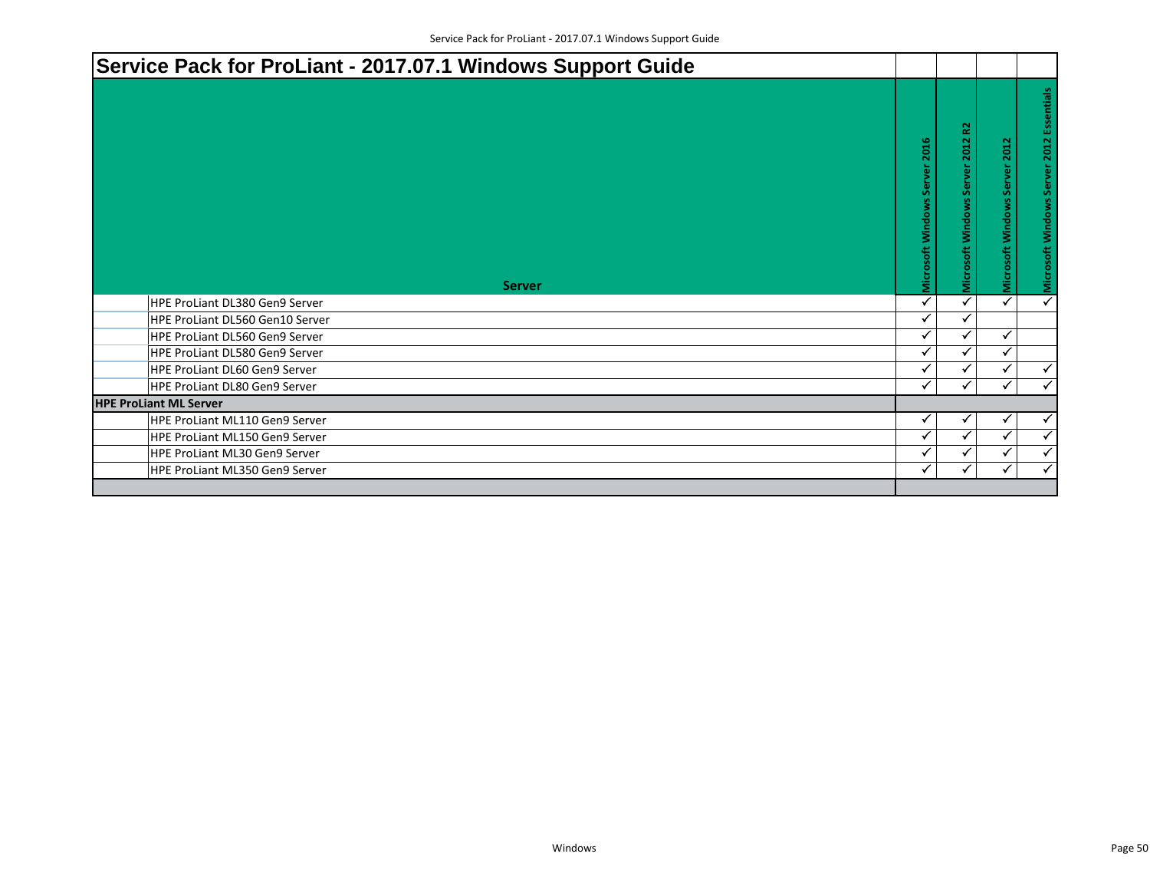| Service Pack for ProLiant - 2017.07.1 Windows Support Guide |                               |                                  |                               |                                          |
|-------------------------------------------------------------|-------------------------------|----------------------------------|-------------------------------|------------------------------------------|
| <b>Server</b>                                               | Microsoft Windows Server 2016 | Microsoft Windows Server 2012 R2 | Microsoft Windows Server 2012 | Microsoft Windows Server 2012 Essentials |
| HPE ProLiant DL380 Gen9 Server                              | ✓                             |                                  | ✓                             | $\overline{\checkmark}$                  |
| HPE ProLiant DL560 Gen10 Server                             | ✓                             |                                  |                               |                                          |
| HPE ProLiant DL560 Gen9 Server                              | ✓                             |                                  | ✓                             |                                          |
| HPE ProLiant DL580 Gen9 Server                              | ✓                             |                                  | ✓                             |                                          |
| HPE ProLiant DL60 Gen9 Server                               | ✓                             |                                  |                               | $\checkmark$                             |
| HPE ProLiant DL80 Gen9 Server                               | ✓                             |                                  | ✓                             | $\checkmark$                             |
| <b>HPE ProLiant ML Server</b>                               |                               |                                  |                               |                                          |
| HPE ProLiant ML110 Gen9 Server                              | ✓                             |                                  |                               |                                          |
| HPE ProLiant ML150 Gen9 Server                              | ✓                             |                                  | ✓                             | $\checkmark$                             |
| HPE ProLiant ML30 Gen9 Server                               | ✓                             |                                  | ✓                             | $\checkmark$                             |
| HPE ProLiant ML350 Gen9 Server                              | ✓                             | ✓                                | ✓                             | $\checkmark$                             |
|                                                             |                               |                                  |                               |                                          |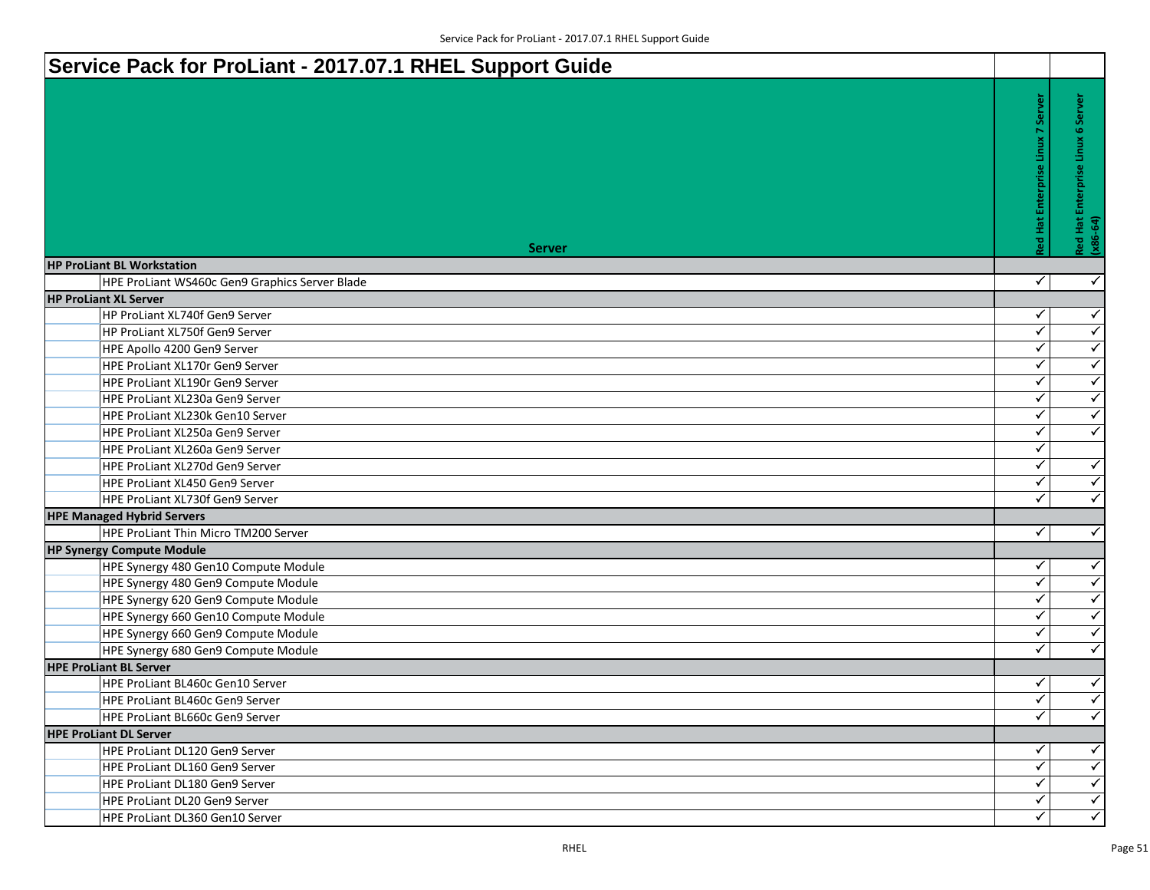| Service Pack for ProLiant - 2017.07.1 RHEL Support Guide |                |                                                     |
|----------------------------------------------------------|----------------|-----------------------------------------------------|
| <b>Server</b>                                            | <b>Red Hat</b> | Server<br>6<br>Red Hat Enterprise Linux<br>(x86-64) |
| <b>HP ProLiant BL Workstation</b>                        |                |                                                     |
| HPE ProLiant WS460c Gen9 Graphics Server Blade           | $\checkmark$   | $\checkmark$                                        |
| <b>HP ProLiant XL Server</b>                             |                |                                                     |
| HP ProLiant XL740f Gen9 Server                           | ✓              | $\checkmark$                                        |
| HP ProLiant XL750f Gen9 Server                           | ✓              | $\checkmark$                                        |
| HPE Apollo 4200 Gen9 Server                              | ✓              | $\checkmark$                                        |
| <b>HPE ProLiant XL170r Gen9 Server</b>                   | ✓              | $\blacktriangledown$                                |
| HPE ProLiant XL190r Gen9 Server                          | $\checkmark$   | $\overline{\checkmark}$                             |
| HPE ProLiant XL230a Gen9 Server                          | $\checkmark$   | $\blacktriangledown$                                |
| HPE ProLiant XL230k Gen10 Server                         | $\checkmark$   | $\blacktriangledown$                                |
| HPE ProLiant XL250a Gen9 Server                          | $\checkmark$   | $\checkmark$                                        |
| HPE ProLiant XL260a Gen9 Server                          | ✓              |                                                     |
| HPE ProLiant XL270d Gen9 Server                          | ✓              | $\checkmark$                                        |
| HPE ProLiant XL450 Gen9 Server                           | $\checkmark$   | $\blacktriangledown$                                |
| HPE ProLiant XL730f Gen9 Server                          | $\checkmark$   | $\blacktriangleleft$                                |
| <b>HPE Managed Hybrid Servers</b>                        |                |                                                     |
| HPE ProLiant Thin Micro TM200 Server                     | $\checkmark$   | $\checkmark$                                        |
| <b>HP Synergy Compute Module</b>                         |                |                                                     |
| HPE Synergy 480 Gen10 Compute Module                     | ✓              | $\checkmark$                                        |
| HPE Synergy 480 Gen9 Compute Module                      | ✓              | $\blacktriangleleft$                                |
| HPE Synergy 620 Gen9 Compute Module                      | $\checkmark$   | $\blacktriangledown$                                |
| HPE Synergy 660 Gen10 Compute Module                     | $\checkmark$   | $\overline{\checkmark}$                             |
| HPE Synergy 660 Gen9 Compute Module                      | $\checkmark$   | $\blacktriangledown$                                |
| HPE Synergy 680 Gen9 Compute Module                      | $\checkmark$   | $\checkmark$                                        |
| <b>HPE ProLiant BL Server</b>                            |                |                                                     |
| HPE ProLiant BL460c Gen10 Server                         | ✓              | $\checkmark$                                        |
| HPE ProLiant BL460c Gen9 Server                          | $\checkmark$   | $\overline{\checkmark}$                             |
| HPE ProLiant BL660c Gen9 Server                          | $\checkmark$   | $\overline{\checkmark}$                             |
| <b>HPE ProLiant DL Server</b>                            |                |                                                     |
| HPE ProLiant DL120 Gen9 Server                           | ✓              | $\blacktriangleleft$                                |
| HPE ProLiant DL160 Gen9 Server                           | ✓              | $\blacktriangledown$                                |
| HPE ProLiant DL180 Gen9 Server                           | ✓              | $\blacktriangleleft$                                |
| HPE ProLiant DL20 Gen9 Server                            | $\checkmark$   | $\overline{\checkmark}$                             |
| HPE ProLiant DL360 Gen10 Server                          | $\checkmark$   | $\overline{\checkmark}$                             |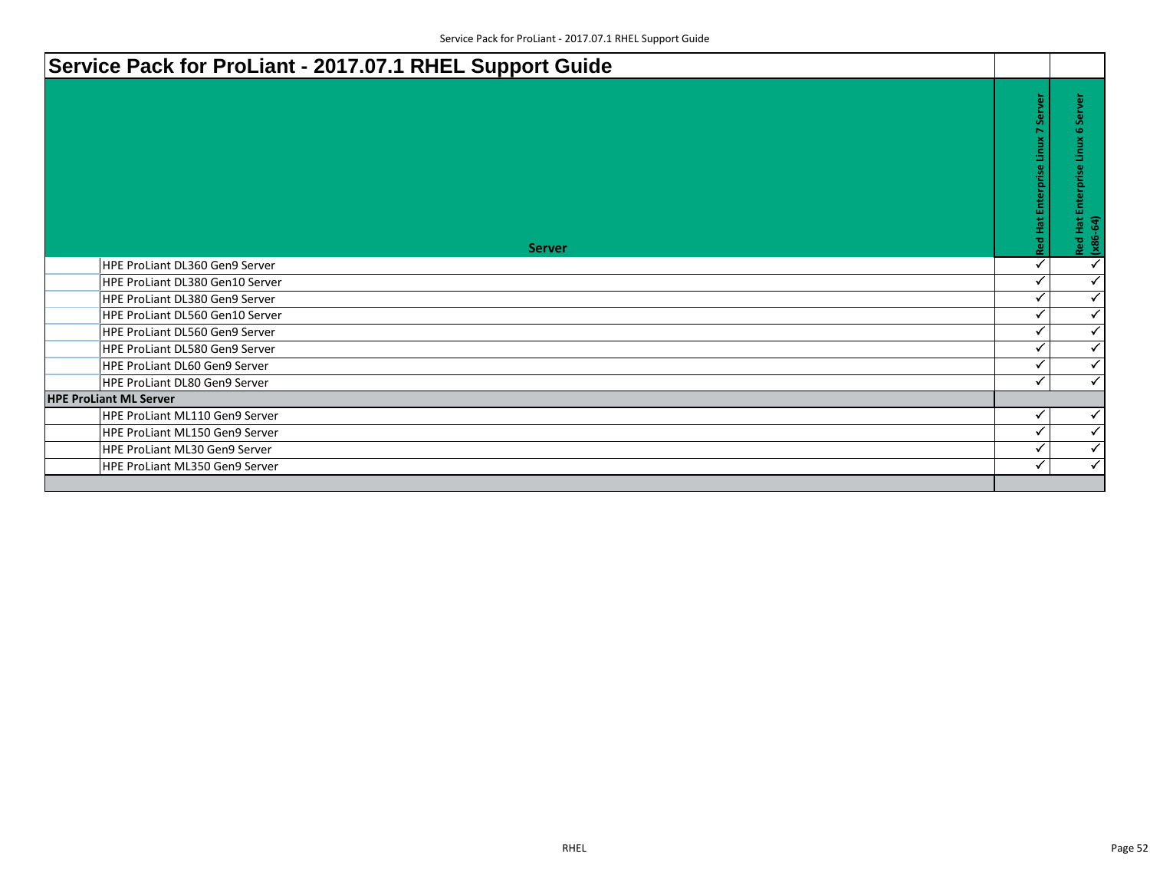| Service Pack for ProLiant - 2017.07.1 RHEL Support Guide |                                      |                                                                    |
|----------------------------------------------------------|--------------------------------------|--------------------------------------------------------------------|
| <b>Server</b>                                            | Server<br>Red Hat Enterprise Linux 7 | Server<br><b>G</b><br>Linux<br>Enterprise<br>Red Hat l<br>(x86-64) |
| HPE ProLiant DL360 Gen9 Server                           |                                      | $\checkmark$                                                       |
| <b>HPE ProLiant DL380 Gen10 Server</b>                   |                                      | $\checkmark$                                                       |
| HPE ProLiant DL380 Gen9 Server                           | ✓                                    | $\checkmark$                                                       |
| <b>HPE ProLiant DL560 Gen10 Server</b>                   | ✓                                    | $\checkmark$                                                       |
| HPE ProLiant DL560 Gen9 Server                           |                                      | $\checkmark$                                                       |
| HPE ProLiant DL580 Gen9 Server                           | ✔                                    | $\checkmark$                                                       |
| HPE ProLiant DL60 Gen9 Server                            | √                                    | $\checkmark$                                                       |
| HPE ProLiant DL80 Gen9 Server                            | ✓                                    | $\checkmark$                                                       |
| <b>HPE ProLiant ML Server</b>                            |                                      |                                                                    |
| HPE ProLiant ML110 Gen9 Server                           | ✓                                    | ✓                                                                  |
| HPE ProLiant ML150 Gen9 Server                           | $\checkmark$                         | ✓                                                                  |
| HPE ProLiant ML30 Gen9 Server                            |                                      | $\checkmark$                                                       |
| HPE ProLiant ML350 Gen9 Server                           | ✓                                    | $\checkmark$                                                       |
|                                                          |                                      |                                                                    |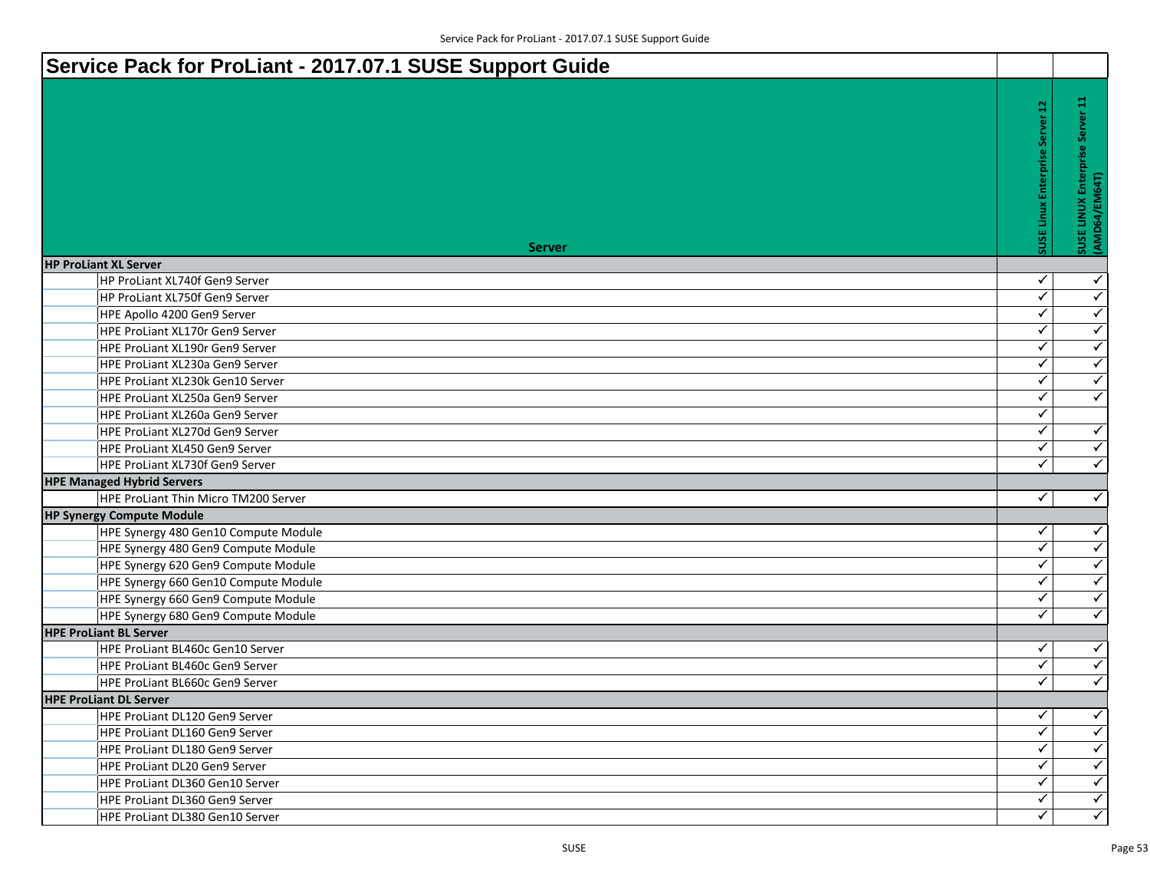| Service Pack for ProLiant - 2017.07.1 SUSE Support Guide |                        |                                                    |
|----------------------------------------------------------|------------------------|----------------------------------------------------|
| <b>Server</b>                                            | 읍<br><b>SUSE Linux</b> | я<br>SUSE LINUX Enterprise Server<br>(AMD64/EM64T) |
| <b>HP ProLiant XL Server</b>                             |                        |                                                    |
| HP ProLiant XL740f Gen9 Server                           | ✓                      | $\checkmark$                                       |
| HP ProLiant XL750f Gen9 Server                           | ✓                      | $\checkmark$                                       |
| HPE Apollo 4200 Gen9 Server                              | ✓                      | $\checkmark$                                       |
| HPE ProLiant XL170r Gen9 Server                          | ✓                      | $\blacktriangledown$                               |
| <b>HPE ProLiant XL190r Gen9 Server</b>                   | ✓                      | $\overline{\checkmark}$                            |
| HPE ProLiant XL230a Gen9 Server                          | $\checkmark$           | $\overline{\checkmark}$                            |
| <b>HPE ProLiant XL230k Gen10 Server</b>                  | $\checkmark$           | $\overline{\checkmark}$                            |
| HPE ProLiant XL250a Gen9 Server                          | ✓                      | $\checkmark$                                       |
| <b>HPE ProLiant XL260a Gen9 Server</b>                   | $\checkmark$           |                                                    |
| <b>HPE ProLiant XL270d Gen9 Server</b>                   | $\checkmark$           | $\checkmark$                                       |
| HPE ProLiant XL450 Gen9 Server                           | ✓                      | $\checkmark$                                       |
| HPE ProLiant XL730f Gen9 Server                          | $\checkmark$           | $\overline{\checkmark}$                            |
| <b>HPE Managed Hybrid Servers</b>                        |                        |                                                    |
| HPE ProLiant Thin Micro TM200 Server                     | $\checkmark$           | $\checkmark$                                       |
| <b>HP Synergy Compute Module</b>                         |                        |                                                    |
| HPE Synergy 480 Gen10 Compute Module                     | ✓                      | $\checkmark$                                       |
| HPE Synergy 480 Gen9 Compute Module                      | ✓                      | $\blacktriangleleft$                               |
| HPE Synergy 620 Gen9 Compute Module                      | ✓                      | $\overline{\checkmark}$                            |
| HPE Synergy 660 Gen10 Compute Module                     | $\checkmark$           | $\overline{\checkmark}$                            |
| HPE Synergy 660 Gen9 Compute Module                      | $\checkmark$           | $\blacklozenge$                                    |
| HPE Synergy 680 Gen9 Compute Module                      | $\checkmark$           | $\blacktriangledown$                               |
| <b>HPE ProLiant BL Server</b>                            |                        |                                                    |
| HPE ProLiant BL460c Gen10 Server                         | ✓                      | $\blacktriangledown$                               |
| HPE ProLiant BL460c Gen9 Server                          | $\checkmark$           | $\checkmark$                                       |
| HPE ProLiant BL660c Gen9 Server                          | ✓                      | $\blacktriangledown$                               |
| <b>HPE ProLiant DL Server</b>                            |                        |                                                    |
| HPE ProLiant DL120 Gen9 Server                           | ✓                      | $\checkmark$                                       |
| HPE ProLiant DL160 Gen9 Server                           | $\checkmark$           | $\blacktriangleleft$                               |
| HPE ProLiant DL180 Gen9 Server                           | ✓                      | $\left\langle \right\rangle$                       |
| HPE ProLiant DL20 Gen9 Server                            | ✓                      | $\blacktriangledown$                               |
| HPE ProLiant DL360 Gen10 Server                          | $\checkmark$           | $\blacktriangledown$                               |
| HPE ProLiant DL360 Gen9 Server                           | $\checkmark$           | $\blacktriangledown$                               |
| HPE ProLiant DL380 Gen10 Server                          | ✓                      | $\left\langle \right\rangle$                       |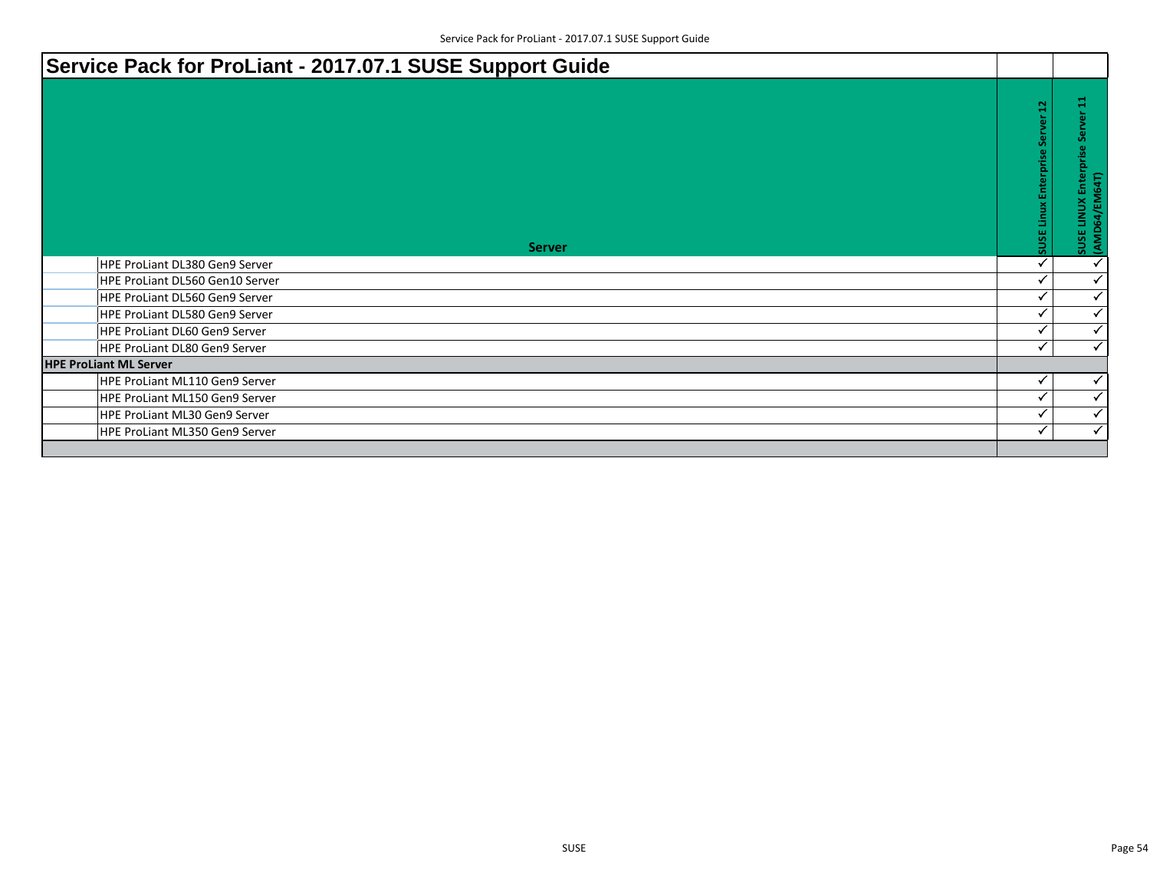| Service Pack for ProLiant - 2017.07.1 SUSE Support Guide |                                                  |                                                    |
|----------------------------------------------------------|--------------------------------------------------|----------------------------------------------------|
| <b>Server</b>                                            | $\mathbf{a}$<br><b>SUSE Linux Enterprise Ser</b> | ğ<br>႕မွ<br>SUSE LINUX Enterprise<br>(AMD64/EM64T) |
| HPE ProLiant DL380 Gen9 Server                           |                                                  | $\checkmark$                                       |
| HPE ProLiant DL560 Gen10 Server                          | $\checkmark$                                     | ✓                                                  |
| HPE ProLiant DL560 Gen9 Server                           |                                                  | ✓                                                  |
| HPE ProLiant DL580 Gen9 Server                           |                                                  | ✓                                                  |
| HPE ProLiant DL60 Gen9 Server                            |                                                  | $\checkmark$                                       |
| HPE ProLiant DL80 Gen9 Server                            | $\checkmark$                                     | ✓                                                  |
| <b>HPE ProLiant ML Server</b>                            |                                                  |                                                    |
| HPE ProLiant ML110 Gen9 Server                           | $\checkmark$                                     | $\checkmark$                                       |
| HPE ProLiant ML150 Gen9 Server                           | $\checkmark$                                     | ✓                                                  |
| HPE ProLiant ML30 Gen9 Server                            | $\checkmark$                                     | ✓                                                  |
| HPE ProLiant ML350 Gen9 Server                           | $\checkmark$                                     | ✓                                                  |
|                                                          |                                                  |                                                    |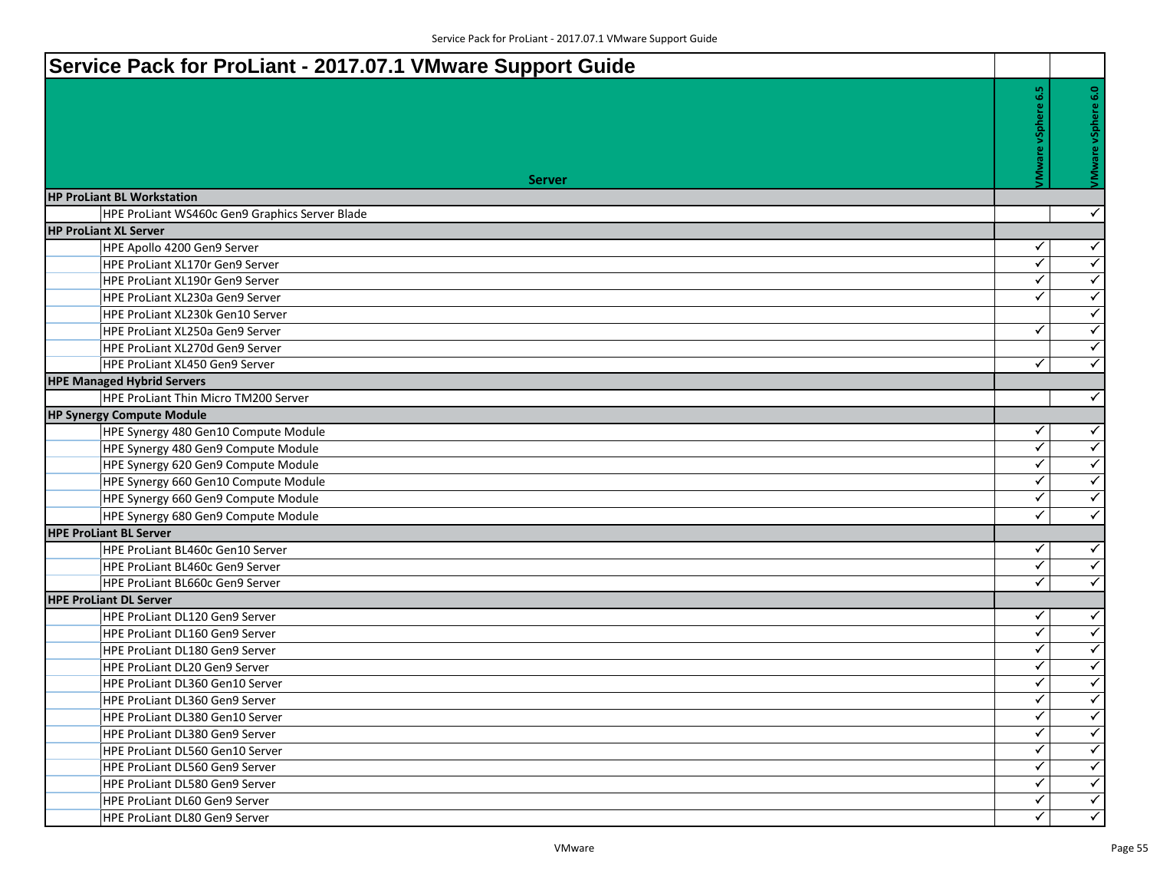| Service Pack for ProLiant - 2017.07.1 VMware Support Guide        |                              |                                              |
|-------------------------------------------------------------------|------------------------------|----------------------------------------------|
|                                                                   | 6.5                          |                                              |
|                                                                   |                              | VMware vSphere 6.0                           |
|                                                                   |                              |                                              |
|                                                                   |                              |                                              |
|                                                                   |                              |                                              |
| <b>Server</b>                                                     |                              |                                              |
| <b>HP ProLiant BL Workstation</b>                                 |                              |                                              |
| HPE ProLiant WS460c Gen9 Graphics Server Blade                    |                              | $\checkmark$                                 |
| <b>HP ProLiant XL Server</b>                                      |                              |                                              |
| HPE Apollo 4200 Gen9 Server                                       | ✓                            | $\checkmark$                                 |
| <b>HPE ProLiant XL170r Gen9 Server</b>                            | $\checkmark$                 | $\sqrt{2}$                                   |
| HPE ProLiant XL190r Gen9 Server                                   | $\checkmark$                 | $\overline{\checkmark}$                      |
| HPE ProLiant XL230a Gen9 Server                                   | $\checkmark$                 | $\blacktriangledown$                         |
| HPE ProLiant XL230k Gen10 Server                                  |                              | $\checkmark$                                 |
| HPE ProLiant XL250a Gen9 Server                                   | ✓                            | $\checkmark$                                 |
| HPE ProLiant XL270d Gen9 Server                                   |                              | $\blacktriangledown$                         |
| HPE ProLiant XL450 Gen9 Server                                    | $\checkmark$                 | $\checkmark$                                 |
| <b>HPE Managed Hybrid Servers</b>                                 |                              |                                              |
| HPE ProLiant Thin Micro TM200 Server                              |                              | $\checkmark$                                 |
| <b>HP Synergy Compute Module</b>                                  |                              |                                              |
| HPE Synergy 480 Gen10 Compute Module                              | ✓                            | $\checkmark$                                 |
| HPE Synergy 480 Gen9 Compute Module                               | ✓                            | $\checkmark$                                 |
| HPE Synergy 620 Gen9 Compute Module                               | $\checkmark$                 | $\blacktriangledown$                         |
| HPE Synergy 660 Gen10 Compute Module                              | $\checkmark$                 | $\overline{\checkmark}$                      |
| HPE Synergy 660 Gen9 Compute Module                               | ✓                            | $\overline{\checkmark}$                      |
| HPE Synergy 680 Gen9 Compute Module                               | $\checkmark$                 | $\checkmark$                                 |
| <b>HPE ProLiant BL Server</b>                                     |                              |                                              |
| HPE ProLiant BL460c Gen10 Server                                  | ✓                            | $\checkmark$                                 |
| HPE ProLiant BL460c Gen9 Server                                   | ✓                            | $\blacktriangleleft$                         |
| HPE ProLiant BL660c Gen9 Server                                   | ✓                            | $\checkmark$                                 |
| <b>HPE ProLiant DL Server</b>                                     |                              |                                              |
| HPE ProLiant DL120 Gen9 Server                                    | ✓                            | $\checkmark$                                 |
| HPE ProLiant DL160 Gen9 Server                                    | $\checkmark$<br>$\checkmark$ | $\overline{\checkmark}$                      |
| HPE ProLiant DL180 Gen9 Server                                    | ✓                            | $\blacktriangledown$<br>$\blacktriangledown$ |
| HPE ProLiant DL20 Gen9 Server                                     | ✓                            | $\checkmark$                                 |
| HPE ProLiant DL360 Gen10 Server                                   | $\blacktriangleleft$         | $\blacktriangle$                             |
| HPE ProLiant DL360 Gen9 Server                                    | $\checkmark$                 | $\overline{\checkmark}$                      |
| HPE ProLiant DL380 Gen10 Server                                   | $\checkmark$                 | $\blacktriangledown$                         |
| HPE ProLiant DL380 Gen9 Server                                    | ✓                            | $\checkmark$                                 |
| HPE ProLiant DL560 Gen10 Server<br>HPE ProLiant DL560 Gen9 Server | $\checkmark$                 | $\blacktriangleleft$                         |
| HPE ProLiant DL580 Gen9 Server                                    | ✓                            | $\blacktriangledown$                         |
| HPE ProLiant DL60 Gen9 Server                                     | $\checkmark$                 | $\left\langle \right\rangle$                 |
| HPE ProLiant DL80 Gen9 Server                                     | $\checkmark$                 | $\overline{\checkmark}$                      |
|                                                                   |                              |                                              |